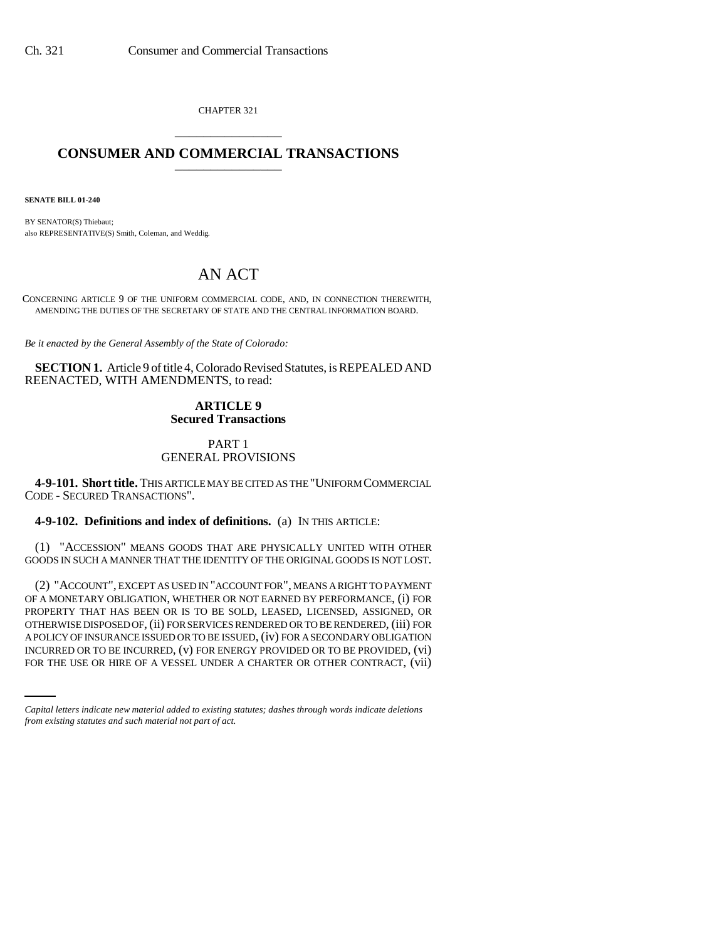CHAPTER 321 \_\_\_\_\_\_\_\_\_\_\_\_\_\_\_

# **CONSUMER AND COMMERCIAL TRANSACTIONS** \_\_\_\_\_\_\_\_\_\_\_\_\_\_\_

**SENATE BILL 01-240**

BY SENATOR(S) Thiebaut; also REPRESENTATIVE(S) Smith, Coleman, and Weddig.

# AN ACT

CONCERNING ARTICLE 9 OF THE UNIFORM COMMERCIAL CODE, AND, IN CONNECTION THEREWITH, AMENDING THE DUTIES OF THE SECRETARY OF STATE AND THE CENTRAL INFORMATION BOARD.

*Be it enacted by the General Assembly of the State of Colorado:*

**SECTION 1.** Article 9 of title 4, Colorado Revised Statutes, is REPEALED AND REENACTED, WITH AMENDMENTS, to read:

### **ARTICLE 9 Secured Transactions**

#### PART 1 GENERAL PROVISIONS

**4-9-101. Short title.** THIS ARTICLE MAY BE CITED AS THE "UNIFORM COMMERCIAL CODE - SECURED TRANSACTIONS".

**4-9-102. Definitions and index of definitions.** (a) IN THIS ARTICLE:

(1) "ACCESSION" MEANS GOODS THAT ARE PHYSICALLY UNITED WITH OTHER GOODS IN SUCH A MANNER THAT THE IDENTITY OF THE ORIGINAL GOODS IS NOT LOST.

A POLICY OF INSURANCE ISSUED OR TO BE ISSUED, (iv) FOR A SECONDARY OBLIGATION (2) "ACCOUNT", EXCEPT AS USED IN "ACCOUNT FOR", MEANS A RIGHT TO PAYMENT OF A MONETARY OBLIGATION, WHETHER OR NOT EARNED BY PERFORMANCE, (i) FOR PROPERTY THAT HAS BEEN OR IS TO BE SOLD, LEASED, LICENSED, ASSIGNED, OR OTHERWISE DISPOSED OF, (ii) FOR SERVICES RENDERED OR TO BE RENDERED, (iii) FOR INCURRED OR TO BE INCURRED, (v) FOR ENERGY PROVIDED OR TO BE PROVIDED, (vi) FOR THE USE OR HIRE OF A VESSEL UNDER A CHARTER OR OTHER CONTRACT, (vii)

*Capital letters indicate new material added to existing statutes; dashes through words indicate deletions from existing statutes and such material not part of act.*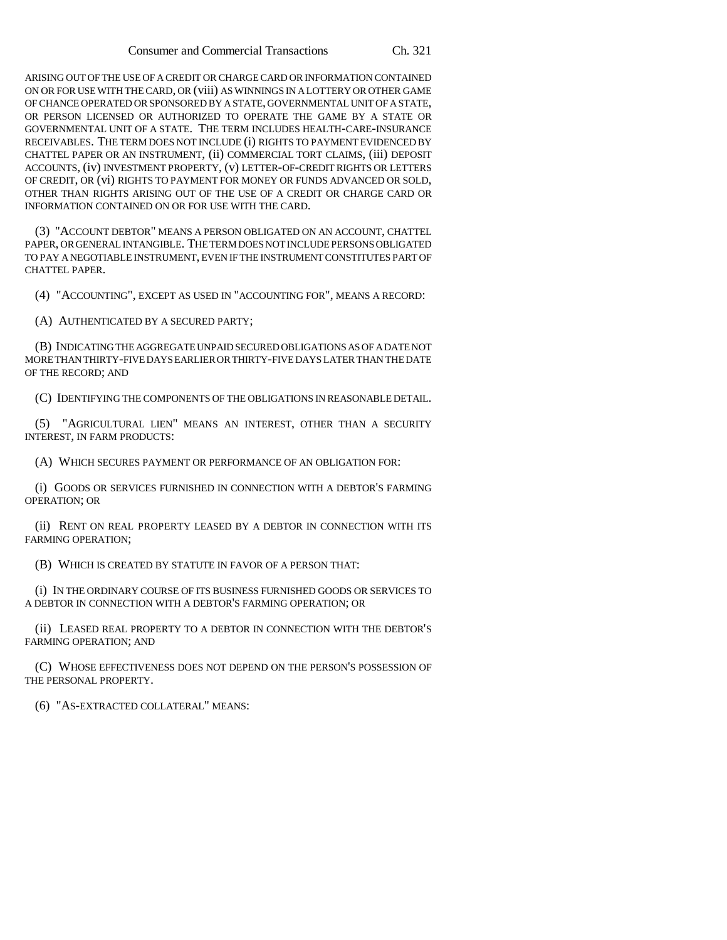ARISING OUT OF THE USE OF A CREDIT OR CHARGE CARD OR INFORMATION CONTAINED ON OR FOR USE WITH THE CARD, OR (viii) AS WINNINGS IN A LOTTERY OR OTHER GAME OF CHANCE OPERATED OR SPONSORED BY A STATE, GOVERNMENTAL UNIT OF A STATE, OR PERSON LICENSED OR AUTHORIZED TO OPERATE THE GAME BY A STATE OR GOVERNMENTAL UNIT OF A STATE. THE TERM INCLUDES HEALTH-CARE-INSURANCE RECEIVABLES. THE TERM DOES NOT INCLUDE (i) RIGHTS TO PAYMENT EVIDENCED BY CHATTEL PAPER OR AN INSTRUMENT, (ii) COMMERCIAL TORT CLAIMS, (iii) DEPOSIT ACCOUNTS, (iv) INVESTMENT PROPERTY, (v) LETTER-OF-CREDIT RIGHTS OR LETTERS OF CREDIT, OR (vi) RIGHTS TO PAYMENT FOR MONEY OR FUNDS ADVANCED OR SOLD, OTHER THAN RIGHTS ARISING OUT OF THE USE OF A CREDIT OR CHARGE CARD OR INFORMATION CONTAINED ON OR FOR USE WITH THE CARD.

(3) "ACCOUNT DEBTOR" MEANS A PERSON OBLIGATED ON AN ACCOUNT, CHATTEL PAPER, OR GENERAL INTANGIBLE. THE TERM DOES NOT INCLUDE PERSONS OBLIGATED TO PAY A NEGOTIABLE INSTRUMENT, EVEN IF THE INSTRUMENT CONSTITUTES PART OF CHATTEL PAPER.

(4) "ACCOUNTING", EXCEPT AS USED IN "ACCOUNTING FOR", MEANS A RECORD:

(A) AUTHENTICATED BY A SECURED PARTY;

(B) INDICATING THE AGGREGATE UNPAID SECURED OBLIGATIONS AS OF A DATE NOT MORE THAN THIRTY-FIVE DAYS EARLIER OR THIRTY-FIVE DAYS LATER THAN THE DATE OF THE RECORD; AND

(C) IDENTIFYING THE COMPONENTS OF THE OBLIGATIONS IN REASONABLE DETAIL.

(5) "AGRICULTURAL LIEN" MEANS AN INTEREST, OTHER THAN A SECURITY INTEREST, IN FARM PRODUCTS:

(A) WHICH SECURES PAYMENT OR PERFORMANCE OF AN OBLIGATION FOR:

(i) GOODS OR SERVICES FURNISHED IN CONNECTION WITH A DEBTOR'S FARMING OPERATION; OR

(ii) RENT ON REAL PROPERTY LEASED BY A DEBTOR IN CONNECTION WITH ITS FARMING OPERATION;

(B) WHICH IS CREATED BY STATUTE IN FAVOR OF A PERSON THAT:

(i) IN THE ORDINARY COURSE OF ITS BUSINESS FURNISHED GOODS OR SERVICES TO A DEBTOR IN CONNECTION WITH A DEBTOR'S FARMING OPERATION; OR

(ii) LEASED REAL PROPERTY TO A DEBTOR IN CONNECTION WITH THE DEBTOR'S FARMING OPERATION; AND

(C) WHOSE EFFECTIVENESS DOES NOT DEPEND ON THE PERSON'S POSSESSION OF THE PERSONAL PROPERTY.

(6) "AS-EXTRACTED COLLATERAL" MEANS: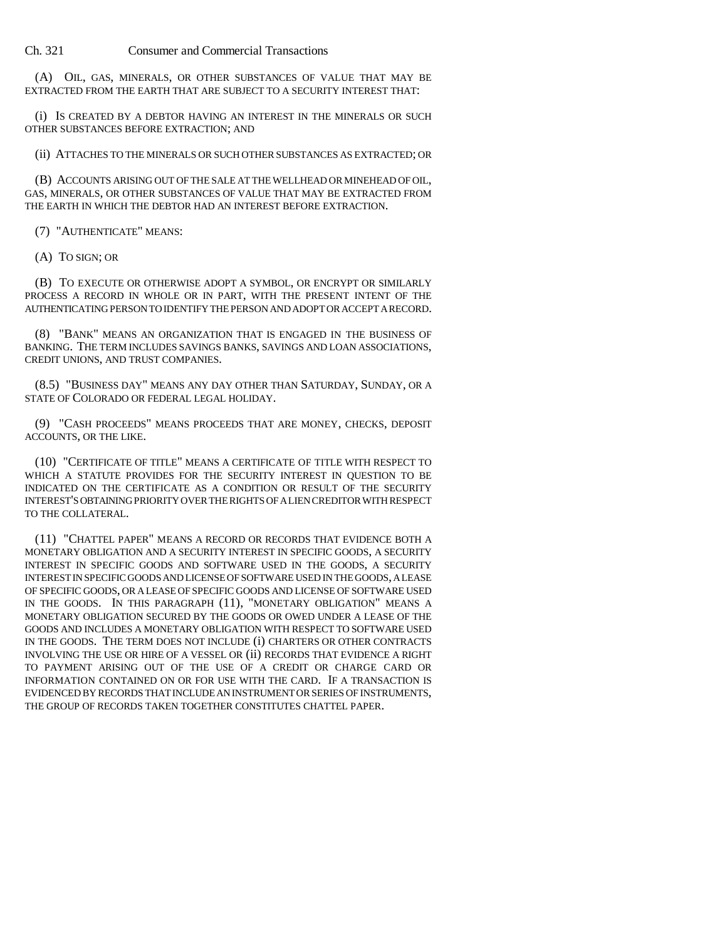(A) OIL, GAS, MINERALS, OR OTHER SUBSTANCES OF VALUE THAT MAY BE EXTRACTED FROM THE EARTH THAT ARE SUBJECT TO A SECURITY INTEREST THAT:

(i) IS CREATED BY A DEBTOR HAVING AN INTEREST IN THE MINERALS OR SUCH OTHER SUBSTANCES BEFORE EXTRACTION; AND

(ii) ATTACHES TO THE MINERALS OR SUCH OTHER SUBSTANCES AS EXTRACTED; OR

(B) ACCOUNTS ARISING OUT OF THE SALE AT THE WELLHEAD OR MINEHEAD OF OIL, GAS, MINERALS, OR OTHER SUBSTANCES OF VALUE THAT MAY BE EXTRACTED FROM THE EARTH IN WHICH THE DEBTOR HAD AN INTEREST BEFORE EXTRACTION.

(7) "AUTHENTICATE" MEANS:

(A) TO SIGN; OR

(B) TO EXECUTE OR OTHERWISE ADOPT A SYMBOL, OR ENCRYPT OR SIMILARLY PROCESS A RECORD IN WHOLE OR IN PART, WITH THE PRESENT INTENT OF THE AUTHENTICATING PERSON TO IDENTIFY THE PERSON AND ADOPT OR ACCEPT A RECORD.

(8) "BANK" MEANS AN ORGANIZATION THAT IS ENGAGED IN THE BUSINESS OF BANKING. THE TERM INCLUDES SAVINGS BANKS, SAVINGS AND LOAN ASSOCIATIONS, CREDIT UNIONS, AND TRUST COMPANIES.

(8.5) "BUSINESS DAY" MEANS ANY DAY OTHER THAN SATURDAY, SUNDAY, OR A STATE OF COLORADO OR FEDERAL LEGAL HOLIDAY.

(9) "CASH PROCEEDS" MEANS PROCEEDS THAT ARE MONEY, CHECKS, DEPOSIT ACCOUNTS, OR THE LIKE.

(10) "CERTIFICATE OF TITLE" MEANS A CERTIFICATE OF TITLE WITH RESPECT TO WHICH A STATUTE PROVIDES FOR THE SECURITY INTEREST IN QUESTION TO BE INDICATED ON THE CERTIFICATE AS A CONDITION OR RESULT OF THE SECURITY INTEREST'S OBTAINING PRIORITY OVER THE RIGHTS OF A LIEN CREDITOR WITH RESPECT TO THE COLLATERAL.

(11) "CHATTEL PAPER" MEANS A RECORD OR RECORDS THAT EVIDENCE BOTH A MONETARY OBLIGATION AND A SECURITY INTEREST IN SPECIFIC GOODS, A SECURITY INTEREST IN SPECIFIC GOODS AND SOFTWARE USED IN THE GOODS, A SECURITY INTEREST IN SPECIFIC GOODS AND LICENSE OF SOFTWARE USED IN THE GOODS, A LEASE OF SPECIFIC GOODS, OR A LEASE OF SPECIFIC GOODS AND LICENSE OF SOFTWARE USED IN THE GOODS. IN THIS PARAGRAPH (11), "MONETARY OBLIGATION" MEANS A MONETARY OBLIGATION SECURED BY THE GOODS OR OWED UNDER A LEASE OF THE GOODS AND INCLUDES A MONETARY OBLIGATION WITH RESPECT TO SOFTWARE USED IN THE GOODS. THE TERM DOES NOT INCLUDE (i) CHARTERS OR OTHER CONTRACTS INVOLVING THE USE OR HIRE OF A VESSEL OR (ii) RECORDS THAT EVIDENCE A RIGHT TO PAYMENT ARISING OUT OF THE USE OF A CREDIT OR CHARGE CARD OR INFORMATION CONTAINED ON OR FOR USE WITH THE CARD. IF A TRANSACTION IS EVIDENCED BY RECORDS THAT INCLUDE AN INSTRUMENT OR SERIES OF INSTRUMENTS, THE GROUP OF RECORDS TAKEN TOGETHER CONSTITUTES CHATTEL PAPER.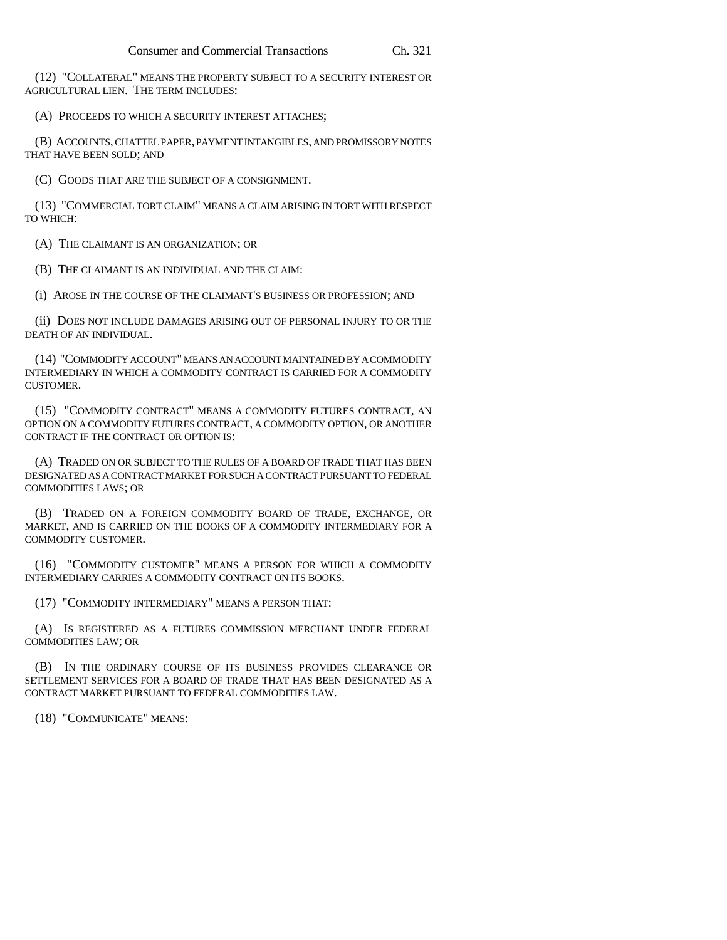(12) "COLLATERAL" MEANS THE PROPERTY SUBJECT TO A SECURITY INTEREST OR AGRICULTURAL LIEN. THE TERM INCLUDES:

(A) PROCEEDS TO WHICH A SECURITY INTEREST ATTACHES;

(B) ACCOUNTS, CHATTEL PAPER, PAYMENT INTANGIBLES, AND PROMISSORY NOTES THAT HAVE BEEN SOLD; AND

(C) GOODS THAT ARE THE SUBJECT OF A CONSIGNMENT.

(13) "COMMERCIAL TORT CLAIM" MEANS A CLAIM ARISING IN TORT WITH RESPECT TO WHICH:

(A) THE CLAIMANT IS AN ORGANIZATION; OR

(B) THE CLAIMANT IS AN INDIVIDUAL AND THE CLAIM:

(i) AROSE IN THE COURSE OF THE CLAIMANT'S BUSINESS OR PROFESSION; AND

(ii) DOES NOT INCLUDE DAMAGES ARISING OUT OF PERSONAL INJURY TO OR THE DEATH OF AN INDIVIDUAL.

(14) "COMMODITY ACCOUNT" MEANS AN ACCOUNT MAINTAINED BY A COMMODITY INTERMEDIARY IN WHICH A COMMODITY CONTRACT IS CARRIED FOR A COMMODITY CUSTOMER.

(15) "COMMODITY CONTRACT" MEANS A COMMODITY FUTURES CONTRACT, AN OPTION ON A COMMODITY FUTURES CONTRACT, A COMMODITY OPTION, OR ANOTHER CONTRACT IF THE CONTRACT OR OPTION IS:

(A) TRADED ON OR SUBJECT TO THE RULES OF A BOARD OF TRADE THAT HAS BEEN DESIGNATED AS A CONTRACT MARKET FOR SUCH A CONTRACT PURSUANT TO FEDERAL COMMODITIES LAWS; OR

(B) TRADED ON A FOREIGN COMMODITY BOARD OF TRADE, EXCHANGE, OR MARKET, AND IS CARRIED ON THE BOOKS OF A COMMODITY INTERMEDIARY FOR A COMMODITY CUSTOMER.

(16) "COMMODITY CUSTOMER" MEANS A PERSON FOR WHICH A COMMODITY INTERMEDIARY CARRIES A COMMODITY CONTRACT ON ITS BOOKS.

(17) "COMMODITY INTERMEDIARY" MEANS A PERSON THAT:

(A) IS REGISTERED AS A FUTURES COMMISSION MERCHANT UNDER FEDERAL COMMODITIES LAW; OR

(B) IN THE ORDINARY COURSE OF ITS BUSINESS PROVIDES CLEARANCE OR SETTLEMENT SERVICES FOR A BOARD OF TRADE THAT HAS BEEN DESIGNATED AS A CONTRACT MARKET PURSUANT TO FEDERAL COMMODITIES LAW.

(18) "COMMUNICATE" MEANS: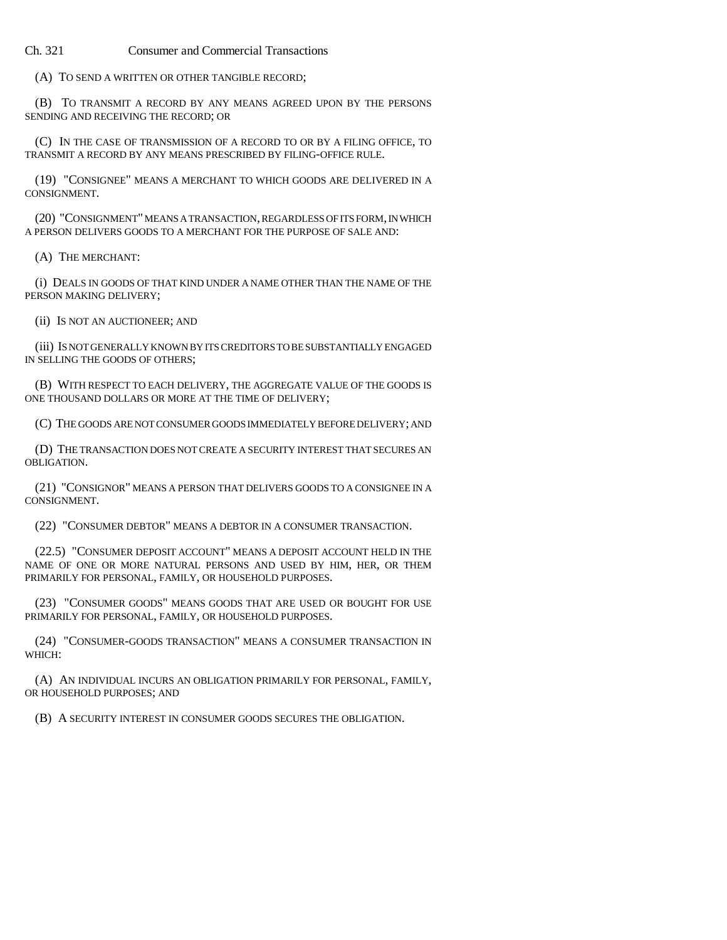(A) TO SEND A WRITTEN OR OTHER TANGIBLE RECORD;

(B) TO TRANSMIT A RECORD BY ANY MEANS AGREED UPON BY THE PERSONS SENDING AND RECEIVING THE RECORD; OR

(C) IN THE CASE OF TRANSMISSION OF A RECORD TO OR BY A FILING OFFICE, TO TRANSMIT A RECORD BY ANY MEANS PRESCRIBED BY FILING-OFFICE RULE.

(19) "CONSIGNEE" MEANS A MERCHANT TO WHICH GOODS ARE DELIVERED IN A CONSIGNMENT.

(20) "CONSIGNMENT" MEANS A TRANSACTION, REGARDLESS OF ITS FORM, IN WHICH A PERSON DELIVERS GOODS TO A MERCHANT FOR THE PURPOSE OF SALE AND:

(A) THE MERCHANT:

(i) DEALS IN GOODS OF THAT KIND UNDER A NAME OTHER THAN THE NAME OF THE PERSON MAKING DELIVERY;

(ii) IS NOT AN AUCTIONEER; AND

(iii) IS NOT GENERALLY KNOWN BY ITS CREDITORS TO BE SUBSTANTIALLY ENGAGED IN SELLING THE GOODS OF OTHERS;

(B) WITH RESPECT TO EACH DELIVERY, THE AGGREGATE VALUE OF THE GOODS IS ONE THOUSAND DOLLARS OR MORE AT THE TIME OF DELIVERY;

(C) THE GOODS ARE NOT CONSUMER GOODS IMMEDIATELY BEFORE DELIVERY; AND

(D) THE TRANSACTION DOES NOT CREATE A SECURITY INTEREST THAT SECURES AN OBLIGATION.

(21) "CONSIGNOR" MEANS A PERSON THAT DELIVERS GOODS TO A CONSIGNEE IN A CONSIGNMENT.

(22) "CONSUMER DEBTOR" MEANS A DEBTOR IN A CONSUMER TRANSACTION.

(22.5) "CONSUMER DEPOSIT ACCOUNT" MEANS A DEPOSIT ACCOUNT HELD IN THE NAME OF ONE OR MORE NATURAL PERSONS AND USED BY HIM, HER, OR THEM PRIMARILY FOR PERSONAL, FAMILY, OR HOUSEHOLD PURPOSES.

(23) "CONSUMER GOODS" MEANS GOODS THAT ARE USED OR BOUGHT FOR USE PRIMARILY FOR PERSONAL, FAMILY, OR HOUSEHOLD PURPOSES.

(24) "CONSUMER-GOODS TRANSACTION" MEANS A CONSUMER TRANSACTION IN WHICH:

(A) AN INDIVIDUAL INCURS AN OBLIGATION PRIMARILY FOR PERSONAL, FAMILY, OR HOUSEHOLD PURPOSES; AND

(B) A SECURITY INTEREST IN CONSUMER GOODS SECURES THE OBLIGATION.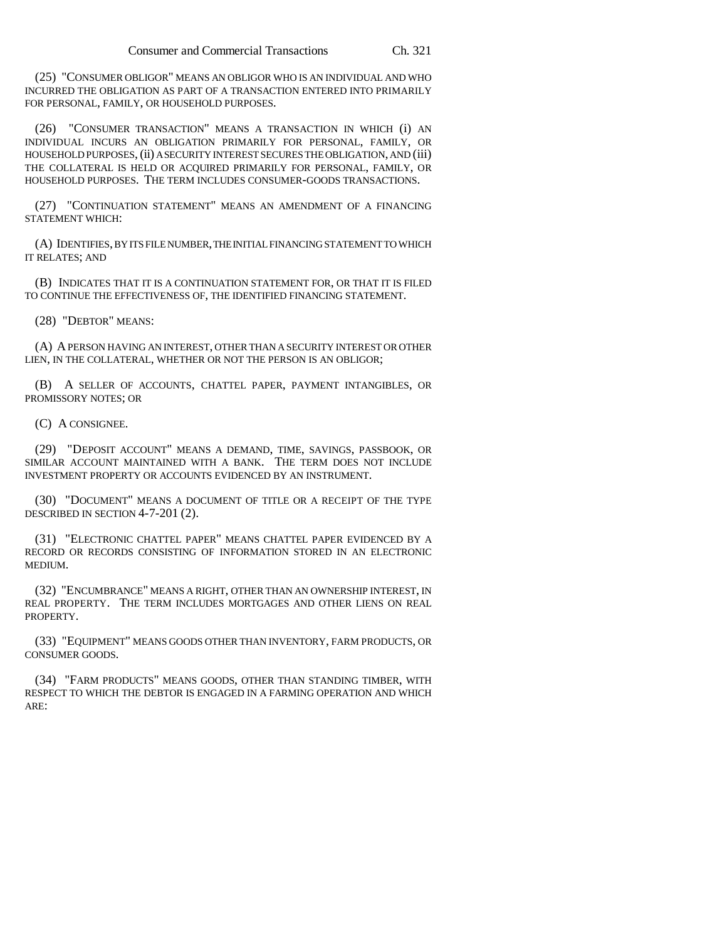(25) "CONSUMER OBLIGOR" MEANS AN OBLIGOR WHO IS AN INDIVIDUAL AND WHO INCURRED THE OBLIGATION AS PART OF A TRANSACTION ENTERED INTO PRIMARILY FOR PERSONAL, FAMILY, OR HOUSEHOLD PURPOSES.

(26) "CONSUMER TRANSACTION" MEANS A TRANSACTION IN WHICH (i) AN INDIVIDUAL INCURS AN OBLIGATION PRIMARILY FOR PERSONAL, FAMILY, OR HOUSEHOLD PURPOSES, (ii) A SECURITY INTEREST SECURES THE OBLIGATION, AND (iii) THE COLLATERAL IS HELD OR ACQUIRED PRIMARILY FOR PERSONAL, FAMILY, OR HOUSEHOLD PURPOSES. THE TERM INCLUDES CONSUMER-GOODS TRANSACTIONS.

(27) "CONTINUATION STATEMENT" MEANS AN AMENDMENT OF A FINANCING STATEMENT WHICH:

(A) IDENTIFIES, BY ITS FILE NUMBER, THE INITIAL FINANCING STATEMENT TO WHICH IT RELATES; AND

(B) INDICATES THAT IT IS A CONTINUATION STATEMENT FOR, OR THAT IT IS FILED TO CONTINUE THE EFFECTIVENESS OF, THE IDENTIFIED FINANCING STATEMENT.

(28) "DEBTOR" MEANS:

(A) A PERSON HAVING AN INTEREST, OTHER THAN A SECURITY INTEREST OR OTHER LIEN, IN THE COLLATERAL, WHETHER OR NOT THE PERSON IS AN OBLIGOR;

(B) A SELLER OF ACCOUNTS, CHATTEL PAPER, PAYMENT INTANGIBLES, OR PROMISSORY NOTES; OR

(C) A CONSIGNEE.

(29) "DEPOSIT ACCOUNT" MEANS A DEMAND, TIME, SAVINGS, PASSBOOK, OR SIMILAR ACCOUNT MAINTAINED WITH A BANK. THE TERM DOES NOT INCLUDE INVESTMENT PROPERTY OR ACCOUNTS EVIDENCED BY AN INSTRUMENT.

(30) "DOCUMENT" MEANS A DOCUMENT OF TITLE OR A RECEIPT OF THE TYPE DESCRIBED IN SECTION 4-7-201 (2).

(31) "ELECTRONIC CHATTEL PAPER" MEANS CHATTEL PAPER EVIDENCED BY A RECORD OR RECORDS CONSISTING OF INFORMATION STORED IN AN ELECTRONIC MEDIUM.

(32) "ENCUMBRANCE" MEANS A RIGHT, OTHER THAN AN OWNERSHIP INTEREST, IN REAL PROPERTY. THE TERM INCLUDES MORTGAGES AND OTHER LIENS ON REAL PROPERTY.

(33) "EQUIPMENT" MEANS GOODS OTHER THAN INVENTORY, FARM PRODUCTS, OR CONSUMER GOODS.

(34) "FARM PRODUCTS" MEANS GOODS, OTHER THAN STANDING TIMBER, WITH RESPECT TO WHICH THE DEBTOR IS ENGAGED IN A FARMING OPERATION AND WHICH ARE: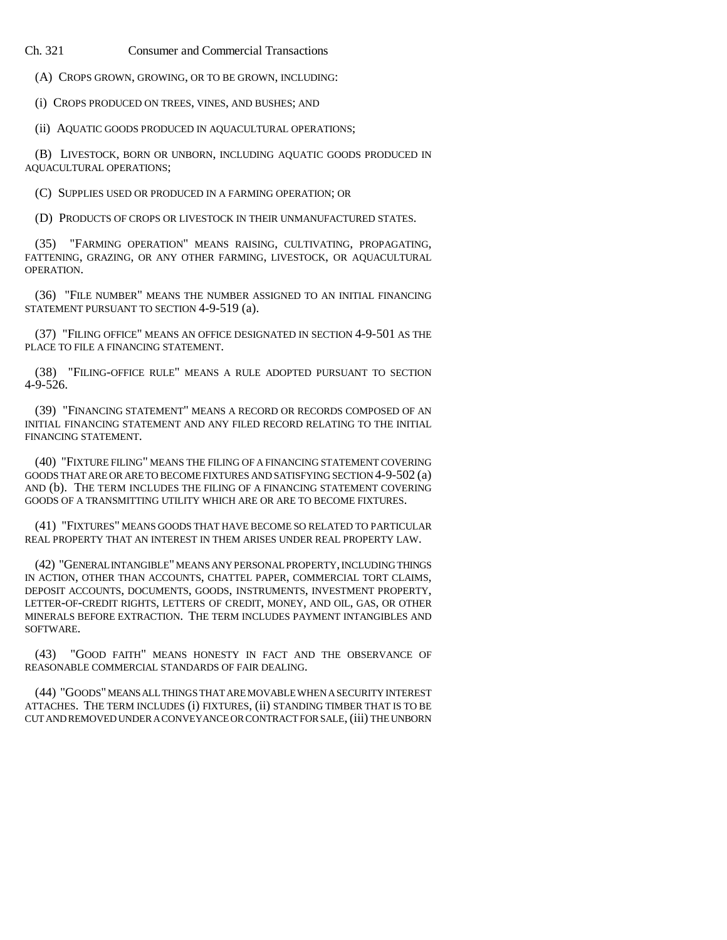(A) CROPS GROWN, GROWING, OR TO BE GROWN, INCLUDING:

(i) CROPS PRODUCED ON TREES, VINES, AND BUSHES; AND

(ii) AQUATIC GOODS PRODUCED IN AQUACULTURAL OPERATIONS;

(B) LIVESTOCK, BORN OR UNBORN, INCLUDING AQUATIC GOODS PRODUCED IN AQUACULTURAL OPERATIONS;

(C) SUPPLIES USED OR PRODUCED IN A FARMING OPERATION; OR

(D) PRODUCTS OF CROPS OR LIVESTOCK IN THEIR UNMANUFACTURED STATES.

(35) "FARMING OPERATION" MEANS RAISING, CULTIVATING, PROPAGATING, FATTENING, GRAZING, OR ANY OTHER FARMING, LIVESTOCK, OR AQUACULTURAL OPERATION.

(36) "FILE NUMBER" MEANS THE NUMBER ASSIGNED TO AN INITIAL FINANCING STATEMENT PURSUANT TO SECTION 4-9-519 (a).

(37) "FILING OFFICE" MEANS AN OFFICE DESIGNATED IN SECTION 4-9-501 AS THE PLACE TO FILE A FINANCING STATEMENT.

(38) "FILING-OFFICE RULE" MEANS A RULE ADOPTED PURSUANT TO SECTION 4-9-526.

(39) "FINANCING STATEMENT" MEANS A RECORD OR RECORDS COMPOSED OF AN INITIAL FINANCING STATEMENT AND ANY FILED RECORD RELATING TO THE INITIAL FINANCING STATEMENT.

(40) "FIXTURE FILING" MEANS THE FILING OF A FINANCING STATEMENT COVERING GOODS THAT ARE OR ARE TO BECOME FIXTURES AND SATISFYING SECTION 4-9-502 (a) AND (b). THE TERM INCLUDES THE FILING OF A FINANCING STATEMENT COVERING GOODS OF A TRANSMITTING UTILITY WHICH ARE OR ARE TO BECOME FIXTURES.

(41) "FIXTURES" MEANS GOODS THAT HAVE BECOME SO RELATED TO PARTICULAR REAL PROPERTY THAT AN INTEREST IN THEM ARISES UNDER REAL PROPERTY LAW.

(42) "GENERAL INTANGIBLE" MEANS ANY PERSONAL PROPERTY, INCLUDING THINGS IN ACTION, OTHER THAN ACCOUNTS, CHATTEL PAPER, COMMERCIAL TORT CLAIMS, DEPOSIT ACCOUNTS, DOCUMENTS, GOODS, INSTRUMENTS, INVESTMENT PROPERTY, LETTER-OF-CREDIT RIGHTS, LETTERS OF CREDIT, MONEY, AND OIL, GAS, OR OTHER MINERALS BEFORE EXTRACTION. THE TERM INCLUDES PAYMENT INTANGIBLES AND SOFTWARE.

(43) "GOOD FAITH" MEANS HONESTY IN FACT AND THE OBSERVANCE OF REASONABLE COMMERCIAL STANDARDS OF FAIR DEALING.

(44) "GOODS" MEANS ALL THINGS THAT ARE MOVABLE WHEN A SECURITY INTEREST ATTACHES. THE TERM INCLUDES (i) FIXTURES, (ii) STANDING TIMBER THAT IS TO BE CUT AND REMOVED UNDER A CONVEYANCE OR CONTRACT FOR SALE, (iii) THE UNBORN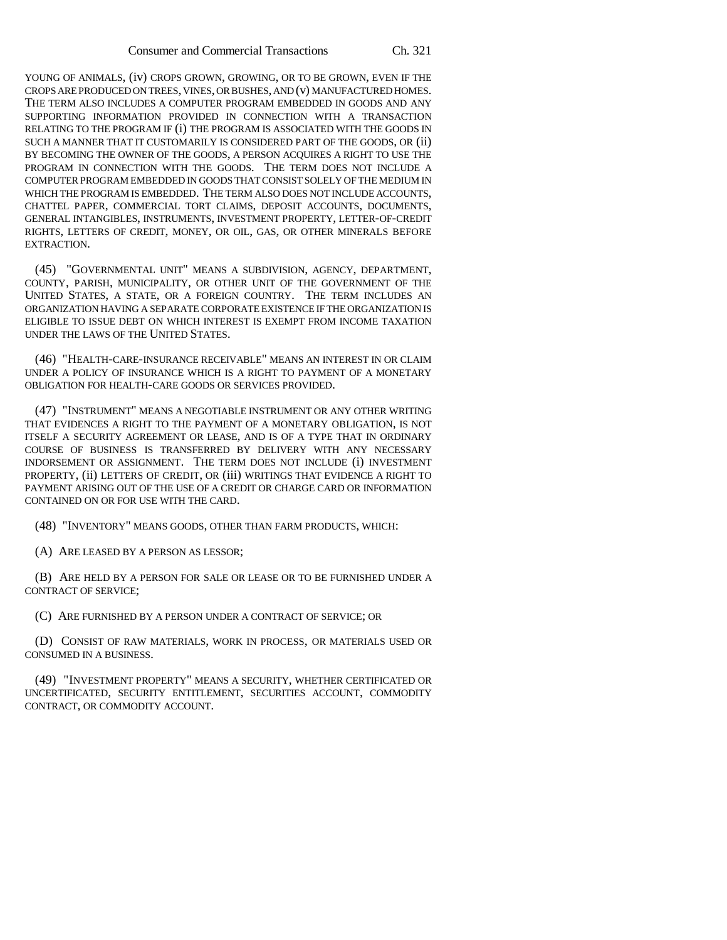YOUNG OF ANIMALS, (iv) CROPS GROWN, GROWING, OR TO BE GROWN, EVEN IF THE CROPS ARE PRODUCED ON TREES, VINES, OR BUSHES, AND (v) MANUFACTURED HOMES. THE TERM ALSO INCLUDES A COMPUTER PROGRAM EMBEDDED IN GOODS AND ANY SUPPORTING INFORMATION PROVIDED IN CONNECTION WITH A TRANSACTION RELATING TO THE PROGRAM IF (i) THE PROGRAM IS ASSOCIATED WITH THE GOODS IN SUCH A MANNER THAT IT CUSTOMARILY IS CONSIDERED PART OF THE GOODS, OR (ii) BY BECOMING THE OWNER OF THE GOODS, A PERSON ACQUIRES A RIGHT TO USE THE PROGRAM IN CONNECTION WITH THE GOODS. THE TERM DOES NOT INCLUDE A COMPUTER PROGRAM EMBEDDED IN GOODS THAT CONSIST SOLELY OF THE MEDIUM IN WHICH THE PROGRAM IS EMBEDDED. THE TERM ALSO DOES NOT INCLUDE ACCOUNTS, CHATTEL PAPER, COMMERCIAL TORT CLAIMS, DEPOSIT ACCOUNTS, DOCUMENTS, GENERAL INTANGIBLES, INSTRUMENTS, INVESTMENT PROPERTY, LETTER-OF-CREDIT RIGHTS, LETTERS OF CREDIT, MONEY, OR OIL, GAS, OR OTHER MINERALS BEFORE EXTRACTION.

(45) "GOVERNMENTAL UNIT" MEANS A SUBDIVISION, AGENCY, DEPARTMENT, COUNTY, PARISH, MUNICIPALITY, OR OTHER UNIT OF THE GOVERNMENT OF THE UNITED STATES, A STATE, OR A FOREIGN COUNTRY. THE TERM INCLUDES AN ORGANIZATION HAVING A SEPARATE CORPORATE EXISTENCE IF THE ORGANIZATION IS ELIGIBLE TO ISSUE DEBT ON WHICH INTEREST IS EXEMPT FROM INCOME TAXATION UNDER THE LAWS OF THE UNITED STATES.

(46) "HEALTH-CARE-INSURANCE RECEIVABLE" MEANS AN INTEREST IN OR CLAIM UNDER A POLICY OF INSURANCE WHICH IS A RIGHT TO PAYMENT OF A MONETARY OBLIGATION FOR HEALTH-CARE GOODS OR SERVICES PROVIDED.

(47) "INSTRUMENT" MEANS A NEGOTIABLE INSTRUMENT OR ANY OTHER WRITING THAT EVIDENCES A RIGHT TO THE PAYMENT OF A MONETARY OBLIGATION, IS NOT ITSELF A SECURITY AGREEMENT OR LEASE, AND IS OF A TYPE THAT IN ORDINARY COURSE OF BUSINESS IS TRANSFERRED BY DELIVERY WITH ANY NECESSARY INDORSEMENT OR ASSIGNMENT. THE TERM DOES NOT INCLUDE (i) INVESTMENT PROPERTY, (ii) LETTERS OF CREDIT, OR (iii) WRITINGS THAT EVIDENCE A RIGHT TO PAYMENT ARISING OUT OF THE USE OF A CREDIT OR CHARGE CARD OR INFORMATION CONTAINED ON OR FOR USE WITH THE CARD.

(48) "INVENTORY" MEANS GOODS, OTHER THAN FARM PRODUCTS, WHICH:

(A) ARE LEASED BY A PERSON AS LESSOR;

(B) ARE HELD BY A PERSON FOR SALE OR LEASE OR TO BE FURNISHED UNDER A CONTRACT OF SERVICE;

(C) ARE FURNISHED BY A PERSON UNDER A CONTRACT OF SERVICE; OR

(D) CONSIST OF RAW MATERIALS, WORK IN PROCESS, OR MATERIALS USED OR CONSUMED IN A BUSINESS.

(49) "INVESTMENT PROPERTY" MEANS A SECURITY, WHETHER CERTIFICATED OR UNCERTIFICATED, SECURITY ENTITLEMENT, SECURITIES ACCOUNT, COMMODITY CONTRACT, OR COMMODITY ACCOUNT.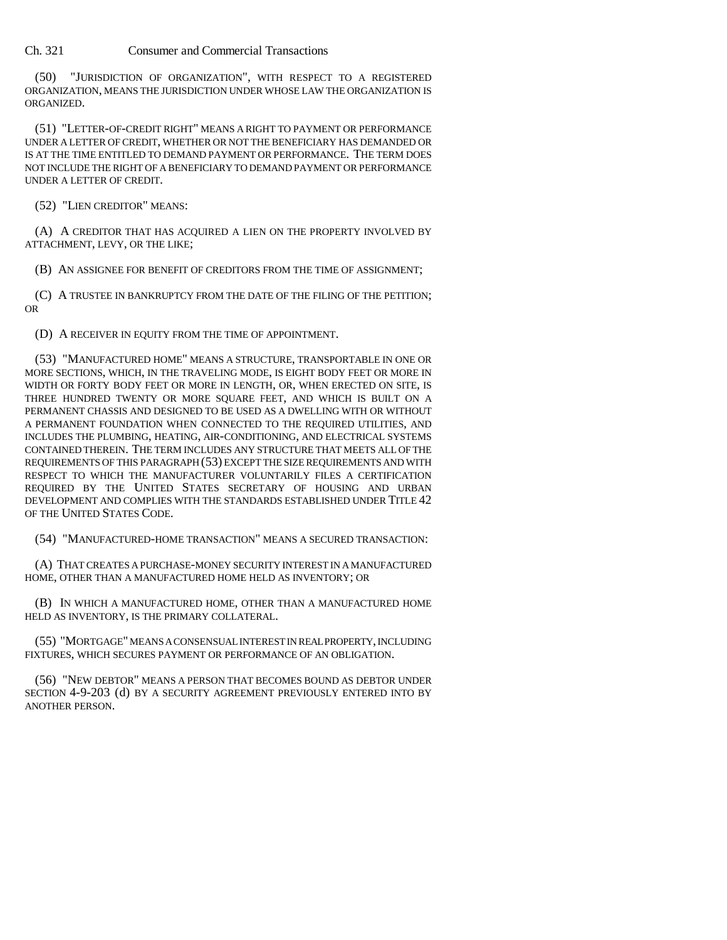(50) "JURISDICTION OF ORGANIZATION", WITH RESPECT TO A REGISTERED ORGANIZATION, MEANS THE JURISDICTION UNDER WHOSE LAW THE ORGANIZATION IS ORGANIZED.

(51) "LETTER-OF-CREDIT RIGHT" MEANS A RIGHT TO PAYMENT OR PERFORMANCE UNDER A LETTER OF CREDIT, WHETHER OR NOT THE BENEFICIARY HAS DEMANDED OR IS AT THE TIME ENTITLED TO DEMAND PAYMENT OR PERFORMANCE. THE TERM DOES NOT INCLUDE THE RIGHT OF A BENEFICIARY TO DEMAND PAYMENT OR PERFORMANCE UNDER A LETTER OF CREDIT.

(52) "LIEN CREDITOR" MEANS:

(A) A CREDITOR THAT HAS ACQUIRED A LIEN ON THE PROPERTY INVOLVED BY ATTACHMENT, LEVY, OR THE LIKE;

(B) AN ASSIGNEE FOR BENEFIT OF CREDITORS FROM THE TIME OF ASSIGNMENT;

(C) A TRUSTEE IN BANKRUPTCY FROM THE DATE OF THE FILING OF THE PETITION; OR

(D) A RECEIVER IN EQUITY FROM THE TIME OF APPOINTMENT.

(53) "MANUFACTURED HOME" MEANS A STRUCTURE, TRANSPORTABLE IN ONE OR MORE SECTIONS, WHICH, IN THE TRAVELING MODE, IS EIGHT BODY FEET OR MORE IN WIDTH OR FORTY BODY FEET OR MORE IN LENGTH, OR, WHEN ERECTED ON SITE, IS THREE HUNDRED TWENTY OR MORE SQUARE FEET, AND WHICH IS BUILT ON A PERMANENT CHASSIS AND DESIGNED TO BE USED AS A DWELLING WITH OR WITHOUT A PERMANENT FOUNDATION WHEN CONNECTED TO THE REQUIRED UTILITIES, AND INCLUDES THE PLUMBING, HEATING, AIR-CONDITIONING, AND ELECTRICAL SYSTEMS CONTAINED THEREIN. THE TERM INCLUDES ANY STRUCTURE THAT MEETS ALL OF THE REQUIREMENTS OF THIS PARAGRAPH (53) EXCEPT THE SIZE REQUIREMENTS AND WITH RESPECT TO WHICH THE MANUFACTURER VOLUNTARILY FILES A CERTIFICATION REQUIRED BY THE UNITED STATES SECRETARY OF HOUSING AND URBAN DEVELOPMENT AND COMPLIES WITH THE STANDARDS ESTABLISHED UNDER TITLE 42 OF THE UNITED STATES CODE.

(54) "MANUFACTURED-HOME TRANSACTION" MEANS A SECURED TRANSACTION:

(A) THAT CREATES A PURCHASE-MONEY SECURITY INTEREST IN A MANUFACTURED HOME, OTHER THAN A MANUFACTURED HOME HELD AS INVENTORY; OR

(B) IN WHICH A MANUFACTURED HOME, OTHER THAN A MANUFACTURED HOME HELD AS INVENTORY, IS THE PRIMARY COLLATERAL.

(55) "MORTGAGE" MEANS A CONSENSUAL INTEREST IN REAL PROPERTY, INCLUDING FIXTURES, WHICH SECURES PAYMENT OR PERFORMANCE OF AN OBLIGATION.

(56) "NEW DEBTOR" MEANS A PERSON THAT BECOMES BOUND AS DEBTOR UNDER SECTION 4-9-203 (d) BY A SECURITY AGREEMENT PREVIOUSLY ENTERED INTO BY ANOTHER PERSON.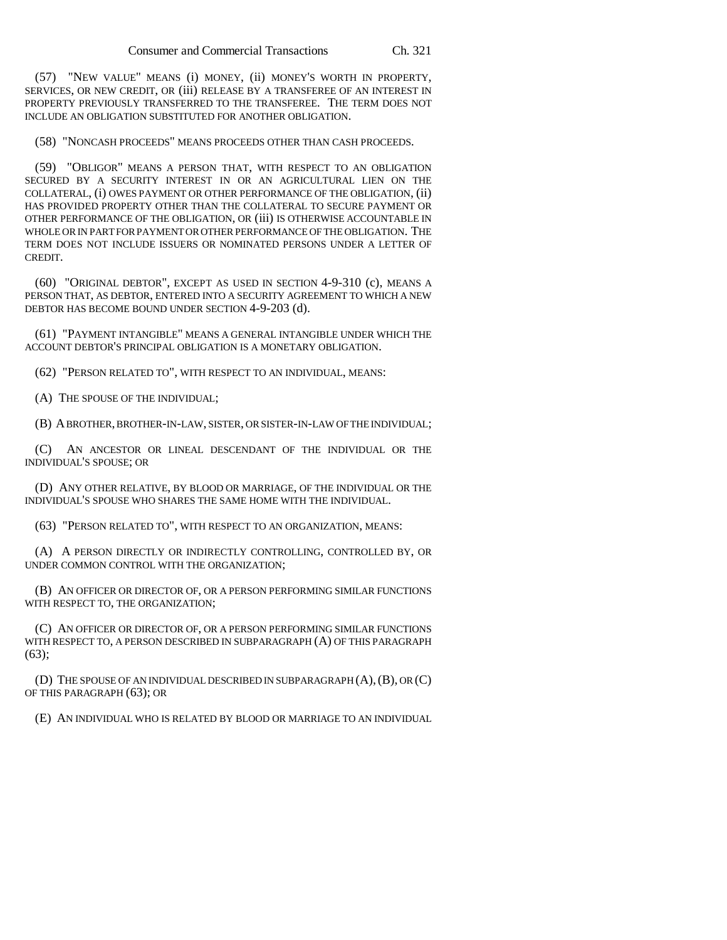(57) "NEW VALUE" MEANS (i) MONEY, (ii) MONEY'S WORTH IN PROPERTY, SERVICES, OR NEW CREDIT, OR (iii) RELEASE BY A TRANSFEREE OF AN INTEREST IN PROPERTY PREVIOUSLY TRANSFERRED TO THE TRANSFEREE. THE TERM DOES NOT INCLUDE AN OBLIGATION SUBSTITUTED FOR ANOTHER OBLIGATION.

(58) "NONCASH PROCEEDS" MEANS PROCEEDS OTHER THAN CASH PROCEEDS.

(59) "OBLIGOR" MEANS A PERSON THAT, WITH RESPECT TO AN OBLIGATION SECURED BY A SECURITY INTEREST IN OR AN AGRICULTURAL LIEN ON THE COLLATERAL, (i) OWES PAYMENT OR OTHER PERFORMANCE OF THE OBLIGATION, (ii) HAS PROVIDED PROPERTY OTHER THAN THE COLLATERAL TO SECURE PAYMENT OR OTHER PERFORMANCE OF THE OBLIGATION, OR (iii) IS OTHERWISE ACCOUNTABLE IN WHOLE OR IN PART FOR PAYMENT OR OTHER PERFORMANCE OF THE OBLIGATION. THE TERM DOES NOT INCLUDE ISSUERS OR NOMINATED PERSONS UNDER A LETTER OF CREDIT.

(60) "ORIGINAL DEBTOR", EXCEPT AS USED IN SECTION 4-9-310 (c), MEANS A PERSON THAT, AS DEBTOR, ENTERED INTO A SECURITY AGREEMENT TO WHICH A NEW DEBTOR HAS BECOME BOUND UNDER SECTION 4-9-203 (d).

(61) "PAYMENT INTANGIBLE" MEANS A GENERAL INTANGIBLE UNDER WHICH THE ACCOUNT DEBTOR'S PRINCIPAL OBLIGATION IS A MONETARY OBLIGATION.

(62) "PERSON RELATED TO", WITH RESPECT TO AN INDIVIDUAL, MEANS:

(A) THE SPOUSE OF THE INDIVIDUAL;

(B) A BROTHER, BROTHER-IN-LAW, SISTER, OR SISTER-IN-LAW OF THE INDIVIDUAL;

(C) AN ANCESTOR OR LINEAL DESCENDANT OF THE INDIVIDUAL OR THE INDIVIDUAL'S SPOUSE; OR

(D) ANY OTHER RELATIVE, BY BLOOD OR MARRIAGE, OF THE INDIVIDUAL OR THE INDIVIDUAL'S SPOUSE WHO SHARES THE SAME HOME WITH THE INDIVIDUAL.

(63) "PERSON RELATED TO", WITH RESPECT TO AN ORGANIZATION, MEANS:

(A) A PERSON DIRECTLY OR INDIRECTLY CONTROLLING, CONTROLLED BY, OR UNDER COMMON CONTROL WITH THE ORGANIZATION;

(B) AN OFFICER OR DIRECTOR OF, OR A PERSON PERFORMING SIMILAR FUNCTIONS WITH RESPECT TO, THE ORGANIZATION;

(C) AN OFFICER OR DIRECTOR OF, OR A PERSON PERFORMING SIMILAR FUNCTIONS WITH RESPECT TO, A PERSON DESCRIBED IN SUBPARAGRAPH (A) OF THIS PARAGRAPH  $(63)$ ;

(D) THE SPOUSE OF AN INDIVIDUAL DESCRIBED IN SUBPARAGRAPH (A),(B), OR (C) OF THIS PARAGRAPH (63); OR

(E) AN INDIVIDUAL WHO IS RELATED BY BLOOD OR MARRIAGE TO AN INDIVIDUAL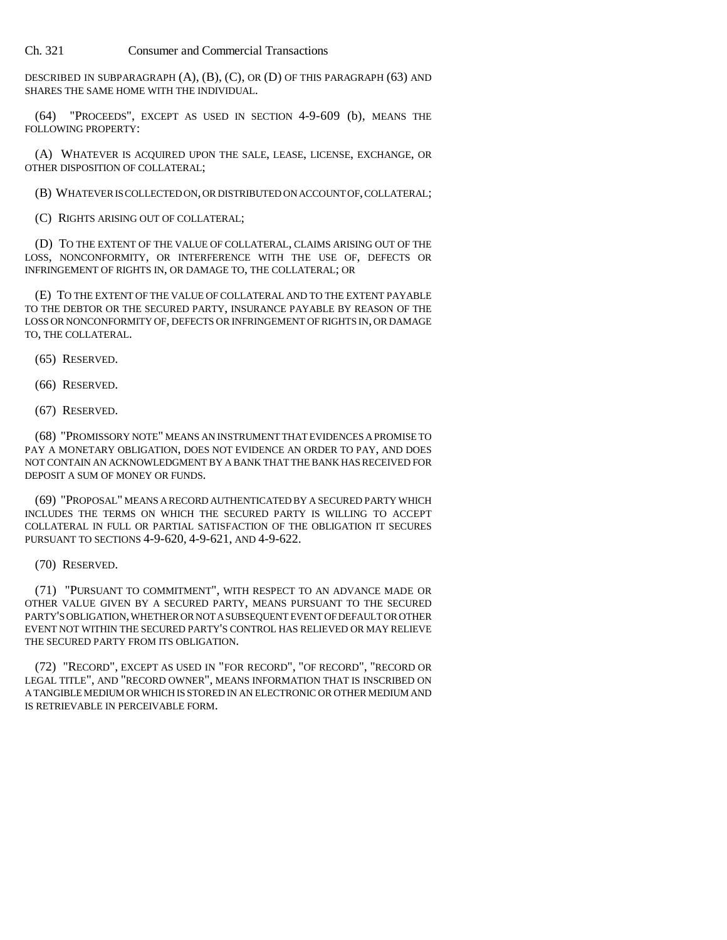DESCRIBED IN SUBPARAGRAPH (A), (B), (C), OR (D) OF THIS PARAGRAPH (63) AND SHARES THE SAME HOME WITH THE INDIVIDUAL.

(64) "PROCEEDS", EXCEPT AS USED IN SECTION 4-9-609 (b), MEANS THE FOLLOWING PROPERTY:

(A) WHATEVER IS ACQUIRED UPON THE SALE, LEASE, LICENSE, EXCHANGE, OR OTHER DISPOSITION OF COLLATERAL;

(B) WHATEVER IS COLLECTED ON, OR DISTRIBUTED ON ACCOUNT OF, COLLATERAL;

(C) RIGHTS ARISING OUT OF COLLATERAL;

(D) TO THE EXTENT OF THE VALUE OF COLLATERAL, CLAIMS ARISING OUT OF THE LOSS, NONCONFORMITY, OR INTERFERENCE WITH THE USE OF, DEFECTS OR INFRINGEMENT OF RIGHTS IN, OR DAMAGE TO, THE COLLATERAL; OR

(E) TO THE EXTENT OF THE VALUE OF COLLATERAL AND TO THE EXTENT PAYABLE TO THE DEBTOR OR THE SECURED PARTY, INSURANCE PAYABLE BY REASON OF THE LOSS OR NONCONFORMITY OF, DEFECTS OR INFRINGEMENT OF RIGHTS IN, OR DAMAGE TO, THE COLLATERAL.

(65) RESERVED.

(66) RESERVED.

(67) RESERVED.

(68) "PROMISSORY NOTE" MEANS AN INSTRUMENT THAT EVIDENCES A PROMISE TO PAY A MONETARY OBLIGATION, DOES NOT EVIDENCE AN ORDER TO PAY, AND DOES NOT CONTAIN AN ACKNOWLEDGMENT BY A BANK THAT THE BANK HAS RECEIVED FOR DEPOSIT A SUM OF MONEY OR FUNDS.

(69) "PROPOSAL" MEANS A RECORD AUTHENTICATED BY A SECURED PARTY WHICH INCLUDES THE TERMS ON WHICH THE SECURED PARTY IS WILLING TO ACCEPT COLLATERAL IN FULL OR PARTIAL SATISFACTION OF THE OBLIGATION IT SECURES PURSUANT TO SECTIONS 4-9-620, 4-9-621, AND 4-9-622.

#### (70) RESERVED.

(71) "PURSUANT TO COMMITMENT", WITH RESPECT TO AN ADVANCE MADE OR OTHER VALUE GIVEN BY A SECURED PARTY, MEANS PURSUANT TO THE SECURED PARTY'S OBLIGATION, WHETHER OR NOT A SUBSEQUENT EVENT OF DEFAULT OR OTHER EVENT NOT WITHIN THE SECURED PARTY'S CONTROL HAS RELIEVED OR MAY RELIEVE THE SECURED PARTY FROM ITS OBLIGATION.

(72) "RECORD", EXCEPT AS USED IN "FOR RECORD", "OF RECORD", "RECORD OR LEGAL TITLE", AND "RECORD OWNER", MEANS INFORMATION THAT IS INSCRIBED ON A TANGIBLE MEDIUM OR WHICH IS STORED IN AN ELECTRONIC OR OTHER MEDIUM AND IS RETRIEVABLE IN PERCEIVABLE FORM.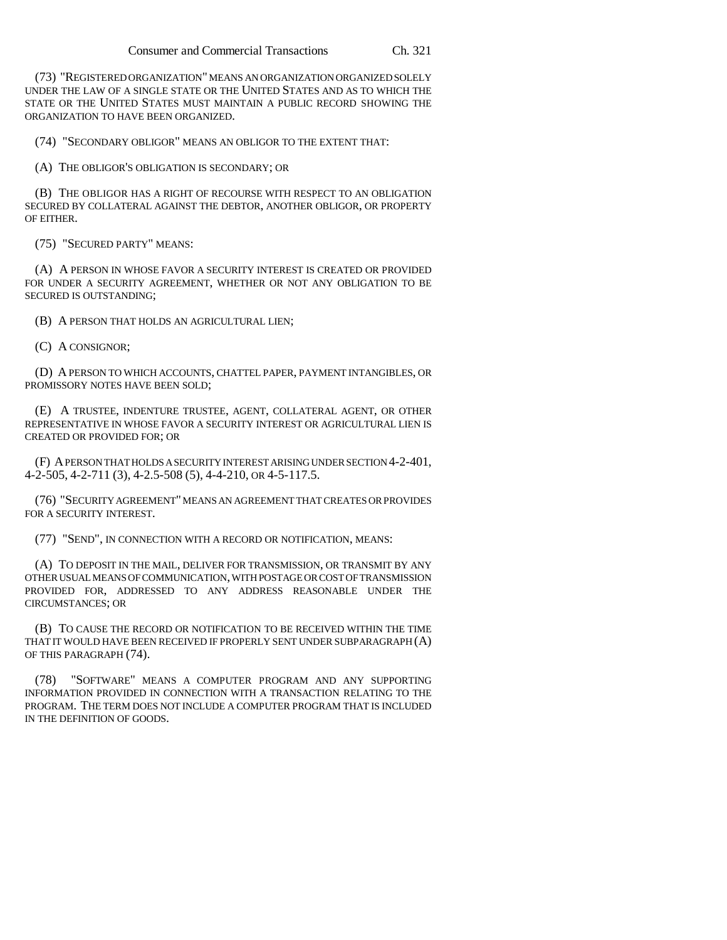(73) "REGISTERED ORGANIZATION" MEANS AN ORGANIZATION ORGANIZED SOLELY UNDER THE LAW OF A SINGLE STATE OR THE UNITED STATES AND AS TO WHICH THE STATE OR THE UNITED STATES MUST MAINTAIN A PUBLIC RECORD SHOWING THE ORGANIZATION TO HAVE BEEN ORGANIZED.

(74) "SECONDARY OBLIGOR" MEANS AN OBLIGOR TO THE EXTENT THAT:

(A) THE OBLIGOR'S OBLIGATION IS SECONDARY; OR

(B) THE OBLIGOR HAS A RIGHT OF RECOURSE WITH RESPECT TO AN OBLIGATION SECURED BY COLLATERAL AGAINST THE DEBTOR, ANOTHER OBLIGOR, OR PROPERTY OF EITHER.

(75) "SECURED PARTY" MEANS:

(A) A PERSON IN WHOSE FAVOR A SECURITY INTEREST IS CREATED OR PROVIDED FOR UNDER A SECURITY AGREEMENT, WHETHER OR NOT ANY OBLIGATION TO BE SECURED IS OUTSTANDING;

(B) A PERSON THAT HOLDS AN AGRICULTURAL LIEN;

(C) A CONSIGNOR;

(D) A PERSON TO WHICH ACCOUNTS, CHATTEL PAPER, PAYMENT INTANGIBLES, OR PROMISSORY NOTES HAVE BEEN SOLD;

(E) A TRUSTEE, INDENTURE TRUSTEE, AGENT, COLLATERAL AGENT, OR OTHER REPRESENTATIVE IN WHOSE FAVOR A SECURITY INTEREST OR AGRICULTURAL LIEN IS CREATED OR PROVIDED FOR; OR

(F) A PERSON THAT HOLDS A SECURITY INTEREST ARISING UNDER SECTION 4-2-401, 4-2-505, 4-2-711 (3), 4-2.5-508 (5), 4-4-210, OR 4-5-117.5.

(76) "SECURITY AGREEMENT" MEANS AN AGREEMENT THAT CREATES OR PROVIDES FOR A SECURITY INTEREST.

(77) "SEND", IN CONNECTION WITH A RECORD OR NOTIFICATION, MEANS:

(A) TO DEPOSIT IN THE MAIL, DELIVER FOR TRANSMISSION, OR TRANSMIT BY ANY OTHER USUAL MEANS OF COMMUNICATION, WITH POSTAGE OR COST OF TRANSMISSION PROVIDED FOR, ADDRESSED TO ANY ADDRESS REASONABLE UNDER THE CIRCUMSTANCES; OR

(B) TO CAUSE THE RECORD OR NOTIFICATION TO BE RECEIVED WITHIN THE TIME THAT IT WOULD HAVE BEEN RECEIVED IF PROPERLY SENT UNDER SUBPARAGRAPH (A) OF THIS PARAGRAPH (74).

(78) "SOFTWARE" MEANS A COMPUTER PROGRAM AND ANY SUPPORTING INFORMATION PROVIDED IN CONNECTION WITH A TRANSACTION RELATING TO THE PROGRAM. THE TERM DOES NOT INCLUDE A COMPUTER PROGRAM THAT IS INCLUDED IN THE DEFINITION OF GOODS.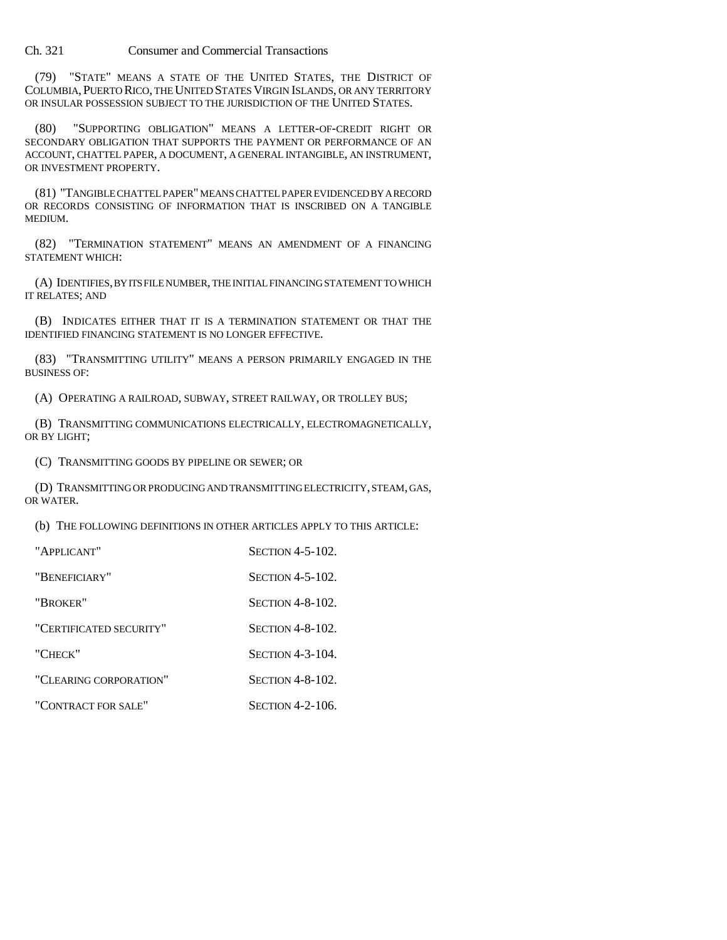(79) "STATE" MEANS A STATE OF THE UNITED STATES, THE DISTRICT OF COLUMBIA,PUERTO RICO, THE UNITED STATES VIRGIN ISLANDS, OR ANY TERRITORY OR INSULAR POSSESSION SUBJECT TO THE JURISDICTION OF THE UNITED STATES.

(80) "SUPPORTING OBLIGATION" MEANS A LETTER-OF-CREDIT RIGHT OR SECONDARY OBLIGATION THAT SUPPORTS THE PAYMENT OR PERFORMANCE OF AN ACCOUNT, CHATTEL PAPER, A DOCUMENT, A GENERAL INTANGIBLE, AN INSTRUMENT, OR INVESTMENT PROPERTY.

(81) "TANGIBLE CHATTEL PAPER" MEANS CHATTEL PAPER EVIDENCED BY A RECORD OR RECORDS CONSISTING OF INFORMATION THAT IS INSCRIBED ON A TANGIBLE MEDIUM.

(82) "TERMINATION STATEMENT" MEANS AN AMENDMENT OF A FINANCING STATEMENT WHICH:

(A) IDENTIFIES, BY ITS FILE NUMBER, THE INITIAL FINANCING STATEMENT TO WHICH IT RELATES; AND

(B) INDICATES EITHER THAT IT IS A TERMINATION STATEMENT OR THAT THE IDENTIFIED FINANCING STATEMENT IS NO LONGER EFFECTIVE.

(83) "TRANSMITTING UTILITY" MEANS A PERSON PRIMARILY ENGAGED IN THE BUSINESS OF:

(A) OPERATING A RAILROAD, SUBWAY, STREET RAILWAY, OR TROLLEY BUS;

(B) TRANSMITTING COMMUNICATIONS ELECTRICALLY, ELECTROMAGNETICALLY, OR BY LIGHT;

(C) TRANSMITTING GOODS BY PIPELINE OR SEWER; OR

(D) TRANSMITTING OR PRODUCING AND TRANSMITTING ELECTRICITY, STEAM, GAS, OR WATER.

(b) THE FOLLOWING DEFINITIONS IN OTHER ARTICLES APPLY TO THIS ARTICLE:

| "APPLICANT"             | <b>SECTION 4-5-102.</b> |
|-------------------------|-------------------------|
| "BENEFICIARY"           | <b>SECTION 4-5-102.</b> |
| "BROKER"                | <b>SECTION 4-8-102.</b> |
| "CERTIFICATED SECURITY" | <b>SECTION 4-8-102.</b> |
| "CHECK"                 | <b>SECTION 4-3-104.</b> |
| "CLEARING CORPORATION"  | <b>SECTION 4-8-102.</b> |
| "CONTRACT FOR SALE"     | <b>SECTION 4-2-106.</b> |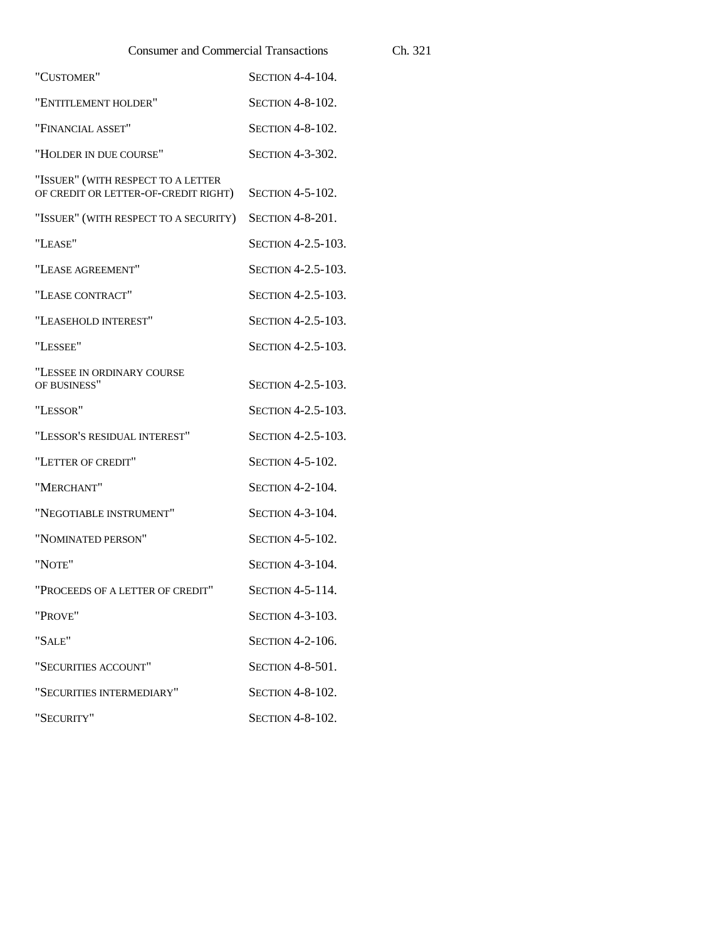| <b>Consumer and Commercial Transactions</b>                                |                         | Ch. 321 |
|----------------------------------------------------------------------------|-------------------------|---------|
| "CUSTOMER"                                                                 | <b>SECTION 4-4-104.</b> |         |
| "ENTITLEMENT HOLDER"                                                       | <b>SECTION 4-8-102.</b> |         |
| "FINANCIAL ASSET"                                                          | <b>SECTION 4-8-102.</b> |         |
| "HOLDER IN DUE COURSE"                                                     | <b>SECTION 4-3-302.</b> |         |
| "ISSUER" (WITH RESPECT TO A LETTER<br>OF CREDIT OR LETTER-OF-CREDIT RIGHT) | <b>SECTION 4-5-102.</b> |         |
| "ISSUER" (WITH RESPECT TO A SECURITY)                                      | <b>SECTION 4-8-201.</b> |         |
| "LEASE"                                                                    | SECTION 4-2.5-103.      |         |
| "LEASE AGREEMENT"                                                          | SECTION 4-2.5-103.      |         |
| "LEASE CONTRACT"                                                           | SECTION 4-2.5-103.      |         |
| "LEASEHOLD INTEREST"                                                       | SECTION 4-2.5-103.      |         |
| "LESSEE"                                                                   | SECTION 4-2.5-103.      |         |
| "LESSEE IN ORDINARY COURSE<br>OF BUSINESS"                                 | SECTION 4-2.5-103.      |         |
| "LESSOR"                                                                   | SECTION 4-2.5-103.      |         |
| "LESSOR'S RESIDUAL INTEREST"                                               | SECTION 4-2.5-103.      |         |
| "LETTER OF CREDIT"                                                         | <b>SECTION 4-5-102.</b> |         |
| "MERCHANT"                                                                 | <b>SECTION 4-2-104.</b> |         |
| "NEGOTIABLE INSTRUMENT"                                                    | <b>SECTION 4-3-104.</b> |         |
| "NOMINATED PERSON"                                                         | <b>SECTION 4-5-102.</b> |         |
| "NOTE"                                                                     | <b>SECTION 4-3-104.</b> |         |
| "PROCEEDS OF A LETTER OF CREDIT"                                           | <b>SECTION 4-5-114.</b> |         |
| "PROVE"                                                                    | <b>SECTION 4-3-103.</b> |         |
| "SALE"                                                                     | <b>SECTION 4-2-106.</b> |         |
| "SECURITIES ACCOUNT"                                                       | <b>SECTION 4-8-501.</b> |         |
| "SECURITIES INTERMEDIARY"                                                  | <b>SECTION 4-8-102.</b> |         |
| "SECURITY"                                                                 | SECTION 4-8-102.        |         |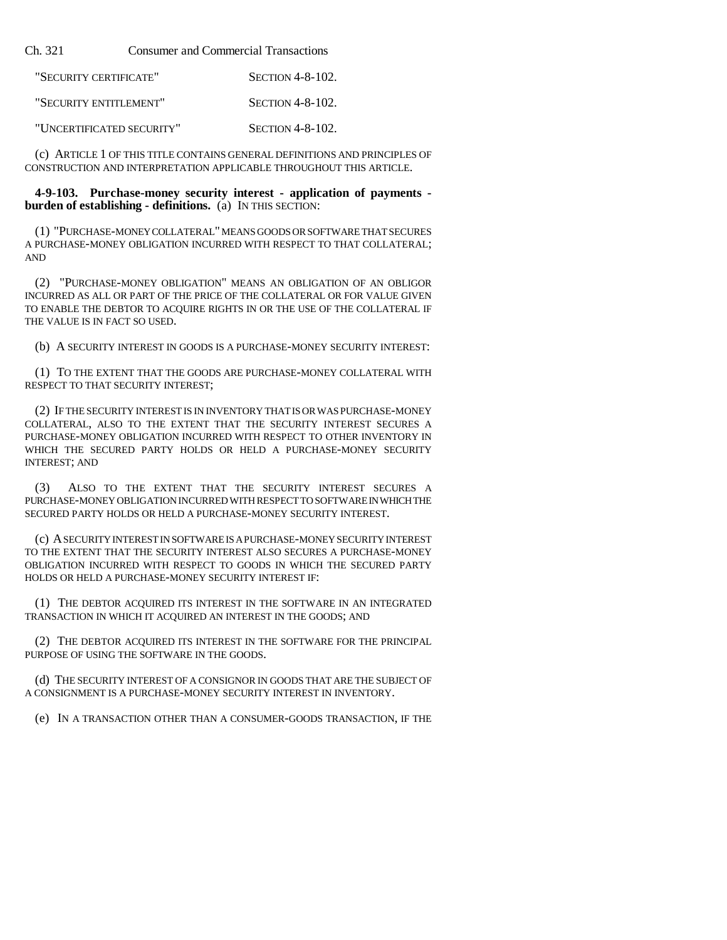| "SECURITY CERTIFICATE"    | <b>SECTION 4-8-102.</b> |
|---------------------------|-------------------------|
| "SECURITY ENTITLEMENT"    | <b>SECTION 4-8-102.</b> |
| "UNCERTIFICATED SECURITY" | <b>SECTION 4-8-102.</b> |

(c) ARTICLE 1 OF THIS TITLE CONTAINS GENERAL DEFINITIONS AND PRINCIPLES OF CONSTRUCTION AND INTERPRETATION APPLICABLE THROUGHOUT THIS ARTICLE.

#### **4-9-103. Purchase-money security interest - application of payments burden of establishing - definitions.** (a) IN THIS SECTION:

(1) "PURCHASE-MONEY COLLATERAL" MEANS GOODS OR SOFTWARE THAT SECURES A PURCHASE-MONEY OBLIGATION INCURRED WITH RESPECT TO THAT COLLATERAL; AND

(2) "PURCHASE-MONEY OBLIGATION" MEANS AN OBLIGATION OF AN OBLIGOR INCURRED AS ALL OR PART OF THE PRICE OF THE COLLATERAL OR FOR VALUE GIVEN TO ENABLE THE DEBTOR TO ACQUIRE RIGHTS IN OR THE USE OF THE COLLATERAL IF THE VALUE IS IN FACT SO USED.

(b) A SECURITY INTEREST IN GOODS IS A PURCHASE-MONEY SECURITY INTEREST:

(1) TO THE EXTENT THAT THE GOODS ARE PURCHASE-MONEY COLLATERAL WITH RESPECT TO THAT SECURITY INTEREST;

(2) IF THE SECURITY INTEREST IS IN INVENTORY THAT IS OR WAS PURCHASE-MONEY COLLATERAL, ALSO TO THE EXTENT THAT THE SECURITY INTEREST SECURES A PURCHASE-MONEY OBLIGATION INCURRED WITH RESPECT TO OTHER INVENTORY IN WHICH THE SECURED PARTY HOLDS OR HELD A PURCHASE-MONEY SECURITY INTEREST; AND

(3) ALSO TO THE EXTENT THAT THE SECURITY INTEREST SECURES A PURCHASE-MONEY OBLIGATION INCURRED WITH RESPECT TO SOFTWARE IN WHICH THE SECURED PARTY HOLDS OR HELD A PURCHASE-MONEY SECURITY INTEREST.

(c) A SECURITY INTEREST IN SOFTWARE IS A PURCHASE-MONEY SECURITY INTEREST TO THE EXTENT THAT THE SECURITY INTEREST ALSO SECURES A PURCHASE-MONEY OBLIGATION INCURRED WITH RESPECT TO GOODS IN WHICH THE SECURED PARTY HOLDS OR HELD A PURCHASE-MONEY SECURITY INTEREST IF:

(1) THE DEBTOR ACQUIRED ITS INTEREST IN THE SOFTWARE IN AN INTEGRATED TRANSACTION IN WHICH IT ACQUIRED AN INTEREST IN THE GOODS; AND

(2) THE DEBTOR ACQUIRED ITS INTEREST IN THE SOFTWARE FOR THE PRINCIPAL PURPOSE OF USING THE SOFTWARE IN THE GOODS.

(d) THE SECURITY INTEREST OF A CONSIGNOR IN GOODS THAT ARE THE SUBJECT OF A CONSIGNMENT IS A PURCHASE-MONEY SECURITY INTEREST IN INVENTORY.

(e) IN A TRANSACTION OTHER THAN A CONSUMER-GOODS TRANSACTION, IF THE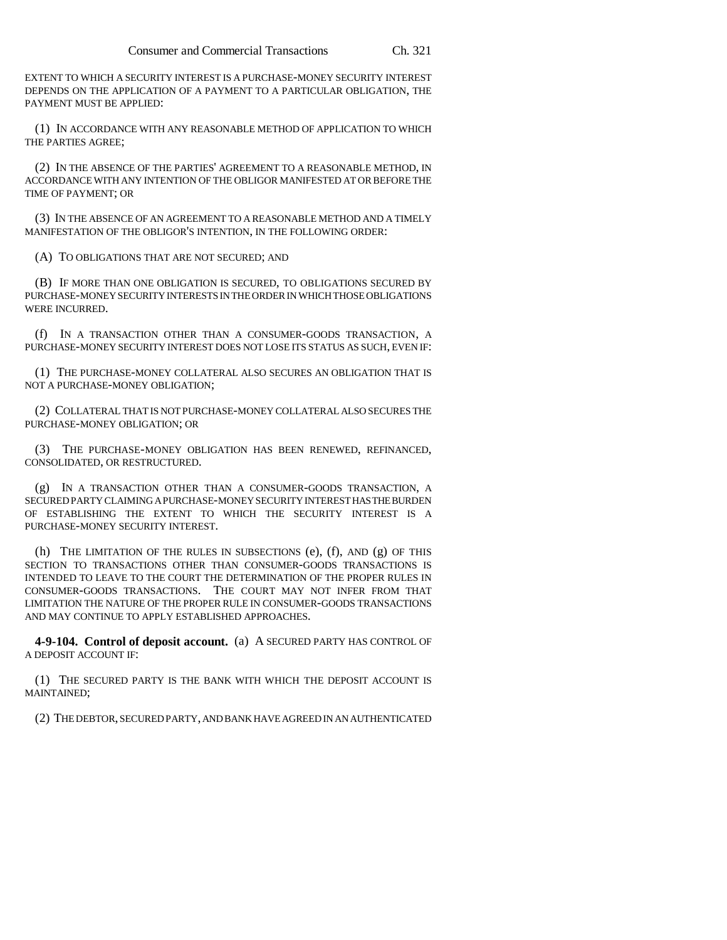EXTENT TO WHICH A SECURITY INTEREST IS A PURCHASE-MONEY SECURITY INTEREST DEPENDS ON THE APPLICATION OF A PAYMENT TO A PARTICULAR OBLIGATION, THE PAYMENT MUST BE APPLIED:

(1) IN ACCORDANCE WITH ANY REASONABLE METHOD OF APPLICATION TO WHICH THE PARTIES AGREE;

(2) IN THE ABSENCE OF THE PARTIES' AGREEMENT TO A REASONABLE METHOD, IN ACCORDANCE WITH ANY INTENTION OF THE OBLIGOR MANIFESTED AT OR BEFORE THE TIME OF PAYMENT; OR

(3) IN THE ABSENCE OF AN AGREEMENT TO A REASONABLE METHOD AND A TIMELY MANIFESTATION OF THE OBLIGOR'S INTENTION, IN THE FOLLOWING ORDER:

(A) TO OBLIGATIONS THAT ARE NOT SECURED; AND

(B) IF MORE THAN ONE OBLIGATION IS SECURED, TO OBLIGATIONS SECURED BY PURCHASE-MONEY SECURITY INTERESTS IN THE ORDER IN WHICH THOSE OBLIGATIONS WERE INCURRED.

(f) IN A TRANSACTION OTHER THAN A CONSUMER-GOODS TRANSACTION, A PURCHASE-MONEY SECURITY INTEREST DOES NOT LOSE ITS STATUS AS SUCH, EVEN IF:

(1) THE PURCHASE-MONEY COLLATERAL ALSO SECURES AN OBLIGATION THAT IS NOT A PURCHASE-MONEY OBLIGATION;

(2) COLLATERAL THAT IS NOT PURCHASE-MONEY COLLATERAL ALSO SECURES THE PURCHASE-MONEY OBLIGATION; OR

(3) THE PURCHASE-MONEY OBLIGATION HAS BEEN RENEWED, REFINANCED, CONSOLIDATED, OR RESTRUCTURED.

(g) IN A TRANSACTION OTHER THAN A CONSUMER-GOODS TRANSACTION, A SECURED PARTY CLAIMING A PURCHASE-MONEY SECURITY INTEREST HAS THE BURDEN OF ESTABLISHING THE EXTENT TO WHICH THE SECURITY INTEREST IS A PURCHASE-MONEY SECURITY INTEREST.

(h) THE LIMITATION OF THE RULES IN SUBSECTIONS (e), (f), AND (g) OF THIS SECTION TO TRANSACTIONS OTHER THAN CONSUMER-GOODS TRANSACTIONS IS INTENDED TO LEAVE TO THE COURT THE DETERMINATION OF THE PROPER RULES IN CONSUMER-GOODS TRANSACTIONS. THE COURT MAY NOT INFER FROM THAT LIMITATION THE NATURE OF THE PROPER RULE IN CONSUMER-GOODS TRANSACTIONS AND MAY CONTINUE TO APPLY ESTABLISHED APPROACHES.

**4-9-104. Control of deposit account.** (a) A SECURED PARTY HAS CONTROL OF A DEPOSIT ACCOUNT IF:

(1) THE SECURED PARTY IS THE BANK WITH WHICH THE DEPOSIT ACCOUNT IS MAINTAINED;

(2) THE DEBTOR, SECURED PARTY, AND BANK HAVE AGREED IN AN AUTHENTICATED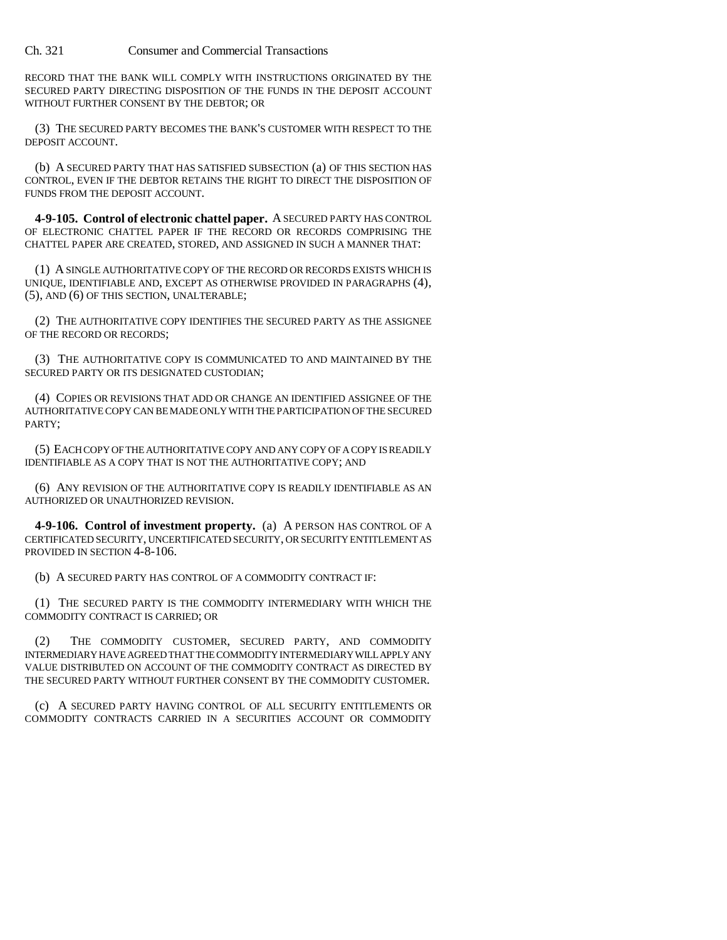RECORD THAT THE BANK WILL COMPLY WITH INSTRUCTIONS ORIGINATED BY THE SECURED PARTY DIRECTING DISPOSITION OF THE FUNDS IN THE DEPOSIT ACCOUNT WITHOUT FURTHER CONSENT BY THE DEBTOR; OR

(3) THE SECURED PARTY BECOMES THE BANK'S CUSTOMER WITH RESPECT TO THE DEPOSIT ACCOUNT.

(b) A SECURED PARTY THAT HAS SATISFIED SUBSECTION (a) OF THIS SECTION HAS CONTROL, EVEN IF THE DEBTOR RETAINS THE RIGHT TO DIRECT THE DISPOSITION OF FUNDS FROM THE DEPOSIT ACCOUNT.

**4-9-105. Control of electronic chattel paper.** A SECURED PARTY HAS CONTROL OF ELECTRONIC CHATTEL PAPER IF THE RECORD OR RECORDS COMPRISING THE CHATTEL PAPER ARE CREATED, STORED, AND ASSIGNED IN SUCH A MANNER THAT:

(1) A SINGLE AUTHORITATIVE COPY OF THE RECORD OR RECORDS EXISTS WHICH IS UNIQUE, IDENTIFIABLE AND, EXCEPT AS OTHERWISE PROVIDED IN PARAGRAPHS (4), (5), AND (6) OF THIS SECTION, UNALTERABLE;

(2) THE AUTHORITATIVE COPY IDENTIFIES THE SECURED PARTY AS THE ASSIGNEE OF THE RECORD OR RECORDS;

(3) THE AUTHORITATIVE COPY IS COMMUNICATED TO AND MAINTAINED BY THE SECURED PARTY OR ITS DESIGNATED CUSTODIAN;

(4) COPIES OR REVISIONS THAT ADD OR CHANGE AN IDENTIFIED ASSIGNEE OF THE AUTHORITATIVE COPY CAN BE MADE ONLY WITH THE PARTICIPATION OF THE SECURED PARTY;

(5) EACH COPY OF THE AUTHORITATIVE COPY AND ANY COPY OF A COPY IS READILY IDENTIFIABLE AS A COPY THAT IS NOT THE AUTHORITATIVE COPY; AND

(6) ANY REVISION OF THE AUTHORITATIVE COPY IS READILY IDENTIFIABLE AS AN AUTHORIZED OR UNAUTHORIZED REVISION.

**4-9-106. Control of investment property.** (a) A PERSON HAS CONTROL OF A CERTIFICATED SECURITY, UNCERTIFICATED SECURITY, OR SECURITY ENTITLEMENT AS PROVIDED IN SECTION 4-8-106.

(b) A SECURED PARTY HAS CONTROL OF A COMMODITY CONTRACT IF:

(1) THE SECURED PARTY IS THE COMMODITY INTERMEDIARY WITH WHICH THE COMMODITY CONTRACT IS CARRIED; OR

(2) THE COMMODITY CUSTOMER, SECURED PARTY, AND COMMODITY INTERMEDIARY HAVE AGREED THAT THE COMMODITY INTERMEDIARY WILL APPLY ANY VALUE DISTRIBUTED ON ACCOUNT OF THE COMMODITY CONTRACT AS DIRECTED BY THE SECURED PARTY WITHOUT FURTHER CONSENT BY THE COMMODITY CUSTOMER.

(c) A SECURED PARTY HAVING CONTROL OF ALL SECURITY ENTITLEMENTS OR COMMODITY CONTRACTS CARRIED IN A SECURITIES ACCOUNT OR COMMODITY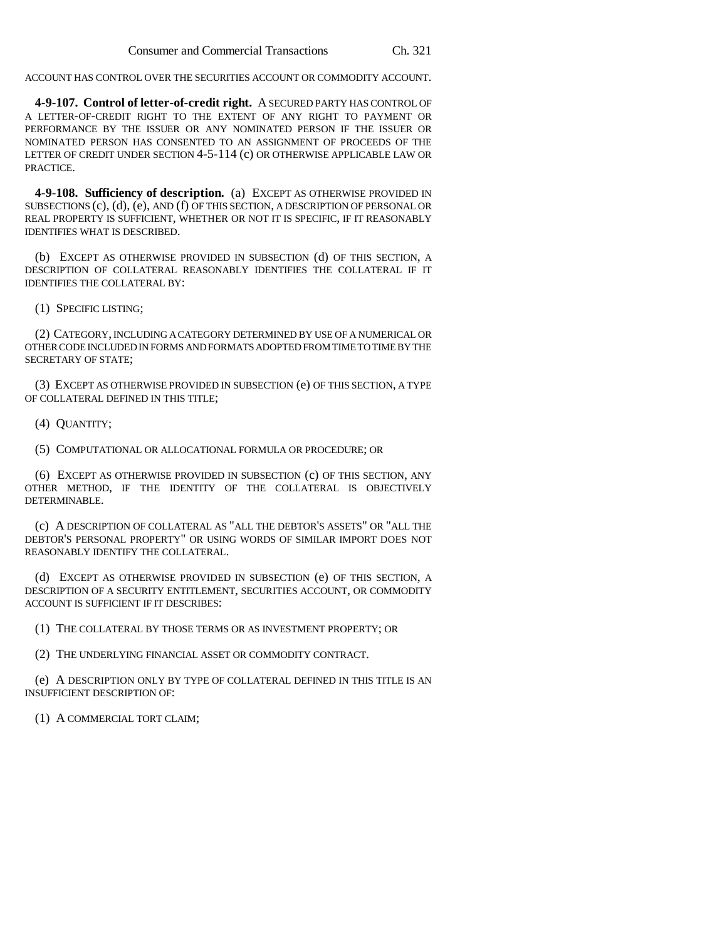ACCOUNT HAS CONTROL OVER THE SECURITIES ACCOUNT OR COMMODITY ACCOUNT.

**4-9-107. Control of letter-of-credit right.** A SECURED PARTY HAS CONTROL OF A LETTER-OF-CREDIT RIGHT TO THE EXTENT OF ANY RIGHT TO PAYMENT OR PERFORMANCE BY THE ISSUER OR ANY NOMINATED PERSON IF THE ISSUER OR NOMINATED PERSON HAS CONSENTED TO AN ASSIGNMENT OF PROCEEDS OF THE LETTER OF CREDIT UNDER SECTION 4-5-114 (c) OR OTHERWISE APPLICABLE LAW OR PRACTICE.

**4-9-108. Sufficiency of description.** (a) EXCEPT AS OTHERWISE PROVIDED IN SUBSECTIONS (c), (d), (e), AND (f) OF THIS SECTION, A DESCRIPTION OF PERSONAL OR REAL PROPERTY IS SUFFICIENT, WHETHER OR NOT IT IS SPECIFIC, IF IT REASONABLY IDENTIFIES WHAT IS DESCRIBED.

(b) EXCEPT AS OTHERWISE PROVIDED IN SUBSECTION (d) OF THIS SECTION, A DESCRIPTION OF COLLATERAL REASONABLY IDENTIFIES THE COLLATERAL IF IT IDENTIFIES THE COLLATERAL BY:

(1) SPECIFIC LISTING;

(2) CATEGORY, INCLUDING A CATEGORY DETERMINED BY USE OF A NUMERICAL OR OTHER CODE INCLUDED IN FORMS AND FORMATS ADOPTED FROM TIME TO TIME BY THE SECRETARY OF STATE;

(3) EXCEPT AS OTHERWISE PROVIDED IN SUBSECTION (e) OF THIS SECTION, A TYPE OF COLLATERAL DEFINED IN THIS TITLE;

(4) QUANTITY;

(5) COMPUTATIONAL OR ALLOCATIONAL FORMULA OR PROCEDURE; OR

(6) EXCEPT AS OTHERWISE PROVIDED IN SUBSECTION (c) OF THIS SECTION, ANY OTHER METHOD, IF THE IDENTITY OF THE COLLATERAL IS OBJECTIVELY DETERMINABLE.

(c) A DESCRIPTION OF COLLATERAL AS "ALL THE DEBTOR'S ASSETS" OR "ALL THE DEBTOR'S PERSONAL PROPERTY" OR USING WORDS OF SIMILAR IMPORT DOES NOT REASONABLY IDENTIFY THE COLLATERAL.

(d) EXCEPT AS OTHERWISE PROVIDED IN SUBSECTION (e) OF THIS SECTION, A DESCRIPTION OF A SECURITY ENTITLEMENT, SECURITIES ACCOUNT, OR COMMODITY ACCOUNT IS SUFFICIENT IF IT DESCRIBES:

(1) THE COLLATERAL BY THOSE TERMS OR AS INVESTMENT PROPERTY; OR

(2) THE UNDERLYING FINANCIAL ASSET OR COMMODITY CONTRACT.

(e) A DESCRIPTION ONLY BY TYPE OF COLLATERAL DEFINED IN THIS TITLE IS AN INSUFFICIENT DESCRIPTION OF:

(1) A COMMERCIAL TORT CLAIM;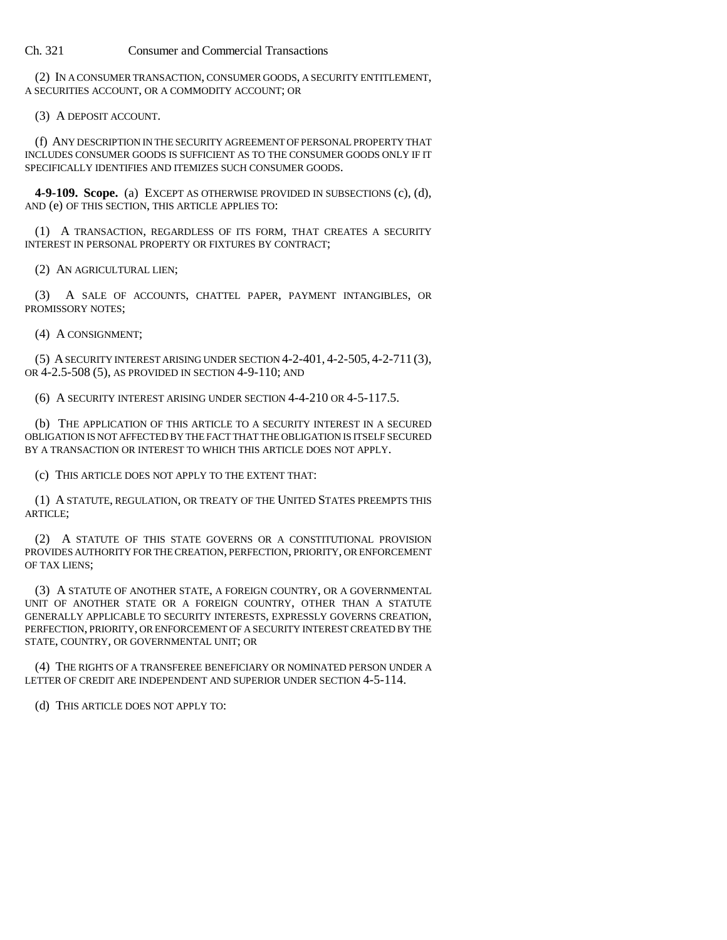(2) IN A CONSUMER TRANSACTION, CONSUMER GOODS, A SECURITY ENTITLEMENT, A SECURITIES ACCOUNT, OR A COMMODITY ACCOUNT; OR

(3) A DEPOSIT ACCOUNT.

(f) ANY DESCRIPTION IN THE SECURITY AGREEMENT OF PERSONAL PROPERTY THAT INCLUDES CONSUMER GOODS IS SUFFICIENT AS TO THE CONSUMER GOODS ONLY IF IT SPECIFICALLY IDENTIFIES AND ITEMIZES SUCH CONSUMER GOODS.

**4-9-109. Scope.** (a) EXCEPT AS OTHERWISE PROVIDED IN SUBSECTIONS (c), (d), AND (e) OF THIS SECTION, THIS ARTICLE APPLIES TO:

(1) A TRANSACTION, REGARDLESS OF ITS FORM, THAT CREATES A SECURITY INTEREST IN PERSONAL PROPERTY OR FIXTURES BY CONTRACT;

(2) AN AGRICULTURAL LIEN;

(3) A SALE OF ACCOUNTS, CHATTEL PAPER, PAYMENT INTANGIBLES, OR PROMISSORY NOTES;

(4) A CONSIGNMENT;

(5) A SECURITY INTEREST ARISING UNDER SECTION 4-2-401, 4-2-505, 4-2-711 (3), OR 4-2.5-508 (5), AS PROVIDED IN SECTION 4-9-110; AND

(6) A SECURITY INTEREST ARISING UNDER SECTION 4-4-210 OR 4-5-117.5.

(b) THE APPLICATION OF THIS ARTICLE TO A SECURITY INTEREST IN A SECURED OBLIGATION IS NOT AFFECTED BY THE FACT THAT THE OBLIGATION IS ITSELF SECURED BY A TRANSACTION OR INTEREST TO WHICH THIS ARTICLE DOES NOT APPLY.

(c) THIS ARTICLE DOES NOT APPLY TO THE EXTENT THAT:

(1) A STATUTE, REGULATION, OR TREATY OF THE UNITED STATES PREEMPTS THIS ARTICLE;

(2) A STATUTE OF THIS STATE GOVERNS OR A CONSTITUTIONAL PROVISION PROVIDES AUTHORITY FOR THE CREATION, PERFECTION, PRIORITY, OR ENFORCEMENT OF TAX LIENS;

(3) A STATUTE OF ANOTHER STATE, A FOREIGN COUNTRY, OR A GOVERNMENTAL UNIT OF ANOTHER STATE OR A FOREIGN COUNTRY, OTHER THAN A STATUTE GENERALLY APPLICABLE TO SECURITY INTERESTS, EXPRESSLY GOVERNS CREATION, PERFECTION, PRIORITY, OR ENFORCEMENT OF A SECURITY INTEREST CREATED BY THE STATE, COUNTRY, OR GOVERNMENTAL UNIT; OR

(4) THE RIGHTS OF A TRANSFEREE BENEFICIARY OR NOMINATED PERSON UNDER A LETTER OF CREDIT ARE INDEPENDENT AND SUPERIOR UNDER SECTION 4-5-114.

(d) THIS ARTICLE DOES NOT APPLY TO: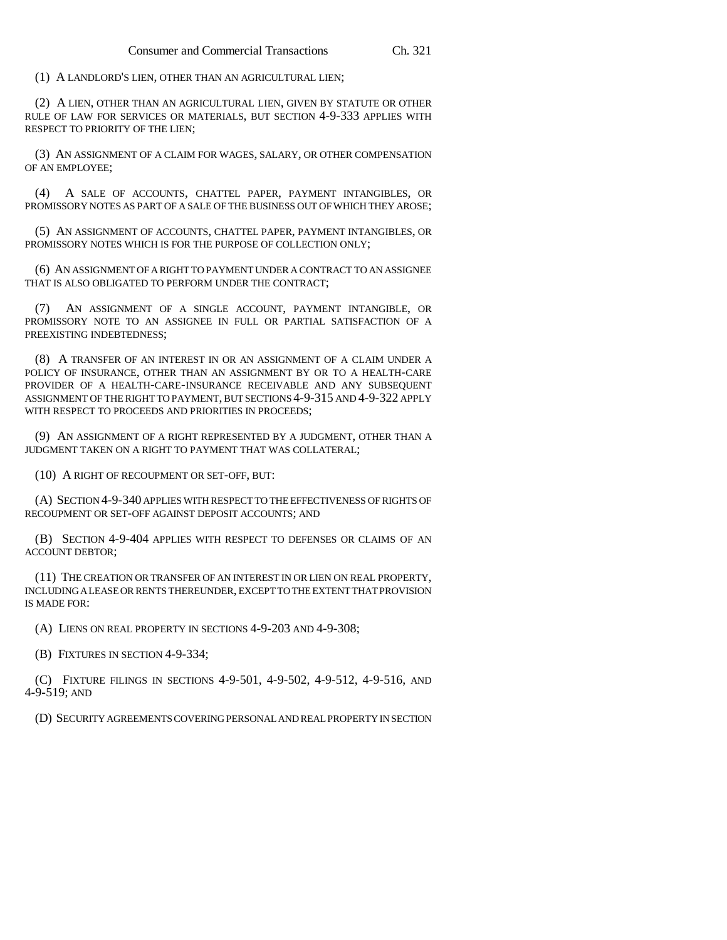(1) A LANDLORD'S LIEN, OTHER THAN AN AGRICULTURAL LIEN;

(2) A LIEN, OTHER THAN AN AGRICULTURAL LIEN, GIVEN BY STATUTE OR OTHER RULE OF LAW FOR SERVICES OR MATERIALS, BUT SECTION 4-9-333 APPLIES WITH RESPECT TO PRIORITY OF THE LIEN;

(3) AN ASSIGNMENT OF A CLAIM FOR WAGES, SALARY, OR OTHER COMPENSATION OF AN EMPLOYEE;

(4) A SALE OF ACCOUNTS, CHATTEL PAPER, PAYMENT INTANGIBLES, OR PROMISSORY NOTES AS PART OF A SALE OF THE BUSINESS OUT OF WHICH THEY AROSE;

(5) AN ASSIGNMENT OF ACCOUNTS, CHATTEL PAPER, PAYMENT INTANGIBLES, OR PROMISSORY NOTES WHICH IS FOR THE PURPOSE OF COLLECTION ONLY;

(6) AN ASSIGNMENT OF A RIGHT TO PAYMENT UNDER A CONTRACT TO AN ASSIGNEE THAT IS ALSO OBLIGATED TO PERFORM UNDER THE CONTRACT;

(7) AN ASSIGNMENT OF A SINGLE ACCOUNT, PAYMENT INTANGIBLE, OR PROMISSORY NOTE TO AN ASSIGNEE IN FULL OR PARTIAL SATISFACTION OF A PREEXISTING INDEBTEDNESS;

(8) A TRANSFER OF AN INTEREST IN OR AN ASSIGNMENT OF A CLAIM UNDER A POLICY OF INSURANCE, OTHER THAN AN ASSIGNMENT BY OR TO A HEALTH-CARE PROVIDER OF A HEALTH-CARE-INSURANCE RECEIVABLE AND ANY SUBSEQUENT ASSIGNMENT OF THE RIGHT TO PAYMENT, BUT SECTIONS 4-9-315 AND 4-9-322 APPLY WITH RESPECT TO PROCEEDS AND PRIORITIES IN PROCEEDS:

(9) AN ASSIGNMENT OF A RIGHT REPRESENTED BY A JUDGMENT, OTHER THAN A JUDGMENT TAKEN ON A RIGHT TO PAYMENT THAT WAS COLLATERAL;

(10) A RIGHT OF RECOUPMENT OR SET-OFF, BUT:

(A) SECTION 4-9-340 APPLIES WITH RESPECT TO THE EFFECTIVENESS OF RIGHTS OF RECOUPMENT OR SET-OFF AGAINST DEPOSIT ACCOUNTS; AND

(B) SECTION 4-9-404 APPLIES WITH RESPECT TO DEFENSES OR CLAIMS OF AN ACCOUNT DEBTOR;

(11) THE CREATION OR TRANSFER OF AN INTEREST IN OR LIEN ON REAL PROPERTY, INCLUDING A LEASE OR RENTS THEREUNDER, EXCEPT TO THE EXTENT THAT PROVISION IS MADE FOR:

(A) LIENS ON REAL PROPERTY IN SECTIONS 4-9-203 AND 4-9-308;

(B) FIXTURES IN SECTION 4-9-334;

(C) FIXTURE FILINGS IN SECTIONS 4-9-501, 4-9-502, 4-9-512, 4-9-516, AND 4-9-519; AND

(D) SECURITY AGREEMENTS COVERING PERSONAL AND REAL PROPERTY IN SECTION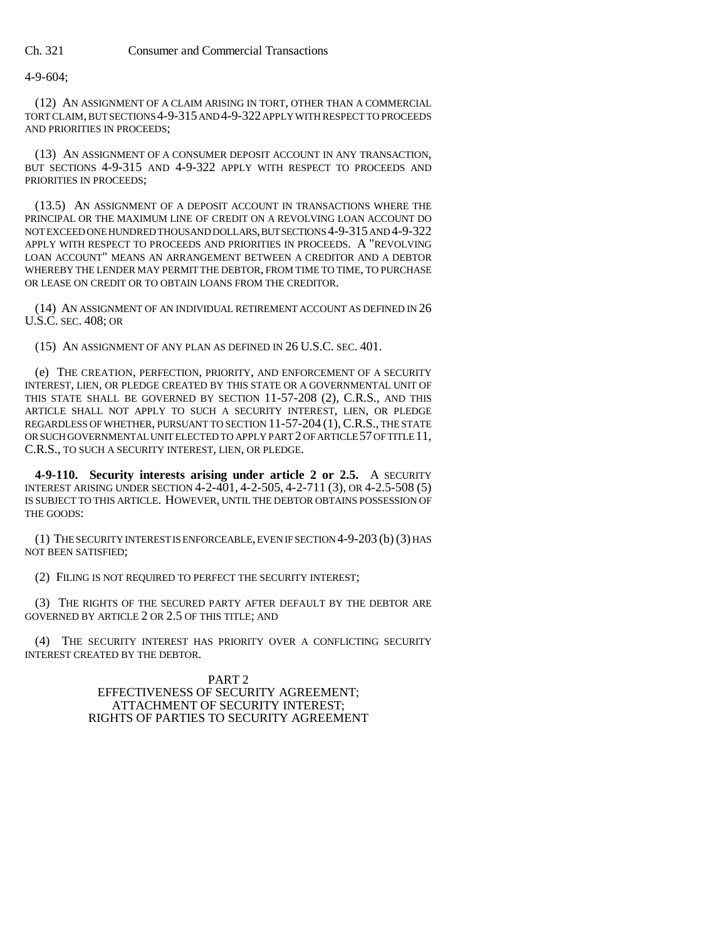4-9-604;

(12) AN ASSIGNMENT OF A CLAIM ARISING IN TORT, OTHER THAN A COMMERCIAL TORT CLAIM, BUT SECTIONS 4-9-315 AND 4-9-322 APPLY WITH RESPECT TO PROCEEDS AND PRIORITIES IN PROCEEDS;

(13) AN ASSIGNMENT OF A CONSUMER DEPOSIT ACCOUNT IN ANY TRANSACTION, BUT SECTIONS 4-9-315 AND 4-9-322 APPLY WITH RESPECT TO PROCEEDS AND PRIORITIES IN PROCEEDS;

(13.5) AN ASSIGNMENT OF A DEPOSIT ACCOUNT IN TRANSACTIONS WHERE THE PRINCIPAL OR THE MAXIMUM LINE OF CREDIT ON A REVOLVING LOAN ACCOUNT DO NOT EXCEED ONE HUNDRED THOUSAND DOLLARS, BUT SECTIONS 4-9-315 AND 4-9-322 APPLY WITH RESPECT TO PROCEEDS AND PRIORITIES IN PROCEEDS. A "REVOLVING LOAN ACCOUNT" MEANS AN ARRANGEMENT BETWEEN A CREDITOR AND A DEBTOR WHEREBY THE LENDER MAY PERMIT THE DEBTOR, FROM TIME TO TIME, TO PURCHASE OR LEASE ON CREDIT OR TO OBTAIN LOANS FROM THE CREDITOR.

(14) AN ASSIGNMENT OF AN INDIVIDUAL RETIREMENT ACCOUNT AS DEFINED IN 26 U.S.C. SEC. 408; OR

(15) AN ASSIGNMENT OF ANY PLAN AS DEFINED IN 26 U.S.C. SEC. 401.

(e) THE CREATION, PERFECTION, PRIORITY, AND ENFORCEMENT OF A SECURITY INTEREST, LIEN, OR PLEDGE CREATED BY THIS STATE OR A GOVERNMENTAL UNIT OF THIS STATE SHALL BE GOVERNED BY SECTION 11-57-208 (2), C.R.S., AND THIS ARTICLE SHALL NOT APPLY TO SUCH A SECURITY INTEREST, LIEN, OR PLEDGE REGARDLESS OF WHETHER, PURSUANT TO SECTION 11-57-204 (1), C.R.S., THE STATE OR SUCH GOVERNMENTAL UNIT ELECTED TO APPLY PART 2 OF ARTICLE 57 OF TITLE 11, C.R.S., TO SUCH A SECURITY INTEREST, LIEN, OR PLEDGE.

**4-9-110. Security interests arising under article 2 or 2.5.** A SECURITY INTEREST ARISING UNDER SECTION 4-2-401, 4-2-505, 4-2-711 (3), OR 4-2.5-508 (5) IS SUBJECT TO THIS ARTICLE. HOWEVER, UNTIL THE DEBTOR OBTAINS POSSESSION OF THE GOODS:

(1) THE SECURITY INTEREST IS ENFORCEABLE, EVEN IF SECTION 4-9-203 (b) (3) HAS NOT BEEN SATISFIED;

(2) FILING IS NOT REQUIRED TO PERFECT THE SECURITY INTEREST;

(3) THE RIGHTS OF THE SECURED PARTY AFTER DEFAULT BY THE DEBTOR ARE GOVERNED BY ARTICLE 2 OR 2.5 OF THIS TITLE; AND

(4) THE SECURITY INTEREST HAS PRIORITY OVER A CONFLICTING SECURITY INTEREST CREATED BY THE DEBTOR.

> PART 2 EFFECTIVENESS OF SECURITY AGREEMENT; ATTACHMENT OF SECURITY INTEREST; RIGHTS OF PARTIES TO SECURITY AGREEMENT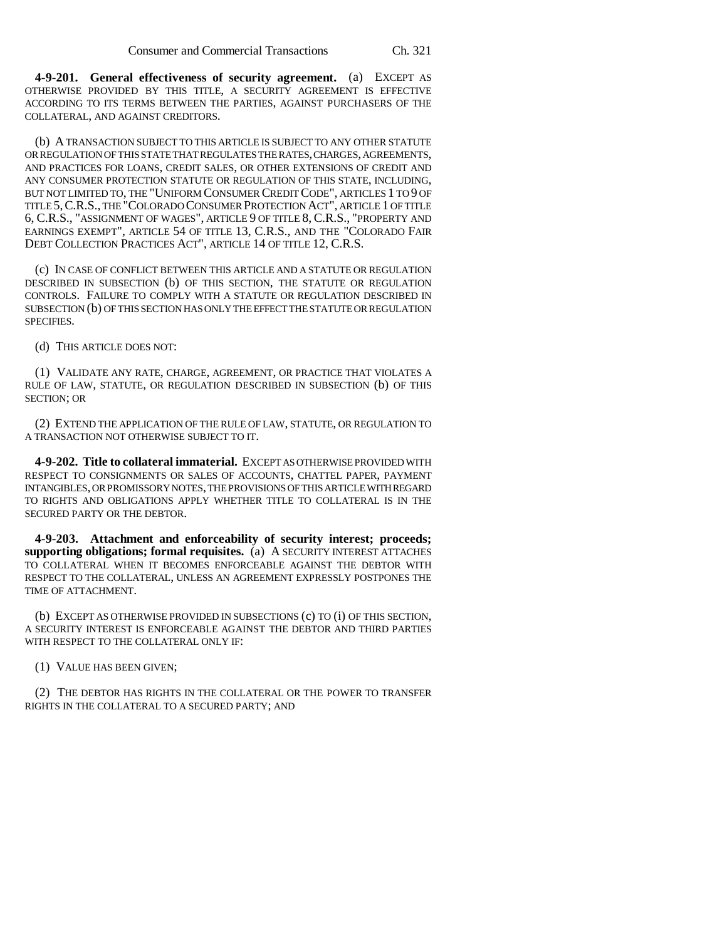**4-9-201. General effectiveness of security agreement.** (a) EXCEPT AS OTHERWISE PROVIDED BY THIS TITLE, A SECURITY AGREEMENT IS EFFECTIVE ACCORDING TO ITS TERMS BETWEEN THE PARTIES, AGAINST PURCHASERS OF THE COLLATERAL, AND AGAINST CREDITORS.

(b) A TRANSACTION SUBJECT TO THIS ARTICLE IS SUBJECT TO ANY OTHER STATUTE OR REGULATION OF THIS STATE THAT REGULATES THE RATES, CHARGES, AGREEMENTS, AND PRACTICES FOR LOANS, CREDIT SALES, OR OTHER EXTENSIONS OF CREDIT AND ANY CONSUMER PROTECTION STATUTE OR REGULATION OF THIS STATE, INCLUDING, BUT NOT LIMITED TO, THE "UNIFORM CONSUMER CREDIT CODE", ARTICLES 1 TO 9 OF TITLE 5,C.R.S., THE "COLORADO CONSUMER PROTECTION ACT", ARTICLE 1 OF TITLE 6, C.R.S., "ASSIGNMENT OF WAGES", ARTICLE 9 OF TITLE 8, C.R.S., "PROPERTY AND EARNINGS EXEMPT", ARTICLE 54 OF TITLE 13, C.R.S., AND THE "COLORADO FAIR DEBT COLLECTION PRACTICES ACT", ARTICLE 14 OF TITLE 12, C.R.S.

(c) IN CASE OF CONFLICT BETWEEN THIS ARTICLE AND A STATUTE OR REGULATION DESCRIBED IN SUBSECTION (b) OF THIS SECTION, THE STATUTE OR REGULATION CONTROLS. FAILURE TO COMPLY WITH A STATUTE OR REGULATION DESCRIBED IN SUBSECTION (b) OF THIS SECTION HAS ONLY THE EFFECT THE STATUTE OR REGULATION SPECIFIES.

(d) THIS ARTICLE DOES NOT:

(1) VALIDATE ANY RATE, CHARGE, AGREEMENT, OR PRACTICE THAT VIOLATES A RULE OF LAW, STATUTE, OR REGULATION DESCRIBED IN SUBSECTION (b) OF THIS SECTION; OR

(2) EXTEND THE APPLICATION OF THE RULE OF LAW, STATUTE, OR REGULATION TO A TRANSACTION NOT OTHERWISE SUBJECT TO IT.

**4-9-202. Title to collateral immaterial.** EXCEPT AS OTHERWISE PROVIDED WITH RESPECT TO CONSIGNMENTS OR SALES OF ACCOUNTS, CHATTEL PAPER, PAYMENT INTANGIBLES, OR PROMISSORY NOTES, THE PROVISIONS OF THIS ARTICLE WITH REGARD TO RIGHTS AND OBLIGATIONS APPLY WHETHER TITLE TO COLLATERAL IS IN THE SECURED PARTY OR THE DEBTOR.

**4-9-203. Attachment and enforceability of security interest; proceeds; supporting obligations; formal requisites.** (a) A SECURITY INTEREST ATTACHES TO COLLATERAL WHEN IT BECOMES ENFORCEABLE AGAINST THE DEBTOR WITH RESPECT TO THE COLLATERAL, UNLESS AN AGREEMENT EXPRESSLY POSTPONES THE TIME OF ATTACHMENT.

(b) EXCEPT AS OTHERWISE PROVIDED IN SUBSECTIONS (c) TO (i) OF THIS SECTION, A SECURITY INTEREST IS ENFORCEABLE AGAINST THE DEBTOR AND THIRD PARTIES WITH RESPECT TO THE COLLATERAL ONLY IF:

(1) VALUE HAS BEEN GIVEN;

(2) THE DEBTOR HAS RIGHTS IN THE COLLATERAL OR THE POWER TO TRANSFER RIGHTS IN THE COLLATERAL TO A SECURED PARTY; AND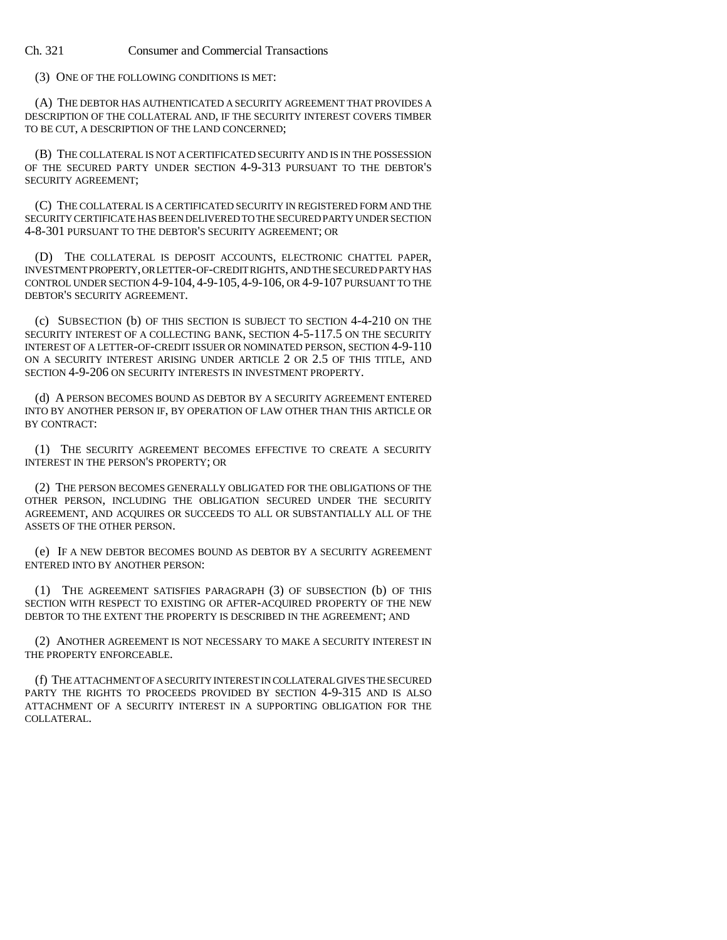(3) ONE OF THE FOLLOWING CONDITIONS IS MET:

(A) THE DEBTOR HAS AUTHENTICATED A SECURITY AGREEMENT THAT PROVIDES A DESCRIPTION OF THE COLLATERAL AND, IF THE SECURITY INTEREST COVERS TIMBER TO BE CUT, A DESCRIPTION OF THE LAND CONCERNED;

(B) THE COLLATERAL IS NOT A CERTIFICATED SECURITY AND IS IN THE POSSESSION OF THE SECURED PARTY UNDER SECTION 4-9-313 PURSUANT TO THE DEBTOR'S SECURITY AGREEMENT;

(C) THE COLLATERAL IS A CERTIFICATED SECURITY IN REGISTERED FORM AND THE SECURITY CERTIFICATE HAS BEEN DELIVERED TO THE SECURED PARTY UNDER SECTION 4-8-301 PURSUANT TO THE DEBTOR'S SECURITY AGREEMENT; OR

(D) THE COLLATERAL IS DEPOSIT ACCOUNTS, ELECTRONIC CHATTEL PAPER, INVESTMENT PROPERTY, OR LETTER-OF-CREDIT RIGHTS, AND THE SECURED PARTY HAS CONTROL UNDER SECTION 4-9-104, 4-9-105, 4-9-106, OR 4-9-107 PURSUANT TO THE DEBTOR'S SECURITY AGREEMENT.

(c) SUBSECTION (b) OF THIS SECTION IS SUBJECT TO SECTION 4-4-210 ON THE SECURITY INTEREST OF A COLLECTING BANK, SECTION 4-5-117.5 ON THE SECURITY INTEREST OF A LETTER-OF-CREDIT ISSUER OR NOMINATED PERSON, SECTION 4-9-110 ON A SECURITY INTEREST ARISING UNDER ARTICLE 2 OR 2.5 OF THIS TITLE, AND SECTION 4-9-206 ON SECURITY INTERESTS IN INVESTMENT PROPERTY.

(d) A PERSON BECOMES BOUND AS DEBTOR BY A SECURITY AGREEMENT ENTERED INTO BY ANOTHER PERSON IF, BY OPERATION OF LAW OTHER THAN THIS ARTICLE OR BY CONTRACT:

(1) THE SECURITY AGREEMENT BECOMES EFFECTIVE TO CREATE A SECURITY INTEREST IN THE PERSON'S PROPERTY; OR

(2) THE PERSON BECOMES GENERALLY OBLIGATED FOR THE OBLIGATIONS OF THE OTHER PERSON, INCLUDING THE OBLIGATION SECURED UNDER THE SECURITY AGREEMENT, AND ACQUIRES OR SUCCEEDS TO ALL OR SUBSTANTIALLY ALL OF THE ASSETS OF THE OTHER PERSON.

(e) IF A NEW DEBTOR BECOMES BOUND AS DEBTOR BY A SECURITY AGREEMENT ENTERED INTO BY ANOTHER PERSON:

(1) THE AGREEMENT SATISFIES PARAGRAPH (3) OF SUBSECTION (b) OF THIS SECTION WITH RESPECT TO EXISTING OR AFTER-ACQUIRED PROPERTY OF THE NEW DEBTOR TO THE EXTENT THE PROPERTY IS DESCRIBED IN THE AGREEMENT; AND

(2) ANOTHER AGREEMENT IS NOT NECESSARY TO MAKE A SECURITY INTEREST IN THE PROPERTY ENFORCEABLE.

(f) THE ATTACHMENT OF A SECURITY INTEREST IN COLLATERAL GIVES THE SECURED PARTY THE RIGHTS TO PROCEEDS PROVIDED BY SECTION 4-9-315 AND IS ALSO ATTACHMENT OF A SECURITY INTEREST IN A SUPPORTING OBLIGATION FOR THE COLLATERAL.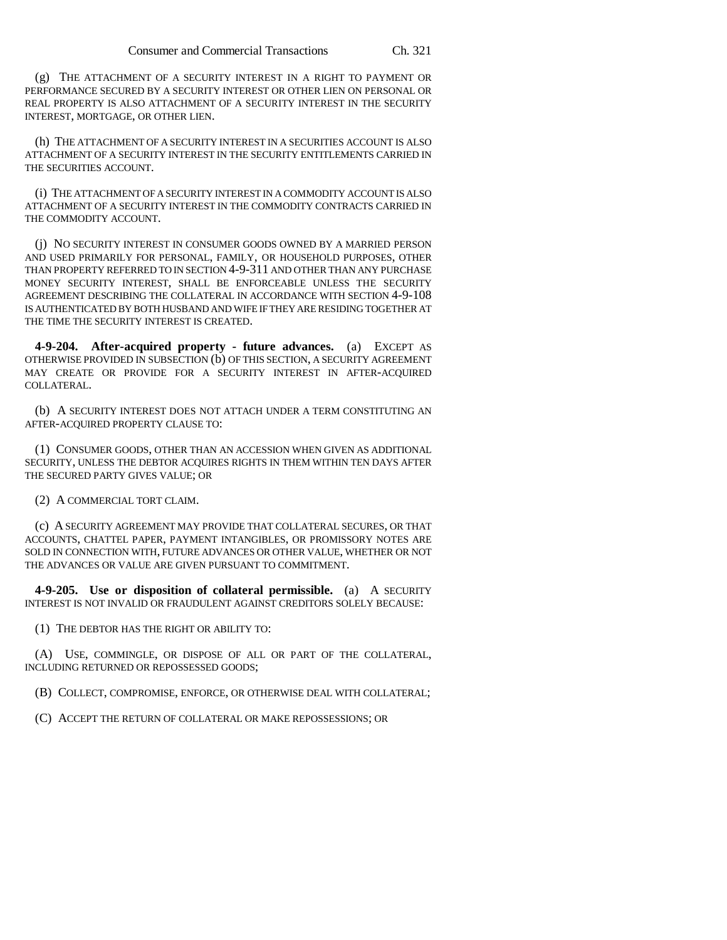(g) THE ATTACHMENT OF A SECURITY INTEREST IN A RIGHT TO PAYMENT OR PERFORMANCE SECURED BY A SECURITY INTEREST OR OTHER LIEN ON PERSONAL OR REAL PROPERTY IS ALSO ATTACHMENT OF A SECURITY INTEREST IN THE SECURITY INTEREST, MORTGAGE, OR OTHER LIEN.

(h) THE ATTACHMENT OF A SECURITY INTEREST IN A SECURITIES ACCOUNT IS ALSO ATTACHMENT OF A SECURITY INTEREST IN THE SECURITY ENTITLEMENTS CARRIED IN THE SECURITIES ACCOUNT.

(i) THE ATTACHMENT OF A SECURITY INTEREST IN A COMMODITY ACCOUNT IS ALSO ATTACHMENT OF A SECURITY INTEREST IN THE COMMODITY CONTRACTS CARRIED IN THE COMMODITY ACCOUNT.

(j) NO SECURITY INTEREST IN CONSUMER GOODS OWNED BY A MARRIED PERSON AND USED PRIMARILY FOR PERSONAL, FAMILY, OR HOUSEHOLD PURPOSES, OTHER THAN PROPERTY REFERRED TO IN SECTION 4-9-311 AND OTHER THAN ANY PURCHASE MONEY SECURITY INTEREST, SHALL BE ENFORCEABLE UNLESS THE SECURITY AGREEMENT DESCRIBING THE COLLATERAL IN ACCORDANCE WITH SECTION 4-9-108 IS AUTHENTICATED BY BOTH HUSBAND AND WIFE IF THEY ARE RESIDING TOGETHER AT THE TIME THE SECURITY INTEREST IS CREATED.

**4-9-204. After-acquired property - future advances.** (a) EXCEPT AS OTHERWISE PROVIDED IN SUBSECTION (b) OF THIS SECTION, A SECURITY AGREEMENT MAY CREATE OR PROVIDE FOR A SECURITY INTEREST IN AFTER-ACQUIRED COLLATERAL.

(b) A SECURITY INTEREST DOES NOT ATTACH UNDER A TERM CONSTITUTING AN AFTER-ACQUIRED PROPERTY CLAUSE TO:

(1) CONSUMER GOODS, OTHER THAN AN ACCESSION WHEN GIVEN AS ADDITIONAL SECURITY, UNLESS THE DEBTOR ACQUIRES RIGHTS IN THEM WITHIN TEN DAYS AFTER THE SECURED PARTY GIVES VALUE; OR

(2) A COMMERCIAL TORT CLAIM.

(c) A SECURITY AGREEMENT MAY PROVIDE THAT COLLATERAL SECURES, OR THAT ACCOUNTS, CHATTEL PAPER, PAYMENT INTANGIBLES, OR PROMISSORY NOTES ARE SOLD IN CONNECTION WITH, FUTURE ADVANCES OR OTHER VALUE, WHETHER OR NOT THE ADVANCES OR VALUE ARE GIVEN PURSUANT TO COMMITMENT.

**4-9-205. Use or disposition of collateral permissible.** (a) A SECURITY INTEREST IS NOT INVALID OR FRAUDULENT AGAINST CREDITORS SOLELY BECAUSE:

(1) THE DEBTOR HAS THE RIGHT OR ABILITY TO:

(A) USE, COMMINGLE, OR DISPOSE OF ALL OR PART OF THE COLLATERAL, INCLUDING RETURNED OR REPOSSESSED GOODS;

(B) COLLECT, COMPROMISE, ENFORCE, OR OTHERWISE DEAL WITH COLLATERAL;

(C) ACCEPT THE RETURN OF COLLATERAL OR MAKE REPOSSESSIONS; OR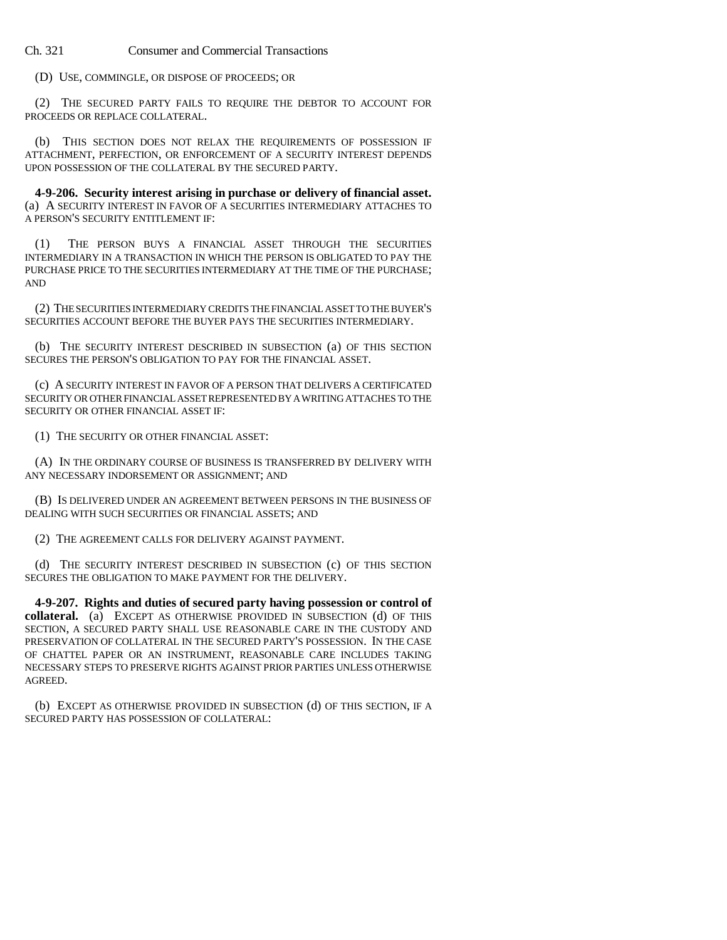(D) USE, COMMINGLE, OR DISPOSE OF PROCEEDS; OR

(2) THE SECURED PARTY FAILS TO REQUIRE THE DEBTOR TO ACCOUNT FOR PROCEEDS OR REPLACE COLLATERAL.

(b) THIS SECTION DOES NOT RELAX THE REQUIREMENTS OF POSSESSION IF ATTACHMENT, PERFECTION, OR ENFORCEMENT OF A SECURITY INTEREST DEPENDS UPON POSSESSION OF THE COLLATERAL BY THE SECURED PARTY.

**4-9-206. Security interest arising in purchase or delivery of financial asset.** (a) A SECURITY INTEREST IN FAVOR OF A SECURITIES INTERMEDIARY ATTACHES TO A PERSON'S SECURITY ENTITLEMENT IF:

(1) THE PERSON BUYS A FINANCIAL ASSET THROUGH THE SECURITIES INTERMEDIARY IN A TRANSACTION IN WHICH THE PERSON IS OBLIGATED TO PAY THE PURCHASE PRICE TO THE SECURITIES INTERMEDIARY AT THE TIME OF THE PURCHASE; AND

(2) THE SECURITIES INTERMEDIARY CREDITS THE FINANCIAL ASSET TO THE BUYER'S SECURITIES ACCOUNT BEFORE THE BUYER PAYS THE SECURITIES INTERMEDIARY.

(b) THE SECURITY INTEREST DESCRIBED IN SUBSECTION (a) OF THIS SECTION SECURES THE PERSON'S OBLIGATION TO PAY FOR THE FINANCIAL ASSET.

(c) A SECURITY INTEREST IN FAVOR OF A PERSON THAT DELIVERS A CERTIFICATED SECURITY OR OTHER FINANCIAL ASSET REPRESENTED BY A WRITING ATTACHES TO THE SECURITY OR OTHER FINANCIAL ASSET IF:

(1) THE SECURITY OR OTHER FINANCIAL ASSET:

(A) IN THE ORDINARY COURSE OF BUSINESS IS TRANSFERRED BY DELIVERY WITH ANY NECESSARY INDORSEMENT OR ASSIGNMENT; AND

(B) IS DELIVERED UNDER AN AGREEMENT BETWEEN PERSONS IN THE BUSINESS OF DEALING WITH SUCH SECURITIES OR FINANCIAL ASSETS; AND

(2) THE AGREEMENT CALLS FOR DELIVERY AGAINST PAYMENT.

(d) THE SECURITY INTEREST DESCRIBED IN SUBSECTION (c) OF THIS SECTION SECURES THE OBLIGATION TO MAKE PAYMENT FOR THE DELIVERY.

**4-9-207. Rights and duties of secured party having possession or control of collateral.** (a) EXCEPT AS OTHERWISE PROVIDED IN SUBSECTION (d) OF THIS SECTION, A SECURED PARTY SHALL USE REASONABLE CARE IN THE CUSTODY AND PRESERVATION OF COLLATERAL IN THE SECURED PARTY'S POSSESSION. IN THE CASE OF CHATTEL PAPER OR AN INSTRUMENT, REASONABLE CARE INCLUDES TAKING NECESSARY STEPS TO PRESERVE RIGHTS AGAINST PRIOR PARTIES UNLESS OTHERWISE AGREED.

(b) EXCEPT AS OTHERWISE PROVIDED IN SUBSECTION (d) OF THIS SECTION, IF A SECURED PARTY HAS POSSESSION OF COLLATERAL: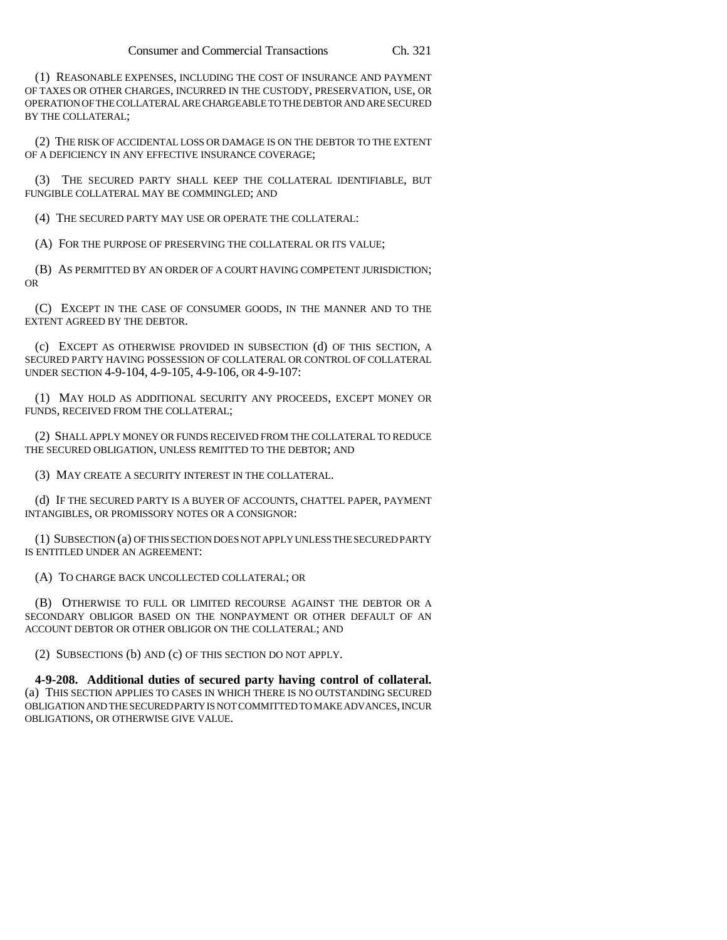(1) REASONABLE EXPENSES, INCLUDING THE COST OF INSURANCE AND PAYMENT OF TAXES OR OTHER CHARGES, INCURRED IN THE CUSTODY, PRESERVATION, USE, OR OPERATION OF THE COLLATERAL ARE CHARGEABLE TO THE DEBTOR AND ARE SECURED BY THE COLLATERAL;

(2) THE RISK OF ACCIDENTAL LOSS OR DAMAGE IS ON THE DEBTOR TO THE EXTENT OF A DEFICIENCY IN ANY EFFECTIVE INSURANCE COVERAGE;

(3) THE SECURED PARTY SHALL KEEP THE COLLATERAL IDENTIFIABLE, BUT FUNGIBLE COLLATERAL MAY BE COMMINGLED; AND

(4) THE SECURED PARTY MAY USE OR OPERATE THE COLLATERAL:

(A) FOR THE PURPOSE OF PRESERVING THE COLLATERAL OR ITS VALUE;

(B) AS PERMITTED BY AN ORDER OF A COURT HAVING COMPETENT JURISDICTION; OR

(C) EXCEPT IN THE CASE OF CONSUMER GOODS, IN THE MANNER AND TO THE EXTENT AGREED BY THE DEBTOR.

(c) EXCEPT AS OTHERWISE PROVIDED IN SUBSECTION (d) OF THIS SECTION, A SECURED PARTY HAVING POSSESSION OF COLLATERAL OR CONTROL OF COLLATERAL UNDER SECTION 4-9-104, 4-9-105, 4-9-106, OR 4-9-107:

(1) MAY HOLD AS ADDITIONAL SECURITY ANY PROCEEDS, EXCEPT MONEY OR FUNDS, RECEIVED FROM THE COLLATERAL;

(2) SHALL APPLY MONEY OR FUNDS RECEIVED FROM THE COLLATERAL TO REDUCE THE SECURED OBLIGATION, UNLESS REMITTED TO THE DEBTOR; AND

(3) MAY CREATE A SECURITY INTEREST IN THE COLLATERAL.

(d) IF THE SECURED PARTY IS A BUYER OF ACCOUNTS, CHATTEL PAPER, PAYMENT INTANGIBLES, OR PROMISSORY NOTES OR A CONSIGNOR:

(1) SUBSECTION (a) OF THIS SECTION DOES NOT APPLY UNLESS THE SECURED PARTY IS ENTITLED UNDER AN AGREEMENT:

(A) TO CHARGE BACK UNCOLLECTED COLLATERAL; OR

(B) OTHERWISE TO FULL OR LIMITED RECOURSE AGAINST THE DEBTOR OR A SECONDARY OBLIGOR BASED ON THE NONPAYMENT OR OTHER DEFAULT OF AN ACCOUNT DEBTOR OR OTHER OBLIGOR ON THE COLLATERAL; AND

(2) SUBSECTIONS (b) AND (c) OF THIS SECTION DO NOT APPLY.

**4-9-208. Additional duties of secured party having control of collateral.** (a) THIS SECTION APPLIES TO CASES IN WHICH THERE IS NO OUTSTANDING SECURED OBLIGATION AND THE SECURED PARTY IS NOT COMMITTED TO MAKE ADVANCES, INCUR OBLIGATIONS, OR OTHERWISE GIVE VALUE.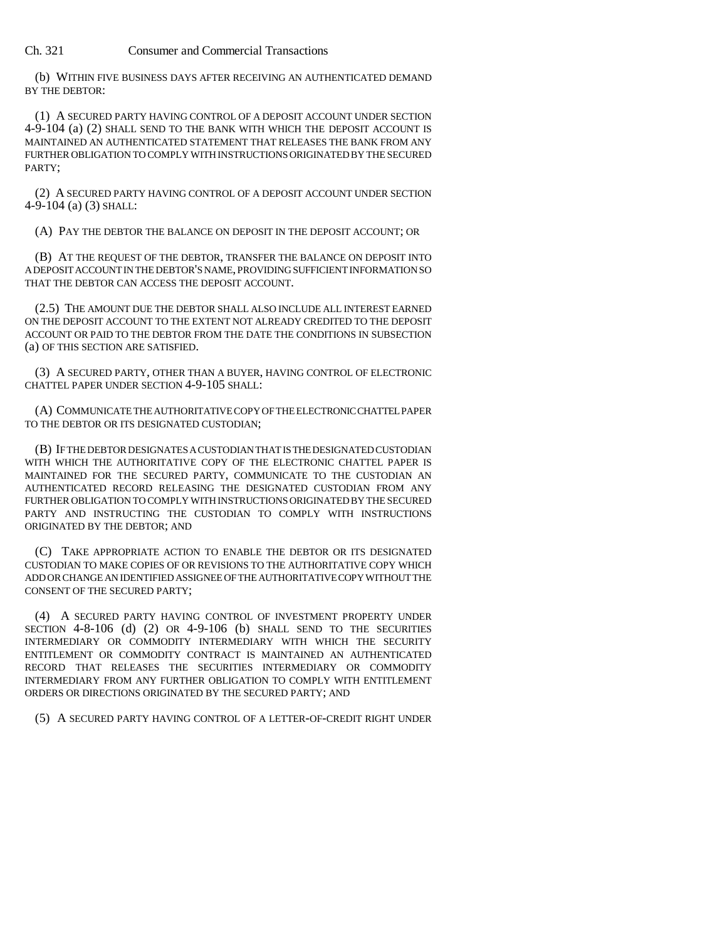(b) WITHIN FIVE BUSINESS DAYS AFTER RECEIVING AN AUTHENTICATED DEMAND BY THE DEBTOR:

(1) A SECURED PARTY HAVING CONTROL OF A DEPOSIT ACCOUNT UNDER SECTION 4-9-104 (a) (2) SHALL SEND TO THE BANK WITH WHICH THE DEPOSIT ACCOUNT IS MAINTAINED AN AUTHENTICATED STATEMENT THAT RELEASES THE BANK FROM ANY FURTHER OBLIGATION TO COMPLY WITH INSTRUCTIONS ORIGINATED BY THE SECURED PARTY;

(2) A SECURED PARTY HAVING CONTROL OF A DEPOSIT ACCOUNT UNDER SECTION 4-9-104 (a) (3) SHALL:

(A) PAY THE DEBTOR THE BALANCE ON DEPOSIT IN THE DEPOSIT ACCOUNT; OR

(B) AT THE REQUEST OF THE DEBTOR, TRANSFER THE BALANCE ON DEPOSIT INTO A DEPOSIT ACCOUNT IN THE DEBTOR'S NAME, PROVIDING SUFFICIENT INFORMATION SO THAT THE DEBTOR CAN ACCESS THE DEPOSIT ACCOUNT.

(2.5) THE AMOUNT DUE THE DEBTOR SHALL ALSO INCLUDE ALL INTEREST EARNED ON THE DEPOSIT ACCOUNT TO THE EXTENT NOT ALREADY CREDITED TO THE DEPOSIT ACCOUNT OR PAID TO THE DEBTOR FROM THE DATE THE CONDITIONS IN SUBSECTION (a) OF THIS SECTION ARE SATISFIED.

(3) A SECURED PARTY, OTHER THAN A BUYER, HAVING CONTROL OF ELECTRONIC CHATTEL PAPER UNDER SECTION 4-9-105 SHALL:

(A) COMMUNICATE THE AUTHORITATIVE COPY OF THE ELECTRONIC CHATTEL PAPER TO THE DEBTOR OR ITS DESIGNATED CUSTODIAN;

(B) IF THE DEBTOR DESIGNATES A CUSTODIAN THAT IS THE DESIGNATED CUSTODIAN WITH WHICH THE AUTHORITATIVE COPY OF THE ELECTRONIC CHATTEL PAPER IS MAINTAINED FOR THE SECURED PARTY, COMMUNICATE TO THE CUSTODIAN AN AUTHENTICATED RECORD RELEASING THE DESIGNATED CUSTODIAN FROM ANY FURTHER OBLIGATION TO COMPLY WITH INSTRUCTIONS ORIGINATED BY THE SECURED PARTY AND INSTRUCTING THE CUSTODIAN TO COMPLY WITH INSTRUCTIONS ORIGINATED BY THE DEBTOR; AND

(C) TAKE APPROPRIATE ACTION TO ENABLE THE DEBTOR OR ITS DESIGNATED CUSTODIAN TO MAKE COPIES OF OR REVISIONS TO THE AUTHORITATIVE COPY WHICH ADD OR CHANGE AN IDENTIFIED ASSIGNEE OF THE AUTHORITATIVE COPY WITHOUT THE CONSENT OF THE SECURED PARTY;

(4) A SECURED PARTY HAVING CONTROL OF INVESTMENT PROPERTY UNDER SECTION 4-8-106 (d) (2) OR 4-9-106 (b) SHALL SEND TO THE SECURITIES INTERMEDIARY OR COMMODITY INTERMEDIARY WITH WHICH THE SECURITY ENTITLEMENT OR COMMODITY CONTRACT IS MAINTAINED AN AUTHENTICATED RECORD THAT RELEASES THE SECURITIES INTERMEDIARY OR COMMODITY INTERMEDIARY FROM ANY FURTHER OBLIGATION TO COMPLY WITH ENTITLEMENT ORDERS OR DIRECTIONS ORIGINATED BY THE SECURED PARTY; AND

(5) A SECURED PARTY HAVING CONTROL OF A LETTER-OF-CREDIT RIGHT UNDER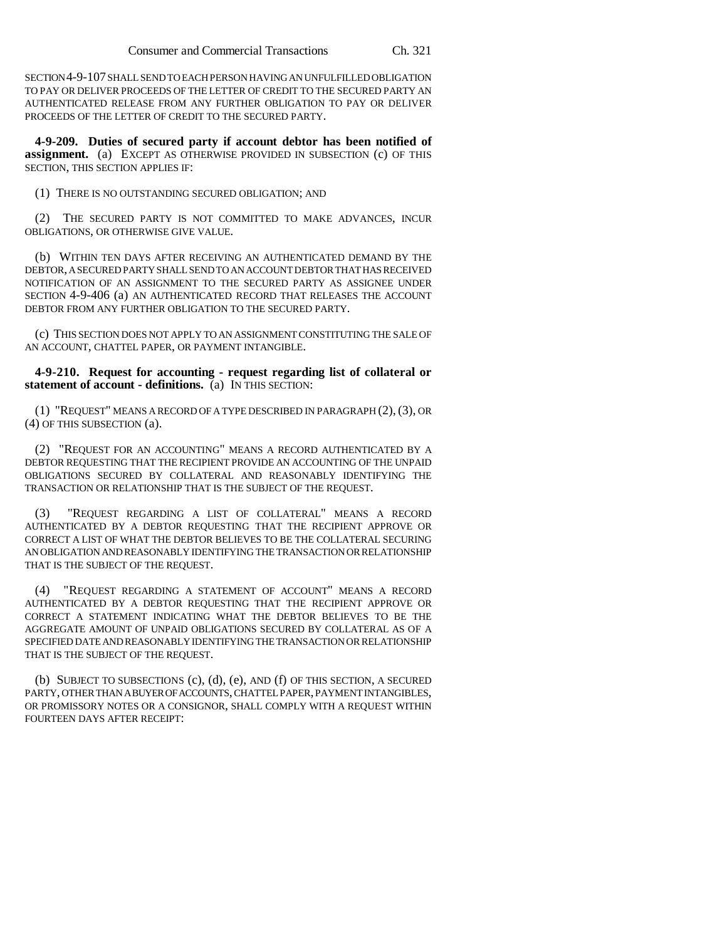SECTION 4-9-107 SHALL SEND TO EACH PERSON HAVING AN UNFULFILLED OBLIGATION TO PAY OR DELIVER PROCEEDS OF THE LETTER OF CREDIT TO THE SECURED PARTY AN AUTHENTICATED RELEASE FROM ANY FURTHER OBLIGATION TO PAY OR DELIVER PROCEEDS OF THE LETTER OF CREDIT TO THE SECURED PARTY.

**4-9-209. Duties of secured party if account debtor has been notified of assignment.** (a) EXCEPT AS OTHERWISE PROVIDED IN SUBSECTION (c) OF THIS SECTION, THIS SECTION APPLIES IF:

(1) THERE IS NO OUTSTANDING SECURED OBLIGATION; AND

(2) THE SECURED PARTY IS NOT COMMITTED TO MAKE ADVANCES, INCUR OBLIGATIONS, OR OTHERWISE GIVE VALUE.

(b) WITHIN TEN DAYS AFTER RECEIVING AN AUTHENTICATED DEMAND BY THE DEBTOR, A SECURED PARTY SHALL SEND TO AN ACCOUNT DEBTOR THAT HAS RECEIVED NOTIFICATION OF AN ASSIGNMENT TO THE SECURED PARTY AS ASSIGNEE UNDER SECTION 4-9-406 (a) AN AUTHENTICATED RECORD THAT RELEASES THE ACCOUNT DEBTOR FROM ANY FURTHER OBLIGATION TO THE SECURED PARTY.

(c) THIS SECTION DOES NOT APPLY TO AN ASSIGNMENT CONSTITUTING THE SALE OF AN ACCOUNT, CHATTEL PAPER, OR PAYMENT INTANGIBLE.

#### **4-9-210. Request for accounting - request regarding list of collateral or statement of account - definitions.** (a) IN THIS SECTION:

(1) "REQUEST" MEANS A RECORD OF A TYPE DESCRIBED IN PARAGRAPH (2),(3), OR (4) OF THIS SUBSECTION (a).

(2) "REQUEST FOR AN ACCOUNTING" MEANS A RECORD AUTHENTICATED BY A DEBTOR REQUESTING THAT THE RECIPIENT PROVIDE AN ACCOUNTING OF THE UNPAID OBLIGATIONS SECURED BY COLLATERAL AND REASONABLY IDENTIFYING THE TRANSACTION OR RELATIONSHIP THAT IS THE SUBJECT OF THE REQUEST.

(3) "REQUEST REGARDING A LIST OF COLLATERAL" MEANS A RECORD AUTHENTICATED BY A DEBTOR REQUESTING THAT THE RECIPIENT APPROVE OR CORRECT A LIST OF WHAT THE DEBTOR BELIEVES TO BE THE COLLATERAL SECURING AN OBLIGATION AND REASONABLY IDENTIFYING THE TRANSACTION OR RELATIONSHIP THAT IS THE SUBJECT OF THE REQUEST.

(4) "REQUEST REGARDING A STATEMENT OF ACCOUNT" MEANS A RECORD AUTHENTICATED BY A DEBTOR REQUESTING THAT THE RECIPIENT APPROVE OR CORRECT A STATEMENT INDICATING WHAT THE DEBTOR BELIEVES TO BE THE AGGREGATE AMOUNT OF UNPAID OBLIGATIONS SECURED BY COLLATERAL AS OF A SPECIFIED DATE AND REASONABLY IDENTIFYING THE TRANSACTION OR RELATIONSHIP THAT IS THE SUBJECT OF THE REQUEST.

(b) SUBJECT TO SUBSECTIONS (c), (d), (e), AND (f) OF THIS SECTION, A SECURED PARTY, OTHER THAN A BUYER OF ACCOUNTS, CHATTEL PAPER, PAYMENT INTANGIBLES, OR PROMISSORY NOTES OR A CONSIGNOR, SHALL COMPLY WITH A REQUEST WITHIN FOURTEEN DAYS AFTER RECEIPT: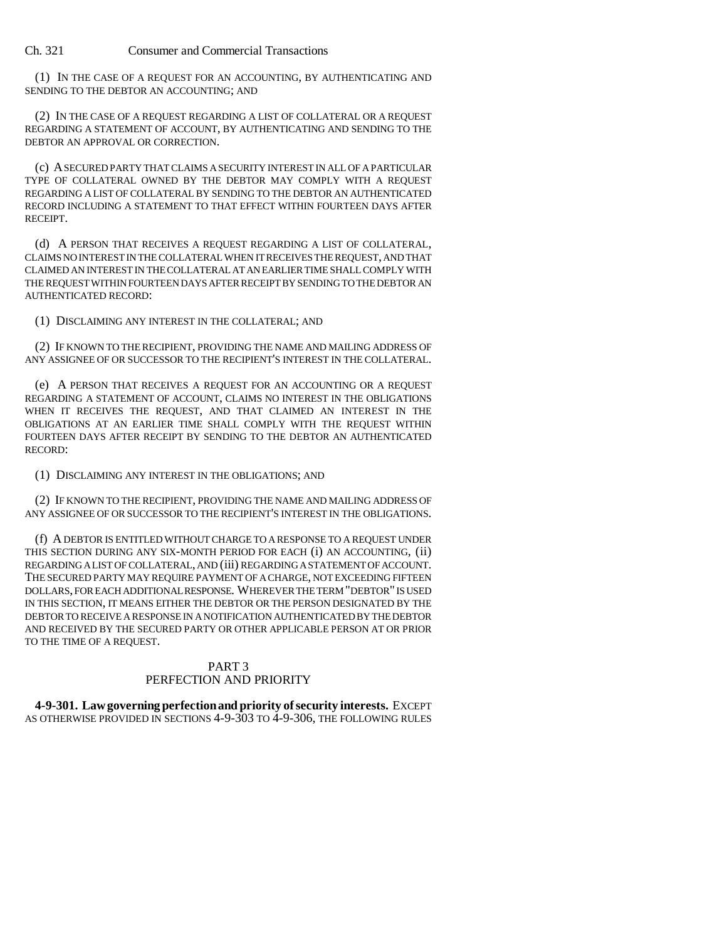(1) IN THE CASE OF A REQUEST FOR AN ACCOUNTING, BY AUTHENTICATING AND SENDING TO THE DEBTOR AN ACCOUNTING; AND

(2) IN THE CASE OF A REQUEST REGARDING A LIST OF COLLATERAL OR A REQUEST REGARDING A STATEMENT OF ACCOUNT, BY AUTHENTICATING AND SENDING TO THE DEBTOR AN APPROVAL OR CORRECTION.

(c) A SECURED PARTY THAT CLAIMS A SECURITY INTEREST IN ALL OF A PARTICULAR TYPE OF COLLATERAL OWNED BY THE DEBTOR MAY COMPLY WITH A REQUEST REGARDING A LIST OF COLLATERAL BY SENDING TO THE DEBTOR AN AUTHENTICATED RECORD INCLUDING A STATEMENT TO THAT EFFECT WITHIN FOURTEEN DAYS AFTER RECEIPT.

(d) A PERSON THAT RECEIVES A REQUEST REGARDING A LIST OF COLLATERAL, CLAIMS NO INTEREST IN THE COLLATERAL WHEN IT RECEIVES THE REQUEST, AND THAT CLAIMED AN INTEREST IN THE COLLATERAL AT AN EARLIER TIME SHALL COMPLY WITH THE REQUEST WITHIN FOURTEEN DAYS AFTER RECEIPT BY SENDING TO THE DEBTOR AN AUTHENTICATED RECORD:

(1) DISCLAIMING ANY INTEREST IN THE COLLATERAL; AND

(2) IF KNOWN TO THE RECIPIENT, PROVIDING THE NAME AND MAILING ADDRESS OF ANY ASSIGNEE OF OR SUCCESSOR TO THE RECIPIENT'S INTEREST IN THE COLLATERAL.

(e) A PERSON THAT RECEIVES A REQUEST FOR AN ACCOUNTING OR A REQUEST REGARDING A STATEMENT OF ACCOUNT, CLAIMS NO INTEREST IN THE OBLIGATIONS WHEN IT RECEIVES THE REQUEST, AND THAT CLAIMED AN INTEREST IN THE OBLIGATIONS AT AN EARLIER TIME SHALL COMPLY WITH THE REQUEST WITHIN FOURTEEN DAYS AFTER RECEIPT BY SENDING TO THE DEBTOR AN AUTHENTICATED RECORD:

(1) DISCLAIMING ANY INTEREST IN THE OBLIGATIONS; AND

(2) IF KNOWN TO THE RECIPIENT, PROVIDING THE NAME AND MAILING ADDRESS OF ANY ASSIGNEE OF OR SUCCESSOR TO THE RECIPIENT'S INTEREST IN THE OBLIGATIONS.

(f) A DEBTOR IS ENTITLED WITHOUT CHARGE TO A RESPONSE TO A REQUEST UNDER THIS SECTION DURING ANY SIX-MONTH PERIOD FOR EACH (i) AN ACCOUNTING, (ii) REGARDING A LIST OF COLLATERAL, AND (iii) REGARDING A STATEMENT OF ACCOUNT. THE SECURED PARTY MAY REQUIRE PAYMENT OF A CHARGE, NOT EXCEEDING FIFTEEN DOLLARS, FOR EACH ADDITIONAL RESPONSE. WHEREVER THE TERM "DEBTOR" IS USED IN THIS SECTION, IT MEANS EITHER THE DEBTOR OR THE PERSON DESIGNATED BY THE DEBTOR TO RECEIVE A RESPONSE IN A NOTIFICATION AUTHENTICATED BY THE DEBTOR AND RECEIVED BY THE SECURED PARTY OR OTHER APPLICABLE PERSON AT OR PRIOR TO THE TIME OF A REQUEST.

## PART 3 PERFECTION AND PRIORITY

**4-9-301. Law governing perfection and priority of security interests.** EXCEPT AS OTHERWISE PROVIDED IN SECTIONS 4-9-303 TO 4-9-306, THE FOLLOWING RULES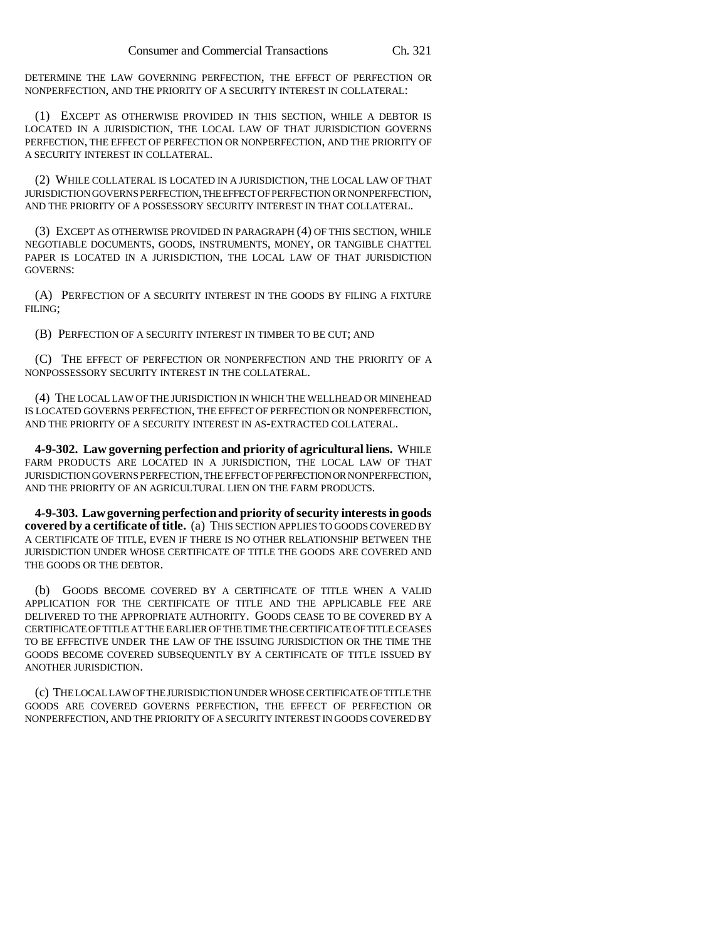DETERMINE THE LAW GOVERNING PERFECTION, THE EFFECT OF PERFECTION OR NONPERFECTION, AND THE PRIORITY OF A SECURITY INTEREST IN COLLATERAL:

(1) EXCEPT AS OTHERWISE PROVIDED IN THIS SECTION, WHILE A DEBTOR IS LOCATED IN A JURISDICTION, THE LOCAL LAW OF THAT JURISDICTION GOVERNS PERFECTION, THE EFFECT OF PERFECTION OR NONPERFECTION, AND THE PRIORITY OF A SECURITY INTEREST IN COLLATERAL.

(2) WHILE COLLATERAL IS LOCATED IN A JURISDICTION, THE LOCAL LAW OF THAT JURISDICTION GOVERNS PERFECTION, THE EFFECT OF PERFECTION OR NONPERFECTION, AND THE PRIORITY OF A POSSESSORY SECURITY INTEREST IN THAT COLLATERAL.

(3) EXCEPT AS OTHERWISE PROVIDED IN PARAGRAPH (4) OF THIS SECTION, WHILE NEGOTIABLE DOCUMENTS, GOODS, INSTRUMENTS, MONEY, OR TANGIBLE CHATTEL PAPER IS LOCATED IN A JURISDICTION, THE LOCAL LAW OF THAT JURISDICTION GOVERNS:

(A) PERFECTION OF A SECURITY INTEREST IN THE GOODS BY FILING A FIXTURE FILING;

(B) PERFECTION OF A SECURITY INTEREST IN TIMBER TO BE CUT; AND

(C) THE EFFECT OF PERFECTION OR NONPERFECTION AND THE PRIORITY OF A NONPOSSESSORY SECURITY INTEREST IN THE COLLATERAL.

(4) THE LOCAL LAW OF THE JURISDICTION IN WHICH THE WELLHEAD OR MINEHEAD IS LOCATED GOVERNS PERFECTION, THE EFFECT OF PERFECTION OR NONPERFECTION, AND THE PRIORITY OF A SECURITY INTEREST IN AS-EXTRACTED COLLATERAL.

**4-9-302. Law governing perfection and priority of agricultural liens.** WHILE FARM PRODUCTS ARE LOCATED IN A JURISDICTION, THE LOCAL LAW OF THAT JURISDICTION GOVERNS PERFECTION, THE EFFECT OF PERFECTION OR NONPERFECTION, AND THE PRIORITY OF AN AGRICULTURAL LIEN ON THE FARM PRODUCTS.

**4-9-303. Law governing perfection and priority of security interests in goods covered by a certificate of title.** (a) THIS SECTION APPLIES TO GOODS COVERED BY A CERTIFICATE OF TITLE, EVEN IF THERE IS NO OTHER RELATIONSHIP BETWEEN THE JURISDICTION UNDER WHOSE CERTIFICATE OF TITLE THE GOODS ARE COVERED AND THE GOODS OR THE DEBTOR.

(b) GOODS BECOME COVERED BY A CERTIFICATE OF TITLE WHEN A VALID APPLICATION FOR THE CERTIFICATE OF TITLE AND THE APPLICABLE FEE ARE DELIVERED TO THE APPROPRIATE AUTHORITY. GOODS CEASE TO BE COVERED BY A CERTIFICATE OF TITLE AT THE EARLIER OF THE TIME THE CERTIFICATE OF TITLE CEASES TO BE EFFECTIVE UNDER THE LAW OF THE ISSUING JURISDICTION OR THE TIME THE GOODS BECOME COVERED SUBSEQUENTLY BY A CERTIFICATE OF TITLE ISSUED BY ANOTHER JURISDICTION.

(c) THE LOCAL LAW OF THE JURISDICTION UNDER WHOSE CERTIFICATE OF TITLE THE GOODS ARE COVERED GOVERNS PERFECTION, THE EFFECT OF PERFECTION OR NONPERFECTION, AND THE PRIORITY OF A SECURITY INTEREST IN GOODS COVERED BY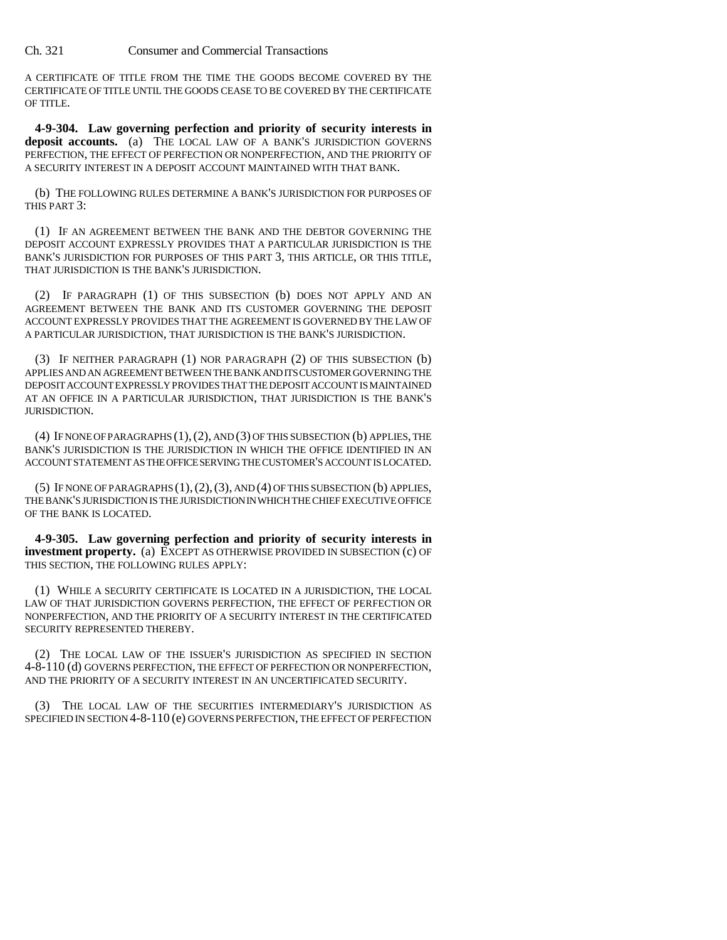A CERTIFICATE OF TITLE FROM THE TIME THE GOODS BECOME COVERED BY THE CERTIFICATE OF TITLE UNTIL THE GOODS CEASE TO BE COVERED BY THE CERTIFICATE OF TITLE.

**4-9-304. Law governing perfection and priority of security interests in deposit accounts.** (a) THE LOCAL LAW OF A BANK'S JURISDICTION GOVERNS PERFECTION, THE EFFECT OF PERFECTION OR NONPERFECTION, AND THE PRIORITY OF A SECURITY INTEREST IN A DEPOSIT ACCOUNT MAINTAINED WITH THAT BANK.

(b) THE FOLLOWING RULES DETERMINE A BANK'S JURISDICTION FOR PURPOSES OF THIS PART 3:

(1) IF AN AGREEMENT BETWEEN THE BANK AND THE DEBTOR GOVERNING THE DEPOSIT ACCOUNT EXPRESSLY PROVIDES THAT A PARTICULAR JURISDICTION IS THE BANK'S JURISDICTION FOR PURPOSES OF THIS PART 3, THIS ARTICLE, OR THIS TITLE, THAT JURISDICTION IS THE BANK'S JURISDICTION.

(2) IF PARAGRAPH (1) OF THIS SUBSECTION (b) DOES NOT APPLY AND AN AGREEMENT BETWEEN THE BANK AND ITS CUSTOMER GOVERNING THE DEPOSIT ACCOUNT EXPRESSLY PROVIDES THAT THE AGREEMENT IS GOVERNED BY THE LAW OF A PARTICULAR JURISDICTION, THAT JURISDICTION IS THE BANK'S JURISDICTION.

(3) IF NEITHER PARAGRAPH (1) NOR PARAGRAPH (2) OF THIS SUBSECTION (b) APPLIES AND AN AGREEMENT BETWEEN THE BANK AND ITS CUSTOMER GOVERNING THE DEPOSIT ACCOUNT EXPRESSLY PROVIDES THAT THE DEPOSIT ACCOUNT IS MAINTAINED AT AN OFFICE IN A PARTICULAR JURISDICTION, THAT JURISDICTION IS THE BANK'S JURISDICTION.

(4) IF NONE OF PARAGRAPHS (1),(2), AND (3) OF THIS SUBSECTION (b) APPLIES, THE BANK'S JURISDICTION IS THE JURISDICTION IN WHICH THE OFFICE IDENTIFIED IN AN ACCOUNT STATEMENT AS THE OFFICE SERVING THE CUSTOMER'S ACCOUNT IS LOCATED.

(5) IF NONE OF PARAGRAPHS (1),(2),(3), AND (4) OF THIS SUBSECTION (b) APPLIES, THE BANK'S JURISDICTION IS THE JURISDICTION IN WHICH THE CHIEF EXECUTIVE OFFICE OF THE BANK IS LOCATED.

**4-9-305. Law governing perfection and priority of security interests in investment property.** (a) EXCEPT AS OTHERWISE PROVIDED IN SUBSECTION (c) OF THIS SECTION, THE FOLLOWING RULES APPLY:

(1) WHILE A SECURITY CERTIFICATE IS LOCATED IN A JURISDICTION, THE LOCAL LAW OF THAT JURISDICTION GOVERNS PERFECTION, THE EFFECT OF PERFECTION OR NONPERFECTION, AND THE PRIORITY OF A SECURITY INTEREST IN THE CERTIFICATED SECURITY REPRESENTED THEREBY.

(2) THE LOCAL LAW OF THE ISSUER'S JURISDICTION AS SPECIFIED IN SECTION 4-8-110 (d) GOVERNS PERFECTION, THE EFFECT OF PERFECTION OR NONPERFECTION, AND THE PRIORITY OF A SECURITY INTEREST IN AN UNCERTIFICATED SECURITY.

(3) THE LOCAL LAW OF THE SECURITIES INTERMEDIARY'S JURISDICTION AS SPECIFIED IN SECTION 4-8-110 (e) GOVERNS PERFECTION, THE EFFECT OF PERFECTION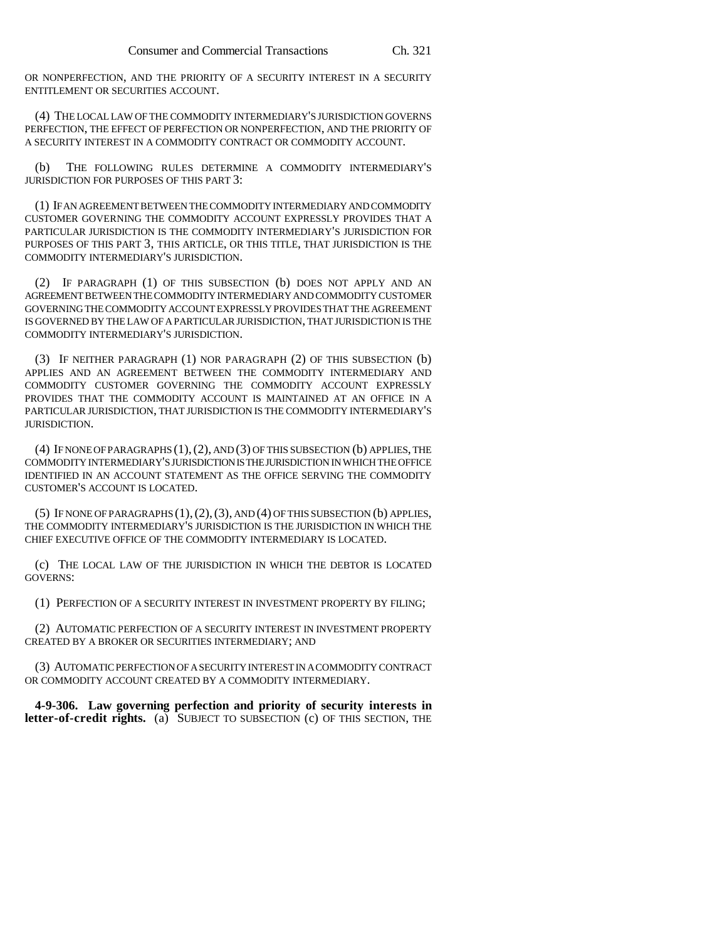OR NONPERFECTION, AND THE PRIORITY OF A SECURITY INTEREST IN A SECURITY ENTITLEMENT OR SECURITIES ACCOUNT.

(4) THE LOCAL LAW OF THE COMMODITY INTERMEDIARY'S JURISDICTION GOVERNS PERFECTION, THE EFFECT OF PERFECTION OR NONPERFECTION, AND THE PRIORITY OF A SECURITY INTEREST IN A COMMODITY CONTRACT OR COMMODITY ACCOUNT.

(b) THE FOLLOWING RULES DETERMINE A COMMODITY INTERMEDIARY'S JURISDICTION FOR PURPOSES OF THIS PART 3:

(1) IF AN AGREEMENT BETWEEN THE COMMODITY INTERMEDIARY AND COMMODITY CUSTOMER GOVERNING THE COMMODITY ACCOUNT EXPRESSLY PROVIDES THAT A PARTICULAR JURISDICTION IS THE COMMODITY INTERMEDIARY'S JURISDICTION FOR PURPOSES OF THIS PART 3, THIS ARTICLE, OR THIS TITLE, THAT JURISDICTION IS THE COMMODITY INTERMEDIARY'S JURISDICTION.

(2) IF PARAGRAPH (1) OF THIS SUBSECTION (b) DOES NOT APPLY AND AN AGREEMENT BETWEEN THE COMMODITY INTERMEDIARY AND COMMODITY CUSTOMER GOVERNING THE COMMODITY ACCOUNT EXPRESSLY PROVIDES THAT THE AGREEMENT IS GOVERNED BY THE LAW OF A PARTICULAR JURISDICTION, THAT JURISDICTION IS THE COMMODITY INTERMEDIARY'S JURISDICTION.

(3) IF NEITHER PARAGRAPH (1) NOR PARAGRAPH (2) OF THIS SUBSECTION (b) APPLIES AND AN AGREEMENT BETWEEN THE COMMODITY INTERMEDIARY AND COMMODITY CUSTOMER GOVERNING THE COMMODITY ACCOUNT EXPRESSLY PROVIDES THAT THE COMMODITY ACCOUNT IS MAINTAINED AT AN OFFICE IN A PARTICULAR JURISDICTION, THAT JURISDICTION IS THE COMMODITY INTERMEDIARY'S JURISDICTION.

(4) IF NONE OF PARAGRAPHS (1),(2), AND (3) OF THIS SUBSECTION (b) APPLIES, THE COMMODITY INTERMEDIARY'S JURISDICTION IS THE JURISDICTION IN WHICH THE OFFICE IDENTIFIED IN AN ACCOUNT STATEMENT AS THE OFFICE SERVING THE COMMODITY CUSTOMER'S ACCOUNT IS LOCATED.

(5) IF NONE OF PARAGRAPHS (1),(2),(3), AND (4) OF THIS SUBSECTION (b) APPLIES, THE COMMODITY INTERMEDIARY'S JURISDICTION IS THE JURISDICTION IN WHICH THE CHIEF EXECUTIVE OFFICE OF THE COMMODITY INTERMEDIARY IS LOCATED.

(c) THE LOCAL LAW OF THE JURISDICTION IN WHICH THE DEBTOR IS LOCATED GOVERNS:

(1) PERFECTION OF A SECURITY INTEREST IN INVESTMENT PROPERTY BY FILING;

(2) AUTOMATIC PERFECTION OF A SECURITY INTEREST IN INVESTMENT PROPERTY CREATED BY A BROKER OR SECURITIES INTERMEDIARY; AND

(3) AUTOMATIC PERFECTION OF A SECURITY INTEREST IN A COMMODITY CONTRACT OR COMMODITY ACCOUNT CREATED BY A COMMODITY INTERMEDIARY.

**4-9-306. Law governing perfection and priority of security interests in letter-of-credit rights.** (a) SUBJECT TO SUBSECTION (c) OF THIS SECTION, THE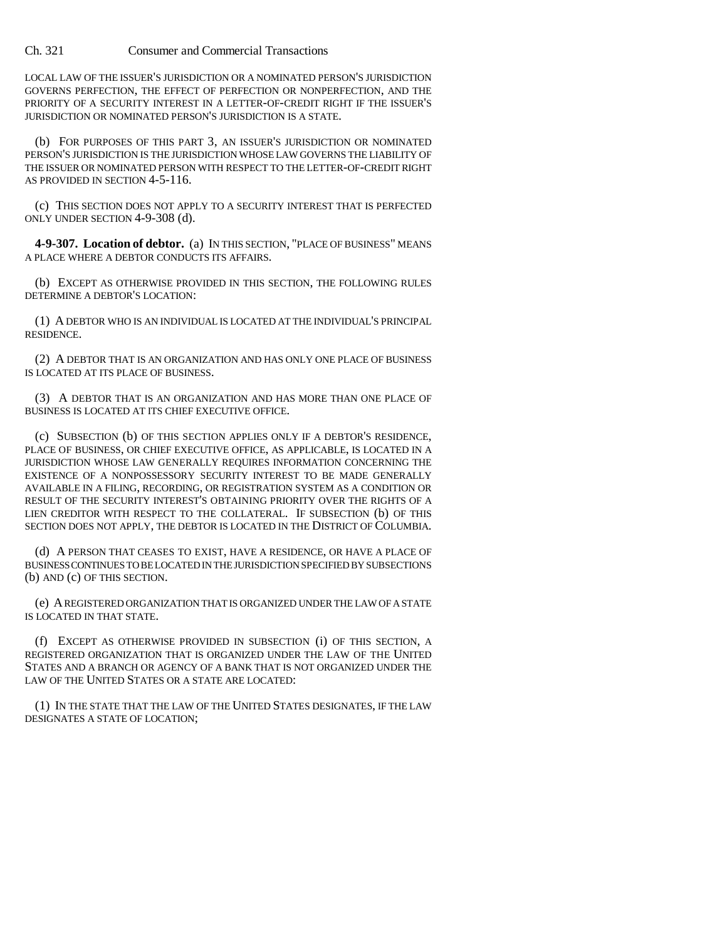LOCAL LAW OF THE ISSUER'S JURISDICTION OR A NOMINATED PERSON'S JURISDICTION GOVERNS PERFECTION, THE EFFECT OF PERFECTION OR NONPERFECTION, AND THE PRIORITY OF A SECURITY INTEREST IN A LETTER-OF-CREDIT RIGHT IF THE ISSUER'S JURISDICTION OR NOMINATED PERSON'S JURISDICTION IS A STATE.

(b) FOR PURPOSES OF THIS PART 3, AN ISSUER'S JURISDICTION OR NOMINATED PERSON'S JURISDICTION IS THE JURISDICTION WHOSE LAW GOVERNS THE LIABILITY OF THE ISSUER OR NOMINATED PERSON WITH RESPECT TO THE LETTER-OF-CREDIT RIGHT AS PROVIDED IN SECTION 4-5-116.

(c) THIS SECTION DOES NOT APPLY TO A SECURITY INTEREST THAT IS PERFECTED ONLY UNDER SECTION 4-9-308 (d).

**4-9-307. Location of debtor.** (a) IN THIS SECTION, "PLACE OF BUSINESS" MEANS A PLACE WHERE A DEBTOR CONDUCTS ITS AFFAIRS.

(b) EXCEPT AS OTHERWISE PROVIDED IN THIS SECTION, THE FOLLOWING RULES DETERMINE A DEBTOR'S LOCATION:

(1) A DEBTOR WHO IS AN INDIVIDUAL IS LOCATED AT THE INDIVIDUAL'S PRINCIPAL RESIDENCE.

(2) A DEBTOR THAT IS AN ORGANIZATION AND HAS ONLY ONE PLACE OF BUSINESS IS LOCATED AT ITS PLACE OF BUSINESS.

(3) A DEBTOR THAT IS AN ORGANIZATION AND HAS MORE THAN ONE PLACE OF BUSINESS IS LOCATED AT ITS CHIEF EXECUTIVE OFFICE.

(c) SUBSECTION (b) OF THIS SECTION APPLIES ONLY IF A DEBTOR'S RESIDENCE, PLACE OF BUSINESS, OR CHIEF EXECUTIVE OFFICE, AS APPLICABLE, IS LOCATED IN A JURISDICTION WHOSE LAW GENERALLY REQUIRES INFORMATION CONCERNING THE EXISTENCE OF A NONPOSSESSORY SECURITY INTEREST TO BE MADE GENERALLY AVAILABLE IN A FILING, RECORDING, OR REGISTRATION SYSTEM AS A CONDITION OR RESULT OF THE SECURITY INTEREST'S OBTAINING PRIORITY OVER THE RIGHTS OF A LIEN CREDITOR WITH RESPECT TO THE COLLATERAL. IF SUBSECTION (b) OF THIS SECTION DOES NOT APPLY, THE DEBTOR IS LOCATED IN THE DISTRICT OF COLUMBIA.

(d) A PERSON THAT CEASES TO EXIST, HAVE A RESIDENCE, OR HAVE A PLACE OF BUSINESS CONTINUES TO BE LOCATED IN THE JURISDICTION SPECIFIED BY SUBSECTIONS (b) AND (c) OF THIS SECTION.

(e) A REGISTERED ORGANIZATION THAT IS ORGANIZED UNDER THE LAW OF A STATE IS LOCATED IN THAT STATE.

(f) EXCEPT AS OTHERWISE PROVIDED IN SUBSECTION (i) OF THIS SECTION, A REGISTERED ORGANIZATION THAT IS ORGANIZED UNDER THE LAW OF THE UNITED STATES AND A BRANCH OR AGENCY OF A BANK THAT IS NOT ORGANIZED UNDER THE LAW OF THE UNITED STATES OR A STATE ARE LOCATED:

(1) IN THE STATE THAT THE LAW OF THE UNITED STATES DESIGNATES, IF THE LAW DESIGNATES A STATE OF LOCATION;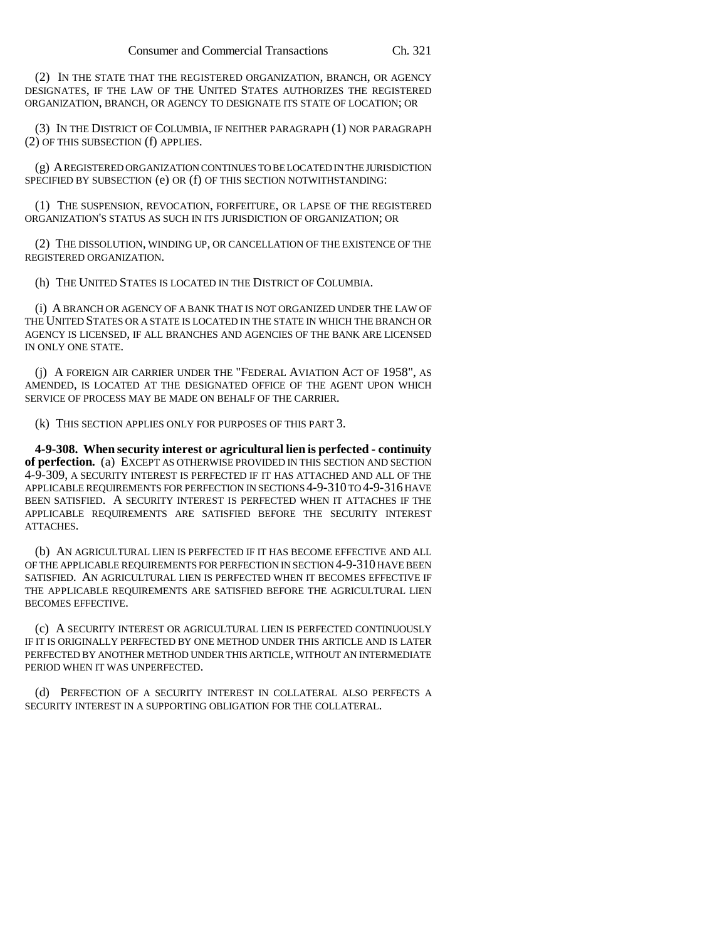(2) IN THE STATE THAT THE REGISTERED ORGANIZATION, BRANCH, OR AGENCY DESIGNATES, IF THE LAW OF THE UNITED STATES AUTHORIZES THE REGISTERED ORGANIZATION, BRANCH, OR AGENCY TO DESIGNATE ITS STATE OF LOCATION; OR

(3) IN THE DISTRICT OF COLUMBIA, IF NEITHER PARAGRAPH (1) NOR PARAGRAPH (2) OF THIS SUBSECTION (f) APPLIES.

(g) A REGISTERED ORGANIZATION CONTINUES TO BE LOCATED IN THE JURISDICTION SPECIFIED BY SUBSECTION (e) OR (f) OF THIS SECTION NOTWITHSTANDING:

(1) THE SUSPENSION, REVOCATION, FORFEITURE, OR LAPSE OF THE REGISTERED ORGANIZATION'S STATUS AS SUCH IN ITS JURISDICTION OF ORGANIZATION; OR

(2) THE DISSOLUTION, WINDING UP, OR CANCELLATION OF THE EXISTENCE OF THE REGISTERED ORGANIZATION.

(h) THE UNITED STATES IS LOCATED IN THE DISTRICT OF COLUMBIA.

(i) A BRANCH OR AGENCY OF A BANK THAT IS NOT ORGANIZED UNDER THE LAW OF THE UNITED STATES OR A STATE IS LOCATED IN THE STATE IN WHICH THE BRANCH OR AGENCY IS LICENSED, IF ALL BRANCHES AND AGENCIES OF THE BANK ARE LICENSED IN ONLY ONE STATE.

(j) A FOREIGN AIR CARRIER UNDER THE "FEDERAL AVIATION ACT OF 1958", AS AMENDED, IS LOCATED AT THE DESIGNATED OFFICE OF THE AGENT UPON WHICH SERVICE OF PROCESS MAY BE MADE ON BEHALF OF THE CARRIER.

(k) THIS SECTION APPLIES ONLY FOR PURPOSES OF THIS PART 3.

**4-9-308. When security interest or agricultural lien is perfected - continuity of perfection.** (a) EXCEPT AS OTHERWISE PROVIDED IN THIS SECTION AND SECTION 4-9-309, A SECURITY INTEREST IS PERFECTED IF IT HAS ATTACHED AND ALL OF THE APPLICABLE REQUIREMENTS FOR PERFECTION IN SECTIONS 4-9-310 TO 4-9-316 HAVE BEEN SATISFIED. A SECURITY INTEREST IS PERFECTED WHEN IT ATTACHES IF THE APPLICABLE REQUIREMENTS ARE SATISFIED BEFORE THE SECURITY INTEREST ATTACHES.

(b) AN AGRICULTURAL LIEN IS PERFECTED IF IT HAS BECOME EFFECTIVE AND ALL OF THE APPLICABLE REQUIREMENTS FOR PERFECTION IN SECTION 4-9-310 HAVE BEEN SATISFIED. AN AGRICULTURAL LIEN IS PERFECTED WHEN IT BECOMES EFFECTIVE IF THE APPLICABLE REQUIREMENTS ARE SATISFIED BEFORE THE AGRICULTURAL LIEN BECOMES EFFECTIVE.

(c) A SECURITY INTEREST OR AGRICULTURAL LIEN IS PERFECTED CONTINUOUSLY IF IT IS ORIGINALLY PERFECTED BY ONE METHOD UNDER THIS ARTICLE AND IS LATER PERFECTED BY ANOTHER METHOD UNDER THIS ARTICLE, WITHOUT AN INTERMEDIATE PERIOD WHEN IT WAS UNPERFECTED.

(d) PERFECTION OF A SECURITY INTEREST IN COLLATERAL ALSO PERFECTS A SECURITY INTEREST IN A SUPPORTING OBLIGATION FOR THE COLLATERAL.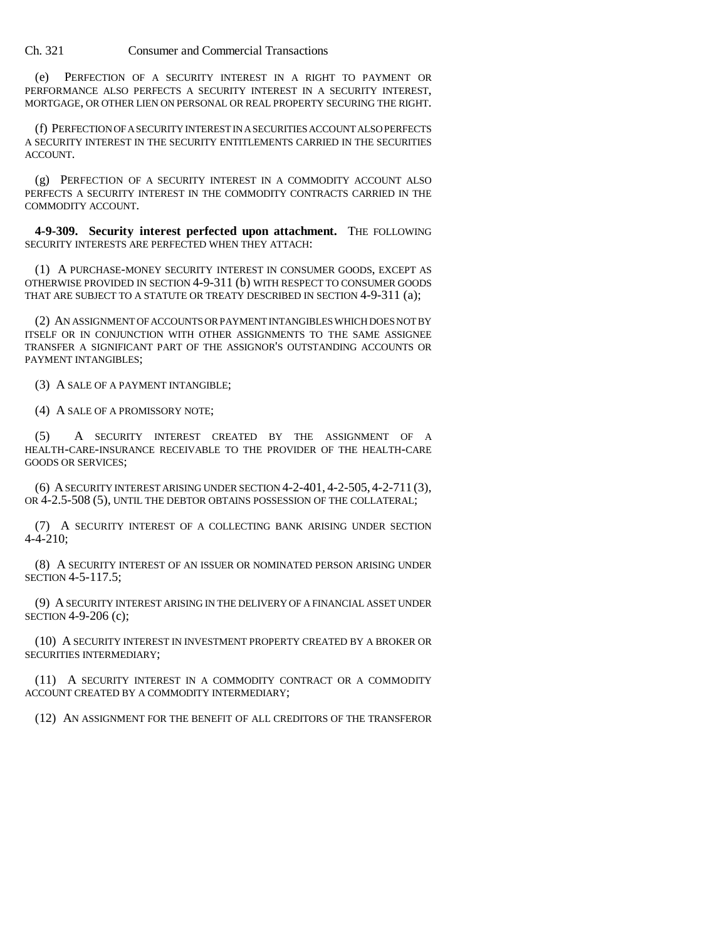(e) PERFECTION OF A SECURITY INTEREST IN A RIGHT TO PAYMENT OR PERFORMANCE ALSO PERFECTS A SECURITY INTEREST IN A SECURITY INTEREST, MORTGAGE, OR OTHER LIEN ON PERSONAL OR REAL PROPERTY SECURING THE RIGHT.

(f) PERFECTION OF A SECURITY INTEREST IN A SECURITIES ACCOUNT ALSO PERFECTS A SECURITY INTEREST IN THE SECURITY ENTITLEMENTS CARRIED IN THE SECURITIES ACCOUNT.

(g) PERFECTION OF A SECURITY INTEREST IN A COMMODITY ACCOUNT ALSO PERFECTS A SECURITY INTEREST IN THE COMMODITY CONTRACTS CARRIED IN THE COMMODITY ACCOUNT.

**4-9-309. Security interest perfected upon attachment.** THE FOLLOWING SECURITY INTERESTS ARE PERFECTED WHEN THEY ATTACH:

(1) A PURCHASE-MONEY SECURITY INTEREST IN CONSUMER GOODS, EXCEPT AS OTHERWISE PROVIDED IN SECTION 4-9-311 (b) WITH RESPECT TO CONSUMER GOODS THAT ARE SUBJECT TO A STATUTE OR TREATY DESCRIBED IN SECTION 4-9-311 (a);

(2) AN ASSIGNMENT OF ACCOUNTS OR PAYMENT INTANGIBLES WHICH DOES NOT BY ITSELF OR IN CONJUNCTION WITH OTHER ASSIGNMENTS TO THE SAME ASSIGNEE TRANSFER A SIGNIFICANT PART OF THE ASSIGNOR'S OUTSTANDING ACCOUNTS OR PAYMENT INTANGIBLES;

(3) A SALE OF A PAYMENT INTANGIBLE;

(4) A SALE OF A PROMISSORY NOTE;

(5) A SECURITY INTEREST CREATED BY THE ASSIGNMENT OF A HEALTH-CARE-INSURANCE RECEIVABLE TO THE PROVIDER OF THE HEALTH-CARE GOODS OR SERVICES;

(6) A SECURITY INTEREST ARISING UNDER SECTION 4-2-401, 4-2-505, 4-2-711 (3), OR 4-2.5-508 (5), UNTIL THE DEBTOR OBTAINS POSSESSION OF THE COLLATERAL;

(7) A SECURITY INTEREST OF A COLLECTING BANK ARISING UNDER SECTION 4-4-210;

(8) A SECURITY INTEREST OF AN ISSUER OR NOMINATED PERSON ARISING UNDER SECTION 4-5-117.5;

(9) A SECURITY INTEREST ARISING IN THE DELIVERY OF A FINANCIAL ASSET UNDER SECTION 4-9-206 (c);

(10) A SECURITY INTEREST IN INVESTMENT PROPERTY CREATED BY A BROKER OR SECURITIES INTERMEDIARY;

(11) A SECURITY INTEREST IN A COMMODITY CONTRACT OR A COMMODITY ACCOUNT CREATED BY A COMMODITY INTERMEDIARY;

(12) AN ASSIGNMENT FOR THE BENEFIT OF ALL CREDITORS OF THE TRANSFEROR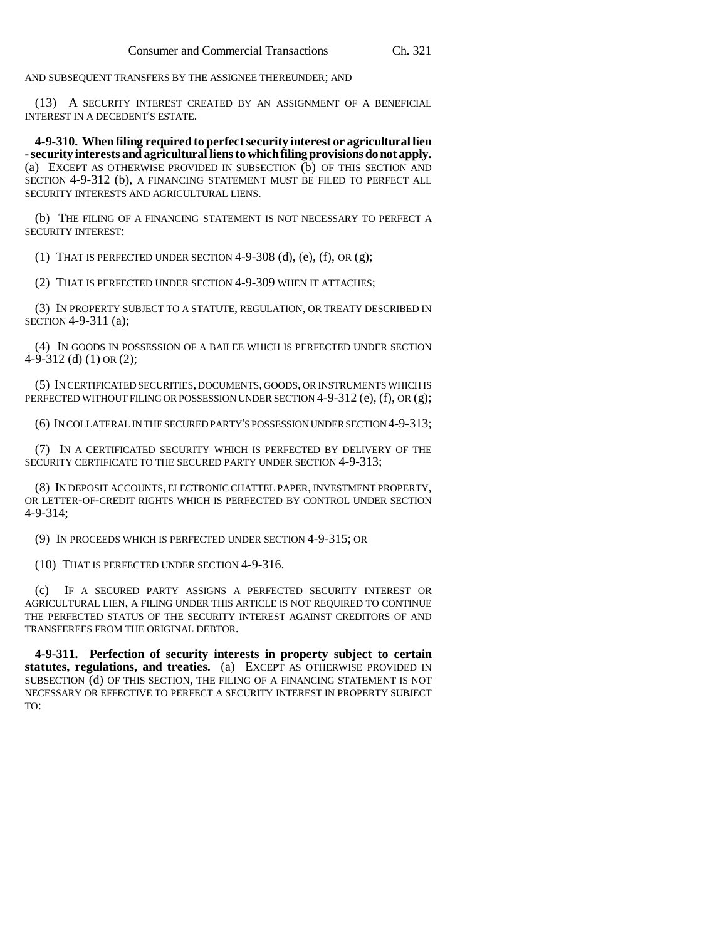AND SUBSEQUENT TRANSFERS BY THE ASSIGNEE THEREUNDER; AND

(13) A SECURITY INTEREST CREATED BY AN ASSIGNMENT OF A BENEFICIAL INTEREST IN A DECEDENT'S ESTATE.

**4-9-310. When filing required to perfect security interest or agricultural lien - security interests and agricultural liens to which filing provisions do not apply.** (a) EXCEPT AS OTHERWISE PROVIDED IN SUBSECTION (b) OF THIS SECTION AND SECTION 4-9-312 (b), A FINANCING STATEMENT MUST BE FILED TO PERFECT ALL SECURITY INTERESTS AND AGRICULTURAL LIENS.

(b) THE FILING OF A FINANCING STATEMENT IS NOT NECESSARY TO PERFECT A SECURITY INTEREST:

(1) THAT IS PERFECTED UNDER SECTION 4-9-308 (d), (e), (f), OR  $(g)$ ;

(2) THAT IS PERFECTED UNDER SECTION 4-9-309 WHEN IT ATTACHES;

(3) IN PROPERTY SUBJECT TO A STATUTE, REGULATION, OR TREATY DESCRIBED IN SECTION 4-9-311 (a);

(4) IN GOODS IN POSSESSION OF A BAILEE WHICH IS PERFECTED UNDER SECTION 4-9-312 (d) (1) OR (2);

(5) IN CERTIFICATED SECURITIES, DOCUMENTS, GOODS, OR INSTRUMENTS WHICH IS PERFECTED WITHOUT FILING OR POSSESSION UNDER SECTION 4-9-312 (e), (f), OR (g);

(6) IN COLLATERAL IN THE SECURED PARTY'S POSSESSION UNDER SECTION 4-9-313;

(7) IN A CERTIFICATED SECURITY WHICH IS PERFECTED BY DELIVERY OF THE SECURITY CERTIFICATE TO THE SECURED PARTY UNDER SECTION 4-9-313;

(8) IN DEPOSIT ACCOUNTS, ELECTRONIC CHATTEL PAPER, INVESTMENT PROPERTY, OR LETTER-OF-CREDIT RIGHTS WHICH IS PERFECTED BY CONTROL UNDER SECTION 4-9-314;

(9) IN PROCEEDS WHICH IS PERFECTED UNDER SECTION 4-9-315; OR

(10) THAT IS PERFECTED UNDER SECTION 4-9-316.

(c) IF A SECURED PARTY ASSIGNS A PERFECTED SECURITY INTEREST OR AGRICULTURAL LIEN, A FILING UNDER THIS ARTICLE IS NOT REQUIRED TO CONTINUE THE PERFECTED STATUS OF THE SECURITY INTEREST AGAINST CREDITORS OF AND TRANSFEREES FROM THE ORIGINAL DEBTOR.

**4-9-311. Perfection of security interests in property subject to certain statutes, regulations, and treaties.** (a) EXCEPT AS OTHERWISE PROVIDED IN SUBSECTION (d) OF THIS SECTION, THE FILING OF A FINANCING STATEMENT IS NOT NECESSARY OR EFFECTIVE TO PERFECT A SECURITY INTEREST IN PROPERTY SUBJECT TO: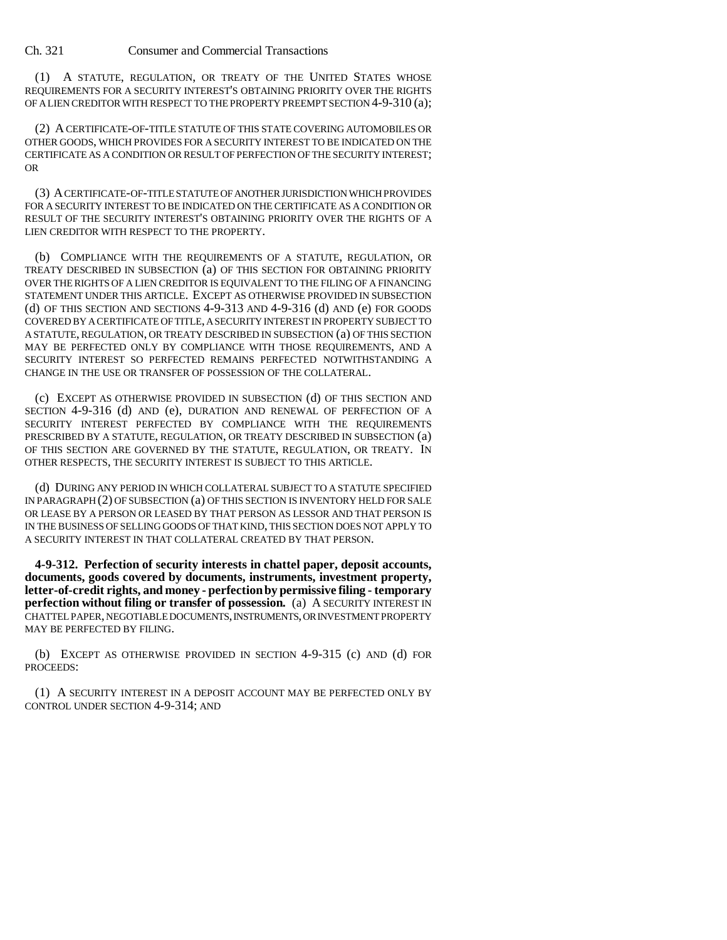(1) A STATUTE, REGULATION, OR TREATY OF THE UNITED STATES WHOSE REQUIREMENTS FOR A SECURITY INTEREST'S OBTAINING PRIORITY OVER THE RIGHTS OF A LIEN CREDITOR WITH RESPECT TO THE PROPERTY PREEMPT SECTION 4-9-310 (a);

(2) A CERTIFICATE-OF-TITLE STATUTE OF THIS STATE COVERING AUTOMOBILES OR OTHER GOODS, WHICH PROVIDES FOR A SECURITY INTEREST TO BE INDICATED ON THE CERTIFICATE AS A CONDITION OR RESULT OF PERFECTION OF THE SECURITY INTEREST; OR

(3) A CERTIFICATE-OF-TITLE STATUTE OF ANOTHER JURISDICTION WHICH PROVIDES FOR A SECURITY INTEREST TO BE INDICATED ON THE CERTIFICATE AS A CONDITION OR RESULT OF THE SECURITY INTEREST'S OBTAINING PRIORITY OVER THE RIGHTS OF A LIEN CREDITOR WITH RESPECT TO THE PROPERTY.

(b) COMPLIANCE WITH THE REQUIREMENTS OF A STATUTE, REGULATION, OR TREATY DESCRIBED IN SUBSECTION (a) OF THIS SECTION FOR OBTAINING PRIORITY OVER THE RIGHTS OF A LIEN CREDITOR IS EQUIVALENT TO THE FILING OF A FINANCING STATEMENT UNDER THIS ARTICLE. EXCEPT AS OTHERWISE PROVIDED IN SUBSECTION (d) OF THIS SECTION AND SECTIONS 4-9-313 AND 4-9-316 (d) AND (e) FOR GOODS COVERED BY A CERTIFICATE OF TITLE, A SECURITY INTEREST IN PROPERTY SUBJECT TO A STATUTE, REGULATION, OR TREATY DESCRIBED IN SUBSECTION (a) OF THIS SECTION MAY BE PERFECTED ONLY BY COMPLIANCE WITH THOSE REQUIREMENTS, AND A SECURITY INTEREST SO PERFECTED REMAINS PERFECTED NOTWITHSTANDING A CHANGE IN THE USE OR TRANSFER OF POSSESSION OF THE COLLATERAL.

(c) EXCEPT AS OTHERWISE PROVIDED IN SUBSECTION (d) OF THIS SECTION AND SECTION 4-9-316 (d) AND (e), DURATION AND RENEWAL OF PERFECTION OF A SECURITY INTEREST PERFECTED BY COMPLIANCE WITH THE REQUIREMENTS PRESCRIBED BY A STATUTE, REGULATION, OR TREATY DESCRIBED IN SUBSECTION (a) OF THIS SECTION ARE GOVERNED BY THE STATUTE, REGULATION, OR TREATY. IN OTHER RESPECTS, THE SECURITY INTEREST IS SUBJECT TO THIS ARTICLE.

(d) DURING ANY PERIOD IN WHICH COLLATERAL SUBJECT TO A STATUTE SPECIFIED IN PARAGRAPH (2) OF SUBSECTION (a) OF THIS SECTION IS INVENTORY HELD FOR SALE OR LEASE BY A PERSON OR LEASED BY THAT PERSON AS LESSOR AND THAT PERSON IS IN THE BUSINESS OF SELLING GOODS OF THAT KIND, THIS SECTION DOES NOT APPLY TO A SECURITY INTEREST IN THAT COLLATERAL CREATED BY THAT PERSON.

**4-9-312. Perfection of security interests in chattel paper, deposit accounts, documents, goods covered by documents, instruments, investment property, letter-of-credit rights, and money - perfection by permissive filing - temporary perfection without filing or transfer of possession.** (a) A SECURITY INTEREST IN CHATTEL PAPER, NEGOTIABLE DOCUMENTS, INSTRUMENTS, OR INVESTMENT PROPERTY MAY BE PERFECTED BY FILING.

(b) EXCEPT AS OTHERWISE PROVIDED IN SECTION 4-9-315 (c) AND (d) FOR PROCEEDS:

(1) A SECURITY INTEREST IN A DEPOSIT ACCOUNT MAY BE PERFECTED ONLY BY CONTROL UNDER SECTION 4-9-314; AND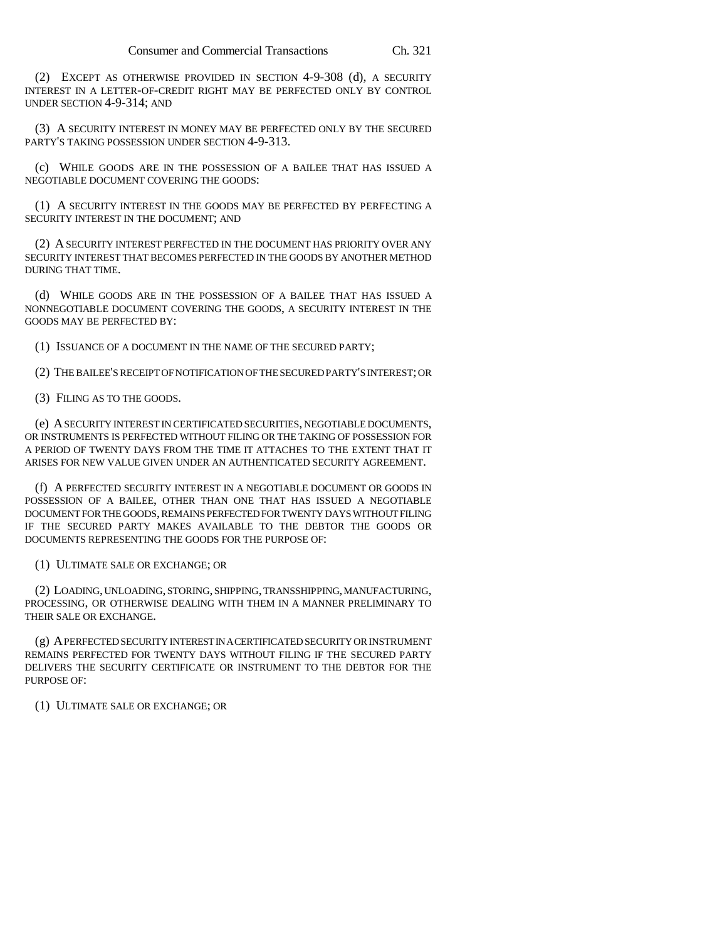(2) EXCEPT AS OTHERWISE PROVIDED IN SECTION 4-9-308 (d), A SECURITY INTEREST IN A LETTER-OF-CREDIT RIGHT MAY BE PERFECTED ONLY BY CONTROL UNDER SECTION 4-9-314; AND

(3) A SECURITY INTEREST IN MONEY MAY BE PERFECTED ONLY BY THE SECURED PARTY'S TAKING POSSESSION UNDER SECTION 4-9-313.

(c) WHILE GOODS ARE IN THE POSSESSION OF A BAILEE THAT HAS ISSUED A NEGOTIABLE DOCUMENT COVERING THE GOODS:

(1) A SECURITY INTEREST IN THE GOODS MAY BE PERFECTED BY PERFECTING A SECURITY INTEREST IN THE DOCUMENT; AND

(2) A SECURITY INTEREST PERFECTED IN THE DOCUMENT HAS PRIORITY OVER ANY SECURITY INTEREST THAT BECOMES PERFECTED IN THE GOODS BY ANOTHER METHOD DURING THAT TIME.

(d) WHILE GOODS ARE IN THE POSSESSION OF A BAILEE THAT HAS ISSUED A NONNEGOTIABLE DOCUMENT COVERING THE GOODS, A SECURITY INTEREST IN THE GOODS MAY BE PERFECTED BY:

(1) ISSUANCE OF A DOCUMENT IN THE NAME OF THE SECURED PARTY;

(2) THE BAILEE'S RECEIPT OF NOTIFICATION OF THE SECURED PARTY'S INTEREST; OR

(3) FILING AS TO THE GOODS.

(e) A SECURITY INTEREST IN CERTIFICATED SECURITIES, NEGOTIABLE DOCUMENTS, OR INSTRUMENTS IS PERFECTED WITHOUT FILING OR THE TAKING OF POSSESSION FOR A PERIOD OF TWENTY DAYS FROM THE TIME IT ATTACHES TO THE EXTENT THAT IT ARISES FOR NEW VALUE GIVEN UNDER AN AUTHENTICATED SECURITY AGREEMENT.

(f) A PERFECTED SECURITY INTEREST IN A NEGOTIABLE DOCUMENT OR GOODS IN POSSESSION OF A BAILEE, OTHER THAN ONE THAT HAS ISSUED A NEGOTIABLE DOCUMENT FOR THE GOODS, REMAINS PERFECTED FOR TWENTY DAYS WITHOUT FILING IF THE SECURED PARTY MAKES AVAILABLE TO THE DEBTOR THE GOODS OR DOCUMENTS REPRESENTING THE GOODS FOR THE PURPOSE OF:

(1) ULTIMATE SALE OR EXCHANGE; OR

(2) LOADING, UNLOADING, STORING, SHIPPING, TRANSSHIPPING, MANUFACTURING, PROCESSING, OR OTHERWISE DEALING WITH THEM IN A MANNER PRELIMINARY TO THEIR SALE OR EXCHANGE.

(g) A PERFECTED SECURITY INTEREST IN A CERTIFICATED SECURITY OR INSTRUMENT REMAINS PERFECTED FOR TWENTY DAYS WITHOUT FILING IF THE SECURED PARTY DELIVERS THE SECURITY CERTIFICATE OR INSTRUMENT TO THE DEBTOR FOR THE PURPOSE OF:

(1) ULTIMATE SALE OR EXCHANGE; OR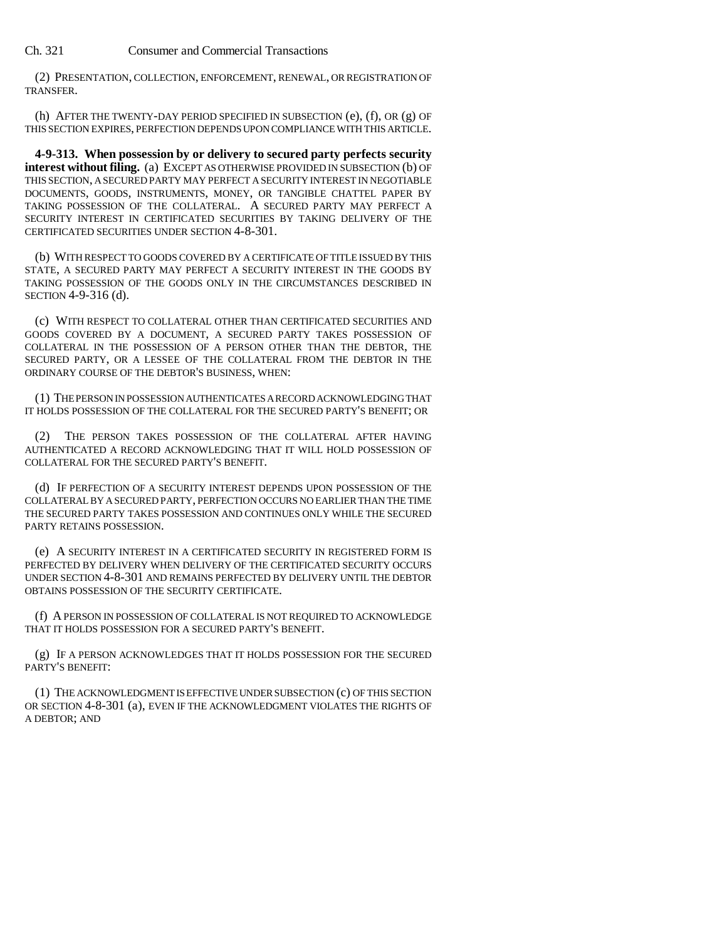(2) PRESENTATION, COLLECTION, ENFORCEMENT, RENEWAL, OR REGISTRATION OF TRANSFER.

(h) AFTER THE TWENTY-DAY PERIOD SPECIFIED IN SUBSECTION (e), (f), OR (g) OF THIS SECTION EXPIRES, PERFECTION DEPENDS UPON COMPLIANCE WITH THIS ARTICLE.

**4-9-313. When possession by or delivery to secured party perfects security interest without filing.** (a) EXCEPT AS OTHERWISE PROVIDED IN SUBSECTION (b) OF THIS SECTION, A SECURED PARTY MAY PERFECT A SECURITY INTEREST IN NEGOTIABLE DOCUMENTS, GOODS, INSTRUMENTS, MONEY, OR TANGIBLE CHATTEL PAPER BY TAKING POSSESSION OF THE COLLATERAL. A SECURED PARTY MAY PERFECT A SECURITY INTEREST IN CERTIFICATED SECURITIES BY TAKING DELIVERY OF THE CERTIFICATED SECURITIES UNDER SECTION 4-8-301.

(b) WITH RESPECT TO GOODS COVERED BY A CERTIFICATE OF TITLE ISSUED BY THIS STATE, A SECURED PARTY MAY PERFECT A SECURITY INTEREST IN THE GOODS BY TAKING POSSESSION OF THE GOODS ONLY IN THE CIRCUMSTANCES DESCRIBED IN SECTION 4-9-316 (d).

(c) WITH RESPECT TO COLLATERAL OTHER THAN CERTIFICATED SECURITIES AND GOODS COVERED BY A DOCUMENT, A SECURED PARTY TAKES POSSESSION OF COLLATERAL IN THE POSSESSION OF A PERSON OTHER THAN THE DEBTOR, THE SECURED PARTY, OR A LESSEE OF THE COLLATERAL FROM THE DEBTOR IN THE ORDINARY COURSE OF THE DEBTOR'S BUSINESS, WHEN:

(1) THE PERSON IN POSSESSION AUTHENTICATES A RECORD ACKNOWLEDGING THAT IT HOLDS POSSESSION OF THE COLLATERAL FOR THE SECURED PARTY'S BENEFIT; OR

(2) THE PERSON TAKES POSSESSION OF THE COLLATERAL AFTER HAVING AUTHENTICATED A RECORD ACKNOWLEDGING THAT IT WILL HOLD POSSESSION OF COLLATERAL FOR THE SECURED PARTY'S BENEFIT.

(d) IF PERFECTION OF A SECURITY INTEREST DEPENDS UPON POSSESSION OF THE COLLATERAL BY A SECURED PARTY, PERFECTION OCCURS NO EARLIER THAN THE TIME THE SECURED PARTY TAKES POSSESSION AND CONTINUES ONLY WHILE THE SECURED PARTY RETAINS POSSESSION.

(e) A SECURITY INTEREST IN A CERTIFICATED SECURITY IN REGISTERED FORM IS PERFECTED BY DELIVERY WHEN DELIVERY OF THE CERTIFICATED SECURITY OCCURS UNDER SECTION 4-8-301 AND REMAINS PERFECTED BY DELIVERY UNTIL THE DEBTOR OBTAINS POSSESSION OF THE SECURITY CERTIFICATE.

(f) A PERSON IN POSSESSION OF COLLATERAL IS NOT REQUIRED TO ACKNOWLEDGE THAT IT HOLDS POSSESSION FOR A SECURED PARTY'S BENEFIT.

(g) IF A PERSON ACKNOWLEDGES THAT IT HOLDS POSSESSION FOR THE SECURED PARTY'S BENEFIT:

(1) THE ACKNOWLEDGMENT IS EFFECTIVE UNDER SUBSECTION (c) OF THIS SECTION OR SECTION 4-8-301 (a), EVEN IF THE ACKNOWLEDGMENT VIOLATES THE RIGHTS OF A DEBTOR; AND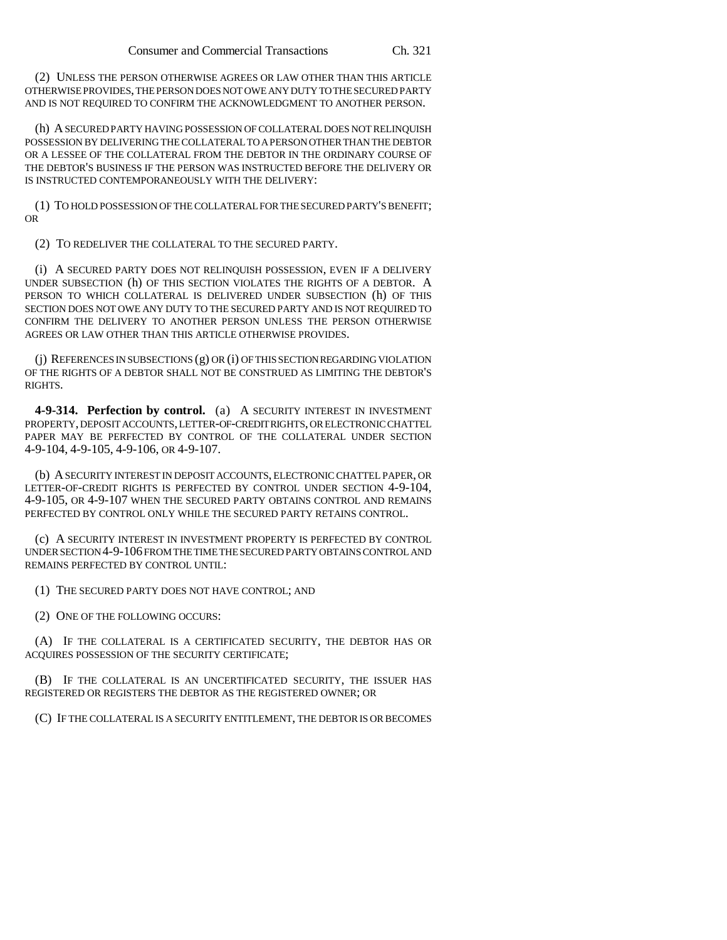(2) UNLESS THE PERSON OTHERWISE AGREES OR LAW OTHER THAN THIS ARTICLE OTHERWISE PROVIDES, THE PERSON DOES NOT OWE ANY DUTY TO THE SECURED PARTY AND IS NOT REQUIRED TO CONFIRM THE ACKNOWLEDGMENT TO ANOTHER PERSON.

(h) A SECURED PARTY HAVING POSSESSION OF COLLATERAL DOES NOT RELINQUISH POSSESSION BY DELIVERING THE COLLATERAL TO A PERSON OTHER THAN THE DEBTOR OR A LESSEE OF THE COLLATERAL FROM THE DEBTOR IN THE ORDINARY COURSE OF THE DEBTOR'S BUSINESS IF THE PERSON WAS INSTRUCTED BEFORE THE DELIVERY OR IS INSTRUCTED CONTEMPORANEOUSLY WITH THE DELIVERY:

(1) TO HOLD POSSESSION OF THE COLLATERAL FOR THE SECURED PARTY'S BENEFIT; OR

(2) TO REDELIVER THE COLLATERAL TO THE SECURED PARTY.

(i) A SECURED PARTY DOES NOT RELINQUISH POSSESSION, EVEN IF A DELIVERY UNDER SUBSECTION (h) OF THIS SECTION VIOLATES THE RIGHTS OF A DEBTOR. A PERSON TO WHICH COLLATERAL IS DELIVERED UNDER SUBSECTION (h) OF THIS SECTION DOES NOT OWE ANY DUTY TO THE SECURED PARTY AND IS NOT REQUIRED TO CONFIRM THE DELIVERY TO ANOTHER PERSON UNLESS THE PERSON OTHERWISE AGREES OR LAW OTHER THAN THIS ARTICLE OTHERWISE PROVIDES.

(j) REFERENCES IN SUBSECTIONS (g) OR (i) OF THIS SECTION REGARDING VIOLATION OF THE RIGHTS OF A DEBTOR SHALL NOT BE CONSTRUED AS LIMITING THE DEBTOR'S RIGHTS.

**4-9-314. Perfection by control.** (a) A SECURITY INTEREST IN INVESTMENT PROPERTY, DEPOSIT ACCOUNTS, LETTER-OF-CREDIT RIGHTS, OR ELECTRONIC CHATTEL PAPER MAY BE PERFECTED BY CONTROL OF THE COLLATERAL UNDER SECTION 4-9-104, 4-9-105, 4-9-106, OR 4-9-107.

(b) A SECURITY INTEREST IN DEPOSIT ACCOUNTS, ELECTRONIC CHATTEL PAPER, OR LETTER-OF-CREDIT RIGHTS IS PERFECTED BY CONTROL UNDER SECTION 4-9-104, 4-9-105, OR 4-9-107 WHEN THE SECURED PARTY OBTAINS CONTROL AND REMAINS PERFECTED BY CONTROL ONLY WHILE THE SECURED PARTY RETAINS CONTROL.

(c) A SECURITY INTEREST IN INVESTMENT PROPERTY IS PERFECTED BY CONTROL UNDER SECTION 4-9-106 FROM THE TIME THE SECURED PARTY OBTAINS CONTROL AND REMAINS PERFECTED BY CONTROL UNTIL:

(1) THE SECURED PARTY DOES NOT HAVE CONTROL; AND

(2) ONE OF THE FOLLOWING OCCURS:

(A) IF THE COLLATERAL IS A CERTIFICATED SECURITY, THE DEBTOR HAS OR ACQUIRES POSSESSION OF THE SECURITY CERTIFICATE;

(B) IF THE COLLATERAL IS AN UNCERTIFICATED SECURITY, THE ISSUER HAS REGISTERED OR REGISTERS THE DEBTOR AS THE REGISTERED OWNER; OR

(C) IF THE COLLATERAL IS A SECURITY ENTITLEMENT, THE DEBTOR IS OR BECOMES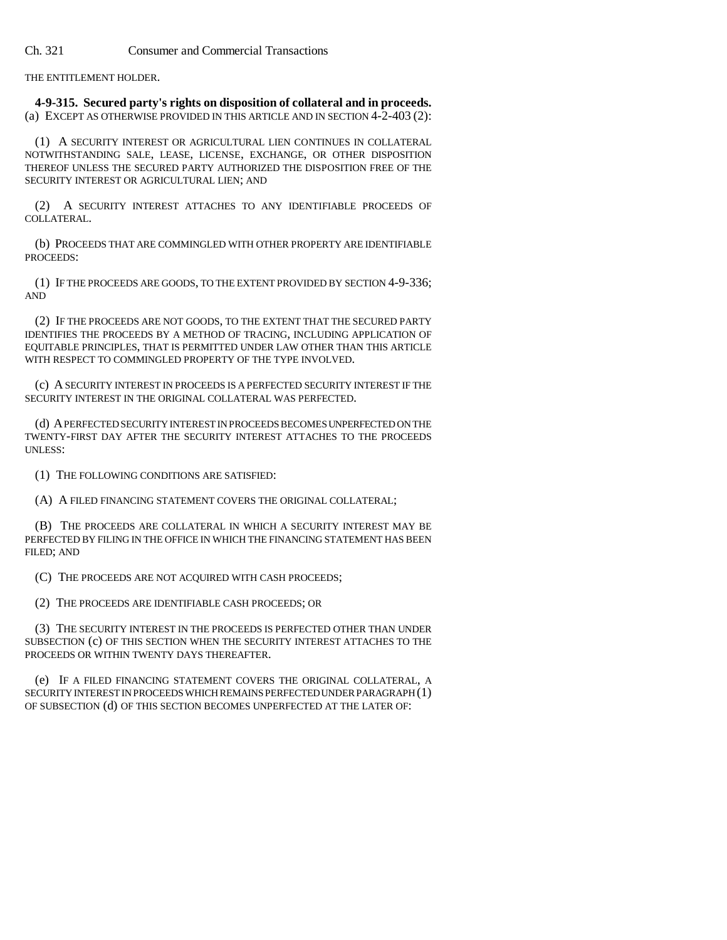THE ENTITLEMENT HOLDER.

**4-9-315. Secured party's rights on disposition of collateral and in proceeds.** (a) EXCEPT AS OTHERWISE PROVIDED IN THIS ARTICLE AND IN SECTION 4-2-403 (2):

(1) A SECURITY INTEREST OR AGRICULTURAL LIEN CONTINUES IN COLLATERAL NOTWITHSTANDING SALE, LEASE, LICENSE, EXCHANGE, OR OTHER DISPOSITION THEREOF UNLESS THE SECURED PARTY AUTHORIZED THE DISPOSITION FREE OF THE SECURITY INTEREST OR AGRICULTURAL LIEN; AND

(2) A SECURITY INTEREST ATTACHES TO ANY IDENTIFIABLE PROCEEDS OF COLLATERAL.

(b) PROCEEDS THAT ARE COMMINGLED WITH OTHER PROPERTY ARE IDENTIFIABLE PROCEEDS:

(1) IF THE PROCEEDS ARE GOODS, TO THE EXTENT PROVIDED BY SECTION 4-9-336; AND

(2) IF THE PROCEEDS ARE NOT GOODS, TO THE EXTENT THAT THE SECURED PARTY IDENTIFIES THE PROCEEDS BY A METHOD OF TRACING, INCLUDING APPLICATION OF EQUITABLE PRINCIPLES, THAT IS PERMITTED UNDER LAW OTHER THAN THIS ARTICLE WITH RESPECT TO COMMINGLED PROPERTY OF THE TYPE INVOLVED.

(c) A SECURITY INTEREST IN PROCEEDS IS A PERFECTED SECURITY INTEREST IF THE SECURITY INTEREST IN THE ORIGINAL COLLATERAL WAS PERFECTED.

(d) A PERFECTED SECURITY INTEREST IN PROCEEDS BECOMES UNPERFECTED ON THE TWENTY-FIRST DAY AFTER THE SECURITY INTEREST ATTACHES TO THE PROCEEDS UNLESS:

(1) THE FOLLOWING CONDITIONS ARE SATISFIED:

(A) A FILED FINANCING STATEMENT COVERS THE ORIGINAL COLLATERAL;

(B) THE PROCEEDS ARE COLLATERAL IN WHICH A SECURITY INTEREST MAY BE PERFECTED BY FILING IN THE OFFICE IN WHICH THE FINANCING STATEMENT HAS BEEN FILED; AND

(C) THE PROCEEDS ARE NOT ACQUIRED WITH CASH PROCEEDS;

(2) THE PROCEEDS ARE IDENTIFIABLE CASH PROCEEDS; OR

(3) THE SECURITY INTEREST IN THE PROCEEDS IS PERFECTED OTHER THAN UNDER SUBSECTION (c) OF THIS SECTION WHEN THE SECURITY INTEREST ATTACHES TO THE PROCEEDS OR WITHIN TWENTY DAYS THEREAFTER.

(e) IF A FILED FINANCING STATEMENT COVERS THE ORIGINAL COLLATERAL, A SECURITY INTEREST IN PROCEEDS WHICH REMAINS PERFECTED UNDER PARAGRAPH (1) OF SUBSECTION (d) OF THIS SECTION BECOMES UNPERFECTED AT THE LATER OF: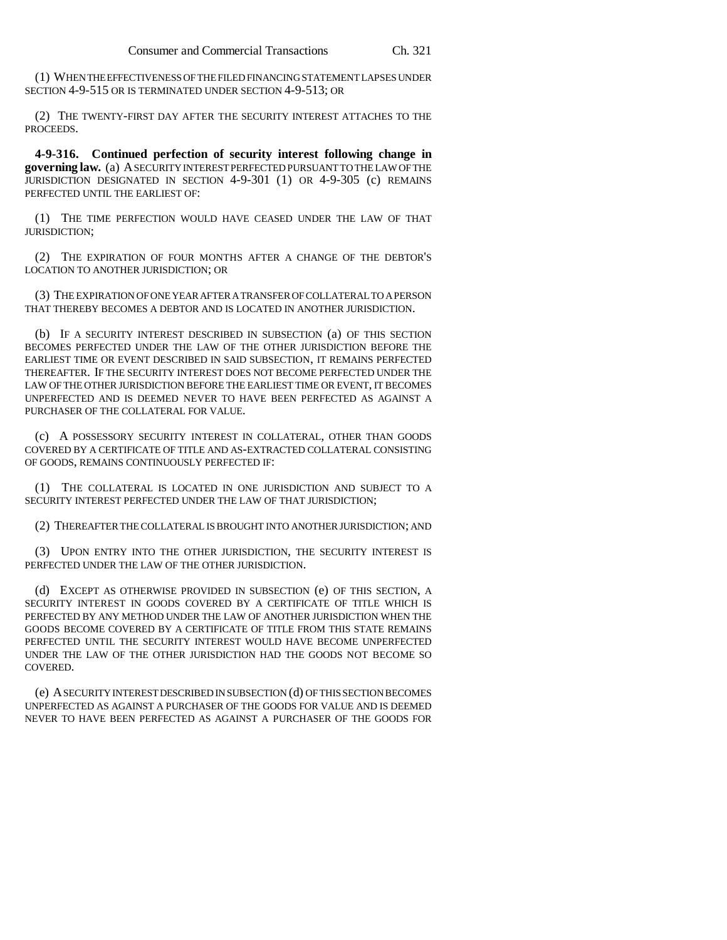(1) WHEN THE EFFECTIVENESS OF THE FILED FINANCING STATEMENT LAPSES UNDER SECTION 4-9-515 OR IS TERMINATED UNDER SECTION 4-9-513; OR

(2) THE TWENTY-FIRST DAY AFTER THE SECURITY INTEREST ATTACHES TO THE PROCEEDS.

**4-9-316. Continued perfection of security interest following change in governing law.** (a) A SECURITY INTEREST PERFECTED PURSUANT TO THE LAW OF THE JURISDICTION DESIGNATED IN SECTION 4-9-301 (1) OR 4-9-305 (c) REMAINS PERFECTED UNTIL THE EARLIEST OF:

(1) THE TIME PERFECTION WOULD HAVE CEASED UNDER THE LAW OF THAT JURISDICTION;

(2) THE EXPIRATION OF FOUR MONTHS AFTER A CHANGE OF THE DEBTOR'S LOCATION TO ANOTHER JURISDICTION; OR

(3) THE EXPIRATION OF ONE YEAR AFTER A TRANSFER OF COLLATERAL TO A PERSON THAT THEREBY BECOMES A DEBTOR AND IS LOCATED IN ANOTHER JURISDICTION.

(b) IF A SECURITY INTEREST DESCRIBED IN SUBSECTION (a) OF THIS SECTION BECOMES PERFECTED UNDER THE LAW OF THE OTHER JURISDICTION BEFORE THE EARLIEST TIME OR EVENT DESCRIBED IN SAID SUBSECTION, IT REMAINS PERFECTED THEREAFTER. IF THE SECURITY INTEREST DOES NOT BECOME PERFECTED UNDER THE LAW OF THE OTHER JURISDICTION BEFORE THE EARLIEST TIME OR EVENT, IT BECOMES UNPERFECTED AND IS DEEMED NEVER TO HAVE BEEN PERFECTED AS AGAINST A PURCHASER OF THE COLLATERAL FOR VALUE.

(c) A POSSESSORY SECURITY INTEREST IN COLLATERAL, OTHER THAN GOODS COVERED BY A CERTIFICATE OF TITLE AND AS-EXTRACTED COLLATERAL CONSISTING OF GOODS, REMAINS CONTINUOUSLY PERFECTED IF:

(1) THE COLLATERAL IS LOCATED IN ONE JURISDICTION AND SUBJECT TO A SECURITY INTEREST PERFECTED UNDER THE LAW OF THAT JURISDICTION;

(2) THEREAFTER THE COLLATERAL IS BROUGHT INTO ANOTHER JURISDICTION; AND

(3) UPON ENTRY INTO THE OTHER JURISDICTION, THE SECURITY INTEREST IS PERFECTED UNDER THE LAW OF THE OTHER JURISDICTION.

(d) EXCEPT AS OTHERWISE PROVIDED IN SUBSECTION (e) OF THIS SECTION, A SECURITY INTEREST IN GOODS COVERED BY A CERTIFICATE OF TITLE WHICH IS PERFECTED BY ANY METHOD UNDER THE LAW OF ANOTHER JURISDICTION WHEN THE GOODS BECOME COVERED BY A CERTIFICATE OF TITLE FROM THIS STATE REMAINS PERFECTED UNTIL THE SECURITY INTEREST WOULD HAVE BECOME UNPERFECTED UNDER THE LAW OF THE OTHER JURISDICTION HAD THE GOODS NOT BECOME SO COVERED.

(e) A SECURITY INTEREST DESCRIBED IN SUBSECTION (d) OF THIS SECTION BECOMES UNPERFECTED AS AGAINST A PURCHASER OF THE GOODS FOR VALUE AND IS DEEMED NEVER TO HAVE BEEN PERFECTED AS AGAINST A PURCHASER OF THE GOODS FOR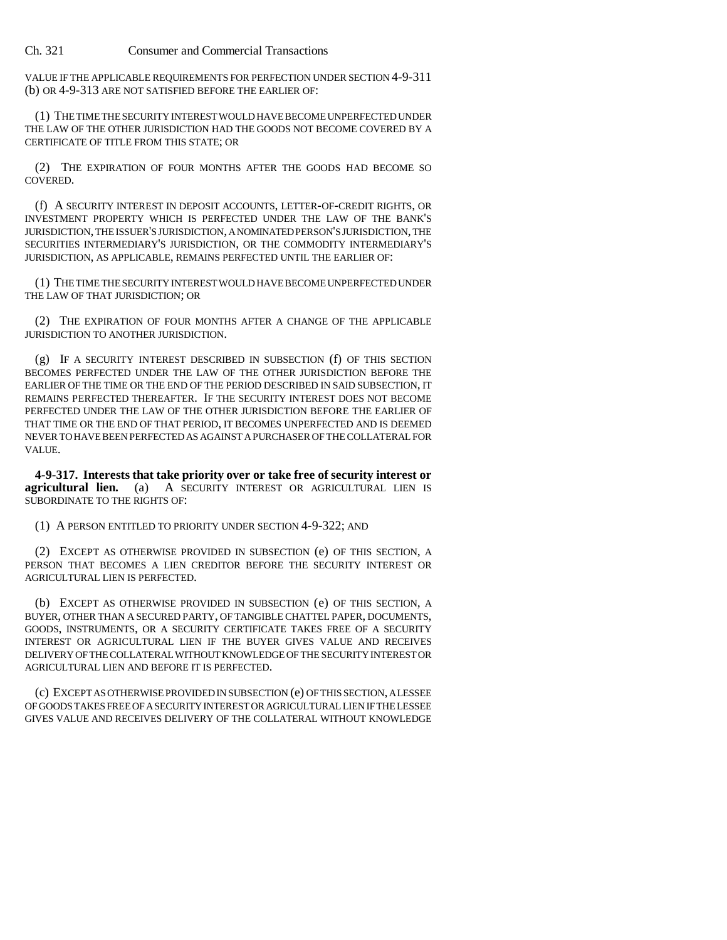VALUE IF THE APPLICABLE REQUIREMENTS FOR PERFECTION UNDER SECTION 4-9-311 (b) OR 4-9-313 ARE NOT SATISFIED BEFORE THE EARLIER OF:

(1) THE TIME THE SECURITY INTEREST WOULD HAVE BECOME UNPERFECTED UNDER THE LAW OF THE OTHER JURISDICTION HAD THE GOODS NOT BECOME COVERED BY A CERTIFICATE OF TITLE FROM THIS STATE; OR

(2) THE EXPIRATION OF FOUR MONTHS AFTER THE GOODS HAD BECOME SO COVERED.

(f) A SECURITY INTEREST IN DEPOSIT ACCOUNTS, LETTER-OF-CREDIT RIGHTS, OR INVESTMENT PROPERTY WHICH IS PERFECTED UNDER THE LAW OF THE BANK'S JURISDICTION, THE ISSUER'S JURISDICTION, A NOMINATED PERSON'S JURISDICTION, THE SECURITIES INTERMEDIARY'S JURISDICTION, OR THE COMMODITY INTERMEDIARY'S JURISDICTION, AS APPLICABLE, REMAINS PERFECTED UNTIL THE EARLIER OF:

(1) THE TIME THE SECURITY INTEREST WOULD HAVE BECOME UNPERFECTED UNDER THE LAW OF THAT JURISDICTION; OR

(2) THE EXPIRATION OF FOUR MONTHS AFTER A CHANGE OF THE APPLICABLE JURISDICTION TO ANOTHER JURISDICTION.

(g) IF A SECURITY INTEREST DESCRIBED IN SUBSECTION (f) OF THIS SECTION BECOMES PERFECTED UNDER THE LAW OF THE OTHER JURISDICTION BEFORE THE EARLIER OF THE TIME OR THE END OF THE PERIOD DESCRIBED IN SAID SUBSECTION, IT REMAINS PERFECTED THEREAFTER. IF THE SECURITY INTEREST DOES NOT BECOME PERFECTED UNDER THE LAW OF THE OTHER JURISDICTION BEFORE THE EARLIER OF THAT TIME OR THE END OF THAT PERIOD, IT BECOMES UNPERFECTED AND IS DEEMED NEVER TO HAVE BEEN PERFECTED AS AGAINST A PURCHASER OF THE COLLATERAL FOR VALUE.

**4-9-317. Interests that take priority over or take free of security interest or agricultural lien.** (a) A SECURITY INTEREST OR AGRICULTURAL LIEN IS SUBORDINATE TO THE RIGHTS OF:

(1) A PERSON ENTITLED TO PRIORITY UNDER SECTION 4-9-322; AND

(2) EXCEPT AS OTHERWISE PROVIDED IN SUBSECTION (e) OF THIS SECTION, A PERSON THAT BECOMES A LIEN CREDITOR BEFORE THE SECURITY INTEREST OR AGRICULTURAL LIEN IS PERFECTED.

(b) EXCEPT AS OTHERWISE PROVIDED IN SUBSECTION (e) OF THIS SECTION, A BUYER, OTHER THAN A SECURED PARTY, OF TANGIBLE CHATTEL PAPER, DOCUMENTS, GOODS, INSTRUMENTS, OR A SECURITY CERTIFICATE TAKES FREE OF A SECURITY INTEREST OR AGRICULTURAL LIEN IF THE BUYER GIVES VALUE AND RECEIVES DELIVERY OF THE COLLATERAL WITHOUT KNOWLEDGE OF THE SECURITY INTEREST OR AGRICULTURAL LIEN AND BEFORE IT IS PERFECTED.

(c) EXCEPT AS OTHERWISE PROVIDED IN SUBSECTION (e) OF THIS SECTION, A LESSEE OF GOODS TAKES FREE OF A SECURITY INTEREST OR AGRICULTURAL LIEN IF THE LESSEE GIVES VALUE AND RECEIVES DELIVERY OF THE COLLATERAL WITHOUT KNOWLEDGE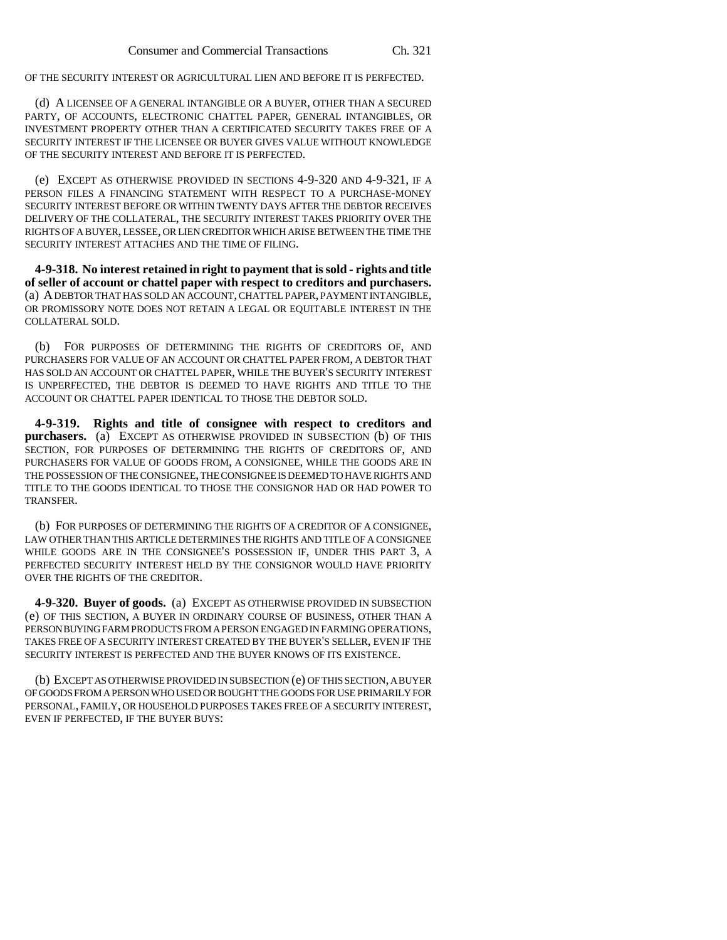OF THE SECURITY INTEREST OR AGRICULTURAL LIEN AND BEFORE IT IS PERFECTED.

(d) A LICENSEE OF A GENERAL INTANGIBLE OR A BUYER, OTHER THAN A SECURED PARTY, OF ACCOUNTS, ELECTRONIC CHATTEL PAPER, GENERAL INTANGIBLES, OR INVESTMENT PROPERTY OTHER THAN A CERTIFICATED SECURITY TAKES FREE OF A SECURITY INTEREST IF THE LICENSEE OR BUYER GIVES VALUE WITHOUT KNOWLEDGE OF THE SECURITY INTEREST AND BEFORE IT IS PERFECTED.

(e) EXCEPT AS OTHERWISE PROVIDED IN SECTIONS 4-9-320 AND 4-9-321, IF A PERSON FILES A FINANCING STATEMENT WITH RESPECT TO A PURCHASE-MONEY SECURITY INTEREST BEFORE OR WITHIN TWENTY DAYS AFTER THE DEBTOR RECEIVES DELIVERY OF THE COLLATERAL, THE SECURITY INTEREST TAKES PRIORITY OVER THE RIGHTS OF A BUYER, LESSEE, OR LIEN CREDITOR WHICH ARISE BETWEEN THE TIME THE SECURITY INTEREST ATTACHES AND THE TIME OF FILING.

**4-9-318. No interest retained in right to payment that is sold - rights and title of seller of account or chattel paper with respect to creditors and purchasers.** (a) A DEBTOR THAT HAS SOLD AN ACCOUNT, CHATTEL PAPER, PAYMENT INTANGIBLE, OR PROMISSORY NOTE DOES NOT RETAIN A LEGAL OR EQUITABLE INTEREST IN THE COLLATERAL SOLD.

(b) FOR PURPOSES OF DETERMINING THE RIGHTS OF CREDITORS OF, AND PURCHASERS FOR VALUE OF AN ACCOUNT OR CHATTEL PAPER FROM, A DEBTOR THAT HAS SOLD AN ACCOUNT OR CHATTEL PAPER, WHILE THE BUYER'S SECURITY INTEREST IS UNPERFECTED, THE DEBTOR IS DEEMED TO HAVE RIGHTS AND TITLE TO THE ACCOUNT OR CHATTEL PAPER IDENTICAL TO THOSE THE DEBTOR SOLD.

**4-9-319. Rights and title of consignee with respect to creditors and purchasers.** (a) EXCEPT AS OTHERWISE PROVIDED IN SUBSECTION (b) OF THIS SECTION, FOR PURPOSES OF DETERMINING THE RIGHTS OF CREDITORS OF, AND PURCHASERS FOR VALUE OF GOODS FROM, A CONSIGNEE, WHILE THE GOODS ARE IN THE POSSESSION OF THE CONSIGNEE, THE CONSIGNEE IS DEEMED TO HAVE RIGHTS AND TITLE TO THE GOODS IDENTICAL TO THOSE THE CONSIGNOR HAD OR HAD POWER TO TRANSFER.

(b) FOR PURPOSES OF DETERMINING THE RIGHTS OF A CREDITOR OF A CONSIGNEE, LAW OTHER THAN THIS ARTICLE DETERMINES THE RIGHTS AND TITLE OF A CONSIGNEE WHILE GOODS ARE IN THE CONSIGNEE'S POSSESSION IF, UNDER THIS PART 3, A PERFECTED SECURITY INTEREST HELD BY THE CONSIGNOR WOULD HAVE PRIORITY OVER THE RIGHTS OF THE CREDITOR.

**4-9-320. Buyer of goods.** (a) EXCEPT AS OTHERWISE PROVIDED IN SUBSECTION (e) OF THIS SECTION, A BUYER IN ORDINARY COURSE OF BUSINESS, OTHER THAN A PERSON BUYING FARM PRODUCTS FROM A PERSON ENGAGED IN FARMING OPERATIONS, TAKES FREE OF A SECURITY INTEREST CREATED BY THE BUYER'S SELLER, EVEN IF THE SECURITY INTEREST IS PERFECTED AND THE BUYER KNOWS OF ITS EXISTENCE.

(b) EXCEPT AS OTHERWISE PROVIDED IN SUBSECTION (e) OF THIS SECTION, A BUYER OF GOODS FROM A PERSON WHO USED OR BOUGHT THE GOODS FOR USE PRIMARILY FOR PERSONAL, FAMILY, OR HOUSEHOLD PURPOSES TAKES FREE OF A SECURITY INTEREST, EVEN IF PERFECTED, IF THE BUYER BUYS: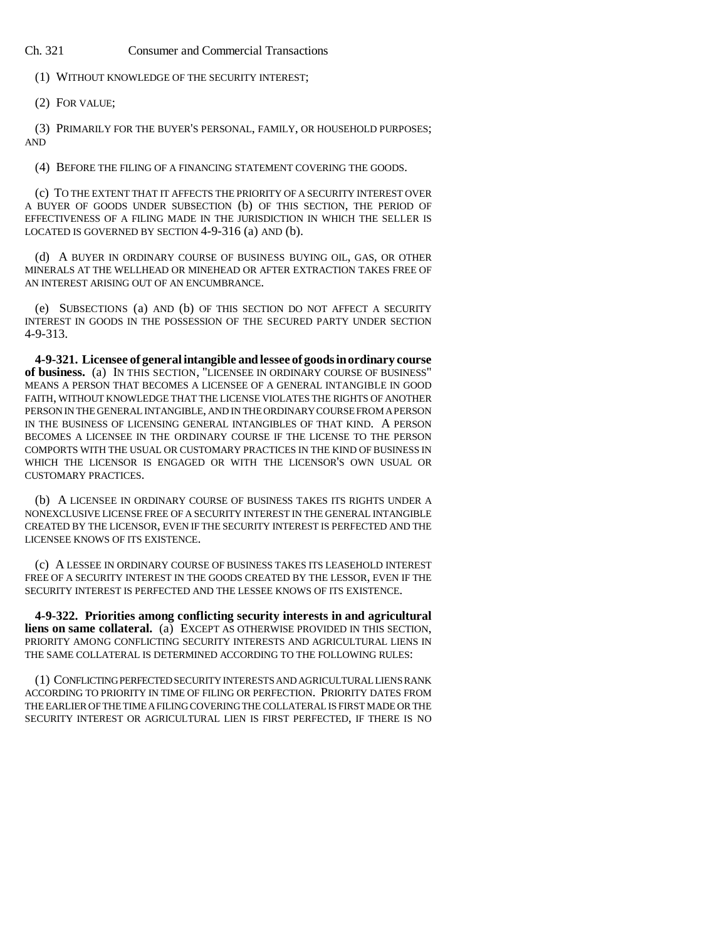(1) WITHOUT KNOWLEDGE OF THE SECURITY INTEREST;

(2) FOR VALUE;

(3) PRIMARILY FOR THE BUYER'S PERSONAL, FAMILY, OR HOUSEHOLD PURPOSES; AND

(4) BEFORE THE FILING OF A FINANCING STATEMENT COVERING THE GOODS.

(c) TO THE EXTENT THAT IT AFFECTS THE PRIORITY OF A SECURITY INTEREST OVER A BUYER OF GOODS UNDER SUBSECTION (b) OF THIS SECTION, THE PERIOD OF EFFECTIVENESS OF A FILING MADE IN THE JURISDICTION IN WHICH THE SELLER IS LOCATED IS GOVERNED BY SECTION 4-9-316 (a) AND (b).

(d) A BUYER IN ORDINARY COURSE OF BUSINESS BUYING OIL, GAS, OR OTHER MINERALS AT THE WELLHEAD OR MINEHEAD OR AFTER EXTRACTION TAKES FREE OF AN INTEREST ARISING OUT OF AN ENCUMBRANCE.

(e) SUBSECTIONS (a) AND (b) OF THIS SECTION DO NOT AFFECT A SECURITY INTEREST IN GOODS IN THE POSSESSION OF THE SECURED PARTY UNDER SECTION 4-9-313.

**4-9-321. Licensee of general intangible and lessee of goods in ordinary course of business.** (a) IN THIS SECTION, "LICENSEE IN ORDINARY COURSE OF BUSINESS" MEANS A PERSON THAT BECOMES A LICENSEE OF A GENERAL INTANGIBLE IN GOOD FAITH, WITHOUT KNOWLEDGE THAT THE LICENSE VIOLATES THE RIGHTS OF ANOTHER PERSON IN THE GENERAL INTANGIBLE, AND IN THE ORDINARY COURSE FROM A PERSON IN THE BUSINESS OF LICENSING GENERAL INTANGIBLES OF THAT KIND. A PERSON BECOMES A LICENSEE IN THE ORDINARY COURSE IF THE LICENSE TO THE PERSON COMPORTS WITH THE USUAL OR CUSTOMARY PRACTICES IN THE KIND OF BUSINESS IN WHICH THE LICENSOR IS ENGAGED OR WITH THE LICENSOR'S OWN USUAL OR CUSTOMARY PRACTICES.

(b) A LICENSEE IN ORDINARY COURSE OF BUSINESS TAKES ITS RIGHTS UNDER A NONEXCLUSIVE LICENSE FREE OF A SECURITY INTEREST IN THE GENERAL INTANGIBLE CREATED BY THE LICENSOR, EVEN IF THE SECURITY INTEREST IS PERFECTED AND THE LICENSEE KNOWS OF ITS EXISTENCE.

(c) A LESSEE IN ORDINARY COURSE OF BUSINESS TAKES ITS LEASEHOLD INTEREST FREE OF A SECURITY INTEREST IN THE GOODS CREATED BY THE LESSOR, EVEN IF THE SECURITY INTEREST IS PERFECTED AND THE LESSEE KNOWS OF ITS EXISTENCE.

**4-9-322. Priorities among conflicting security interests in and agricultural liens on same collateral.** (a) EXCEPT AS OTHERWISE PROVIDED IN THIS SECTION, PRIORITY AMONG CONFLICTING SECURITY INTERESTS AND AGRICULTURAL LIENS IN THE SAME COLLATERAL IS DETERMINED ACCORDING TO THE FOLLOWING RULES:

(1) CONFLICTING PERFECTED SECURITY INTERESTS AND AGRICULTURAL LIENS RANK ACCORDING TO PRIORITY IN TIME OF FILING OR PERFECTION. PRIORITY DATES FROM THE EARLIER OF THE TIME A FILING COVERING THE COLLATERAL IS FIRST MADE OR THE SECURITY INTEREST OR AGRICULTURAL LIEN IS FIRST PERFECTED, IF THERE IS NO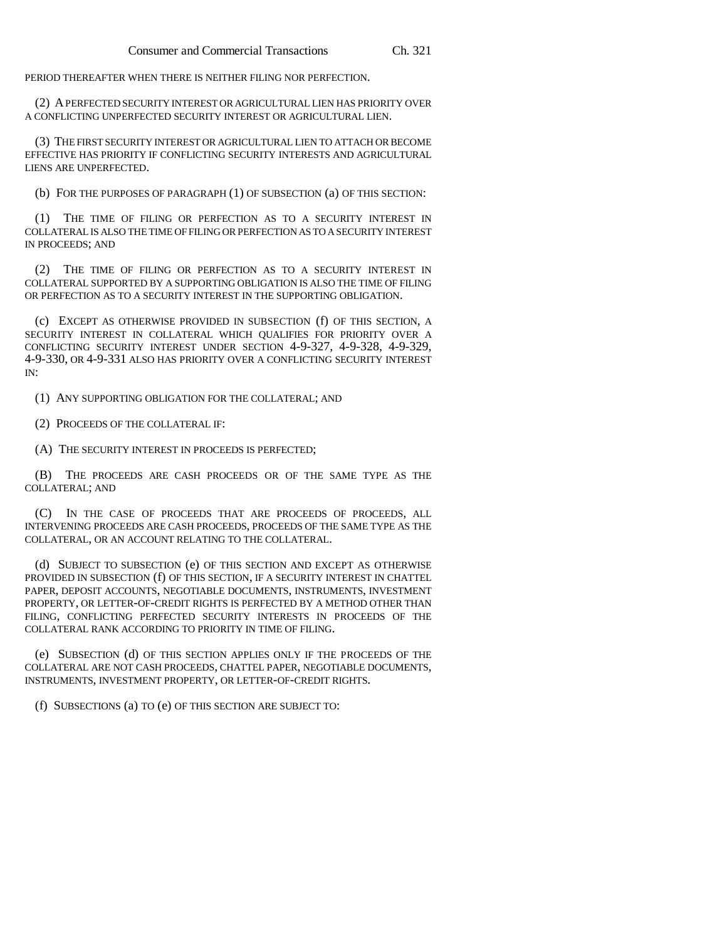PERIOD THEREAFTER WHEN THERE IS NEITHER FILING NOR PERFECTION.

(2) A PERFECTED SECURITY INTEREST OR AGRICULTURAL LIEN HAS PRIORITY OVER A CONFLICTING UNPERFECTED SECURITY INTEREST OR AGRICULTURAL LIEN.

(3) THE FIRST SECURITY INTEREST OR AGRICULTURAL LIEN TO ATTACH OR BECOME EFFECTIVE HAS PRIORITY IF CONFLICTING SECURITY INTERESTS AND AGRICULTURAL LIENS ARE UNPERFECTED.

(b) FOR THE PURPOSES OF PARAGRAPH (1) OF SUBSECTION (a) OF THIS SECTION:

(1) THE TIME OF FILING OR PERFECTION AS TO A SECURITY INTEREST IN COLLATERAL IS ALSO THE TIME OF FILING OR PERFECTION AS TO A SECURITY INTEREST IN PROCEEDS; AND

(2) THE TIME OF FILING OR PERFECTION AS TO A SECURITY INTEREST IN COLLATERAL SUPPORTED BY A SUPPORTING OBLIGATION IS ALSO THE TIME OF FILING OR PERFECTION AS TO A SECURITY INTEREST IN THE SUPPORTING OBLIGATION.

(c) EXCEPT AS OTHERWISE PROVIDED IN SUBSECTION (f) OF THIS SECTION, A SECURITY INTEREST IN COLLATERAL WHICH QUALIFIES FOR PRIORITY OVER A CONFLICTING SECURITY INTEREST UNDER SECTION 4-9-327, 4-9-328, 4-9-329, 4-9-330, OR 4-9-331 ALSO HAS PRIORITY OVER A CONFLICTING SECURITY INTEREST IN:

(1) ANY SUPPORTING OBLIGATION FOR THE COLLATERAL; AND

(2) PROCEEDS OF THE COLLATERAL IF:

(A) THE SECURITY INTEREST IN PROCEEDS IS PERFECTED;

(B) THE PROCEEDS ARE CASH PROCEEDS OR OF THE SAME TYPE AS THE COLLATERAL; AND

(C) IN THE CASE OF PROCEEDS THAT ARE PROCEEDS OF PROCEEDS, ALL INTERVENING PROCEEDS ARE CASH PROCEEDS, PROCEEDS OF THE SAME TYPE AS THE COLLATERAL, OR AN ACCOUNT RELATING TO THE COLLATERAL.

(d) SUBJECT TO SUBSECTION (e) OF THIS SECTION AND EXCEPT AS OTHERWISE PROVIDED IN SUBSECTION (f) OF THIS SECTION, IF A SECURITY INTEREST IN CHATTEL PAPER, DEPOSIT ACCOUNTS, NEGOTIABLE DOCUMENTS, INSTRUMENTS, INVESTMENT PROPERTY, OR LETTER-OF-CREDIT RIGHTS IS PERFECTED BY A METHOD OTHER THAN FILING, CONFLICTING PERFECTED SECURITY INTERESTS IN PROCEEDS OF THE COLLATERAL RANK ACCORDING TO PRIORITY IN TIME OF FILING.

(e) SUBSECTION (d) OF THIS SECTION APPLIES ONLY IF THE PROCEEDS OF THE COLLATERAL ARE NOT CASH PROCEEDS, CHATTEL PAPER, NEGOTIABLE DOCUMENTS, INSTRUMENTS, INVESTMENT PROPERTY, OR LETTER-OF-CREDIT RIGHTS.

(f) SUBSECTIONS (a) TO (e) OF THIS SECTION ARE SUBJECT TO: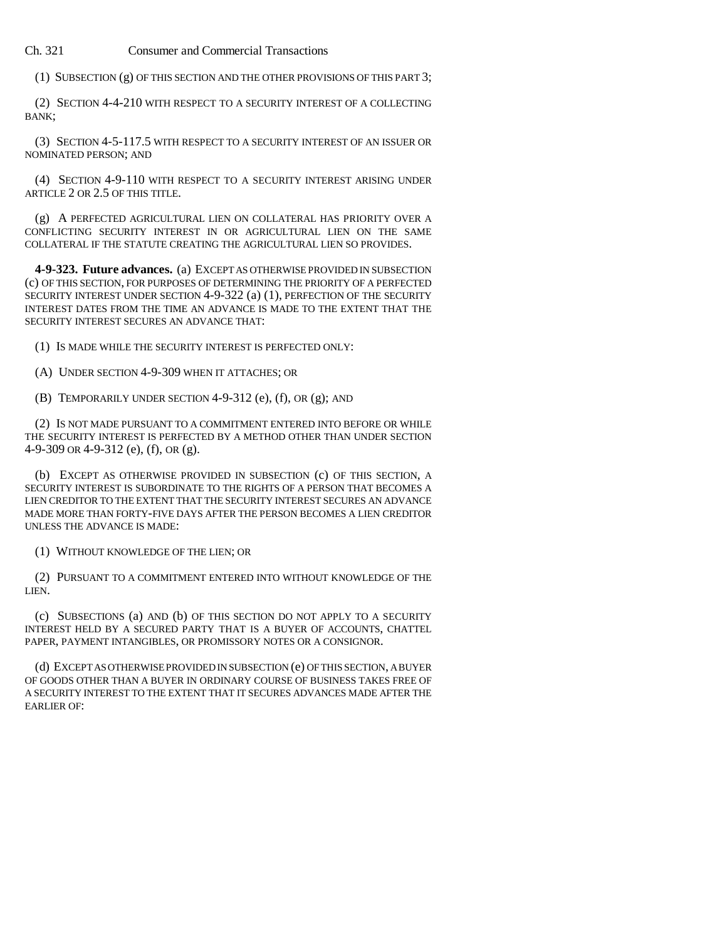(1) SUBSECTION (g) OF THIS SECTION AND THE OTHER PROVISIONS OF THIS PART 3;

(2) SECTION 4-4-210 WITH RESPECT TO A SECURITY INTEREST OF A COLLECTING BANK;

(3) SECTION 4-5-117.5 WITH RESPECT TO A SECURITY INTEREST OF AN ISSUER OR NOMINATED PERSON; AND

(4) SECTION 4-9-110 WITH RESPECT TO A SECURITY INTEREST ARISING UNDER ARTICLE 2 OR 2.5 OF THIS TITLE.

(g) A PERFECTED AGRICULTURAL LIEN ON COLLATERAL HAS PRIORITY OVER A CONFLICTING SECURITY INTEREST IN OR AGRICULTURAL LIEN ON THE SAME COLLATERAL IF THE STATUTE CREATING THE AGRICULTURAL LIEN SO PROVIDES.

**4-9-323. Future advances.** (a) EXCEPT AS OTHERWISE PROVIDED IN SUBSECTION (c) OF THIS SECTION, FOR PURPOSES OF DETERMINING THE PRIORITY OF A PERFECTED SECURITY INTEREST UNDER SECTION 4-9-322 (a) (1), PERFECTION OF THE SECURITY INTEREST DATES FROM THE TIME AN ADVANCE IS MADE TO THE EXTENT THAT THE SECURITY INTEREST SECURES AN ADVANCE THAT:

(1) IS MADE WHILE THE SECURITY INTEREST IS PERFECTED ONLY:

(A) UNDER SECTION 4-9-309 WHEN IT ATTACHES; OR

(B) TEMPORARILY UNDER SECTION 4-9-312 (e), (f), OR (g); AND

(2) IS NOT MADE PURSUANT TO A COMMITMENT ENTERED INTO BEFORE OR WHILE THE SECURITY INTEREST IS PERFECTED BY A METHOD OTHER THAN UNDER SECTION 4-9-309 OR 4-9-312 (e), (f), OR (g).

(b) EXCEPT AS OTHERWISE PROVIDED IN SUBSECTION (c) OF THIS SECTION, A SECURITY INTEREST IS SUBORDINATE TO THE RIGHTS OF A PERSON THAT BECOMES A LIEN CREDITOR TO THE EXTENT THAT THE SECURITY INTEREST SECURES AN ADVANCE MADE MORE THAN FORTY-FIVE DAYS AFTER THE PERSON BECOMES A LIEN CREDITOR UNLESS THE ADVANCE IS MADE:

(1) WITHOUT KNOWLEDGE OF THE LIEN; OR

(2) PURSUANT TO A COMMITMENT ENTERED INTO WITHOUT KNOWLEDGE OF THE LIEN.

(c) SUBSECTIONS (a) AND (b) OF THIS SECTION DO NOT APPLY TO A SECURITY INTEREST HELD BY A SECURED PARTY THAT IS A BUYER OF ACCOUNTS, CHATTEL PAPER, PAYMENT INTANGIBLES, OR PROMISSORY NOTES OR A CONSIGNOR.

(d) EXCEPT AS OTHERWISE PROVIDED IN SUBSECTION (e) OF THIS SECTION, A BUYER OF GOODS OTHER THAN A BUYER IN ORDINARY COURSE OF BUSINESS TAKES FREE OF A SECURITY INTEREST TO THE EXTENT THAT IT SECURES ADVANCES MADE AFTER THE EARLIER OF: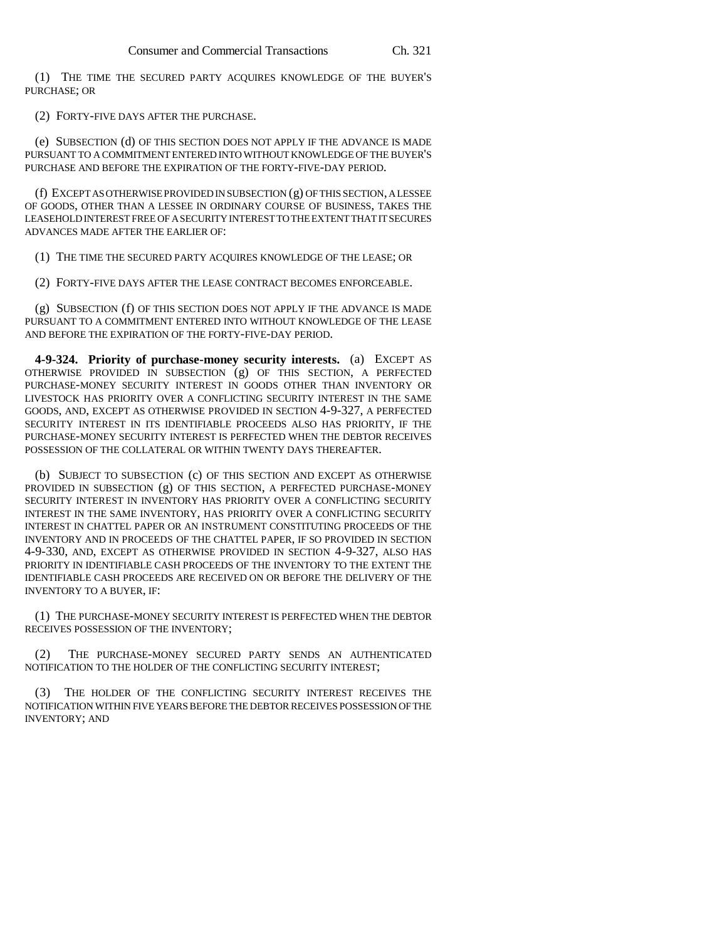(1) THE TIME THE SECURED PARTY ACQUIRES KNOWLEDGE OF THE BUYER'S PURCHASE; OR

(2) FORTY-FIVE DAYS AFTER THE PURCHASE.

(e) SUBSECTION (d) OF THIS SECTION DOES NOT APPLY IF THE ADVANCE IS MADE PURSUANT TO A COMMITMENT ENTERED INTO WITHOUT KNOWLEDGE OF THE BUYER'S PURCHASE AND BEFORE THE EXPIRATION OF THE FORTY-FIVE-DAY PERIOD.

(f) EXCEPT AS OTHERWISE PROVIDED IN SUBSECTION (g) OF THIS SECTION, A LESSEE OF GOODS, OTHER THAN A LESSEE IN ORDINARY COURSE OF BUSINESS, TAKES THE LEASEHOLD INTEREST FREE OF A SECURITY INTEREST TO THE EXTENT THAT IT SECURES ADVANCES MADE AFTER THE EARLIER OF:

(1) THE TIME THE SECURED PARTY ACQUIRES KNOWLEDGE OF THE LEASE; OR

(2) FORTY-FIVE DAYS AFTER THE LEASE CONTRACT BECOMES ENFORCEABLE.

(g) SUBSECTION (f) OF THIS SECTION DOES NOT APPLY IF THE ADVANCE IS MADE PURSUANT TO A COMMITMENT ENTERED INTO WITHOUT KNOWLEDGE OF THE LEASE AND BEFORE THE EXPIRATION OF THE FORTY-FIVE-DAY PERIOD.

**4-9-324. Priority of purchase-money security interests.** (a) EXCEPT AS OTHERWISE PROVIDED IN SUBSECTION (g) OF THIS SECTION, A PERFECTED PURCHASE-MONEY SECURITY INTEREST IN GOODS OTHER THAN INVENTORY OR LIVESTOCK HAS PRIORITY OVER A CONFLICTING SECURITY INTEREST IN THE SAME GOODS, AND, EXCEPT AS OTHERWISE PROVIDED IN SECTION 4-9-327, A PERFECTED SECURITY INTEREST IN ITS IDENTIFIABLE PROCEEDS ALSO HAS PRIORITY, IF THE PURCHASE-MONEY SECURITY INTEREST IS PERFECTED WHEN THE DEBTOR RECEIVES POSSESSION OF THE COLLATERAL OR WITHIN TWENTY DAYS THEREAFTER.

(b) SUBJECT TO SUBSECTION (c) OF THIS SECTION AND EXCEPT AS OTHERWISE PROVIDED IN SUBSECTION (g) OF THIS SECTION, A PERFECTED PURCHASE-MONEY SECURITY INTEREST IN INVENTORY HAS PRIORITY OVER A CONFLICTING SECURITY INTEREST IN THE SAME INVENTORY, HAS PRIORITY OVER A CONFLICTING SECURITY INTEREST IN CHATTEL PAPER OR AN INSTRUMENT CONSTITUTING PROCEEDS OF THE INVENTORY AND IN PROCEEDS OF THE CHATTEL PAPER, IF SO PROVIDED IN SECTION 4-9-330, AND, EXCEPT AS OTHERWISE PROVIDED IN SECTION 4-9-327, ALSO HAS PRIORITY IN IDENTIFIABLE CASH PROCEEDS OF THE INVENTORY TO THE EXTENT THE IDENTIFIABLE CASH PROCEEDS ARE RECEIVED ON OR BEFORE THE DELIVERY OF THE INVENTORY TO A BUYER, IF:

(1) THE PURCHASE-MONEY SECURITY INTEREST IS PERFECTED WHEN THE DEBTOR RECEIVES POSSESSION OF THE INVENTORY;

(2) THE PURCHASE-MONEY SECURED PARTY SENDS AN AUTHENTICATED NOTIFICATION TO THE HOLDER OF THE CONFLICTING SECURITY INTEREST;

(3) THE HOLDER OF THE CONFLICTING SECURITY INTEREST RECEIVES THE NOTIFICATION WITHIN FIVE YEARS BEFORE THE DEBTOR RECEIVES POSSESSION OF THE INVENTORY; AND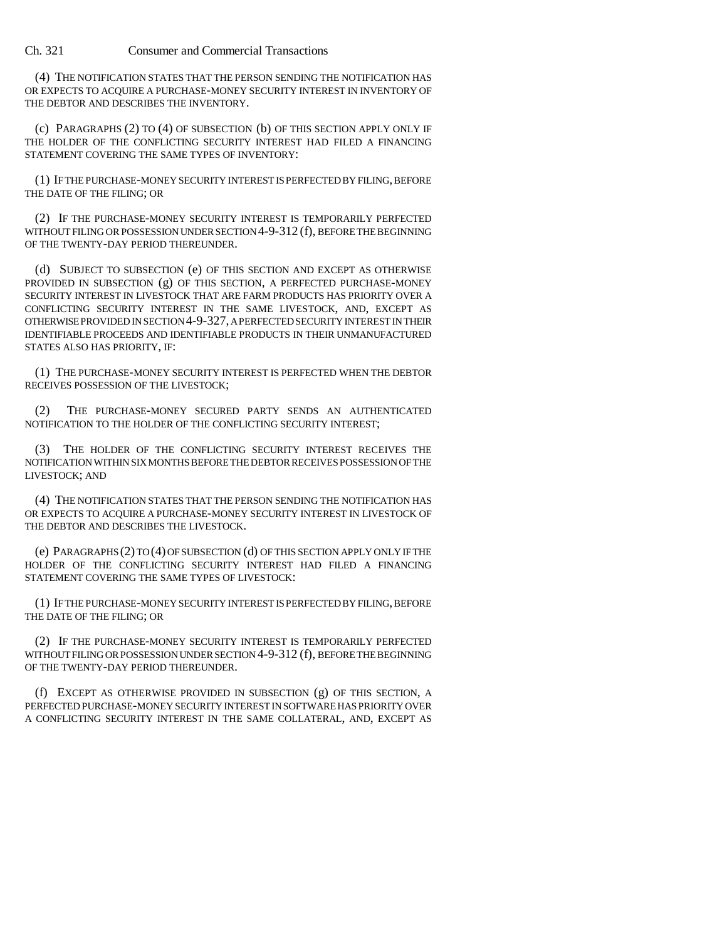(4) THE NOTIFICATION STATES THAT THE PERSON SENDING THE NOTIFICATION HAS OR EXPECTS TO ACQUIRE A PURCHASE-MONEY SECURITY INTEREST IN INVENTORY OF THE DEBTOR AND DESCRIBES THE INVENTORY.

(c) PARAGRAPHS (2) TO (4) OF SUBSECTION (b) OF THIS SECTION APPLY ONLY IF THE HOLDER OF THE CONFLICTING SECURITY INTEREST HAD FILED A FINANCING STATEMENT COVERING THE SAME TYPES OF INVENTORY:

(1) IF THE PURCHASE-MONEY SECURITY INTEREST IS PERFECTED BY FILING, BEFORE THE DATE OF THE FILING; OR

(2) IF THE PURCHASE-MONEY SECURITY INTEREST IS TEMPORARILY PERFECTED WITHOUT FILING OR POSSESSION UNDER SECTION 4-9-312 (f), BEFORE THE BEGINNING OF THE TWENTY-DAY PERIOD THEREUNDER.

(d) SUBJECT TO SUBSECTION (e) OF THIS SECTION AND EXCEPT AS OTHERWISE PROVIDED IN SUBSECTION (g) OF THIS SECTION, A PERFECTED PURCHASE-MONEY SECURITY INTEREST IN LIVESTOCK THAT ARE FARM PRODUCTS HAS PRIORITY OVER A CONFLICTING SECURITY INTEREST IN THE SAME LIVESTOCK, AND, EXCEPT AS OTHERWISE PROVIDED IN SECTION 4-9-327, A PERFECTED SECURITY INTEREST IN THEIR IDENTIFIABLE PROCEEDS AND IDENTIFIABLE PRODUCTS IN THEIR UNMANUFACTURED STATES ALSO HAS PRIORITY, IF:

(1) THE PURCHASE-MONEY SECURITY INTEREST IS PERFECTED WHEN THE DEBTOR RECEIVES POSSESSION OF THE LIVESTOCK;

(2) THE PURCHASE-MONEY SECURED PARTY SENDS AN AUTHENTICATED NOTIFICATION TO THE HOLDER OF THE CONFLICTING SECURITY INTEREST;

(3) THE HOLDER OF THE CONFLICTING SECURITY INTEREST RECEIVES THE NOTIFICATION WITHIN SIX MONTHS BEFORE THE DEBTOR RECEIVES POSSESSION OF THE LIVESTOCK; AND

(4) THE NOTIFICATION STATES THAT THE PERSON SENDING THE NOTIFICATION HAS OR EXPECTS TO ACQUIRE A PURCHASE-MONEY SECURITY INTEREST IN LIVESTOCK OF THE DEBTOR AND DESCRIBES THE LIVESTOCK.

(e) PARAGRAPHS (2) TO (4) OF SUBSECTION (d) OF THIS SECTION APPLY ONLY IF THE HOLDER OF THE CONFLICTING SECURITY INTEREST HAD FILED A FINANCING STATEMENT COVERING THE SAME TYPES OF LIVESTOCK:

(1) IF THE PURCHASE-MONEY SECURITY INTEREST IS PERFECTED BY FILING, BEFORE THE DATE OF THE FILING; OR

(2) IF THE PURCHASE-MONEY SECURITY INTEREST IS TEMPORARILY PERFECTED WITHOUT FILING OR POSSESSION UNDER SECTION 4-9-312 (f), BEFORE THE BEGINNING OF THE TWENTY-DAY PERIOD THEREUNDER.

(f) EXCEPT AS OTHERWISE PROVIDED IN SUBSECTION (g) OF THIS SECTION, A PERFECTED PURCHASE-MONEY SECURITY INTEREST IN SOFTWARE HAS PRIORITY OVER A CONFLICTING SECURITY INTEREST IN THE SAME COLLATERAL, AND, EXCEPT AS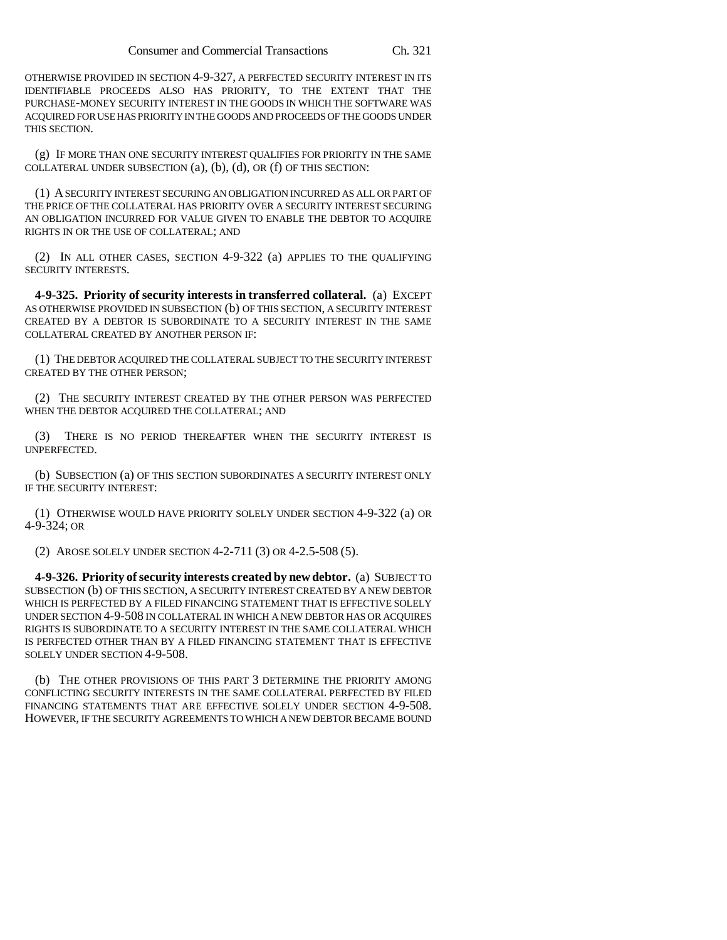OTHERWISE PROVIDED IN SECTION 4-9-327, A PERFECTED SECURITY INTEREST IN ITS IDENTIFIABLE PROCEEDS ALSO HAS PRIORITY, TO THE EXTENT THAT THE PURCHASE-MONEY SECURITY INTEREST IN THE GOODS IN WHICH THE SOFTWARE WAS ACQUIRED FOR USE HAS PRIORITY IN THE GOODS AND PROCEEDS OF THE GOODS UNDER THIS SECTION.

(g) IF MORE THAN ONE SECURITY INTEREST QUALIFIES FOR PRIORITY IN THE SAME COLLATERAL UNDER SUBSECTION (a), (b), (d), OR (f) OF THIS SECTION:

(1) A SECURITY INTEREST SECURING AN OBLIGATION INCURRED AS ALL OR PART OF THE PRICE OF THE COLLATERAL HAS PRIORITY OVER A SECURITY INTEREST SECURING AN OBLIGATION INCURRED FOR VALUE GIVEN TO ENABLE THE DEBTOR TO ACQUIRE RIGHTS IN OR THE USE OF COLLATERAL; AND

(2) IN ALL OTHER CASES, SECTION 4-9-322 (a) APPLIES TO THE QUALIFYING SECURITY INTERESTS.

**4-9-325. Priority of security interests in transferred collateral.** (a) EXCEPT AS OTHERWISE PROVIDED IN SUBSECTION (b) OF THIS SECTION, A SECURITY INTEREST CREATED BY A DEBTOR IS SUBORDINATE TO A SECURITY INTEREST IN THE SAME COLLATERAL CREATED BY ANOTHER PERSON IF:

(1) THE DEBTOR ACQUIRED THE COLLATERAL SUBJECT TO THE SECURITY INTEREST CREATED BY THE OTHER PERSON;

(2) THE SECURITY INTEREST CREATED BY THE OTHER PERSON WAS PERFECTED WHEN THE DEBTOR ACQUIRED THE COLLATERAL; AND

(3) THERE IS NO PERIOD THEREAFTER WHEN THE SECURITY INTEREST IS UNPERFECTED.

(b) SUBSECTION (a) OF THIS SECTION SUBORDINATES A SECURITY INTEREST ONLY IF THE SECURITY INTEREST:

(1) OTHERWISE WOULD HAVE PRIORITY SOLELY UNDER SECTION 4-9-322 (a) OR 4-9-324; OR

(2) AROSE SOLELY UNDER SECTION 4-2-711 (3) OR 4-2.5-508 (5).

**4-9-326. Priority of security interests created by new debtor.** (a) SUBJECT TO SUBSECTION (b) OF THIS SECTION, A SECURITY INTEREST CREATED BY A NEW DEBTOR WHICH IS PERFECTED BY A FILED FINANCING STATEMENT THAT IS EFFECTIVE SOLELY UNDER SECTION 4-9-508 IN COLLATERAL IN WHICH A NEW DEBTOR HAS OR ACQUIRES RIGHTS IS SUBORDINATE TO A SECURITY INTEREST IN THE SAME COLLATERAL WHICH IS PERFECTED OTHER THAN BY A FILED FINANCING STATEMENT THAT IS EFFECTIVE SOLELY UNDER SECTION 4-9-508.

(b) THE OTHER PROVISIONS OF THIS PART 3 DETERMINE THE PRIORITY AMONG CONFLICTING SECURITY INTERESTS IN THE SAME COLLATERAL PERFECTED BY FILED FINANCING STATEMENTS THAT ARE EFFECTIVE SOLELY UNDER SECTION 4-9-508. HOWEVER, IF THE SECURITY AGREEMENTS TO WHICH A NEW DEBTOR BECAME BOUND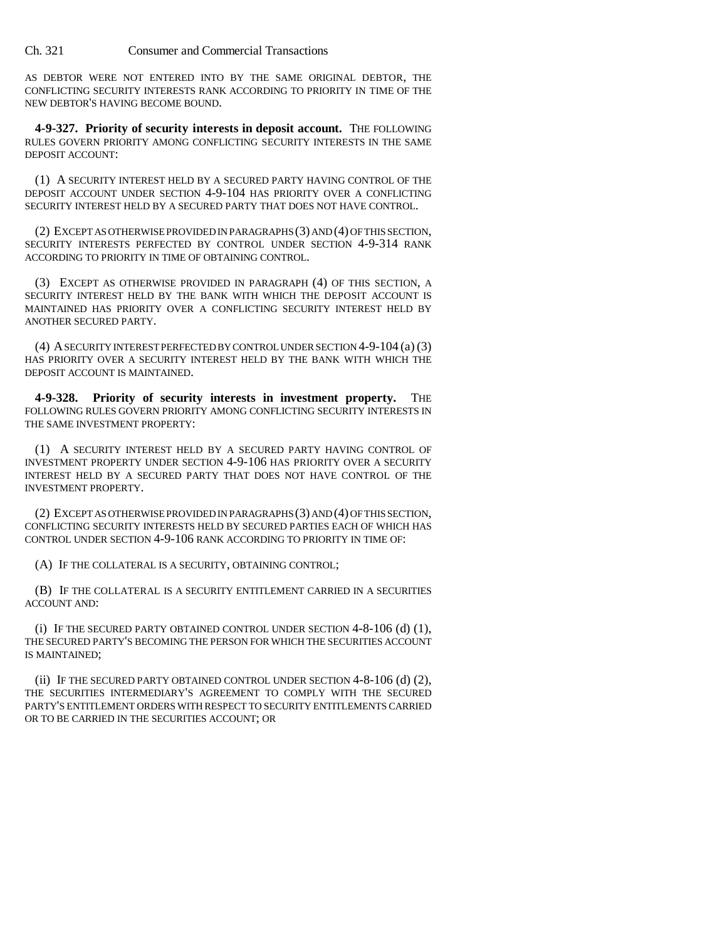AS DEBTOR WERE NOT ENTERED INTO BY THE SAME ORIGINAL DEBTOR, THE CONFLICTING SECURITY INTERESTS RANK ACCORDING TO PRIORITY IN TIME OF THE NEW DEBTOR'S HAVING BECOME BOUND.

**4-9-327. Priority of security interests in deposit account.** THE FOLLOWING RULES GOVERN PRIORITY AMONG CONFLICTING SECURITY INTERESTS IN THE SAME DEPOSIT ACCOUNT:

(1) A SECURITY INTEREST HELD BY A SECURED PARTY HAVING CONTROL OF THE DEPOSIT ACCOUNT UNDER SECTION 4-9-104 HAS PRIORITY OVER A CONFLICTING SECURITY INTEREST HELD BY A SECURED PARTY THAT DOES NOT HAVE CONTROL.

(2) EXCEPT AS OTHERWISE PROVIDED IN PARAGRAPHS (3) AND (4) OF THIS SECTION, SECURITY INTERESTS PERFECTED BY CONTROL UNDER SECTION 4-9-314 RANK ACCORDING TO PRIORITY IN TIME OF OBTAINING CONTROL.

(3) EXCEPT AS OTHERWISE PROVIDED IN PARAGRAPH (4) OF THIS SECTION, A SECURITY INTEREST HELD BY THE BANK WITH WHICH THE DEPOSIT ACCOUNT IS MAINTAINED HAS PRIORITY OVER A CONFLICTING SECURITY INTEREST HELD BY ANOTHER SECURED PARTY.

(4) A SECURITY INTEREST PERFECTED BY CONTROL UNDER SECTION 4-9-104 (a) (3) HAS PRIORITY OVER A SECURITY INTEREST HELD BY THE BANK WITH WHICH THE DEPOSIT ACCOUNT IS MAINTAINED.

**4-9-328. Priority of security interests in investment property.** THE FOLLOWING RULES GOVERN PRIORITY AMONG CONFLICTING SECURITY INTERESTS IN THE SAME INVESTMENT PROPERTY:

(1) A SECURITY INTEREST HELD BY A SECURED PARTY HAVING CONTROL OF INVESTMENT PROPERTY UNDER SECTION 4-9-106 HAS PRIORITY OVER A SECURITY INTEREST HELD BY A SECURED PARTY THAT DOES NOT HAVE CONTROL OF THE INVESTMENT PROPERTY.

(2) EXCEPT AS OTHERWISE PROVIDED IN PARAGRAPHS (3) AND (4) OF THIS SECTION, CONFLICTING SECURITY INTERESTS HELD BY SECURED PARTIES EACH OF WHICH HAS CONTROL UNDER SECTION 4-9-106 RANK ACCORDING TO PRIORITY IN TIME OF:

(A) IF THE COLLATERAL IS A SECURITY, OBTAINING CONTROL;

(B) IF THE COLLATERAL IS A SECURITY ENTITLEMENT CARRIED IN A SECURITIES ACCOUNT AND:

(i) IF THE SECURED PARTY OBTAINED CONTROL UNDER SECTION 4-8-106 (d) (1), THE SECURED PARTY'S BECOMING THE PERSON FOR WHICH THE SECURITIES ACCOUNT IS MAINTAINED;

(ii) IF THE SECURED PARTY OBTAINED CONTROL UNDER SECTION 4-8-106 (d) (2), THE SECURITIES INTERMEDIARY'S AGREEMENT TO COMPLY WITH THE SECURED PARTY'S ENTITLEMENT ORDERS WITH RESPECT TO SECURITY ENTITLEMENTS CARRIED OR TO BE CARRIED IN THE SECURITIES ACCOUNT; OR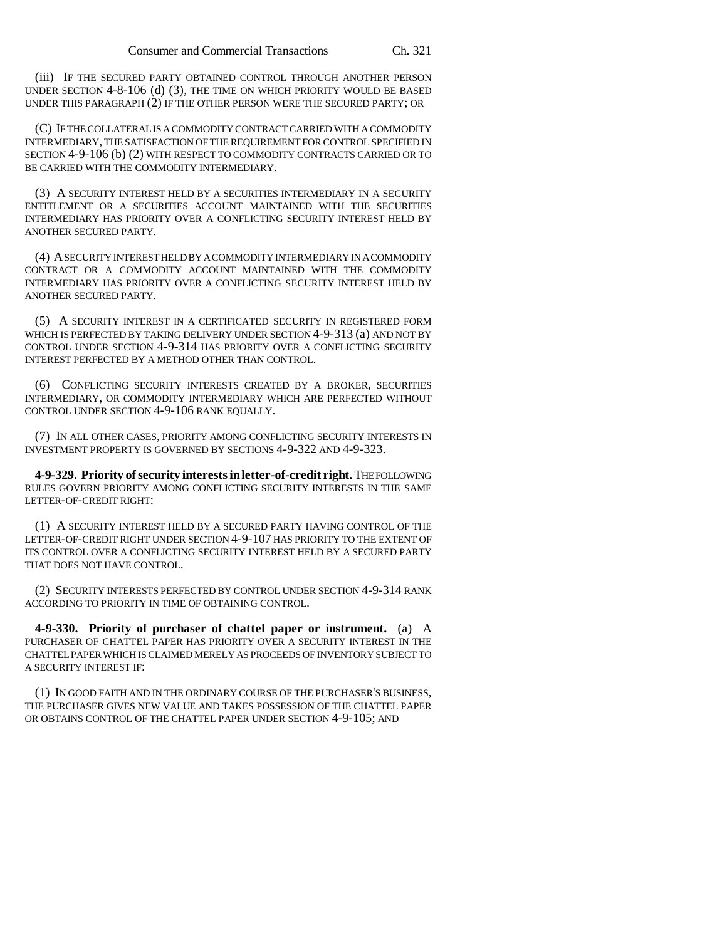(iii) IF THE SECURED PARTY OBTAINED CONTROL THROUGH ANOTHER PERSON UNDER SECTION 4-8-106 (d) (3), THE TIME ON WHICH PRIORITY WOULD BE BASED UNDER THIS PARAGRAPH (2) IF THE OTHER PERSON WERE THE SECURED PARTY; OR

(C) IF THE COLLATERAL IS A COMMODITY CONTRACT CARRIED WITH A COMMODITY INTERMEDIARY, THE SATISFACTION OF THE REQUIREMENT FOR CONTROL SPECIFIED IN SECTION 4-9-106 (b) (2) WITH RESPECT TO COMMODITY CONTRACTS CARRIED OR TO BE CARRIED WITH THE COMMODITY INTERMEDIARY.

(3) A SECURITY INTEREST HELD BY A SECURITIES INTERMEDIARY IN A SECURITY ENTITLEMENT OR A SECURITIES ACCOUNT MAINTAINED WITH THE SECURITIES INTERMEDIARY HAS PRIORITY OVER A CONFLICTING SECURITY INTEREST HELD BY ANOTHER SECURED PARTY.

(4) A SECURITY INTEREST HELD BY A COMMODITY INTERMEDIARY IN A COMMODITY CONTRACT OR A COMMODITY ACCOUNT MAINTAINED WITH THE COMMODITY INTERMEDIARY HAS PRIORITY OVER A CONFLICTING SECURITY INTEREST HELD BY ANOTHER SECURED PARTY.

(5) A SECURITY INTEREST IN A CERTIFICATED SECURITY IN REGISTERED FORM WHICH IS PERFECTED BY TAKING DELIVERY UNDER SECTION 4-9-313 (a) AND NOT BY CONTROL UNDER SECTION 4-9-314 HAS PRIORITY OVER A CONFLICTING SECURITY INTEREST PERFECTED BY A METHOD OTHER THAN CONTROL.

(6) CONFLICTING SECURITY INTERESTS CREATED BY A BROKER, SECURITIES INTERMEDIARY, OR COMMODITY INTERMEDIARY WHICH ARE PERFECTED WITHOUT CONTROL UNDER SECTION 4-9-106 RANK EQUALLY.

(7) IN ALL OTHER CASES, PRIORITY AMONG CONFLICTING SECURITY INTERESTS IN INVESTMENT PROPERTY IS GOVERNED BY SECTIONS 4-9-322 AND 4-9-323.

**4-9-329. Priority of security interests in letter-of-credit right.** THE FOLLOWING RULES GOVERN PRIORITY AMONG CONFLICTING SECURITY INTERESTS IN THE SAME LETTER-OF-CREDIT RIGHT:

(1) A SECURITY INTEREST HELD BY A SECURED PARTY HAVING CONTROL OF THE LETTER-OF-CREDIT RIGHT UNDER SECTION 4-9-107 HAS PRIORITY TO THE EXTENT OF ITS CONTROL OVER A CONFLICTING SECURITY INTEREST HELD BY A SECURED PARTY THAT DOES NOT HAVE CONTROL.

(2) SECURITY INTERESTS PERFECTED BY CONTROL UNDER SECTION 4-9-314 RANK ACCORDING TO PRIORITY IN TIME OF OBTAINING CONTROL.

**4-9-330. Priority of purchaser of chattel paper or instrument.** (a) A PURCHASER OF CHATTEL PAPER HAS PRIORITY OVER A SECURITY INTEREST IN THE CHATTEL PAPER WHICH IS CLAIMED MERELY AS PROCEEDS OF INVENTORY SUBJECT TO A SECURITY INTEREST IF:

(1) IN GOOD FAITH AND IN THE ORDINARY COURSE OF THE PURCHASER'S BUSINESS, THE PURCHASER GIVES NEW VALUE AND TAKES POSSESSION OF THE CHATTEL PAPER OR OBTAINS CONTROL OF THE CHATTEL PAPER UNDER SECTION 4-9-105; AND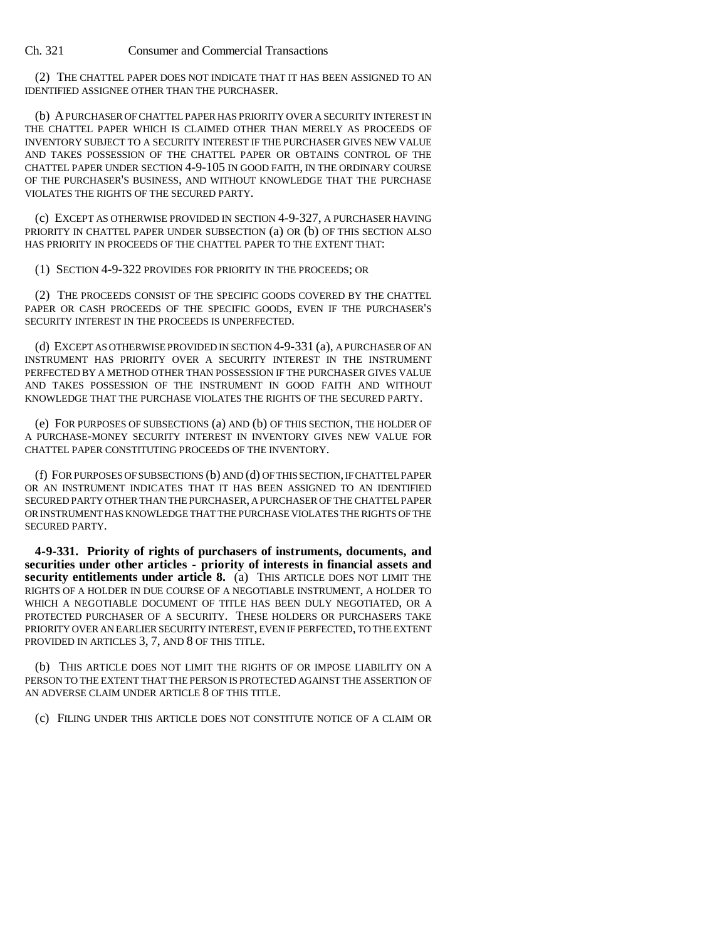(2) THE CHATTEL PAPER DOES NOT INDICATE THAT IT HAS BEEN ASSIGNED TO AN IDENTIFIED ASSIGNEE OTHER THAN THE PURCHASER.

(b) A PURCHASER OF CHATTEL PAPER HAS PRIORITY OVER A SECURITY INTEREST IN THE CHATTEL PAPER WHICH IS CLAIMED OTHER THAN MERELY AS PROCEEDS OF INVENTORY SUBJECT TO A SECURITY INTEREST IF THE PURCHASER GIVES NEW VALUE AND TAKES POSSESSION OF THE CHATTEL PAPER OR OBTAINS CONTROL OF THE CHATTEL PAPER UNDER SECTION 4-9-105 IN GOOD FAITH, IN THE ORDINARY COURSE OF THE PURCHASER'S BUSINESS, AND WITHOUT KNOWLEDGE THAT THE PURCHASE VIOLATES THE RIGHTS OF THE SECURED PARTY.

(c) EXCEPT AS OTHERWISE PROVIDED IN SECTION 4-9-327, A PURCHASER HAVING PRIORITY IN CHATTEL PAPER UNDER SUBSECTION (a) OR (b) OF THIS SECTION ALSO HAS PRIORITY IN PROCEEDS OF THE CHATTEL PAPER TO THE EXTENT THAT:

(1) SECTION 4-9-322 PROVIDES FOR PRIORITY IN THE PROCEEDS; OR

(2) THE PROCEEDS CONSIST OF THE SPECIFIC GOODS COVERED BY THE CHATTEL PAPER OR CASH PROCEEDS OF THE SPECIFIC GOODS, EVEN IF THE PURCHASER'S SECURITY INTEREST IN THE PROCEEDS IS UNPERFECTED.

(d) EXCEPT AS OTHERWISE PROVIDED IN SECTION 4-9-331 (a), A PURCHASER OF AN INSTRUMENT HAS PRIORITY OVER A SECURITY INTEREST IN THE INSTRUMENT PERFECTED BY A METHOD OTHER THAN POSSESSION IF THE PURCHASER GIVES VALUE AND TAKES POSSESSION OF THE INSTRUMENT IN GOOD FAITH AND WITHOUT KNOWLEDGE THAT THE PURCHASE VIOLATES THE RIGHTS OF THE SECURED PARTY.

(e) FOR PURPOSES OF SUBSECTIONS (a) AND (b) OF THIS SECTION, THE HOLDER OF A PURCHASE-MONEY SECURITY INTEREST IN INVENTORY GIVES NEW VALUE FOR CHATTEL PAPER CONSTITUTING PROCEEDS OF THE INVENTORY.

(f) FOR PURPOSES OF SUBSECTIONS (b) AND (d) OF THIS SECTION, IF CHATTEL PAPER OR AN INSTRUMENT INDICATES THAT IT HAS BEEN ASSIGNED TO AN IDENTIFIED SECURED PARTY OTHER THAN THE PURCHASER, A PURCHASER OF THE CHATTEL PAPER OR INSTRUMENT HAS KNOWLEDGE THAT THE PURCHASE VIOLATES THE RIGHTS OF THE SECURED PARTY.

**4-9-331. Priority of rights of purchasers of instruments, documents, and securities under other articles - priority of interests in financial assets and security entitlements under article 8.** (a) THIS ARTICLE DOES NOT LIMIT THE RIGHTS OF A HOLDER IN DUE COURSE OF A NEGOTIABLE INSTRUMENT, A HOLDER TO WHICH A NEGOTIABLE DOCUMENT OF TITLE HAS BEEN DULY NEGOTIATED, OR A PROTECTED PURCHASER OF A SECURITY. THESE HOLDERS OR PURCHASERS TAKE PRIORITY OVER AN EARLIER SECURITY INTEREST, EVEN IF PERFECTED, TO THE EXTENT PROVIDED IN ARTICLES 3, 7, AND 8 OF THIS TITLE.

(b) THIS ARTICLE DOES NOT LIMIT THE RIGHTS OF OR IMPOSE LIABILITY ON A PERSON TO THE EXTENT THAT THE PERSON IS PROTECTED AGAINST THE ASSERTION OF AN ADVERSE CLAIM UNDER ARTICLE 8 OF THIS TITLE.

(c) FILING UNDER THIS ARTICLE DOES NOT CONSTITUTE NOTICE OF A CLAIM OR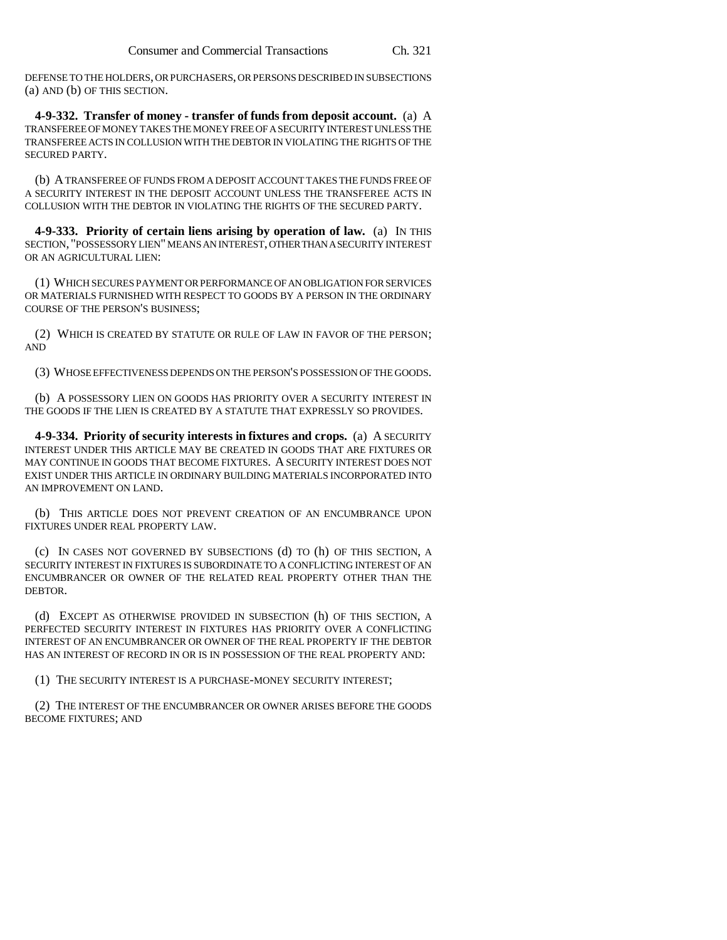DEFENSE TO THE HOLDERS, OR PURCHASERS, OR PERSONS DESCRIBED IN SUBSECTIONS (a) AND (b) OF THIS SECTION.

**4-9-332. Transfer of money - transfer of funds from deposit account.** (a) A TRANSFEREE OF MONEY TAKES THE MONEY FREE OF A SECURITY INTEREST UNLESS THE TRANSFEREE ACTS IN COLLUSION WITH THE DEBTOR IN VIOLATING THE RIGHTS OF THE SECURED PARTY.

(b) A TRANSFEREE OF FUNDS FROM A DEPOSIT ACCOUNT TAKES THE FUNDS FREE OF A SECURITY INTEREST IN THE DEPOSIT ACCOUNT UNLESS THE TRANSFEREE ACTS IN COLLUSION WITH THE DEBTOR IN VIOLATING THE RIGHTS OF THE SECURED PARTY.

**4-9-333. Priority of certain liens arising by operation of law.** (a) IN THIS SECTION, "POSSESSORY LIEN" MEANS AN INTEREST, OTHER THAN A SECURITY INTEREST OR AN AGRICULTURAL LIEN:

(1) WHICH SECURES PAYMENT OR PERFORMANCE OF AN OBLIGATION FOR SERVICES OR MATERIALS FURNISHED WITH RESPECT TO GOODS BY A PERSON IN THE ORDINARY COURSE OF THE PERSON'S BUSINESS;

(2) WHICH IS CREATED BY STATUTE OR RULE OF LAW IN FAVOR OF THE PERSON; AND

(3) WHOSE EFFECTIVENESS DEPENDS ON THE PERSON'S POSSESSION OF THE GOODS.

(b) A POSSESSORY LIEN ON GOODS HAS PRIORITY OVER A SECURITY INTEREST IN THE GOODS IF THE LIEN IS CREATED BY A STATUTE THAT EXPRESSLY SO PROVIDES.

**4-9-334. Priority of security interests in fixtures and crops.** (a) A SECURITY INTEREST UNDER THIS ARTICLE MAY BE CREATED IN GOODS THAT ARE FIXTURES OR MAY CONTINUE IN GOODS THAT BECOME FIXTURES. A SECURITY INTEREST DOES NOT EXIST UNDER THIS ARTICLE IN ORDINARY BUILDING MATERIALS INCORPORATED INTO AN IMPROVEMENT ON LAND.

(b) THIS ARTICLE DOES NOT PREVENT CREATION OF AN ENCUMBRANCE UPON FIXTURES UNDER REAL PROPERTY LAW.

(c) IN CASES NOT GOVERNED BY SUBSECTIONS (d) TO (h) OF THIS SECTION, A SECURITY INTEREST IN FIXTURES IS SUBORDINATE TO A CONFLICTING INTEREST OF AN ENCUMBRANCER OR OWNER OF THE RELATED REAL PROPERTY OTHER THAN THE DEBTOR.

(d) EXCEPT AS OTHERWISE PROVIDED IN SUBSECTION (h) OF THIS SECTION, A PERFECTED SECURITY INTEREST IN FIXTURES HAS PRIORITY OVER A CONFLICTING INTEREST OF AN ENCUMBRANCER OR OWNER OF THE REAL PROPERTY IF THE DEBTOR HAS AN INTEREST OF RECORD IN OR IS IN POSSESSION OF THE REAL PROPERTY AND:

(1) THE SECURITY INTEREST IS A PURCHASE-MONEY SECURITY INTEREST;

(2) THE INTEREST OF THE ENCUMBRANCER OR OWNER ARISES BEFORE THE GOODS BECOME FIXTURES; AND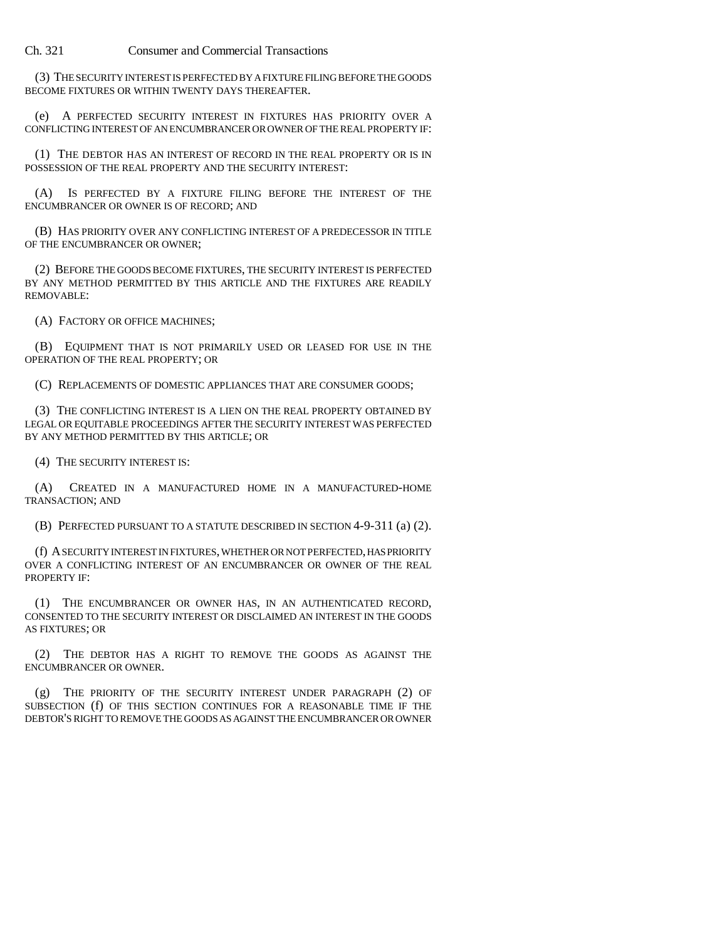(3) THE SECURITY INTEREST IS PERFECTED BY A FIXTURE FILING BEFORE THE GOODS BECOME FIXTURES OR WITHIN TWENTY DAYS THEREAFTER.

(e) A PERFECTED SECURITY INTEREST IN FIXTURES HAS PRIORITY OVER A CONFLICTING INTEREST OF AN ENCUMBRANCER OR OWNER OF THE REAL PROPERTY IF:

(1) THE DEBTOR HAS AN INTEREST OF RECORD IN THE REAL PROPERTY OR IS IN POSSESSION OF THE REAL PROPERTY AND THE SECURITY INTEREST:

(A) IS PERFECTED BY A FIXTURE FILING BEFORE THE INTEREST OF THE ENCUMBRANCER OR OWNER IS OF RECORD; AND

(B) HAS PRIORITY OVER ANY CONFLICTING INTEREST OF A PREDECESSOR IN TITLE OF THE ENCUMBRANCER OR OWNER;

(2) BEFORE THE GOODS BECOME FIXTURES, THE SECURITY INTEREST IS PERFECTED BY ANY METHOD PERMITTED BY THIS ARTICLE AND THE FIXTURES ARE READILY REMOVABLE:

(A) FACTORY OR OFFICE MACHINES;

(B) EQUIPMENT THAT IS NOT PRIMARILY USED OR LEASED FOR USE IN THE OPERATION OF THE REAL PROPERTY; OR

(C) REPLACEMENTS OF DOMESTIC APPLIANCES THAT ARE CONSUMER GOODS;

(3) THE CONFLICTING INTEREST IS A LIEN ON THE REAL PROPERTY OBTAINED BY LEGAL OR EQUITABLE PROCEEDINGS AFTER THE SECURITY INTEREST WAS PERFECTED BY ANY METHOD PERMITTED BY THIS ARTICLE; OR

(4) THE SECURITY INTEREST IS:

(A) CREATED IN A MANUFACTURED HOME IN A MANUFACTURED-HOME TRANSACTION; AND

(B) PERFECTED PURSUANT TO A STATUTE DESCRIBED IN SECTION 4-9-311 (a) (2).

(f) A SECURITY INTEREST IN FIXTURES, WHETHER OR NOT PERFECTED, HAS PRIORITY OVER A CONFLICTING INTEREST OF AN ENCUMBRANCER OR OWNER OF THE REAL PROPERTY IF:

(1) THE ENCUMBRANCER OR OWNER HAS, IN AN AUTHENTICATED RECORD, CONSENTED TO THE SECURITY INTEREST OR DISCLAIMED AN INTEREST IN THE GOODS AS FIXTURES; OR

(2) THE DEBTOR HAS A RIGHT TO REMOVE THE GOODS AS AGAINST THE ENCUMBRANCER OR OWNER.

(g) THE PRIORITY OF THE SECURITY INTEREST UNDER PARAGRAPH (2) OF SUBSECTION (f) OF THIS SECTION CONTINUES FOR A REASONABLE TIME IF THE DEBTOR'S RIGHT TO REMOVE THE GOODS AS AGAINST THE ENCUMBRANCER OR OWNER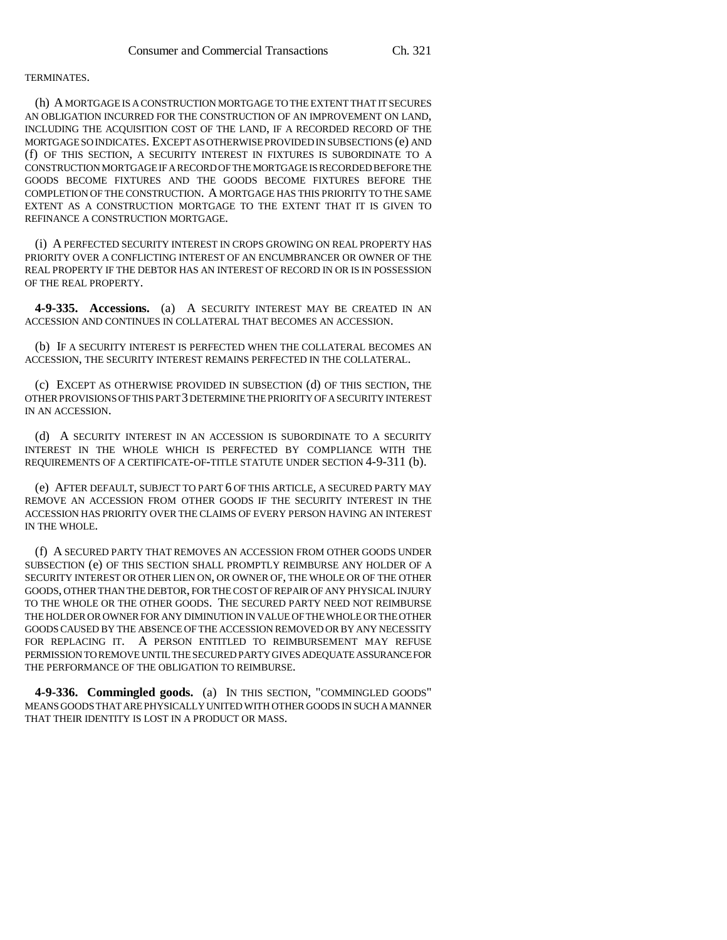## TERMINATES.

(h) A MORTGAGE IS A CONSTRUCTION MORTGAGE TO THE EXTENT THAT IT SECURES AN OBLIGATION INCURRED FOR THE CONSTRUCTION OF AN IMPROVEMENT ON LAND, INCLUDING THE ACQUISITION COST OF THE LAND, IF A RECORDED RECORD OF THE MORTGAGE SO INDICATES. EXCEPT AS OTHERWISE PROVIDED IN SUBSECTIONS (e) AND (f) OF THIS SECTION, A SECURITY INTEREST IN FIXTURES IS SUBORDINATE TO A CONSTRUCTION MORTGAGE IF A RECORD OF THE MORTGAGE IS RECORDED BEFORE THE GOODS BECOME FIXTURES AND THE GOODS BECOME FIXTURES BEFORE THE COMPLETION OF THE CONSTRUCTION. A MORTGAGE HAS THIS PRIORITY TO THE SAME EXTENT AS A CONSTRUCTION MORTGAGE TO THE EXTENT THAT IT IS GIVEN TO REFINANCE A CONSTRUCTION MORTGAGE.

(i) A PERFECTED SECURITY INTEREST IN CROPS GROWING ON REAL PROPERTY HAS PRIORITY OVER A CONFLICTING INTEREST OF AN ENCUMBRANCER OR OWNER OF THE REAL PROPERTY IF THE DEBTOR HAS AN INTEREST OF RECORD IN OR IS IN POSSESSION OF THE REAL PROPERTY.

**4-9-335. Accessions.** (a) A SECURITY INTEREST MAY BE CREATED IN AN ACCESSION AND CONTINUES IN COLLATERAL THAT BECOMES AN ACCESSION.

(b) IF A SECURITY INTEREST IS PERFECTED WHEN THE COLLATERAL BECOMES AN ACCESSION, THE SECURITY INTEREST REMAINS PERFECTED IN THE COLLATERAL.

(c) EXCEPT AS OTHERWISE PROVIDED IN SUBSECTION (d) OF THIS SECTION, THE OTHER PROVISIONS OF THIS PART 3 DETERMINE THE PRIORITY OF A SECURITY INTEREST IN AN ACCESSION.

(d) A SECURITY INTEREST IN AN ACCESSION IS SUBORDINATE TO A SECURITY INTEREST IN THE WHOLE WHICH IS PERFECTED BY COMPLIANCE WITH THE REQUIREMENTS OF A CERTIFICATE-OF-TITLE STATUTE UNDER SECTION 4-9-311 (b).

(e) AFTER DEFAULT, SUBJECT TO PART 6 OF THIS ARTICLE, A SECURED PARTY MAY REMOVE AN ACCESSION FROM OTHER GOODS IF THE SECURITY INTEREST IN THE ACCESSION HAS PRIORITY OVER THE CLAIMS OF EVERY PERSON HAVING AN INTEREST IN THE WHOLE.

(f) A SECURED PARTY THAT REMOVES AN ACCESSION FROM OTHER GOODS UNDER SUBSECTION (e) OF THIS SECTION SHALL PROMPTLY REIMBURSE ANY HOLDER OF A SECURITY INTEREST OR OTHER LIEN ON, OR OWNER OF, THE WHOLE OR OF THE OTHER GOODS, OTHER THAN THE DEBTOR, FOR THE COST OF REPAIR OF ANY PHYSICAL INJURY TO THE WHOLE OR THE OTHER GOODS. THE SECURED PARTY NEED NOT REIMBURSE THE HOLDER OR OWNER FOR ANY DIMINUTION IN VALUE OF THE WHOLE OR THE OTHER GOODS CAUSED BY THE ABSENCE OF THE ACCESSION REMOVED OR BY ANY NECESSITY FOR REPLACING IT. A PERSON ENTITLED TO REIMBURSEMENT MAY REFUSE PERMISSION TO REMOVE UNTIL THE SECURED PARTY GIVES ADEQUATE ASSURANCE FOR THE PERFORMANCE OF THE OBLIGATION TO REIMBURSE.

**4-9-336. Commingled goods.** (a) IN THIS SECTION, "COMMINGLED GOODS" MEANS GOODS THAT ARE PHYSICALLY UNITED WITH OTHER GOODS IN SUCH A MANNER THAT THEIR IDENTITY IS LOST IN A PRODUCT OR MASS.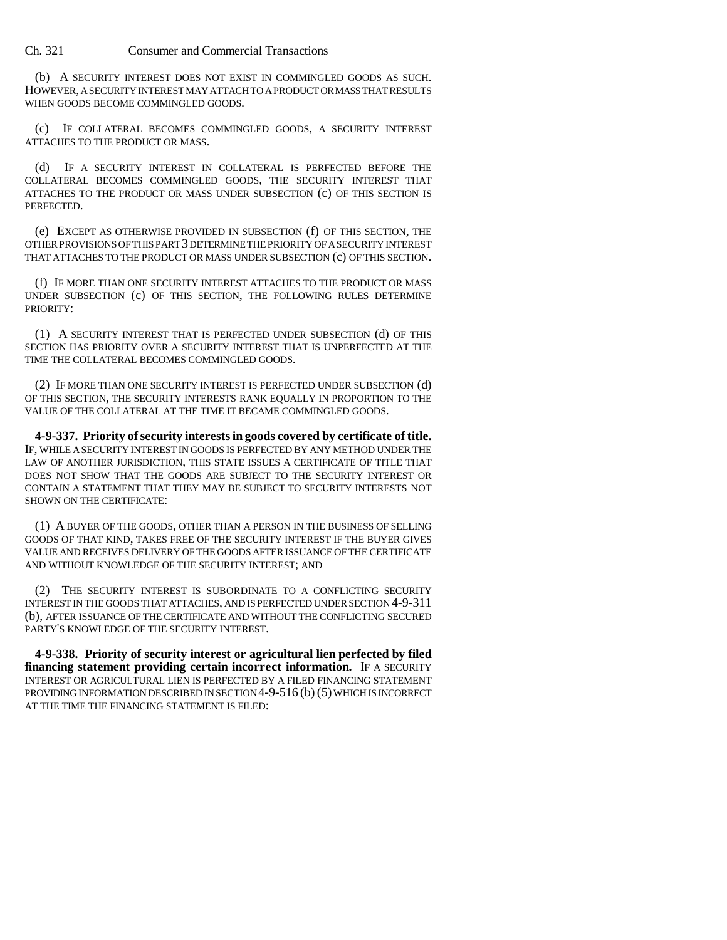(b) A SECURITY INTEREST DOES NOT EXIST IN COMMINGLED GOODS AS SUCH. HOWEVER, A SECURITY INTEREST MAY ATTACH TO A PRODUCT OR MASS THAT RESULTS WHEN GOODS BECOME COMMINGLED GOODS.

(c) IF COLLATERAL BECOMES COMMINGLED GOODS, A SECURITY INTEREST ATTACHES TO THE PRODUCT OR MASS.

(d) IF A SECURITY INTEREST IN COLLATERAL IS PERFECTED BEFORE THE COLLATERAL BECOMES COMMINGLED GOODS, THE SECURITY INTEREST THAT ATTACHES TO THE PRODUCT OR MASS UNDER SUBSECTION (c) OF THIS SECTION IS PERFECTED.

(e) EXCEPT AS OTHERWISE PROVIDED IN SUBSECTION (f) OF THIS SECTION, THE OTHER PROVISIONS OF THIS PART 3 DETERMINE THE PRIORITY OF A SECURITY INTEREST THAT ATTACHES TO THE PRODUCT OR MASS UNDER SUBSECTION (c) OF THIS SECTION.

(f) IF MORE THAN ONE SECURITY INTEREST ATTACHES TO THE PRODUCT OR MASS UNDER SUBSECTION (c) OF THIS SECTION, THE FOLLOWING RULES DETERMINE PRIORITY:

(1) A SECURITY INTEREST THAT IS PERFECTED UNDER SUBSECTION (d) OF THIS SECTION HAS PRIORITY OVER A SECURITY INTEREST THAT IS UNPERFECTED AT THE TIME THE COLLATERAL BECOMES COMMINGLED GOODS.

(2) IF MORE THAN ONE SECURITY INTEREST IS PERFECTED UNDER SUBSECTION (d) OF THIS SECTION, THE SECURITY INTERESTS RANK EQUALLY IN PROPORTION TO THE VALUE OF THE COLLATERAL AT THE TIME IT BECAME COMMINGLED GOODS.

**4-9-337. Priority of security interests in goods covered by certificate of title.** IF, WHILE A SECURITY INTEREST IN GOODS IS PERFECTED BY ANY METHOD UNDER THE LAW OF ANOTHER JURISDICTION, THIS STATE ISSUES A CERTIFICATE OF TITLE THAT DOES NOT SHOW THAT THE GOODS ARE SUBJECT TO THE SECURITY INTEREST OR CONTAIN A STATEMENT THAT THEY MAY BE SUBJECT TO SECURITY INTERESTS NOT SHOWN ON THE CERTIFICATE:

(1) A BUYER OF THE GOODS, OTHER THAN A PERSON IN THE BUSINESS OF SELLING GOODS OF THAT KIND, TAKES FREE OF THE SECURITY INTEREST IF THE BUYER GIVES VALUE AND RECEIVES DELIVERY OF THE GOODS AFTER ISSUANCE OF THE CERTIFICATE AND WITHOUT KNOWLEDGE OF THE SECURITY INTEREST; AND

(2) THE SECURITY INTEREST IS SUBORDINATE TO A CONFLICTING SECURITY INTEREST IN THE GOODS THAT ATTACHES, AND IS PERFECTED UNDER SECTION 4-9-311 (b), AFTER ISSUANCE OF THE CERTIFICATE AND WITHOUT THE CONFLICTING SECURED PARTY'S KNOWLEDGE OF THE SECURITY INTEREST.

**4-9-338. Priority of security interest or agricultural lien perfected by filed financing statement providing certain incorrect information.** IF A SECURITY INTEREST OR AGRICULTURAL LIEN IS PERFECTED BY A FILED FINANCING STATEMENT PROVIDING INFORMATION DESCRIBED IN SECTION 4-9-516 (b) (5) WHICH IS INCORRECT AT THE TIME THE FINANCING STATEMENT IS FILED: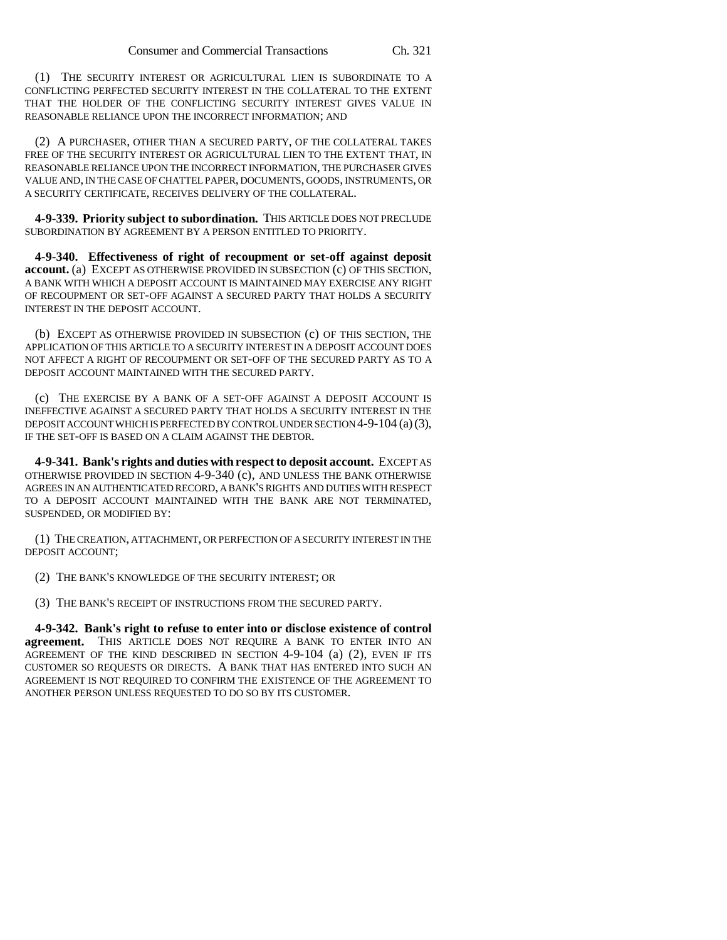(1) THE SECURITY INTEREST OR AGRICULTURAL LIEN IS SUBORDINATE TO A CONFLICTING PERFECTED SECURITY INTEREST IN THE COLLATERAL TO THE EXTENT THAT THE HOLDER OF THE CONFLICTING SECURITY INTEREST GIVES VALUE IN REASONABLE RELIANCE UPON THE INCORRECT INFORMATION; AND

(2) A PURCHASER, OTHER THAN A SECURED PARTY, OF THE COLLATERAL TAKES FREE OF THE SECURITY INTEREST OR AGRICULTURAL LIEN TO THE EXTENT THAT, IN REASONABLE RELIANCE UPON THE INCORRECT INFORMATION, THE PURCHASER GIVES VALUE AND, IN THE CASE OF CHATTEL PAPER, DOCUMENTS, GOODS, INSTRUMENTS, OR A SECURITY CERTIFICATE, RECEIVES DELIVERY OF THE COLLATERAL.

**4-9-339. Priority subject to subordination.** THIS ARTICLE DOES NOT PRECLUDE SUBORDINATION BY AGREEMENT BY A PERSON ENTITLED TO PRIORITY.

**4-9-340. Effectiveness of right of recoupment or set-off against deposit account.** (a) EXCEPT AS OTHERWISE PROVIDED IN SUBSECTION (c) OF THIS SECTION, A BANK WITH WHICH A DEPOSIT ACCOUNT IS MAINTAINED MAY EXERCISE ANY RIGHT OF RECOUPMENT OR SET-OFF AGAINST A SECURED PARTY THAT HOLDS A SECURITY INTEREST IN THE DEPOSIT ACCOUNT.

(b) EXCEPT AS OTHERWISE PROVIDED IN SUBSECTION (c) OF THIS SECTION, THE APPLICATION OF THIS ARTICLE TO A SECURITY INTEREST IN A DEPOSIT ACCOUNT DOES NOT AFFECT A RIGHT OF RECOUPMENT OR SET-OFF OF THE SECURED PARTY AS TO A DEPOSIT ACCOUNT MAINTAINED WITH THE SECURED PARTY.

(c) THE EXERCISE BY A BANK OF A SET-OFF AGAINST A DEPOSIT ACCOUNT IS INEFFECTIVE AGAINST A SECURED PARTY THAT HOLDS A SECURITY INTEREST IN THE DEPOSIT ACCOUNT WHICH IS PERFECTED BY CONTROL UNDER SECTION 4-9-104 (a) (3), IF THE SET-OFF IS BASED ON A CLAIM AGAINST THE DEBTOR.

**4-9-341. Bank's rights and duties with respect to deposit account.** EXCEPT AS OTHERWISE PROVIDED IN SECTION 4-9-340 (c), AND UNLESS THE BANK OTHERWISE AGREES IN AN AUTHENTICATED RECORD, A BANK'S RIGHTS AND DUTIES WITH RESPECT TO A DEPOSIT ACCOUNT MAINTAINED WITH THE BANK ARE NOT TERMINATED, SUSPENDED, OR MODIFIED BY:

(1) THE CREATION, ATTACHMENT, OR PERFECTION OF A SECURITY INTEREST IN THE DEPOSIT ACCOUNT;

(2) THE BANK'S KNOWLEDGE OF THE SECURITY INTEREST; OR

(3) THE BANK'S RECEIPT OF INSTRUCTIONS FROM THE SECURED PARTY.

**4-9-342. Bank's right to refuse to enter into or disclose existence of control agreement.** THIS ARTICLE DOES NOT REQUIRE A BANK TO ENTER INTO AN AGREEMENT OF THE KIND DESCRIBED IN SECTION 4-9-104 (a) (2), EVEN IF ITS CUSTOMER SO REQUESTS OR DIRECTS. A BANK THAT HAS ENTERED INTO SUCH AN AGREEMENT IS NOT REQUIRED TO CONFIRM THE EXISTENCE OF THE AGREEMENT TO ANOTHER PERSON UNLESS REQUESTED TO DO SO BY ITS CUSTOMER.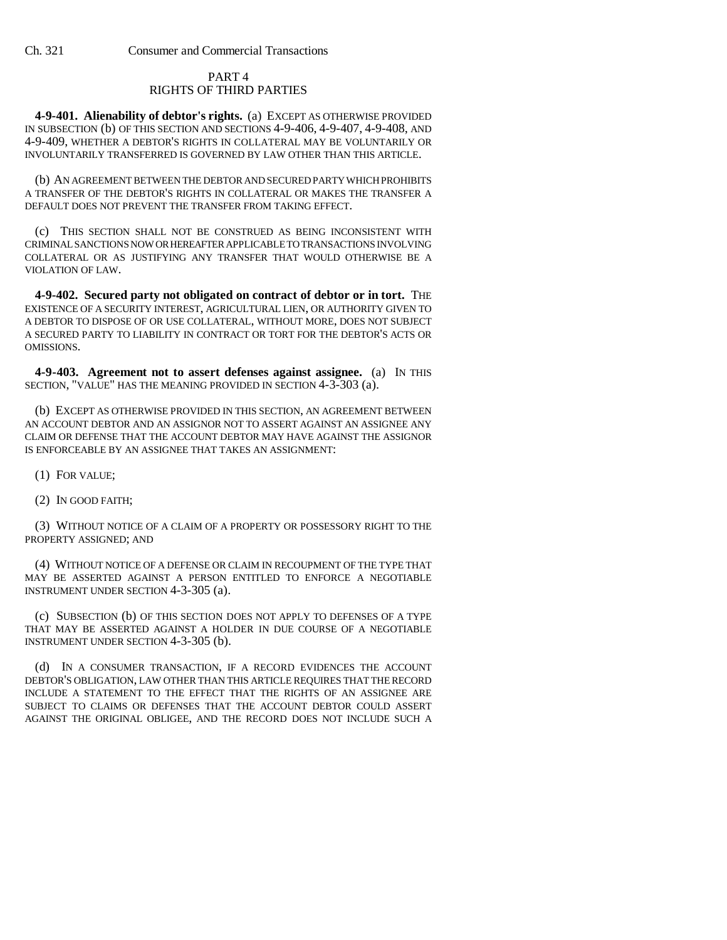## PART 4 RIGHTS OF THIRD PARTIES

**4-9-401. Alienability of debtor's rights.** (a) EXCEPT AS OTHERWISE PROVIDED IN SUBSECTION (b) OF THIS SECTION AND SECTIONS 4-9-406, 4-9-407, 4-9-408, AND 4-9-409, WHETHER A DEBTOR'S RIGHTS IN COLLATERAL MAY BE VOLUNTARILY OR INVOLUNTARILY TRANSFERRED IS GOVERNED BY LAW OTHER THAN THIS ARTICLE.

(b) AN AGREEMENT BETWEEN THE DEBTOR AND SECURED PARTY WHICH PROHIBITS A TRANSFER OF THE DEBTOR'S RIGHTS IN COLLATERAL OR MAKES THE TRANSFER A DEFAULT DOES NOT PREVENT THE TRANSFER FROM TAKING EFFECT.

(c) THIS SECTION SHALL NOT BE CONSTRUED AS BEING INCONSISTENT WITH CRIMINAL SANCTIONS NOW OR HEREAFTER APPLICABLE TO TRANSACTIONS INVOLVING COLLATERAL OR AS JUSTIFYING ANY TRANSFER THAT WOULD OTHERWISE BE A VIOLATION OF LAW.

**4-9-402. Secured party not obligated on contract of debtor or in tort.** THE EXISTENCE OF A SECURITY INTEREST, AGRICULTURAL LIEN, OR AUTHORITY GIVEN TO A DEBTOR TO DISPOSE OF OR USE COLLATERAL, WITHOUT MORE, DOES NOT SUBJECT A SECURED PARTY TO LIABILITY IN CONTRACT OR TORT FOR THE DEBTOR'S ACTS OR OMISSIONS.

**4-9-403. Agreement not to assert defenses against assignee.** (a) IN THIS SECTION, "VALUE" HAS THE MEANING PROVIDED IN SECTION 4-3-303 (a).

(b) EXCEPT AS OTHERWISE PROVIDED IN THIS SECTION, AN AGREEMENT BETWEEN AN ACCOUNT DEBTOR AND AN ASSIGNOR NOT TO ASSERT AGAINST AN ASSIGNEE ANY CLAIM OR DEFENSE THAT THE ACCOUNT DEBTOR MAY HAVE AGAINST THE ASSIGNOR IS ENFORCEABLE BY AN ASSIGNEE THAT TAKES AN ASSIGNMENT:

(1) FOR VALUE;

(2) IN GOOD FAITH;

(3) WITHOUT NOTICE OF A CLAIM OF A PROPERTY OR POSSESSORY RIGHT TO THE PROPERTY ASSIGNED; AND

(4) WITHOUT NOTICE OF A DEFENSE OR CLAIM IN RECOUPMENT OF THE TYPE THAT MAY BE ASSERTED AGAINST A PERSON ENTITLED TO ENFORCE A NEGOTIABLE INSTRUMENT UNDER SECTION 4-3-305 (a).

(c) SUBSECTION (b) OF THIS SECTION DOES NOT APPLY TO DEFENSES OF A TYPE THAT MAY BE ASSERTED AGAINST A HOLDER IN DUE COURSE OF A NEGOTIABLE INSTRUMENT UNDER SECTION 4-3-305 (b).

(d) IN A CONSUMER TRANSACTION, IF A RECORD EVIDENCES THE ACCOUNT DEBTOR'S OBLIGATION, LAW OTHER THAN THIS ARTICLE REQUIRES THAT THE RECORD INCLUDE A STATEMENT TO THE EFFECT THAT THE RIGHTS OF AN ASSIGNEE ARE SUBJECT TO CLAIMS OR DEFENSES THAT THE ACCOUNT DEBTOR COULD ASSERT AGAINST THE ORIGINAL OBLIGEE, AND THE RECORD DOES NOT INCLUDE SUCH A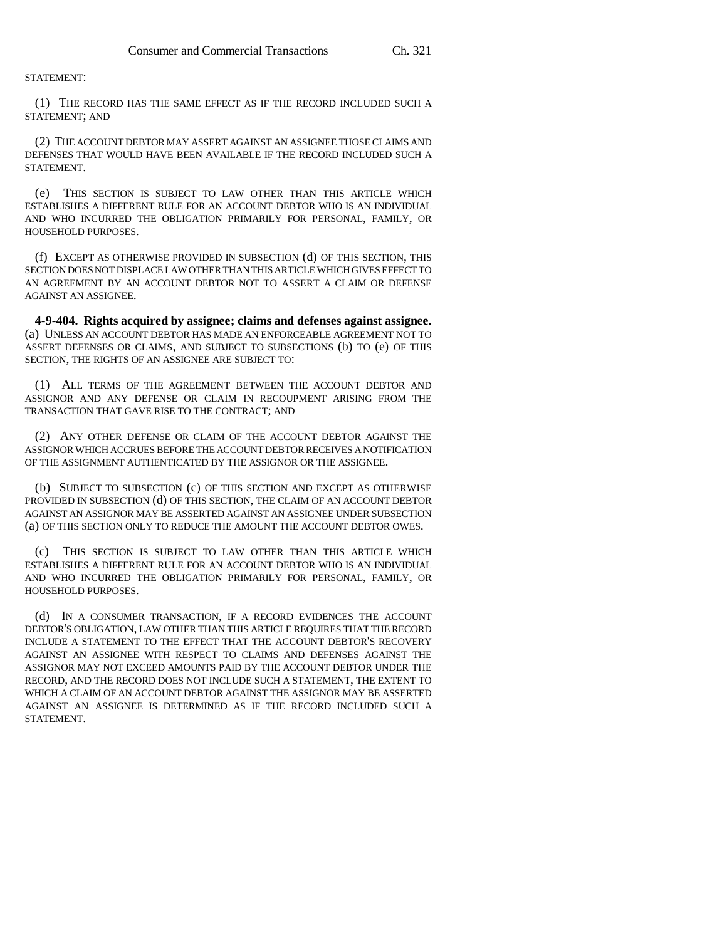STATEMENT:

(1) THE RECORD HAS THE SAME EFFECT AS IF THE RECORD INCLUDED SUCH A STATEMENT; AND

(2) THE ACCOUNT DEBTOR MAY ASSERT AGAINST AN ASSIGNEE THOSE CLAIMS AND DEFENSES THAT WOULD HAVE BEEN AVAILABLE IF THE RECORD INCLUDED SUCH A **STATEMENT** 

(e) THIS SECTION IS SUBJECT TO LAW OTHER THAN THIS ARTICLE WHICH ESTABLISHES A DIFFERENT RULE FOR AN ACCOUNT DEBTOR WHO IS AN INDIVIDUAL AND WHO INCURRED THE OBLIGATION PRIMARILY FOR PERSONAL, FAMILY, OR HOUSEHOLD PURPOSES.

(f) EXCEPT AS OTHERWISE PROVIDED IN SUBSECTION (d) OF THIS SECTION, THIS SECTION DOES NOT DISPLACE LAW OTHER THAN THIS ARTICLE WHICH GIVES EFFECT TO AN AGREEMENT BY AN ACCOUNT DEBTOR NOT TO ASSERT A CLAIM OR DEFENSE AGAINST AN ASSIGNEE.

**4-9-404. Rights acquired by assignee; claims and defenses against assignee.** (a) UNLESS AN ACCOUNT DEBTOR HAS MADE AN ENFORCEABLE AGREEMENT NOT TO ASSERT DEFENSES OR CLAIMS, AND SUBJECT TO SUBSECTIONS (b) TO (e) OF THIS SECTION, THE RIGHTS OF AN ASSIGNEE ARE SUBJECT TO:

(1) ALL TERMS OF THE AGREEMENT BETWEEN THE ACCOUNT DEBTOR AND ASSIGNOR AND ANY DEFENSE OR CLAIM IN RECOUPMENT ARISING FROM THE TRANSACTION THAT GAVE RISE TO THE CONTRACT; AND

(2) ANY OTHER DEFENSE OR CLAIM OF THE ACCOUNT DEBTOR AGAINST THE ASSIGNOR WHICH ACCRUES BEFORE THE ACCOUNT DEBTOR RECEIVES A NOTIFICATION OF THE ASSIGNMENT AUTHENTICATED BY THE ASSIGNOR OR THE ASSIGNEE.

(b) SUBJECT TO SUBSECTION (c) OF THIS SECTION AND EXCEPT AS OTHERWISE PROVIDED IN SUBSECTION (d) OF THIS SECTION, THE CLAIM OF AN ACCOUNT DEBTOR AGAINST AN ASSIGNOR MAY BE ASSERTED AGAINST AN ASSIGNEE UNDER SUBSECTION (a) OF THIS SECTION ONLY TO REDUCE THE AMOUNT THE ACCOUNT DEBTOR OWES.

(c) THIS SECTION IS SUBJECT TO LAW OTHER THAN THIS ARTICLE WHICH ESTABLISHES A DIFFERENT RULE FOR AN ACCOUNT DEBTOR WHO IS AN INDIVIDUAL AND WHO INCURRED THE OBLIGATION PRIMARILY FOR PERSONAL, FAMILY, OR HOUSEHOLD PURPOSES.

(d) IN A CONSUMER TRANSACTION, IF A RECORD EVIDENCES THE ACCOUNT DEBTOR'S OBLIGATION, LAW OTHER THAN THIS ARTICLE REQUIRES THAT THE RECORD INCLUDE A STATEMENT TO THE EFFECT THAT THE ACCOUNT DEBTOR'S RECOVERY AGAINST AN ASSIGNEE WITH RESPECT TO CLAIMS AND DEFENSES AGAINST THE ASSIGNOR MAY NOT EXCEED AMOUNTS PAID BY THE ACCOUNT DEBTOR UNDER THE RECORD, AND THE RECORD DOES NOT INCLUDE SUCH A STATEMENT, THE EXTENT TO WHICH A CLAIM OF AN ACCOUNT DEBTOR AGAINST THE ASSIGNOR MAY BE ASSERTED AGAINST AN ASSIGNEE IS DETERMINED AS IF THE RECORD INCLUDED SUCH A STATEMENT.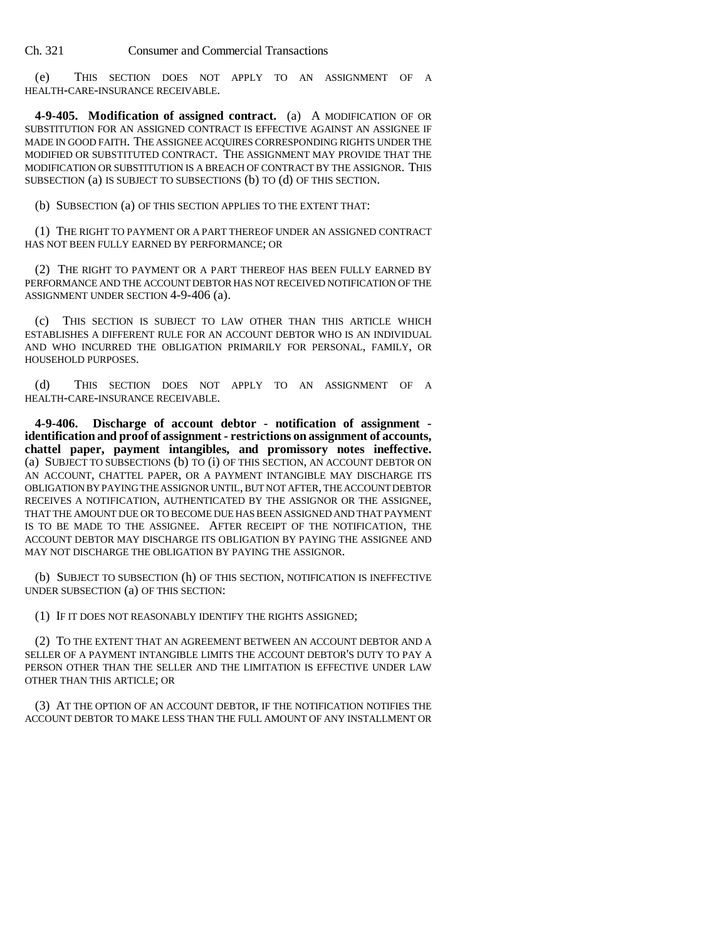(e) THIS SECTION DOES NOT APPLY TO AN ASSIGNMENT OF A HEALTH-CARE-INSURANCE RECEIVABLE.

**4-9-405. Modification of assigned contract.** (a) A MODIFICATION OF OR SUBSTITUTION FOR AN ASSIGNED CONTRACT IS EFFECTIVE AGAINST AN ASSIGNEE IF MADE IN GOOD FAITH. THE ASSIGNEE ACQUIRES CORRESPONDING RIGHTS UNDER THE MODIFIED OR SUBSTITUTED CONTRACT. THE ASSIGNMENT MAY PROVIDE THAT THE MODIFICATION OR SUBSTITUTION IS A BREACH OF CONTRACT BY THE ASSIGNOR. THIS SUBSECTION (a) IS SUBJECT TO SUBSECTIONS (b) TO (d) OF THIS SECTION.

(b) SUBSECTION (a) OF THIS SECTION APPLIES TO THE EXTENT THAT:

(1) THE RIGHT TO PAYMENT OR A PART THEREOF UNDER AN ASSIGNED CONTRACT HAS NOT BEEN FULLY EARNED BY PERFORMANCE; OR

(2) THE RIGHT TO PAYMENT OR A PART THEREOF HAS BEEN FULLY EARNED BY PERFORMANCE AND THE ACCOUNT DEBTOR HAS NOT RECEIVED NOTIFICATION OF THE ASSIGNMENT UNDER SECTION 4-9-406 (a).

(c) THIS SECTION IS SUBJECT TO LAW OTHER THAN THIS ARTICLE WHICH ESTABLISHES A DIFFERENT RULE FOR AN ACCOUNT DEBTOR WHO IS AN INDIVIDUAL AND WHO INCURRED THE OBLIGATION PRIMARILY FOR PERSONAL, FAMILY, OR HOUSEHOLD PURPOSES.

(d) THIS SECTION DOES NOT APPLY TO AN ASSIGNMENT OF A HEALTH-CARE-INSURANCE RECEIVABLE.

**4-9-406. Discharge of account debtor - notification of assignment identification and proof of assignment - restrictions on assignment of accounts, chattel paper, payment intangibles, and promissory notes ineffective.** (a) SUBJECT TO SUBSECTIONS (b) TO (i) OF THIS SECTION, AN ACCOUNT DEBTOR ON AN ACCOUNT, CHATTEL PAPER, OR A PAYMENT INTANGIBLE MAY DISCHARGE ITS OBLIGATION BY PAYING THE ASSIGNOR UNTIL, BUT NOT AFTER, THE ACCOUNT DEBTOR RECEIVES A NOTIFICATION, AUTHENTICATED BY THE ASSIGNOR OR THE ASSIGNEE, THAT THE AMOUNT DUE OR TO BECOME DUE HAS BEEN ASSIGNED AND THAT PAYMENT IS TO BE MADE TO THE ASSIGNEE. AFTER RECEIPT OF THE NOTIFICATION, THE ACCOUNT DEBTOR MAY DISCHARGE ITS OBLIGATION BY PAYING THE ASSIGNEE AND MAY NOT DISCHARGE THE OBLIGATION BY PAYING THE ASSIGNOR.

(b) SUBJECT TO SUBSECTION (h) OF THIS SECTION, NOTIFICATION IS INEFFECTIVE UNDER SUBSECTION (a) OF THIS SECTION:

(1) IF IT DOES NOT REASONABLY IDENTIFY THE RIGHTS ASSIGNED;

(2) TO THE EXTENT THAT AN AGREEMENT BETWEEN AN ACCOUNT DEBTOR AND A SELLER OF A PAYMENT INTANGIBLE LIMITS THE ACCOUNT DEBTOR'S DUTY TO PAY A PERSON OTHER THAN THE SELLER AND THE LIMITATION IS EFFECTIVE UNDER LAW OTHER THAN THIS ARTICLE; OR

(3) AT THE OPTION OF AN ACCOUNT DEBTOR, IF THE NOTIFICATION NOTIFIES THE ACCOUNT DEBTOR TO MAKE LESS THAN THE FULL AMOUNT OF ANY INSTALLMENT OR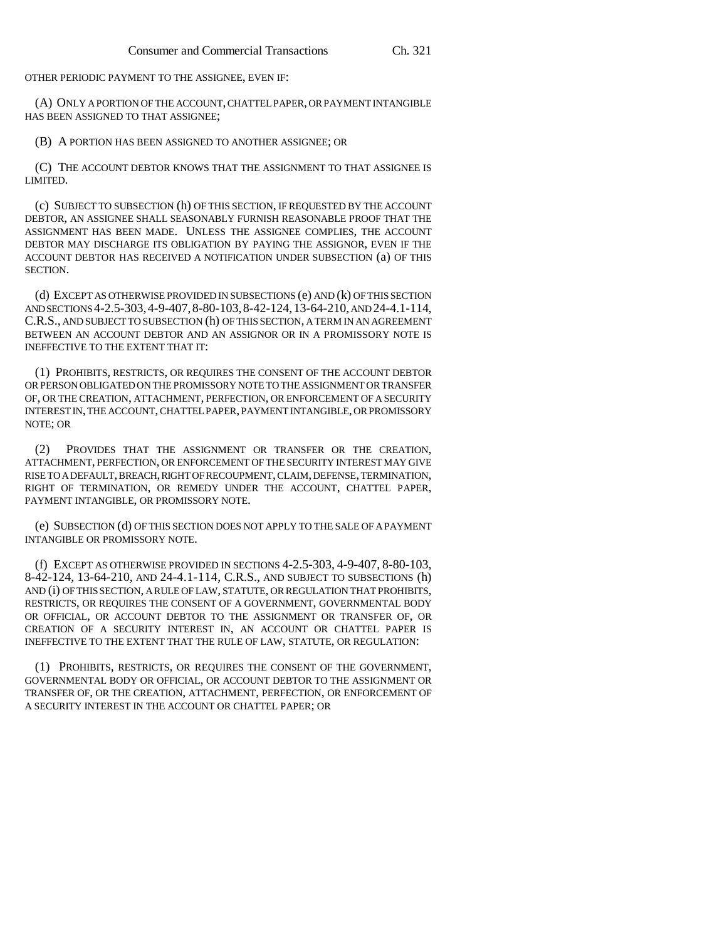OTHER PERIODIC PAYMENT TO THE ASSIGNEE, EVEN IF:

(A) ONLY A PORTION OF THE ACCOUNT, CHATTEL PAPER, OR PAYMENT INTANGIBLE HAS BEEN ASSIGNED TO THAT ASSIGNEE;

(B) A PORTION HAS BEEN ASSIGNED TO ANOTHER ASSIGNEE; OR

(C) THE ACCOUNT DEBTOR KNOWS THAT THE ASSIGNMENT TO THAT ASSIGNEE IS LIMITED.

(c) SUBJECT TO SUBSECTION (h) OF THIS SECTION, IF REQUESTED BY THE ACCOUNT DEBTOR, AN ASSIGNEE SHALL SEASONABLY FURNISH REASONABLE PROOF THAT THE ASSIGNMENT HAS BEEN MADE. UNLESS THE ASSIGNEE COMPLIES, THE ACCOUNT DEBTOR MAY DISCHARGE ITS OBLIGATION BY PAYING THE ASSIGNOR, EVEN IF THE ACCOUNT DEBTOR HAS RECEIVED A NOTIFICATION UNDER SUBSECTION (a) OF THIS SECTION.

(d) EXCEPT AS OTHERWISE PROVIDED IN SUBSECTIONS (e) AND (k) OF THIS SECTION AND SECTIONS 4-2.5-303,4-9-407,8-80-103,8-42-124,13-64-210, AND 24-4.1-114, C.R.S., AND SUBJECT TO SUBSECTION (h) OF THIS SECTION, A TERM IN AN AGREEMENT BETWEEN AN ACCOUNT DEBTOR AND AN ASSIGNOR OR IN A PROMISSORY NOTE IS INEFFECTIVE TO THE EXTENT THAT IT:

(1) PROHIBITS, RESTRICTS, OR REQUIRES THE CONSENT OF THE ACCOUNT DEBTOR OR PERSON OBLIGATED ON THE PROMISSORY NOTE TO THE ASSIGNMENT OR TRANSFER OF, OR THE CREATION, ATTACHMENT, PERFECTION, OR ENFORCEMENT OF A SECURITY INTEREST IN, THE ACCOUNT, CHATTEL PAPER, PAYMENT INTANGIBLE, OR PROMISSORY NOTE; OR

(2) PROVIDES THAT THE ASSIGNMENT OR TRANSFER OR THE CREATION, ATTACHMENT, PERFECTION, OR ENFORCEMENT OF THE SECURITY INTEREST MAY GIVE RISE TO A DEFAULT, BREACH, RIGHT OF RECOUPMENT, CLAIM, DEFENSE, TERMINATION, RIGHT OF TERMINATION, OR REMEDY UNDER THE ACCOUNT, CHATTEL PAPER, PAYMENT INTANGIBLE, OR PROMISSORY NOTE.

(e) SUBSECTION (d) OF THIS SECTION DOES NOT APPLY TO THE SALE OF A PAYMENT INTANGIBLE OR PROMISSORY NOTE.

(f) EXCEPT AS OTHERWISE PROVIDED IN SECTIONS 4-2.5-303, 4-9-407, 8-80-103, 8-42-124, 13-64-210, AND 24-4.1-114, C.R.S., AND SUBJECT TO SUBSECTIONS (h) AND (i) OF THIS SECTION, A RULE OF LAW, STATUTE, OR REGULATION THAT PROHIBITS, RESTRICTS, OR REQUIRES THE CONSENT OF A GOVERNMENT, GOVERNMENTAL BODY OR OFFICIAL, OR ACCOUNT DEBTOR TO THE ASSIGNMENT OR TRANSFER OF, OR CREATION OF A SECURITY INTEREST IN, AN ACCOUNT OR CHATTEL PAPER IS INEFFECTIVE TO THE EXTENT THAT THE RULE OF LAW, STATUTE, OR REGULATION:

(1) PROHIBITS, RESTRICTS, OR REQUIRES THE CONSENT OF THE GOVERNMENT, GOVERNMENTAL BODY OR OFFICIAL, OR ACCOUNT DEBTOR TO THE ASSIGNMENT OR TRANSFER OF, OR THE CREATION, ATTACHMENT, PERFECTION, OR ENFORCEMENT OF A SECURITY INTEREST IN THE ACCOUNT OR CHATTEL PAPER; OR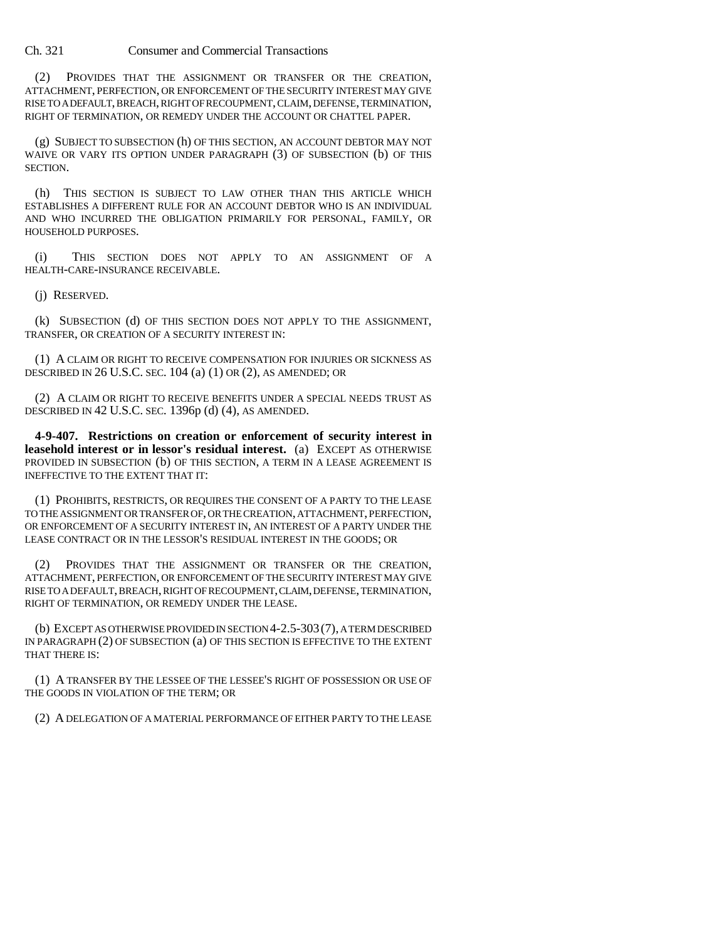(2) PROVIDES THAT THE ASSIGNMENT OR TRANSFER OR THE CREATION, ATTACHMENT, PERFECTION, OR ENFORCEMENT OF THE SECURITY INTEREST MAY GIVE RISE TO A DEFAULT, BREACH, RIGHT OF RECOUPMENT, CLAIM, DEFENSE, TERMINATION, RIGHT OF TERMINATION, OR REMEDY UNDER THE ACCOUNT OR CHATTEL PAPER.

(g) SUBJECT TO SUBSECTION (h) OF THIS SECTION, AN ACCOUNT DEBTOR MAY NOT WAIVE OR VARY ITS OPTION UNDER PARAGRAPH (3) OF SUBSECTION (b) OF THIS **SECTION** 

(h) THIS SECTION IS SUBJECT TO LAW OTHER THAN THIS ARTICLE WHICH ESTABLISHES A DIFFERENT RULE FOR AN ACCOUNT DEBTOR WHO IS AN INDIVIDUAL AND WHO INCURRED THE OBLIGATION PRIMARILY FOR PERSONAL, FAMILY, OR HOUSEHOLD PURPOSES.

(i) THIS SECTION DOES NOT APPLY TO AN ASSIGNMENT OF A HEALTH-CARE-INSURANCE RECEIVABLE.

(j) RESERVED.

(k) SUBSECTION (d) OF THIS SECTION DOES NOT APPLY TO THE ASSIGNMENT, TRANSFER, OR CREATION OF A SECURITY INTEREST IN:

(1) A CLAIM OR RIGHT TO RECEIVE COMPENSATION FOR INJURIES OR SICKNESS AS DESCRIBED IN 26 U.S.C. SEC. 104 (a) (1) OR (2), AS AMENDED; OR

(2) A CLAIM OR RIGHT TO RECEIVE BENEFITS UNDER A SPECIAL NEEDS TRUST AS DESCRIBED IN 42 U.S.C. SEC. 1396p (d) (4), AS AMENDED.

**4-9-407. Restrictions on creation or enforcement of security interest in leasehold interest or in lessor's residual interest.** (a) EXCEPT AS OTHERWISE PROVIDED IN SUBSECTION (b) OF THIS SECTION, A TERM IN A LEASE AGREEMENT IS INEFFECTIVE TO THE EXTENT THAT IT:

(1) PROHIBITS, RESTRICTS, OR REQUIRES THE CONSENT OF A PARTY TO THE LEASE TO THE ASSIGNMENT OR TRANSFER OF, OR THE CREATION, ATTACHMENT, PERFECTION, OR ENFORCEMENT OF A SECURITY INTEREST IN, AN INTEREST OF A PARTY UNDER THE LEASE CONTRACT OR IN THE LESSOR'S RESIDUAL INTEREST IN THE GOODS; OR

(2) PROVIDES THAT THE ASSIGNMENT OR TRANSFER OR THE CREATION, ATTACHMENT, PERFECTION, OR ENFORCEMENT OF THE SECURITY INTEREST MAY GIVE RISE TO A DEFAULT, BREACH, RIGHT OF RECOUPMENT, CLAIM, DEFENSE, TERMINATION, RIGHT OF TERMINATION, OR REMEDY UNDER THE LEASE.

(b) EXCEPT AS OTHERWISE PROVIDED IN SECTION 4-2.5-303(7), A TERM DESCRIBED IN PARAGRAPH (2) OF SUBSECTION (a) OF THIS SECTION IS EFFECTIVE TO THE EXTENT THAT THERE IS:

(1) A TRANSFER BY THE LESSEE OF THE LESSEE'S RIGHT OF POSSESSION OR USE OF THE GOODS IN VIOLATION OF THE TERM; OR

(2) A DELEGATION OF A MATERIAL PERFORMANCE OF EITHER PARTY TO THE LEASE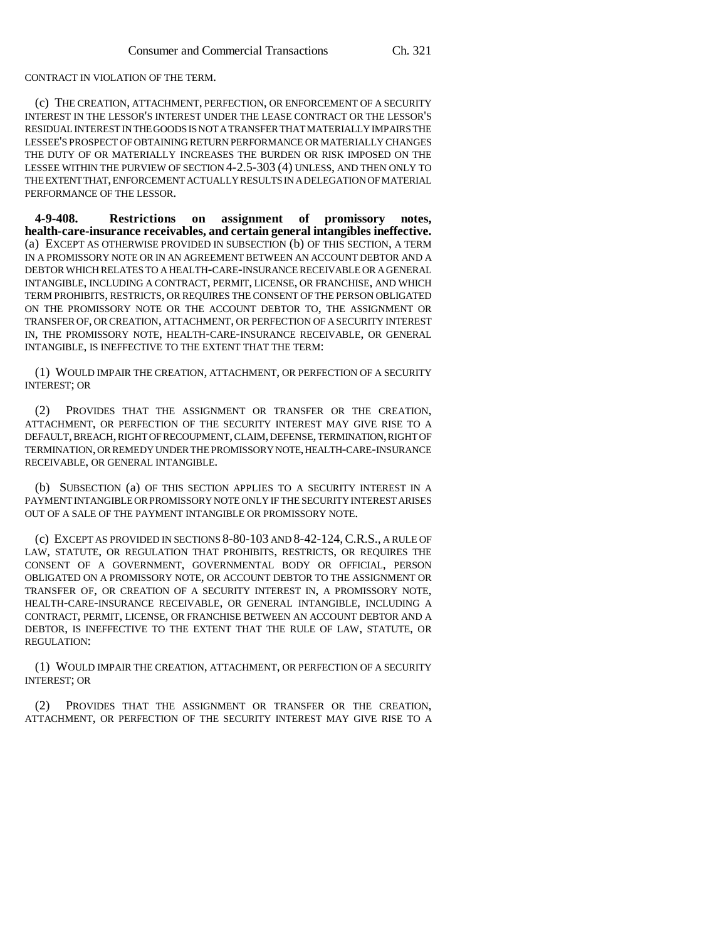CONTRACT IN VIOLATION OF THE TERM.

(c) THE CREATION, ATTACHMENT, PERFECTION, OR ENFORCEMENT OF A SECURITY INTEREST IN THE LESSOR'S INTEREST UNDER THE LEASE CONTRACT OR THE LESSOR'S RESIDUAL INTEREST IN THE GOODS IS NOT A TRANSFER THAT MATERIALLY IMPAIRS THE LESSEE'S PROSPECT OF OBTAINING RETURN PERFORMANCE OR MATERIALLY CHANGES THE DUTY OF OR MATERIALLY INCREASES THE BURDEN OR RISK IMPOSED ON THE LESSEE WITHIN THE PURVIEW OF SECTION 4-2.5-303 (4) UNLESS, AND THEN ONLY TO THE EXTENT THAT, ENFORCEMENT ACTUALLY RESULTS IN A DELEGATION OF MATERIAL PERFORMANCE OF THE LESSOR.

**4-9-408. Restrictions on assignment of promissory notes, health-care-insurance receivables, and certain general intangibles ineffective.** (a) EXCEPT AS OTHERWISE PROVIDED IN SUBSECTION (b) OF THIS SECTION, A TERM IN A PROMISSORY NOTE OR IN AN AGREEMENT BETWEEN AN ACCOUNT DEBTOR AND A DEBTOR WHICH RELATES TO A HEALTH-CARE-INSURANCE RECEIVABLE OR A GENERAL INTANGIBLE, INCLUDING A CONTRACT, PERMIT, LICENSE, OR FRANCHISE, AND WHICH TERM PROHIBITS, RESTRICTS, OR REQUIRES THE CONSENT OF THE PERSON OBLIGATED ON THE PROMISSORY NOTE OR THE ACCOUNT DEBTOR TO, THE ASSIGNMENT OR TRANSFER OF, OR CREATION, ATTACHMENT, OR PERFECTION OF A SECURITY INTEREST IN, THE PROMISSORY NOTE, HEALTH-CARE-INSURANCE RECEIVABLE, OR GENERAL INTANGIBLE, IS INEFFECTIVE TO THE EXTENT THAT THE TERM:

(1) WOULD IMPAIR THE CREATION, ATTACHMENT, OR PERFECTION OF A SECURITY INTEREST; OR

(2) PROVIDES THAT THE ASSIGNMENT OR TRANSFER OR THE CREATION, ATTACHMENT, OR PERFECTION OF THE SECURITY INTEREST MAY GIVE RISE TO A DEFAULT, BREACH, RIGHT OF RECOUPMENT, CLAIM, DEFENSE, TERMINATION, RIGHT OF TERMINATION, OR REMEDY UNDER THE PROMISSORY NOTE, HEALTH-CARE-INSURANCE RECEIVABLE, OR GENERAL INTANGIBLE.

(b) SUBSECTION (a) OF THIS SECTION APPLIES TO A SECURITY INTEREST IN A PAYMENT INTANGIBLE OR PROMISSORY NOTE ONLY IF THE SECURITY INTEREST ARISES OUT OF A SALE OF THE PAYMENT INTANGIBLE OR PROMISSORY NOTE.

(c) EXCEPT AS PROVIDED IN SECTIONS 8-80-103 AND 8-42-124,C.R.S., A RULE OF LAW, STATUTE, OR REGULATION THAT PROHIBITS, RESTRICTS, OR REQUIRES THE CONSENT OF A GOVERNMENT, GOVERNMENTAL BODY OR OFFICIAL, PERSON OBLIGATED ON A PROMISSORY NOTE, OR ACCOUNT DEBTOR TO THE ASSIGNMENT OR TRANSFER OF, OR CREATION OF A SECURITY INTEREST IN, A PROMISSORY NOTE, HEALTH-CARE-INSURANCE RECEIVABLE, OR GENERAL INTANGIBLE, INCLUDING A CONTRACT, PERMIT, LICENSE, OR FRANCHISE BETWEEN AN ACCOUNT DEBTOR AND A DEBTOR, IS INEFFECTIVE TO THE EXTENT THAT THE RULE OF LAW, STATUTE, OR REGULATION:

(1) WOULD IMPAIR THE CREATION, ATTACHMENT, OR PERFECTION OF A SECURITY INTEREST; OR

(2) PROVIDES THAT THE ASSIGNMENT OR TRANSFER OR THE CREATION, ATTACHMENT, OR PERFECTION OF THE SECURITY INTEREST MAY GIVE RISE TO A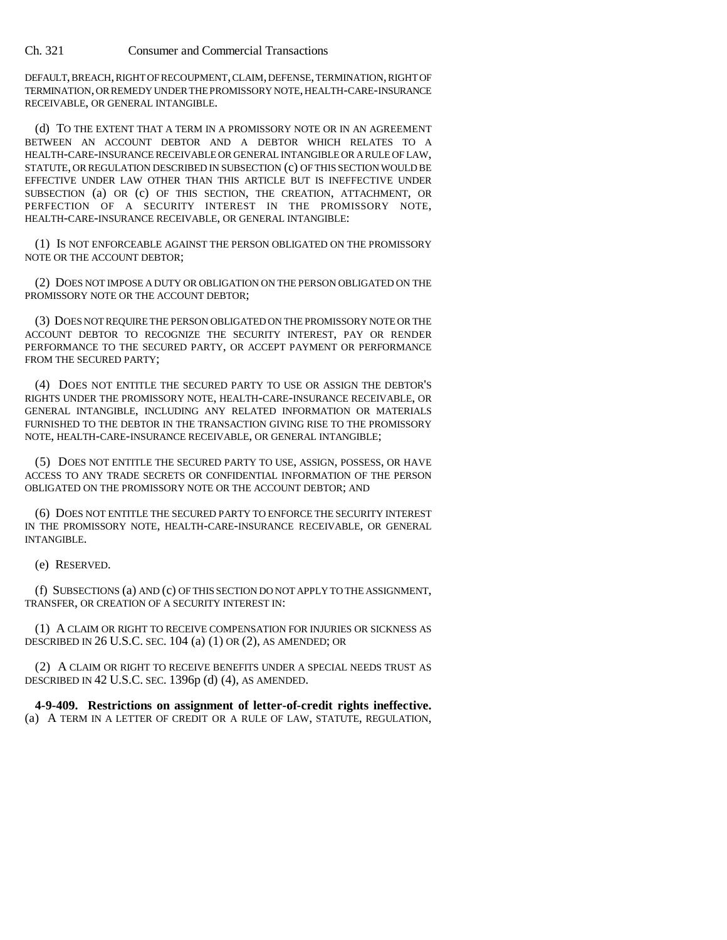DEFAULT, BREACH, RIGHT OF RECOUPMENT, CLAIM, DEFENSE, TERMINATION, RIGHT OF TERMINATION, OR REMEDY UNDER THE PROMISSORY NOTE, HEALTH-CARE-INSURANCE RECEIVABLE, OR GENERAL INTANGIBLE.

(d) TO THE EXTENT THAT A TERM IN A PROMISSORY NOTE OR IN AN AGREEMENT BETWEEN AN ACCOUNT DEBTOR AND A DEBTOR WHICH RELATES TO A HEALTH-CARE-INSURANCE RECEIVABLE OR GENERAL INTANGIBLE OR A RULE OF LAW, STATUTE, OR REGULATION DESCRIBED IN SUBSECTION (c) OF THIS SECTION WOULD BE EFFECTIVE UNDER LAW OTHER THAN THIS ARTICLE BUT IS INEFFECTIVE UNDER SUBSECTION (a) OR (c) OF THIS SECTION, THE CREATION, ATTACHMENT, OR PERFECTION OF A SECURITY INTEREST IN THE PROMISSORY NOTE, HEALTH-CARE-INSURANCE RECEIVABLE, OR GENERAL INTANGIBLE:

(1) IS NOT ENFORCEABLE AGAINST THE PERSON OBLIGATED ON THE PROMISSORY NOTE OR THE ACCOUNT DEBTOR;

(2) DOES NOT IMPOSE A DUTY OR OBLIGATION ON THE PERSON OBLIGATED ON THE PROMISSORY NOTE OR THE ACCOUNT DEBTOR;

(3) DOES NOT REQUIRE THE PERSON OBLIGATED ON THE PROMISSORY NOTE OR THE ACCOUNT DEBTOR TO RECOGNIZE THE SECURITY INTEREST, PAY OR RENDER PERFORMANCE TO THE SECURED PARTY, OR ACCEPT PAYMENT OR PERFORMANCE FROM THE SECURED PARTY;

(4) DOES NOT ENTITLE THE SECURED PARTY TO USE OR ASSIGN THE DEBTOR'S RIGHTS UNDER THE PROMISSORY NOTE, HEALTH-CARE-INSURANCE RECEIVABLE, OR GENERAL INTANGIBLE, INCLUDING ANY RELATED INFORMATION OR MATERIALS FURNISHED TO THE DEBTOR IN THE TRANSACTION GIVING RISE TO THE PROMISSORY NOTE, HEALTH-CARE-INSURANCE RECEIVABLE, OR GENERAL INTANGIBLE;

(5) DOES NOT ENTITLE THE SECURED PARTY TO USE, ASSIGN, POSSESS, OR HAVE ACCESS TO ANY TRADE SECRETS OR CONFIDENTIAL INFORMATION OF THE PERSON OBLIGATED ON THE PROMISSORY NOTE OR THE ACCOUNT DEBTOR; AND

(6) DOES NOT ENTITLE THE SECURED PARTY TO ENFORCE THE SECURITY INTEREST IN THE PROMISSORY NOTE, HEALTH-CARE-INSURANCE RECEIVABLE, OR GENERAL INTANGIBLE.

(e) RESERVED.

(f) SUBSECTIONS (a) AND (c) OF THIS SECTION DO NOT APPLY TO THE ASSIGNMENT, TRANSFER, OR CREATION OF A SECURITY INTEREST IN:

(1) A CLAIM OR RIGHT TO RECEIVE COMPENSATION FOR INJURIES OR SICKNESS AS DESCRIBED IN 26 U.S.C. SEC. 104 (a) (1) OR (2), AS AMENDED; OR

(2) A CLAIM OR RIGHT TO RECEIVE BENEFITS UNDER A SPECIAL NEEDS TRUST AS DESCRIBED IN 42 U.S.C. SEC. 1396p (d) (4), AS AMENDED.

**4-9-409. Restrictions on assignment of letter-of-credit rights ineffective.**

(a) A TERM IN A LETTER OF CREDIT OR A RULE OF LAW, STATUTE, REGULATION,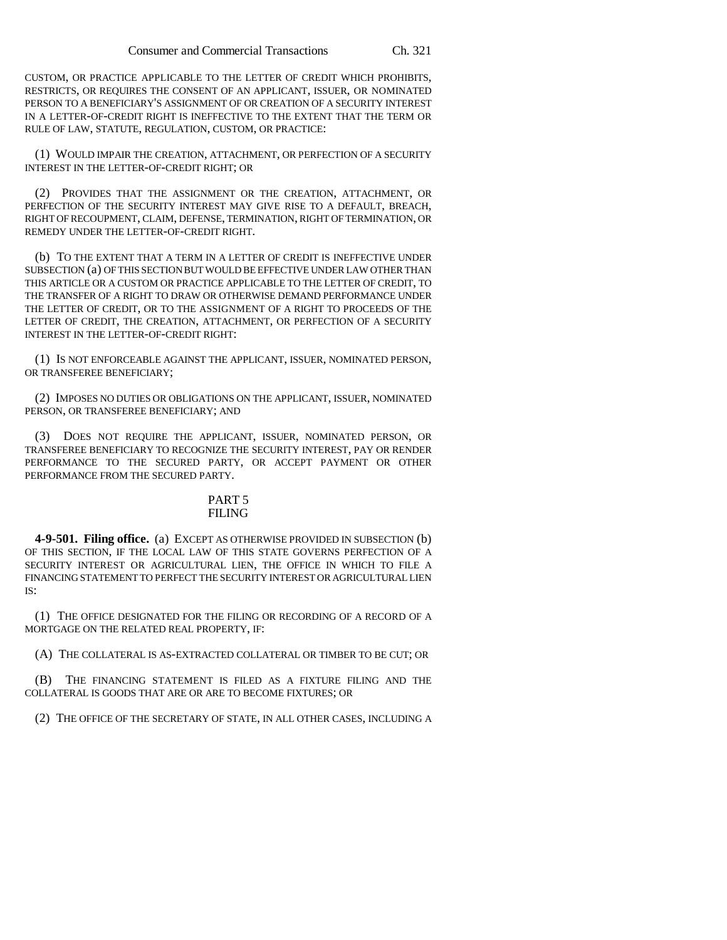CUSTOM, OR PRACTICE APPLICABLE TO THE LETTER OF CREDIT WHICH PROHIBITS, RESTRICTS, OR REQUIRES THE CONSENT OF AN APPLICANT, ISSUER, OR NOMINATED PERSON TO A BENEFICIARY'S ASSIGNMENT OF OR CREATION OF A SECURITY INTEREST IN A LETTER-OF-CREDIT RIGHT IS INEFFECTIVE TO THE EXTENT THAT THE TERM OR RULE OF LAW, STATUTE, REGULATION, CUSTOM, OR PRACTICE:

(1) WOULD IMPAIR THE CREATION, ATTACHMENT, OR PERFECTION OF A SECURITY INTEREST IN THE LETTER-OF-CREDIT RIGHT; OR

(2) PROVIDES THAT THE ASSIGNMENT OR THE CREATION, ATTACHMENT, OR PERFECTION OF THE SECURITY INTEREST MAY GIVE RISE TO A DEFAULT, BREACH, RIGHT OF RECOUPMENT, CLAIM, DEFENSE, TERMINATION, RIGHT OF TERMINATION, OR REMEDY UNDER THE LETTER-OF-CREDIT RIGHT.

(b) TO THE EXTENT THAT A TERM IN A LETTER OF CREDIT IS INEFFECTIVE UNDER SUBSECTION (a) OF THIS SECTION BUT WOULD BE EFFECTIVE UNDER LAW OTHER THAN THIS ARTICLE OR A CUSTOM OR PRACTICE APPLICABLE TO THE LETTER OF CREDIT, TO THE TRANSFER OF A RIGHT TO DRAW OR OTHERWISE DEMAND PERFORMANCE UNDER THE LETTER OF CREDIT, OR TO THE ASSIGNMENT OF A RIGHT TO PROCEEDS OF THE LETTER OF CREDIT, THE CREATION, ATTACHMENT, OR PERFECTION OF A SECURITY INTEREST IN THE LETTER-OF-CREDIT RIGHT:

(1) IS NOT ENFORCEABLE AGAINST THE APPLICANT, ISSUER, NOMINATED PERSON, OR TRANSFEREE BENEFICIARY;

(2) IMPOSES NO DUTIES OR OBLIGATIONS ON THE APPLICANT, ISSUER, NOMINATED PERSON, OR TRANSFEREE BENEFICIARY; AND

(3) DOES NOT REQUIRE THE APPLICANT, ISSUER, NOMINATED PERSON, OR TRANSFEREE BENEFICIARY TO RECOGNIZE THE SECURITY INTEREST, PAY OR RENDER PERFORMANCE TO THE SECURED PARTY, OR ACCEPT PAYMENT OR OTHER PERFORMANCE FROM THE SECURED PARTY.

## PART 5 FILING

**4-9-501. Filing office.** (a) EXCEPT AS OTHERWISE PROVIDED IN SUBSECTION (b) OF THIS SECTION, IF THE LOCAL LAW OF THIS STATE GOVERNS PERFECTION OF A SECURITY INTEREST OR AGRICULTURAL LIEN, THE OFFICE IN WHICH TO FILE A FINANCING STATEMENT TO PERFECT THE SECURITY INTEREST OR AGRICULTURAL LIEN IS:

(1) THE OFFICE DESIGNATED FOR THE FILING OR RECORDING OF A RECORD OF A MORTGAGE ON THE RELATED REAL PROPERTY, IF:

(A) THE COLLATERAL IS AS-EXTRACTED COLLATERAL OR TIMBER TO BE CUT; OR

(B) THE FINANCING STATEMENT IS FILED AS A FIXTURE FILING AND THE COLLATERAL IS GOODS THAT ARE OR ARE TO BECOME FIXTURES; OR

(2) THE OFFICE OF THE SECRETARY OF STATE, IN ALL OTHER CASES, INCLUDING A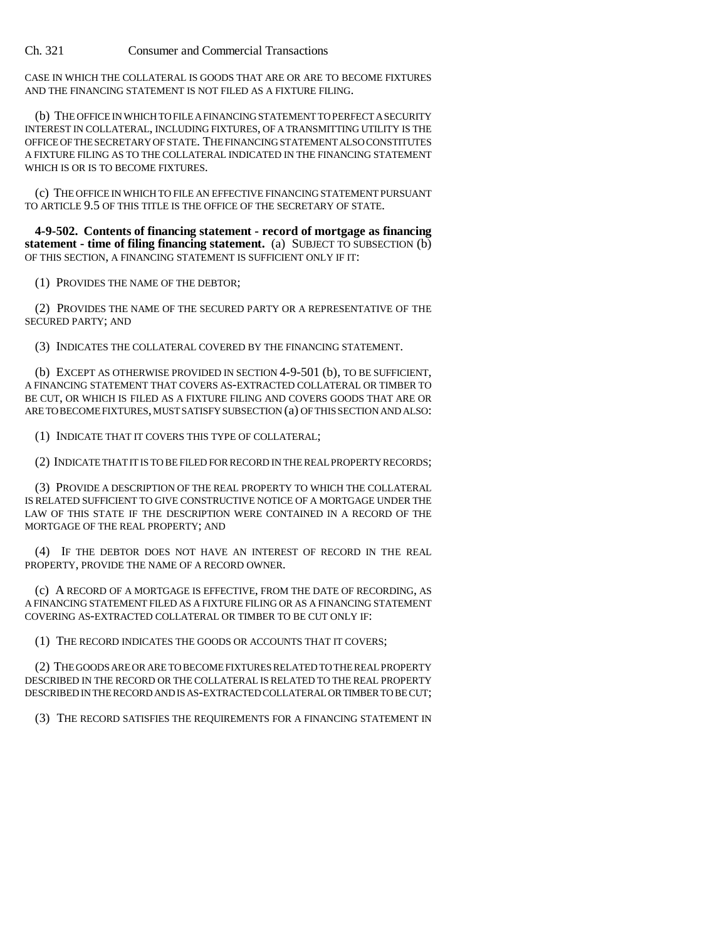CASE IN WHICH THE COLLATERAL IS GOODS THAT ARE OR ARE TO BECOME FIXTURES AND THE FINANCING STATEMENT IS NOT FILED AS A FIXTURE FILING.

(b) THE OFFICE IN WHICH TO FILE A FINANCING STATEMENT TO PERFECT A SECURITY INTEREST IN COLLATERAL, INCLUDING FIXTURES, OF A TRANSMITTING UTILITY IS THE OFFICE OF THE SECRETARY OF STATE. THE FINANCING STATEMENT ALSO CONSTITUTES A FIXTURE FILING AS TO THE COLLATERAL INDICATED IN THE FINANCING STATEMENT WHICH IS OR IS TO BECOME FIXTURES.

(c) THE OFFICE IN WHICH TO FILE AN EFFECTIVE FINANCING STATEMENT PURSUANT TO ARTICLE 9.5 OF THIS TITLE IS THE OFFICE OF THE SECRETARY OF STATE.

**4-9-502. Contents of financing statement - record of mortgage as financing statement - time of filing financing statement.** (a) SUBJECT TO SUBSECTION (b) OF THIS SECTION, A FINANCING STATEMENT IS SUFFICIENT ONLY IF IT:

(1) PROVIDES THE NAME OF THE DEBTOR;

(2) PROVIDES THE NAME OF THE SECURED PARTY OR A REPRESENTATIVE OF THE SECURED PARTY; AND

(3) INDICATES THE COLLATERAL COVERED BY THE FINANCING STATEMENT.

(b) EXCEPT AS OTHERWISE PROVIDED IN SECTION 4-9-501 (b), TO BE SUFFICIENT, A FINANCING STATEMENT THAT COVERS AS-EXTRACTED COLLATERAL OR TIMBER TO BE CUT, OR WHICH IS FILED AS A FIXTURE FILING AND COVERS GOODS THAT ARE OR ARE TO BECOME FIXTURES, MUST SATISFY SUBSECTION (a) OF THIS SECTION AND ALSO:

(1) INDICATE THAT IT COVERS THIS TYPE OF COLLATERAL;

(2) INDICATE THAT IT IS TO BE FILED FOR RECORD IN THE REAL PROPERTY RECORDS;

(3) PROVIDE A DESCRIPTION OF THE REAL PROPERTY TO WHICH THE COLLATERAL IS RELATED SUFFICIENT TO GIVE CONSTRUCTIVE NOTICE OF A MORTGAGE UNDER THE LAW OF THIS STATE IF THE DESCRIPTION WERE CONTAINED IN A RECORD OF THE MORTGAGE OF THE REAL PROPERTY; AND

(4) IF THE DEBTOR DOES NOT HAVE AN INTEREST OF RECORD IN THE REAL PROPERTY, PROVIDE THE NAME OF A RECORD OWNER.

(c) A RECORD OF A MORTGAGE IS EFFECTIVE, FROM THE DATE OF RECORDING, AS A FINANCING STATEMENT FILED AS A FIXTURE FILING OR AS A FINANCING STATEMENT COVERING AS-EXTRACTED COLLATERAL OR TIMBER TO BE CUT ONLY IF:

(1) THE RECORD INDICATES THE GOODS OR ACCOUNTS THAT IT COVERS;

(2) THE GOODS ARE OR ARE TO BECOME FIXTURES RELATED TO THE REAL PROPERTY DESCRIBED IN THE RECORD OR THE COLLATERAL IS RELATED TO THE REAL PROPERTY DESCRIBED IN THE RECORD AND IS AS-EXTRACTED COLLATERAL OR TIMBER TO BE CUT;

(3) THE RECORD SATISFIES THE REQUIREMENTS FOR A FINANCING STATEMENT IN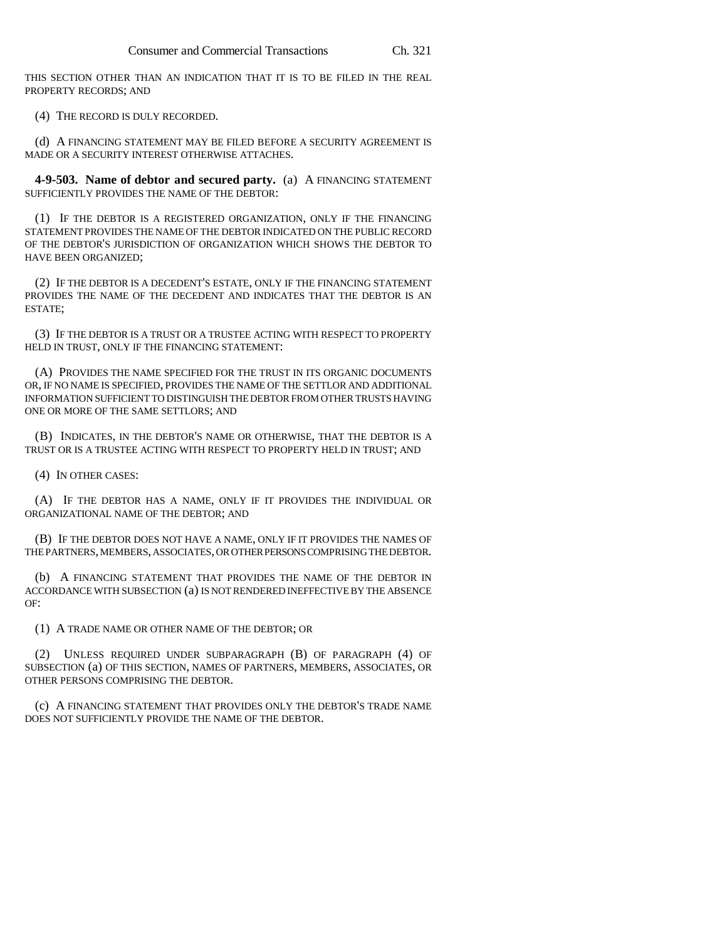THIS SECTION OTHER THAN AN INDICATION THAT IT IS TO BE FILED IN THE REAL PROPERTY RECORDS; AND

(4) THE RECORD IS DULY RECORDED.

(d) A FINANCING STATEMENT MAY BE FILED BEFORE A SECURITY AGREEMENT IS MADE OR A SECURITY INTEREST OTHERWISE ATTACHES.

**4-9-503. Name of debtor and secured party.** (a) A FINANCING STATEMENT SUFFICIENTLY PROVIDES THE NAME OF THE DEBTOR:

(1) IF THE DEBTOR IS A REGISTERED ORGANIZATION, ONLY IF THE FINANCING STATEMENT PROVIDES THE NAME OF THE DEBTOR INDICATED ON THE PUBLIC RECORD OF THE DEBTOR'S JURISDICTION OF ORGANIZATION WHICH SHOWS THE DEBTOR TO HAVE BEEN ORGANIZED;

(2) IF THE DEBTOR IS A DECEDENT'S ESTATE, ONLY IF THE FINANCING STATEMENT PROVIDES THE NAME OF THE DECEDENT AND INDICATES THAT THE DEBTOR IS AN ESTATE;

(3) IF THE DEBTOR IS A TRUST OR A TRUSTEE ACTING WITH RESPECT TO PROPERTY HELD IN TRUST, ONLY IF THE FINANCING STATEMENT:

(A) PROVIDES THE NAME SPECIFIED FOR THE TRUST IN ITS ORGANIC DOCUMENTS OR, IF NO NAME IS SPECIFIED, PROVIDES THE NAME OF THE SETTLOR AND ADDITIONAL INFORMATION SUFFICIENT TO DISTINGUISH THE DEBTOR FROM OTHER TRUSTS HAVING ONE OR MORE OF THE SAME SETTLORS; AND

(B) INDICATES, IN THE DEBTOR'S NAME OR OTHERWISE, THAT THE DEBTOR IS A TRUST OR IS A TRUSTEE ACTING WITH RESPECT TO PROPERTY HELD IN TRUST; AND

(4) IN OTHER CASES:

(A) IF THE DEBTOR HAS A NAME, ONLY IF IT PROVIDES THE INDIVIDUAL OR ORGANIZATIONAL NAME OF THE DEBTOR; AND

(B) IF THE DEBTOR DOES NOT HAVE A NAME, ONLY IF IT PROVIDES THE NAMES OF THE PARTNERS, MEMBERS, ASSOCIATES, OR OTHER PERSONS COMPRISING THE DEBTOR.

(b) A FINANCING STATEMENT THAT PROVIDES THE NAME OF THE DEBTOR IN ACCORDANCE WITH SUBSECTION (a) IS NOT RENDERED INEFFECTIVE BY THE ABSENCE OF:

(1) A TRADE NAME OR OTHER NAME OF THE DEBTOR; OR

(2) UNLESS REQUIRED UNDER SUBPARAGRAPH (B) OF PARAGRAPH (4) OF SUBSECTION (a) OF THIS SECTION, NAMES OF PARTNERS, MEMBERS, ASSOCIATES, OR OTHER PERSONS COMPRISING THE DEBTOR.

(c) A FINANCING STATEMENT THAT PROVIDES ONLY THE DEBTOR'S TRADE NAME DOES NOT SUFFICIENTLY PROVIDE THE NAME OF THE DEBTOR.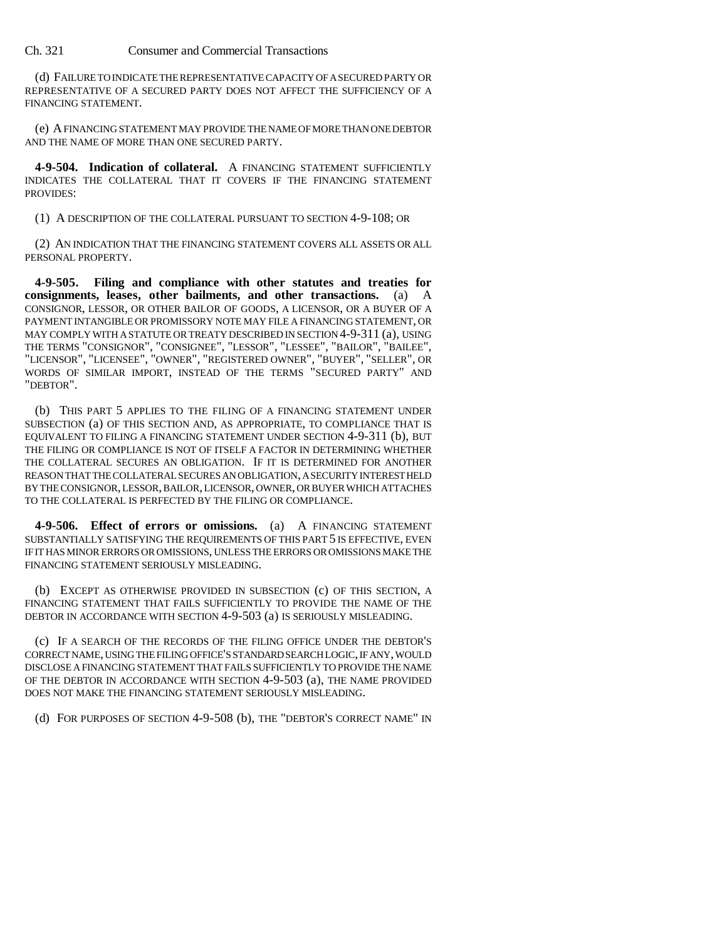(d) FAILURE TO INDICATE THE REPRESENTATIVE CAPACITY OF A SECURED PARTY OR REPRESENTATIVE OF A SECURED PARTY DOES NOT AFFECT THE SUFFICIENCY OF A FINANCING STATEMENT.

(e) A FINANCING STATEMENT MAY PROVIDE THE NAME OF MORE THAN ONE DEBTOR AND THE NAME OF MORE THAN ONE SECURED PARTY.

**4-9-504. Indication of collateral.** A FINANCING STATEMENT SUFFICIENTLY INDICATES THE COLLATERAL THAT IT COVERS IF THE FINANCING STATEMENT PROVIDES:

(1) A DESCRIPTION OF THE COLLATERAL PURSUANT TO SECTION 4-9-108; OR

(2) AN INDICATION THAT THE FINANCING STATEMENT COVERS ALL ASSETS OR ALL PERSONAL PROPERTY.

**4-9-505. Filing and compliance with other statutes and treaties for consignments, leases, other bailments, and other transactions.** (a) A CONSIGNOR, LESSOR, OR OTHER BAILOR OF GOODS, A LICENSOR, OR A BUYER OF A PAYMENT INTANGIBLE OR PROMISSORY NOTE MAY FILE A FINANCING STATEMENT, OR MAY COMPLY WITH A STATUTE OR TREATY DESCRIBED IN SECTION 4-9-311 (a), USING THE TERMS "CONSIGNOR", "CONSIGNEE", "LESSOR", "LESSEE", "BAILOR", "BAILEE", "LICENSOR", "LICENSEE", "OWNER", "REGISTERED OWNER", "BUYER", "SELLER", OR WORDS OF SIMILAR IMPORT, INSTEAD OF THE TERMS "SECURED PARTY" AND "DEBTOR".

(b) THIS PART 5 APPLIES TO THE FILING OF A FINANCING STATEMENT UNDER SUBSECTION (a) OF THIS SECTION AND, AS APPROPRIATE, TO COMPLIANCE THAT IS EQUIVALENT TO FILING A FINANCING STATEMENT UNDER SECTION 4-9-311 (b), BUT THE FILING OR COMPLIANCE IS NOT OF ITSELF A FACTOR IN DETERMINING WHETHER THE COLLATERAL SECURES AN OBLIGATION. IF IT IS DETERMINED FOR ANOTHER REASON THAT THE COLLATERAL SECURES AN OBLIGATION, A SECURITY INTEREST HELD BY THE CONSIGNOR, LESSOR, BAILOR, LICENSOR, OWNER, OR BUYER WHICH ATTACHES TO THE COLLATERAL IS PERFECTED BY THE FILING OR COMPLIANCE.

**4-9-506. Effect of errors or omissions.** (a) A FINANCING STATEMENT SUBSTANTIALLY SATISFYING THE REQUIREMENTS OF THIS PART 5 IS EFFECTIVE, EVEN IF IT HAS MINOR ERRORS OR OMISSIONS, UNLESS THE ERRORS OR OMISSIONS MAKE THE FINANCING STATEMENT SERIOUSLY MISLEADING.

(b) EXCEPT AS OTHERWISE PROVIDED IN SUBSECTION (c) OF THIS SECTION, A FINANCING STATEMENT THAT FAILS SUFFICIENTLY TO PROVIDE THE NAME OF THE DEBTOR IN ACCORDANCE WITH SECTION 4-9-503 (a) IS SERIOUSLY MISLEADING.

(c) IF A SEARCH OF THE RECORDS OF THE FILING OFFICE UNDER THE DEBTOR'S CORRECT NAME, USING THE FILING OFFICE'S STANDARD SEARCH LOGIC, IF ANY, WOULD DISCLOSE A FINANCING STATEMENT THAT FAILS SUFFICIENTLY TO PROVIDE THE NAME OF THE DEBTOR IN ACCORDANCE WITH SECTION 4-9-503 (a), THE NAME PROVIDED DOES NOT MAKE THE FINANCING STATEMENT SERIOUSLY MISLEADING.

(d) FOR PURPOSES OF SECTION 4-9-508 (b), THE "DEBTOR'S CORRECT NAME" IN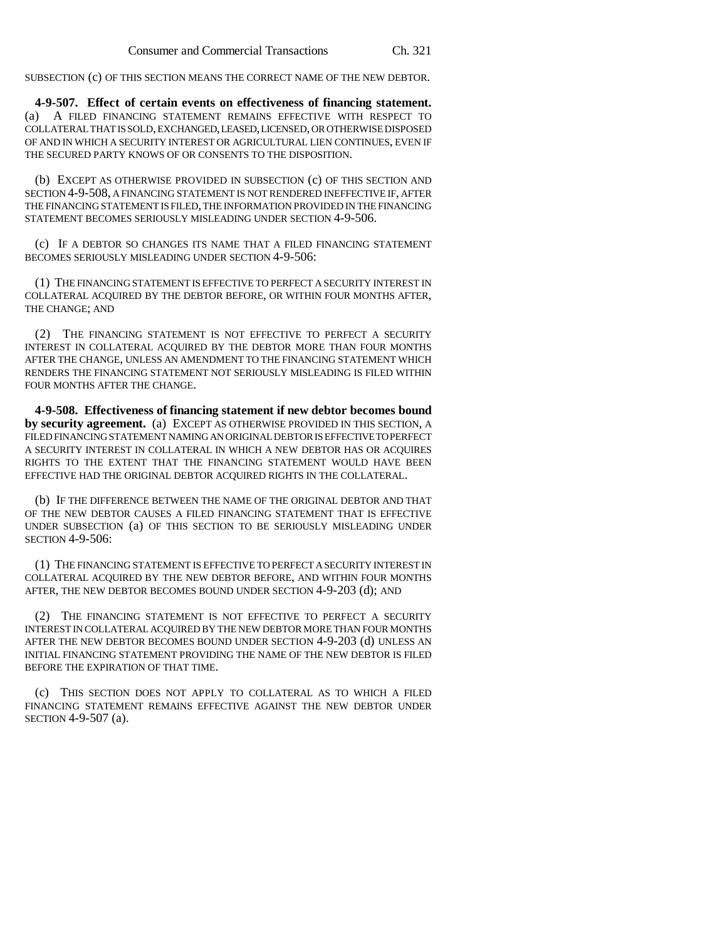SUBSECTION (c) OF THIS SECTION MEANS THE CORRECT NAME OF THE NEW DEBTOR.

**4-9-507. Effect of certain events on effectiveness of financing statement.** (a) A FILED FINANCING STATEMENT REMAINS EFFECTIVE WITH RESPECT TO COLLATERAL THAT IS SOLD, EXCHANGED, LEASED, LICENSED, OR OTHERWISE DISPOSED OF AND IN WHICH A SECURITY INTEREST OR AGRICULTURAL LIEN CONTINUES, EVEN IF THE SECURED PARTY KNOWS OF OR CONSENTS TO THE DISPOSITION.

(b) EXCEPT AS OTHERWISE PROVIDED IN SUBSECTION (c) OF THIS SECTION AND SECTION 4-9-508, A FINANCING STATEMENT IS NOT RENDERED INEFFECTIVE IF, AFTER THE FINANCING STATEMENT IS FILED, THE INFORMATION PROVIDED IN THE FINANCING STATEMENT BECOMES SERIOUSLY MISLEADING UNDER SECTION 4-9-506.

(c) IF A DEBTOR SO CHANGES ITS NAME THAT A FILED FINANCING STATEMENT BECOMES SERIOUSLY MISLEADING UNDER SECTION 4-9-506:

(1) THE FINANCING STATEMENT IS EFFECTIVE TO PERFECT A SECURITY INTEREST IN COLLATERAL ACQUIRED BY THE DEBTOR BEFORE, OR WITHIN FOUR MONTHS AFTER, THE CHANGE; AND

(2) THE FINANCING STATEMENT IS NOT EFFECTIVE TO PERFECT A SECURITY INTEREST IN COLLATERAL ACQUIRED BY THE DEBTOR MORE THAN FOUR MONTHS AFTER THE CHANGE, UNLESS AN AMENDMENT TO THE FINANCING STATEMENT WHICH RENDERS THE FINANCING STATEMENT NOT SERIOUSLY MISLEADING IS FILED WITHIN FOUR MONTHS AFTER THE CHANGE.

**4-9-508. Effectiveness of financing statement if new debtor becomes bound by security agreement.** (a) EXCEPT AS OTHERWISE PROVIDED IN THIS SECTION, A FILED FINANCING STATEMENT NAMING AN ORIGINAL DEBTOR IS EFFECTIVE TO PERFECT A SECURITY INTEREST IN COLLATERAL IN WHICH A NEW DEBTOR HAS OR ACQUIRES RIGHTS TO THE EXTENT THAT THE FINANCING STATEMENT WOULD HAVE BEEN EFFECTIVE HAD THE ORIGINAL DEBTOR ACQUIRED RIGHTS IN THE COLLATERAL.

(b) IF THE DIFFERENCE BETWEEN THE NAME OF THE ORIGINAL DEBTOR AND THAT OF THE NEW DEBTOR CAUSES A FILED FINANCING STATEMENT THAT IS EFFECTIVE UNDER SUBSECTION (a) OF THIS SECTION TO BE SERIOUSLY MISLEADING UNDER SECTION 4-9-506:

(1) THE FINANCING STATEMENT IS EFFECTIVE TO PERFECT A SECURITY INTEREST IN COLLATERAL ACQUIRED BY THE NEW DEBTOR BEFORE, AND WITHIN FOUR MONTHS AFTER, THE NEW DEBTOR BECOMES BOUND UNDER SECTION 4-9-203 (d); AND

(2) THE FINANCING STATEMENT IS NOT EFFECTIVE TO PERFECT A SECURITY INTEREST IN COLLATERAL ACQUIRED BY THE NEW DEBTOR MORE THAN FOUR MONTHS AFTER THE NEW DEBTOR BECOMES BOUND UNDER SECTION 4-9-203 (d) UNLESS AN INITIAL FINANCING STATEMENT PROVIDING THE NAME OF THE NEW DEBTOR IS FILED BEFORE THE EXPIRATION OF THAT TIME.

(c) THIS SECTION DOES NOT APPLY TO COLLATERAL AS TO WHICH A FILED FINANCING STATEMENT REMAINS EFFECTIVE AGAINST THE NEW DEBTOR UNDER SECTION 4-9-507 (a).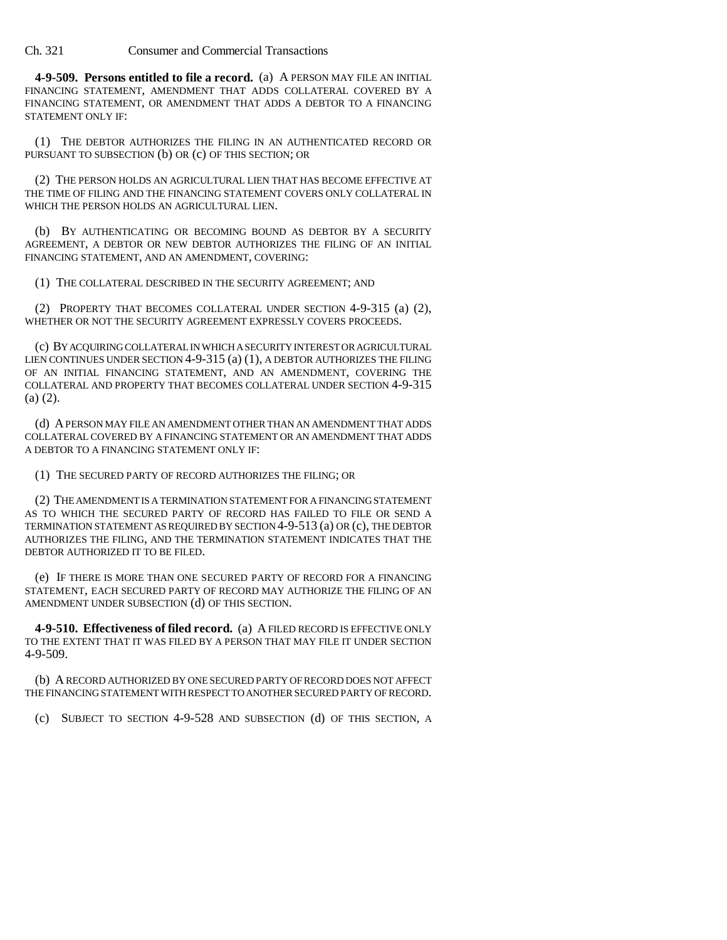**4-9-509. Persons entitled to file a record.** (a) A PERSON MAY FILE AN INITIAL FINANCING STATEMENT, AMENDMENT THAT ADDS COLLATERAL COVERED BY A FINANCING STATEMENT, OR AMENDMENT THAT ADDS A DEBTOR TO A FINANCING STATEMENT ONLY IF:

(1) THE DEBTOR AUTHORIZES THE FILING IN AN AUTHENTICATED RECORD OR PURSUANT TO SUBSECTION (b) OR (c) OF THIS SECTION; OR

(2) THE PERSON HOLDS AN AGRICULTURAL LIEN THAT HAS BECOME EFFECTIVE AT THE TIME OF FILING AND THE FINANCING STATEMENT COVERS ONLY COLLATERAL IN WHICH THE PERSON HOLDS AN AGRICULTURAL LIEN.

(b) BY AUTHENTICATING OR BECOMING BOUND AS DEBTOR BY A SECURITY AGREEMENT, A DEBTOR OR NEW DEBTOR AUTHORIZES THE FILING OF AN INITIAL FINANCING STATEMENT, AND AN AMENDMENT, COVERING:

(1) THE COLLATERAL DESCRIBED IN THE SECURITY AGREEMENT; AND

(2) PROPERTY THAT BECOMES COLLATERAL UNDER SECTION 4-9-315 (a) (2), WHETHER OR NOT THE SECURITY AGREEMENT EXPRESSLY COVERS PROCEEDS.

(c) BY ACQUIRING COLLATERAL IN WHICH A SECURITY INTEREST OR AGRICULTURAL LIEN CONTINUES UNDER SECTION 4-9-315 (a) (1), A DEBTOR AUTHORIZES THE FILING OF AN INITIAL FINANCING STATEMENT, AND AN AMENDMENT, COVERING THE COLLATERAL AND PROPERTY THAT BECOMES COLLATERAL UNDER SECTION 4-9-315 (a) (2).

(d) A PERSON MAY FILE AN AMENDMENT OTHER THAN AN AMENDMENT THAT ADDS COLLATERAL COVERED BY A FINANCING STATEMENT OR AN AMENDMENT THAT ADDS A DEBTOR TO A FINANCING STATEMENT ONLY IF:

(1) THE SECURED PARTY OF RECORD AUTHORIZES THE FILING; OR

(2) THE AMENDMENT IS A TERMINATION STATEMENT FOR A FINANCING STATEMENT AS TO WHICH THE SECURED PARTY OF RECORD HAS FAILED TO FILE OR SEND A TERMINATION STATEMENT AS REQUIRED BY SECTION 4-9-513 (a) OR (c), THE DEBTOR AUTHORIZES THE FILING, AND THE TERMINATION STATEMENT INDICATES THAT THE DEBTOR AUTHORIZED IT TO BE FILED.

(e) IF THERE IS MORE THAN ONE SECURED PARTY OF RECORD FOR A FINANCING STATEMENT, EACH SECURED PARTY OF RECORD MAY AUTHORIZE THE FILING OF AN AMENDMENT UNDER SUBSECTION (d) OF THIS SECTION.

**4-9-510. Effectiveness of filed record.** (a) A FILED RECORD IS EFFECTIVE ONLY TO THE EXTENT THAT IT WAS FILED BY A PERSON THAT MAY FILE IT UNDER SECTION 4-9-509.

(b) A RECORD AUTHORIZED BY ONE SECURED PARTY OF RECORD DOES NOT AFFECT THE FINANCING STATEMENT WITH RESPECT TO ANOTHER SECURED PARTY OF RECORD.

(c) SUBJECT TO SECTION 4-9-528 AND SUBSECTION (d) OF THIS SECTION, A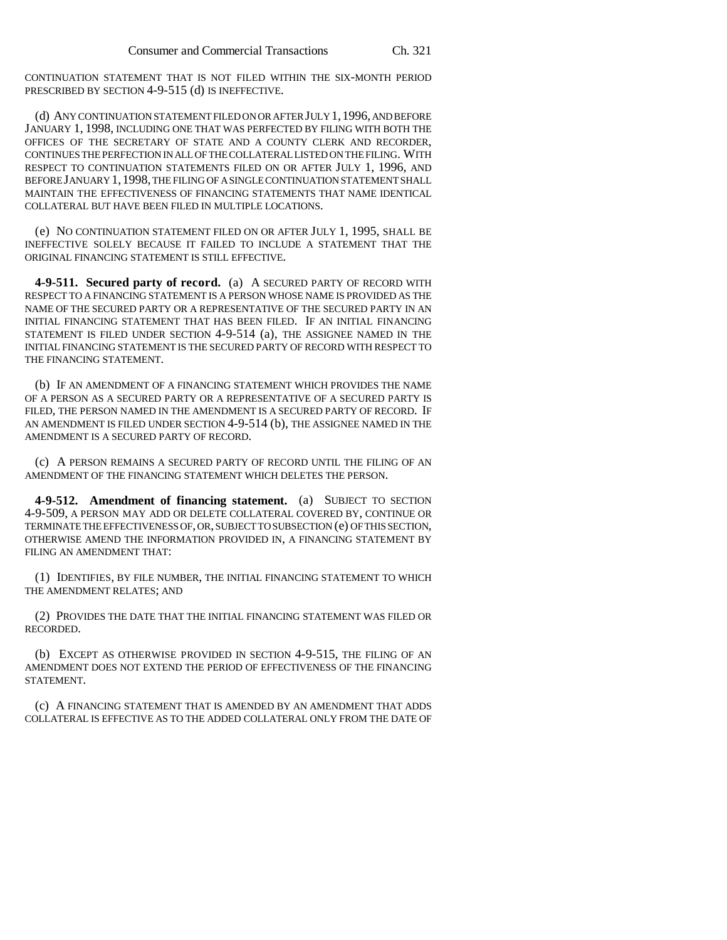CONTINUATION STATEMENT THAT IS NOT FILED WITHIN THE SIX-MONTH PERIOD PRESCRIBED BY SECTION 4-9-515 (d) IS INEFFECTIVE.

(d) ANY CONTINUATION STATEMENT FILED ON OR AFTER JULY 1,1996, AND BEFORE JANUARY 1, 1998, INCLUDING ONE THAT WAS PERFECTED BY FILING WITH BOTH THE OFFICES OF THE SECRETARY OF STATE AND A COUNTY CLERK AND RECORDER, CONTINUES THE PERFECTION IN ALL OF THE COLLATERAL LISTED ON THE FILING. WITH RESPECT TO CONTINUATION STATEMENTS FILED ON OR AFTER JULY 1, 1996, AND BEFORE JANUARY 1,1998, THE FILING OF A SINGLE CONTINUATION STATEMENT SHALL MAINTAIN THE EFFECTIVENESS OF FINANCING STATEMENTS THAT NAME IDENTICAL COLLATERAL BUT HAVE BEEN FILED IN MULTIPLE LOCATIONS.

(e) NO CONTINUATION STATEMENT FILED ON OR AFTER JULY 1, 1995, SHALL BE INEFFECTIVE SOLELY BECAUSE IT FAILED TO INCLUDE A STATEMENT THAT THE ORIGINAL FINANCING STATEMENT IS STILL EFFECTIVE.

**4-9-511. Secured party of record.** (a) A SECURED PARTY OF RECORD WITH RESPECT TO A FINANCING STATEMENT IS A PERSON WHOSE NAME IS PROVIDED AS THE NAME OF THE SECURED PARTY OR A REPRESENTATIVE OF THE SECURED PARTY IN AN INITIAL FINANCING STATEMENT THAT HAS BEEN FILED. IF AN INITIAL FINANCING STATEMENT IS FILED UNDER SECTION 4-9-514 (a), THE ASSIGNEE NAMED IN THE INITIAL FINANCING STATEMENT IS THE SECURED PARTY OF RECORD WITH RESPECT TO THE FINANCING STATEMENT.

(b) IF AN AMENDMENT OF A FINANCING STATEMENT WHICH PROVIDES THE NAME OF A PERSON AS A SECURED PARTY OR A REPRESENTATIVE OF A SECURED PARTY IS FILED, THE PERSON NAMED IN THE AMENDMENT IS A SECURED PARTY OF RECORD. IF AN AMENDMENT IS FILED UNDER SECTION 4-9-514 (b), THE ASSIGNEE NAMED IN THE AMENDMENT IS A SECURED PARTY OF RECORD.

(c) A PERSON REMAINS A SECURED PARTY OF RECORD UNTIL THE FILING OF AN AMENDMENT OF THE FINANCING STATEMENT WHICH DELETES THE PERSON.

**4-9-512. Amendment of financing statement.** (a) SUBJECT TO SECTION 4-9-509, A PERSON MAY ADD OR DELETE COLLATERAL COVERED BY, CONTINUE OR TERMINATE THE EFFECTIVENESS OF, OR, SUBJECT TO SUBSECTION (e) OF THIS SECTION, OTHERWISE AMEND THE INFORMATION PROVIDED IN, A FINANCING STATEMENT BY FILING AN AMENDMENT THAT:

(1) IDENTIFIES, BY FILE NUMBER, THE INITIAL FINANCING STATEMENT TO WHICH THE AMENDMENT RELATES; AND

(2) PROVIDES THE DATE THAT THE INITIAL FINANCING STATEMENT WAS FILED OR RECORDED.

(b) EXCEPT AS OTHERWISE PROVIDED IN SECTION 4-9-515, THE FILING OF AN AMENDMENT DOES NOT EXTEND THE PERIOD OF EFFECTIVENESS OF THE FINANCING STATEMENT.

(c) A FINANCING STATEMENT THAT IS AMENDED BY AN AMENDMENT THAT ADDS COLLATERAL IS EFFECTIVE AS TO THE ADDED COLLATERAL ONLY FROM THE DATE OF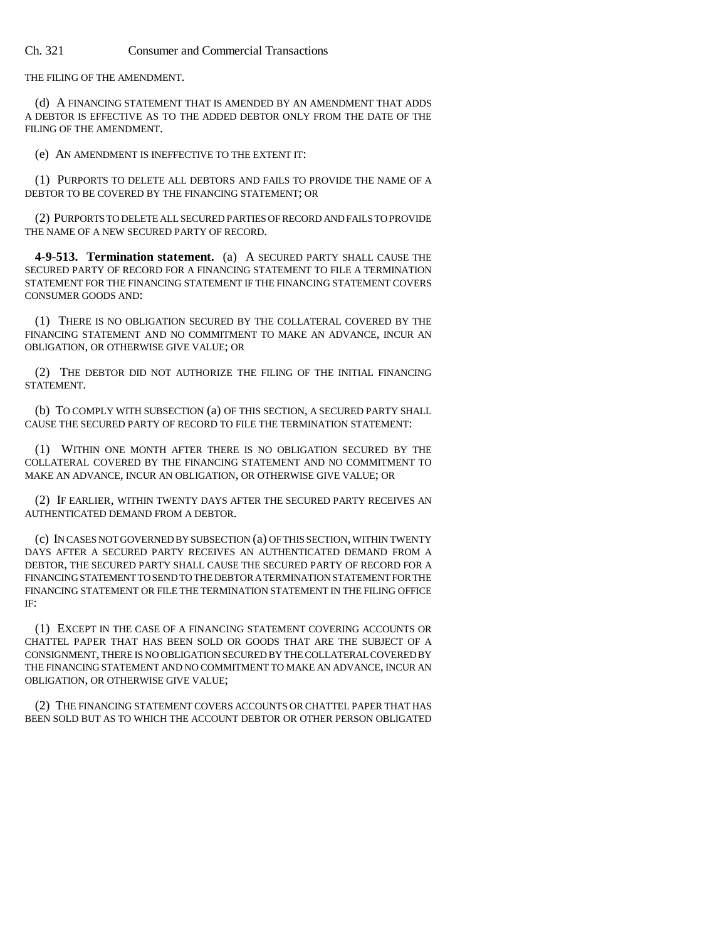THE FILING OF THE AMENDMENT.

(d) A FINANCING STATEMENT THAT IS AMENDED BY AN AMENDMENT THAT ADDS A DEBTOR IS EFFECTIVE AS TO THE ADDED DEBTOR ONLY FROM THE DATE OF THE FILING OF THE AMENDMENT.

(e) AN AMENDMENT IS INEFFECTIVE TO THE EXTENT IT:

(1) PURPORTS TO DELETE ALL DEBTORS AND FAILS TO PROVIDE THE NAME OF A DEBTOR TO BE COVERED BY THE FINANCING STATEMENT; OR

(2) PURPORTS TO DELETE ALL SECURED PARTIES OF RECORD AND FAILS TO PROVIDE THE NAME OF A NEW SECURED PARTY OF RECORD.

**4-9-513. Termination statement.** (a) A SECURED PARTY SHALL CAUSE THE SECURED PARTY OF RECORD FOR A FINANCING STATEMENT TO FILE A TERMINATION STATEMENT FOR THE FINANCING STATEMENT IF THE FINANCING STATEMENT COVERS CONSUMER GOODS AND:

(1) THERE IS NO OBLIGATION SECURED BY THE COLLATERAL COVERED BY THE FINANCING STATEMENT AND NO COMMITMENT TO MAKE AN ADVANCE, INCUR AN OBLIGATION, OR OTHERWISE GIVE VALUE; OR

(2) THE DEBTOR DID NOT AUTHORIZE THE FILING OF THE INITIAL FINANCING STATEMENT.

(b) TO COMPLY WITH SUBSECTION (a) OF THIS SECTION, A SECURED PARTY SHALL CAUSE THE SECURED PARTY OF RECORD TO FILE THE TERMINATION STATEMENT:

(1) WITHIN ONE MONTH AFTER THERE IS NO OBLIGATION SECURED BY THE COLLATERAL COVERED BY THE FINANCING STATEMENT AND NO COMMITMENT TO MAKE AN ADVANCE, INCUR AN OBLIGATION, OR OTHERWISE GIVE VALUE; OR

(2) IF EARLIER, WITHIN TWENTY DAYS AFTER THE SECURED PARTY RECEIVES AN AUTHENTICATED DEMAND FROM A DEBTOR.

(c) IN CASES NOT GOVERNED BY SUBSECTION (a) OF THIS SECTION, WITHIN TWENTY DAYS AFTER A SECURED PARTY RECEIVES AN AUTHENTICATED DEMAND FROM A DEBTOR, THE SECURED PARTY SHALL CAUSE THE SECURED PARTY OF RECORD FOR A FINANCING STATEMENT TO SEND TO THE DEBTOR A TERMINATION STATEMENT FOR THE FINANCING STATEMENT OR FILE THE TERMINATION STATEMENT IN THE FILING OFFICE IF:

(1) EXCEPT IN THE CASE OF A FINANCING STATEMENT COVERING ACCOUNTS OR CHATTEL PAPER THAT HAS BEEN SOLD OR GOODS THAT ARE THE SUBJECT OF A CONSIGNMENT, THERE IS NO OBLIGATION SECURED BY THE COLLATERAL COVERED BY THE FINANCING STATEMENT AND NO COMMITMENT TO MAKE AN ADVANCE, INCUR AN OBLIGATION, OR OTHERWISE GIVE VALUE;

(2) THE FINANCING STATEMENT COVERS ACCOUNTS OR CHATTEL PAPER THAT HAS BEEN SOLD BUT AS TO WHICH THE ACCOUNT DEBTOR OR OTHER PERSON OBLIGATED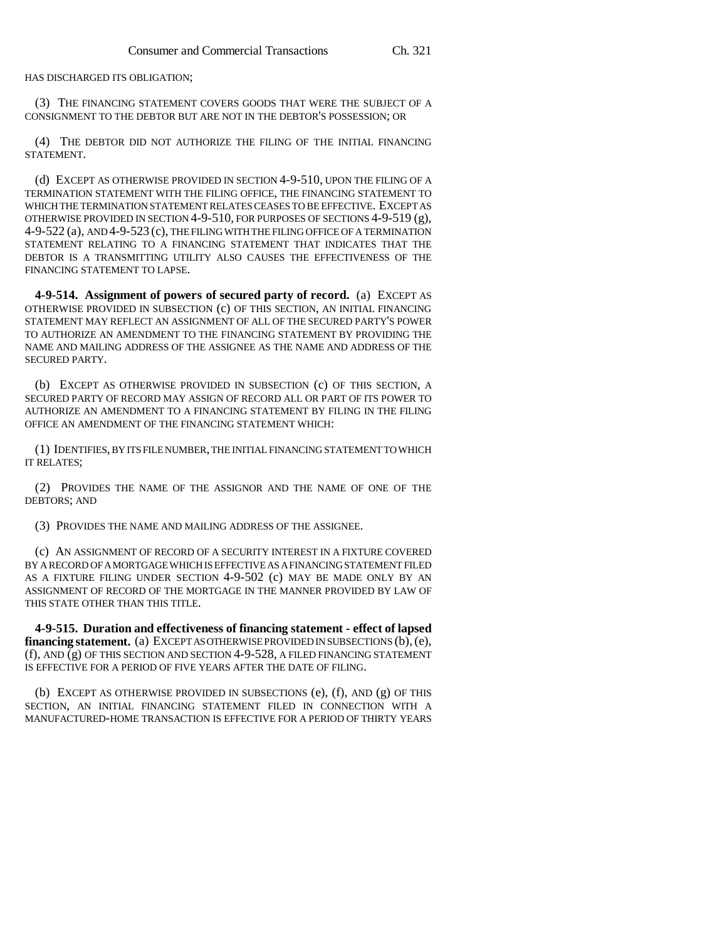HAS DISCHARGED ITS OBLIGATION;

(3) THE FINANCING STATEMENT COVERS GOODS THAT WERE THE SUBJECT OF A CONSIGNMENT TO THE DEBTOR BUT ARE NOT IN THE DEBTOR'S POSSESSION; OR

(4) THE DEBTOR DID NOT AUTHORIZE THE FILING OF THE INITIAL FINANCING STATEMENT.

(d) EXCEPT AS OTHERWISE PROVIDED IN SECTION 4-9-510, UPON THE FILING OF A TERMINATION STATEMENT WITH THE FILING OFFICE, THE FINANCING STATEMENT TO WHICH THE TERMINATION STATEMENT RELATES CEASES TO BE EFFECTIVE. EXCEPT AS OTHERWISE PROVIDED IN SECTION 4-9-510, FOR PURPOSES OF SECTIONS 4-9-519 (g), 4-9-522 (a), AND 4-9-523 (c), THE FILING WITH THE FILING OFFICE OF A TERMINATION STATEMENT RELATING TO A FINANCING STATEMENT THAT INDICATES THAT THE DEBTOR IS A TRANSMITTING UTILITY ALSO CAUSES THE EFFECTIVENESS OF THE FINANCING STATEMENT TO LAPSE.

**4-9-514. Assignment of powers of secured party of record.** (a) EXCEPT AS OTHERWISE PROVIDED IN SUBSECTION (c) OF THIS SECTION, AN INITIAL FINANCING STATEMENT MAY REFLECT AN ASSIGNMENT OF ALL OF THE SECURED PARTY'S POWER TO AUTHORIZE AN AMENDMENT TO THE FINANCING STATEMENT BY PROVIDING THE NAME AND MAILING ADDRESS OF THE ASSIGNEE AS THE NAME AND ADDRESS OF THE SECURED PARTY.

(b) EXCEPT AS OTHERWISE PROVIDED IN SUBSECTION (c) OF THIS SECTION, A SECURED PARTY OF RECORD MAY ASSIGN OF RECORD ALL OR PART OF ITS POWER TO AUTHORIZE AN AMENDMENT TO A FINANCING STATEMENT BY FILING IN THE FILING OFFICE AN AMENDMENT OF THE FINANCING STATEMENT WHICH:

(1) IDENTIFIES, BY ITS FILE NUMBER, THE INITIAL FINANCING STATEMENT TO WHICH IT RELATES;

(2) PROVIDES THE NAME OF THE ASSIGNOR AND THE NAME OF ONE OF THE DEBTORS; AND

(3) PROVIDES THE NAME AND MAILING ADDRESS OF THE ASSIGNEE.

(c) AN ASSIGNMENT OF RECORD OF A SECURITY INTEREST IN A FIXTURE COVERED BY A RECORD OF A MORTGAGE WHICH IS EFFECTIVE AS A FINANCING STATEMENT FILED AS A FIXTURE FILING UNDER SECTION 4-9-502 (c) MAY BE MADE ONLY BY AN ASSIGNMENT OF RECORD OF THE MORTGAGE IN THE MANNER PROVIDED BY LAW OF THIS STATE OTHER THAN THIS TITLE.

**4-9-515. Duration and effectiveness of financing statement - effect of lapsed financing statement.** (a) EXCEPT AS OTHERWISE PROVIDED IN SUBSECTIONS (b), (e), (f), AND (g) OF THIS SECTION AND SECTION 4-9-528, A FILED FINANCING STATEMENT IS EFFECTIVE FOR A PERIOD OF FIVE YEARS AFTER THE DATE OF FILING.

(b) EXCEPT AS OTHERWISE PROVIDED IN SUBSECTIONS (e), (f), AND (g) OF THIS SECTION, AN INITIAL FINANCING STATEMENT FILED IN CONNECTION WITH A MANUFACTURED-HOME TRANSACTION IS EFFECTIVE FOR A PERIOD OF THIRTY YEARS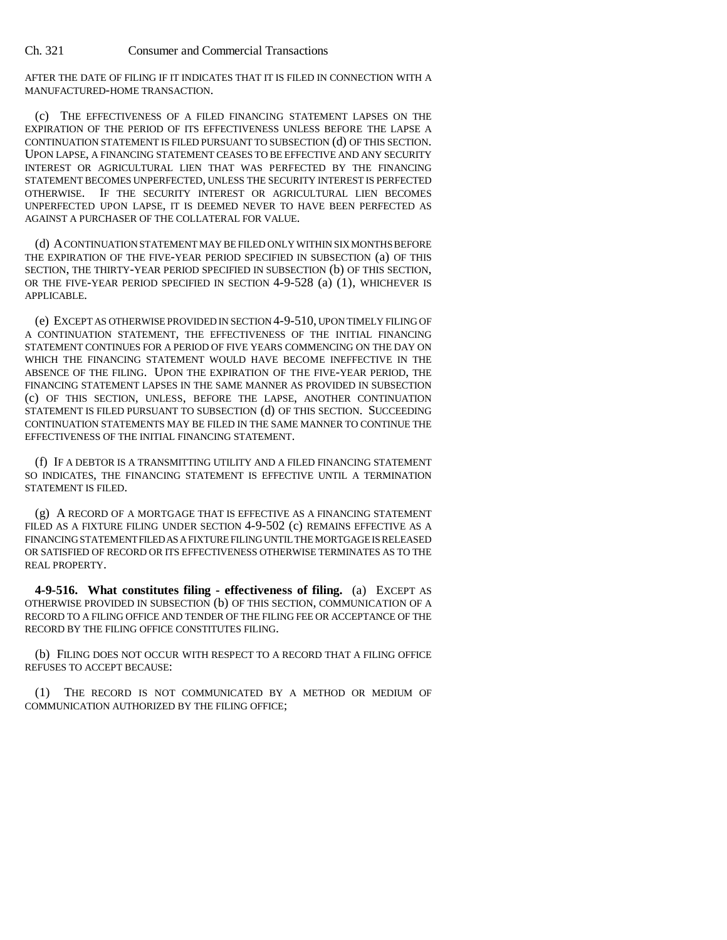AFTER THE DATE OF FILING IF IT INDICATES THAT IT IS FILED IN CONNECTION WITH A MANUFACTURED-HOME TRANSACTION.

(c) THE EFFECTIVENESS OF A FILED FINANCING STATEMENT LAPSES ON THE EXPIRATION OF THE PERIOD OF ITS EFFECTIVENESS UNLESS BEFORE THE LAPSE A CONTINUATION STATEMENT IS FILED PURSUANT TO SUBSECTION (d) OF THIS SECTION. UPON LAPSE, A FINANCING STATEMENT CEASES TO BE EFFECTIVE AND ANY SECURITY INTEREST OR AGRICULTURAL LIEN THAT WAS PERFECTED BY THE FINANCING STATEMENT BECOMES UNPERFECTED, UNLESS THE SECURITY INTEREST IS PERFECTED OTHERWISE. IF THE SECURITY INTEREST OR AGRICULTURAL LIEN BECOMES UNPERFECTED UPON LAPSE, IT IS DEEMED NEVER TO HAVE BEEN PERFECTED AS AGAINST A PURCHASER OF THE COLLATERAL FOR VALUE.

(d) A CONTINUATION STATEMENT MAY BE FILED ONLY WITHIN SIX MONTHS BEFORE THE EXPIRATION OF THE FIVE-YEAR PERIOD SPECIFIED IN SUBSECTION (a) OF THIS SECTION, THE THIRTY-YEAR PERIOD SPECIFIED IN SUBSECTION (b) OF THIS SECTION, OR THE FIVE-YEAR PERIOD SPECIFIED IN SECTION 4-9-528 (a) (1), WHICHEVER IS APPLICABLE.

(e) EXCEPT AS OTHERWISE PROVIDED IN SECTION 4-9-510, UPON TIMELY FILING OF A CONTINUATION STATEMENT, THE EFFECTIVENESS OF THE INITIAL FINANCING STATEMENT CONTINUES FOR A PERIOD OF FIVE YEARS COMMENCING ON THE DAY ON WHICH THE FINANCING STATEMENT WOULD HAVE BECOME INEFFECTIVE IN THE ABSENCE OF THE FILING. UPON THE EXPIRATION OF THE FIVE-YEAR PERIOD, THE FINANCING STATEMENT LAPSES IN THE SAME MANNER AS PROVIDED IN SUBSECTION (c) OF THIS SECTION, UNLESS, BEFORE THE LAPSE, ANOTHER CONTINUATION STATEMENT IS FILED PURSUANT TO SUBSECTION (d) OF THIS SECTION. SUCCEEDING CONTINUATION STATEMENTS MAY BE FILED IN THE SAME MANNER TO CONTINUE THE EFFECTIVENESS OF THE INITIAL FINANCING STATEMENT.

(f) IF A DEBTOR IS A TRANSMITTING UTILITY AND A FILED FINANCING STATEMENT SO INDICATES, THE FINANCING STATEMENT IS EFFECTIVE UNTIL A TERMINATION STATEMENT IS FILED.

(g) A RECORD OF A MORTGAGE THAT IS EFFECTIVE AS A FINANCING STATEMENT FILED AS A FIXTURE FILING UNDER SECTION 4-9-502 (c) REMAINS EFFECTIVE AS A FINANCING STATEMENT FILED AS A FIXTURE FILING UNTIL THE MORTGAGE IS RELEASED OR SATISFIED OF RECORD OR ITS EFFECTIVENESS OTHERWISE TERMINATES AS TO THE REAL PROPERTY.

**4-9-516. What constitutes filing - effectiveness of filing.** (a) EXCEPT AS OTHERWISE PROVIDED IN SUBSECTION (b) OF THIS SECTION, COMMUNICATION OF A RECORD TO A FILING OFFICE AND TENDER OF THE FILING FEE OR ACCEPTANCE OF THE RECORD BY THE FILING OFFICE CONSTITUTES FILING.

(b) FILING DOES NOT OCCUR WITH RESPECT TO A RECORD THAT A FILING OFFICE REFUSES TO ACCEPT BECAUSE:

(1) THE RECORD IS NOT COMMUNICATED BY A METHOD OR MEDIUM OF COMMUNICATION AUTHORIZED BY THE FILING OFFICE;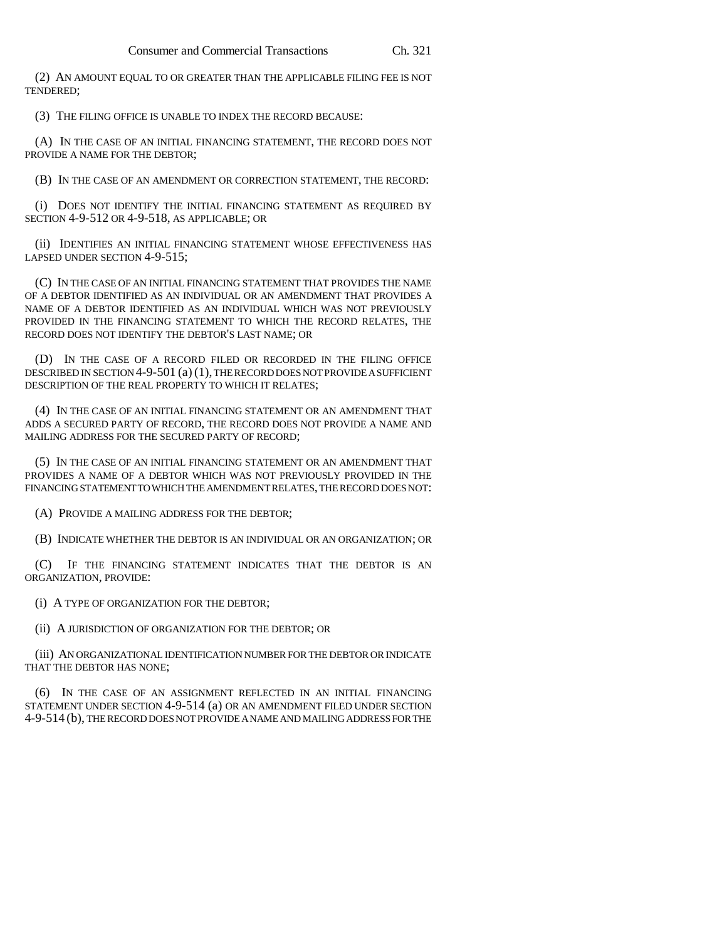(2) AN AMOUNT EQUAL TO OR GREATER THAN THE APPLICABLE FILING FEE IS NOT TENDERED;

(3) THE FILING OFFICE IS UNABLE TO INDEX THE RECORD BECAUSE:

(A) IN THE CASE OF AN INITIAL FINANCING STATEMENT, THE RECORD DOES NOT PROVIDE A NAME FOR THE DEBTOR;

(B) IN THE CASE OF AN AMENDMENT OR CORRECTION STATEMENT, THE RECORD:

(i) DOES NOT IDENTIFY THE INITIAL FINANCING STATEMENT AS REQUIRED BY SECTION 4-9-512 OR 4-9-518, AS APPLICABLE; OR

(ii) IDENTIFIES AN INITIAL FINANCING STATEMENT WHOSE EFFECTIVENESS HAS LAPSED UNDER SECTION 4-9-515;

(C) IN THE CASE OF AN INITIAL FINANCING STATEMENT THAT PROVIDES THE NAME OF A DEBTOR IDENTIFIED AS AN INDIVIDUAL OR AN AMENDMENT THAT PROVIDES A NAME OF A DEBTOR IDENTIFIED AS AN INDIVIDUAL WHICH WAS NOT PREVIOUSLY PROVIDED IN THE FINANCING STATEMENT TO WHICH THE RECORD RELATES, THE RECORD DOES NOT IDENTIFY THE DEBTOR'S LAST NAME; OR

(D) IN THE CASE OF A RECORD FILED OR RECORDED IN THE FILING OFFICE DESCRIBED IN SECTION 4-9-501 (a) (1), THE RECORD DOES NOT PROVIDE A SUFFICIENT DESCRIPTION OF THE REAL PROPERTY TO WHICH IT RELATES;

(4) IN THE CASE OF AN INITIAL FINANCING STATEMENT OR AN AMENDMENT THAT ADDS A SECURED PARTY OF RECORD, THE RECORD DOES NOT PROVIDE A NAME AND MAILING ADDRESS FOR THE SECURED PARTY OF RECORD;

(5) IN THE CASE OF AN INITIAL FINANCING STATEMENT OR AN AMENDMENT THAT PROVIDES A NAME OF A DEBTOR WHICH WAS NOT PREVIOUSLY PROVIDED IN THE FINANCING STATEMENT TO WHICH THE AMENDMENT RELATES, THE RECORD DOES NOT:

(A) PROVIDE A MAILING ADDRESS FOR THE DEBTOR;

(B) INDICATE WHETHER THE DEBTOR IS AN INDIVIDUAL OR AN ORGANIZATION; OR

(C) IF THE FINANCING STATEMENT INDICATES THAT THE DEBTOR IS AN ORGANIZATION, PROVIDE:

(i) A TYPE OF ORGANIZATION FOR THE DEBTOR;

(ii) A JURISDICTION OF ORGANIZATION FOR THE DEBTOR; OR

(iii) AN ORGANIZATIONAL IDENTIFICATION NUMBER FOR THE DEBTOR OR INDICATE THAT THE DEBTOR HAS NONE;

(6) IN THE CASE OF AN ASSIGNMENT REFLECTED IN AN INITIAL FINANCING STATEMENT UNDER SECTION 4-9-514 (a) OR AN AMENDMENT FILED UNDER SECTION 4-9-514 (b), THE RECORD DOES NOT PROVIDE A NAME AND MAILING ADDRESS FOR THE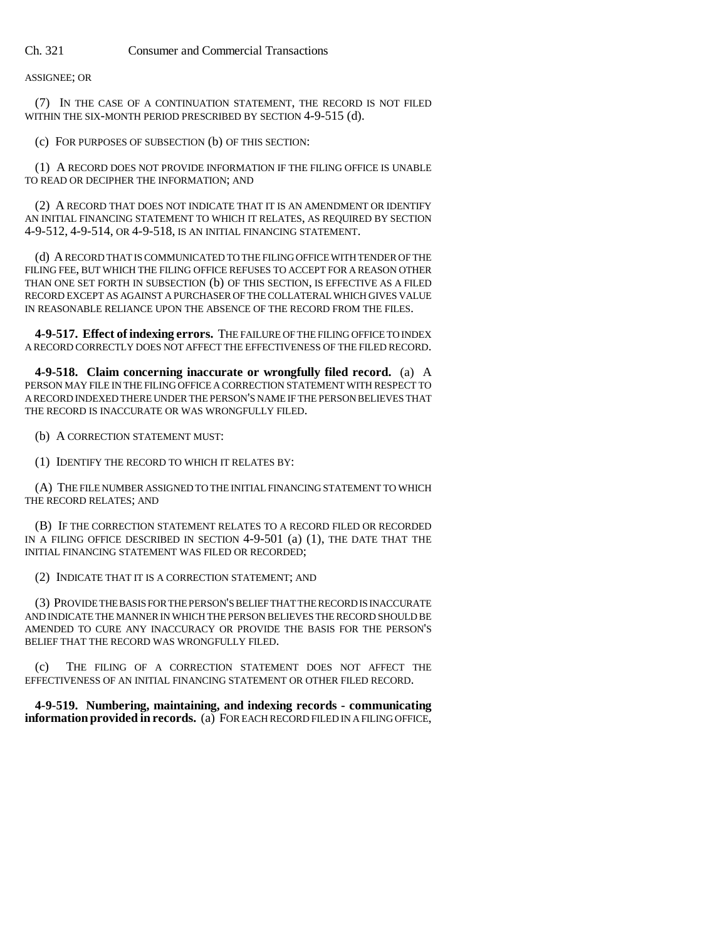ASSIGNEE; OR

(7) IN THE CASE OF A CONTINUATION STATEMENT, THE RECORD IS NOT FILED WITHIN THE SIX-MONTH PERIOD PRESCRIBED BY SECTION 4-9-515 (d).

(c) FOR PURPOSES OF SUBSECTION (b) OF THIS SECTION:

(1) A RECORD DOES NOT PROVIDE INFORMATION IF THE FILING OFFICE IS UNABLE TO READ OR DECIPHER THE INFORMATION; AND

(2) A RECORD THAT DOES NOT INDICATE THAT IT IS AN AMENDMENT OR IDENTIFY AN INITIAL FINANCING STATEMENT TO WHICH IT RELATES, AS REQUIRED BY SECTION 4-9-512, 4-9-514, OR 4-9-518, IS AN INITIAL FINANCING STATEMENT.

(d) A RECORD THAT IS COMMUNICATED TO THE FILING OFFICE WITH TENDER OF THE FILING FEE, BUT WHICH THE FILING OFFICE REFUSES TO ACCEPT FOR A REASON OTHER THAN ONE SET FORTH IN SUBSECTION (b) OF THIS SECTION, IS EFFECTIVE AS A FILED RECORD EXCEPT AS AGAINST A PURCHASER OF THE COLLATERAL WHICH GIVES VALUE IN REASONABLE RELIANCE UPON THE ABSENCE OF THE RECORD FROM THE FILES.

**4-9-517. Effect of indexing errors.** THE FAILURE OF THE FILING OFFICE TO INDEX A RECORD CORRECTLY DOES NOT AFFECT THE EFFECTIVENESS OF THE FILED RECORD.

**4-9-518. Claim concerning inaccurate or wrongfully filed record.** (a) A PERSON MAY FILE IN THE FILING OFFICE A CORRECTION STATEMENT WITH RESPECT TO A RECORD INDEXED THERE UNDER THE PERSON'S NAME IF THE PERSON BELIEVES THAT THE RECORD IS INACCURATE OR WAS WRONGFULLY FILED.

(b) A CORRECTION STATEMENT MUST:

(1) IDENTIFY THE RECORD TO WHICH IT RELATES BY:

(A) THE FILE NUMBER ASSIGNED TO THE INITIAL FINANCING STATEMENT TO WHICH THE RECORD RELATES; AND

(B) IF THE CORRECTION STATEMENT RELATES TO A RECORD FILED OR RECORDED IN A FILING OFFICE DESCRIBED IN SECTION 4-9-501 (a) (1), THE DATE THAT THE INITIAL FINANCING STATEMENT WAS FILED OR RECORDED;

(2) INDICATE THAT IT IS A CORRECTION STATEMENT; AND

(3) PROVIDE THE BASIS FOR THE PERSON'S BELIEF THAT THE RECORD IS INACCURATE AND INDICATE THE MANNER IN WHICH THE PERSON BELIEVES THE RECORD SHOULD BE AMENDED TO CURE ANY INACCURACY OR PROVIDE THE BASIS FOR THE PERSON'S BELIEF THAT THE RECORD WAS WRONGFULLY FILED.

(c) THE FILING OF A CORRECTION STATEMENT DOES NOT AFFECT THE EFFECTIVENESS OF AN INITIAL FINANCING STATEMENT OR OTHER FILED RECORD.

**4-9-519. Numbering, maintaining, and indexing records - communicating information provided in records.** (a) FOR EACH RECORD FILED IN A FILING OFFICE,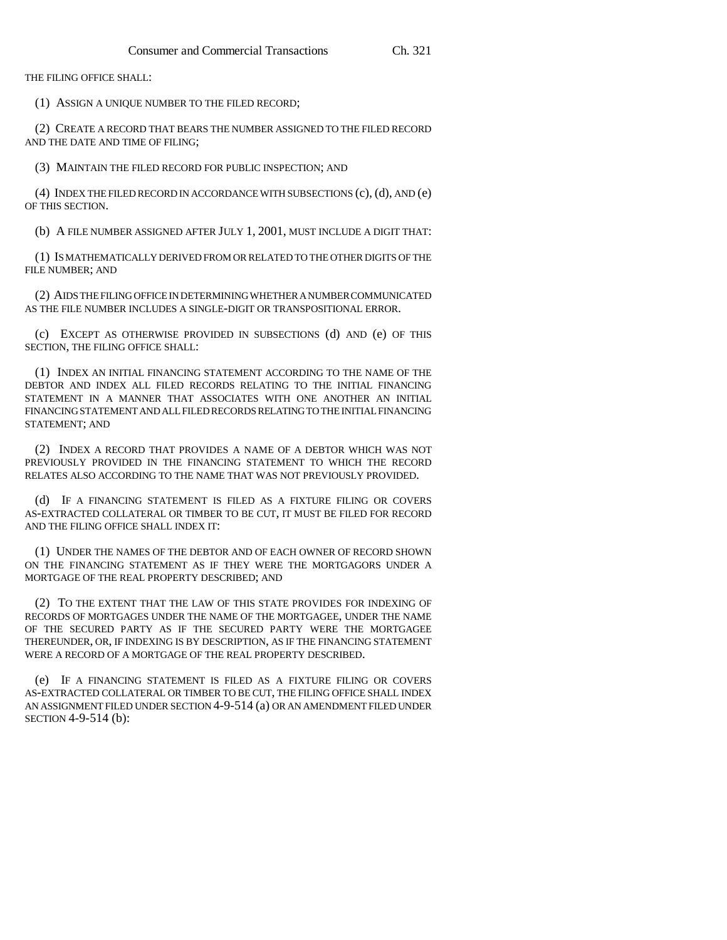THE FILING OFFICE SHALL:

(1) ASSIGN A UNIQUE NUMBER TO THE FILED RECORD;

(2) CREATE A RECORD THAT BEARS THE NUMBER ASSIGNED TO THE FILED RECORD AND THE DATE AND TIME OF FILING;

(3) MAINTAIN THE FILED RECORD FOR PUBLIC INSPECTION; AND

(4) INDEX THE FILED RECORD IN ACCORDANCE WITH SUBSECTIONS (c), (d), AND (e) OF THIS SECTION.

(b) A FILE NUMBER ASSIGNED AFTER JULY 1, 2001, MUST INCLUDE A DIGIT THAT:

(1) IS MATHEMATICALLY DERIVED FROM OR RELATED TO THE OTHER DIGITS OF THE FILE NUMBER; AND

(2) AIDS THE FILING OFFICE IN DETERMINING WHETHER A NUMBER COMMUNICATED AS THE FILE NUMBER INCLUDES A SINGLE-DIGIT OR TRANSPOSITIONAL ERROR.

(c) EXCEPT AS OTHERWISE PROVIDED IN SUBSECTIONS (d) AND (e) OF THIS SECTION, THE FILING OFFICE SHALL:

(1) INDEX AN INITIAL FINANCING STATEMENT ACCORDING TO THE NAME OF THE DEBTOR AND INDEX ALL FILED RECORDS RELATING TO THE INITIAL FINANCING STATEMENT IN A MANNER THAT ASSOCIATES WITH ONE ANOTHER AN INITIAL FINANCING STATEMENT AND ALL FILED RECORDS RELATING TO THE INITIAL FINANCING STATEMENT; AND

(2) INDEX A RECORD THAT PROVIDES A NAME OF A DEBTOR WHICH WAS NOT PREVIOUSLY PROVIDED IN THE FINANCING STATEMENT TO WHICH THE RECORD RELATES ALSO ACCORDING TO THE NAME THAT WAS NOT PREVIOUSLY PROVIDED.

(d) IF A FINANCING STATEMENT IS FILED AS A FIXTURE FILING OR COVERS AS-EXTRACTED COLLATERAL OR TIMBER TO BE CUT, IT MUST BE FILED FOR RECORD AND THE FILING OFFICE SHALL INDEX IT:

(1) UNDER THE NAMES OF THE DEBTOR AND OF EACH OWNER OF RECORD SHOWN ON THE FINANCING STATEMENT AS IF THEY WERE THE MORTGAGORS UNDER A MORTGAGE OF THE REAL PROPERTY DESCRIBED; AND

(2) TO THE EXTENT THAT THE LAW OF THIS STATE PROVIDES FOR INDEXING OF RECORDS OF MORTGAGES UNDER THE NAME OF THE MORTGAGEE, UNDER THE NAME OF THE SECURED PARTY AS IF THE SECURED PARTY WERE THE MORTGAGEE THEREUNDER, OR, IF INDEXING IS BY DESCRIPTION, AS IF THE FINANCING STATEMENT WERE A RECORD OF A MORTGAGE OF THE REAL PROPERTY DESCRIBED.

(e) IF A FINANCING STATEMENT IS FILED AS A FIXTURE FILING OR COVERS AS-EXTRACTED COLLATERAL OR TIMBER TO BE CUT, THE FILING OFFICE SHALL INDEX AN ASSIGNMENT FILED UNDER SECTION 4-9-514 (a) OR AN AMENDMENT FILED UNDER SECTION 4-9-514 (b):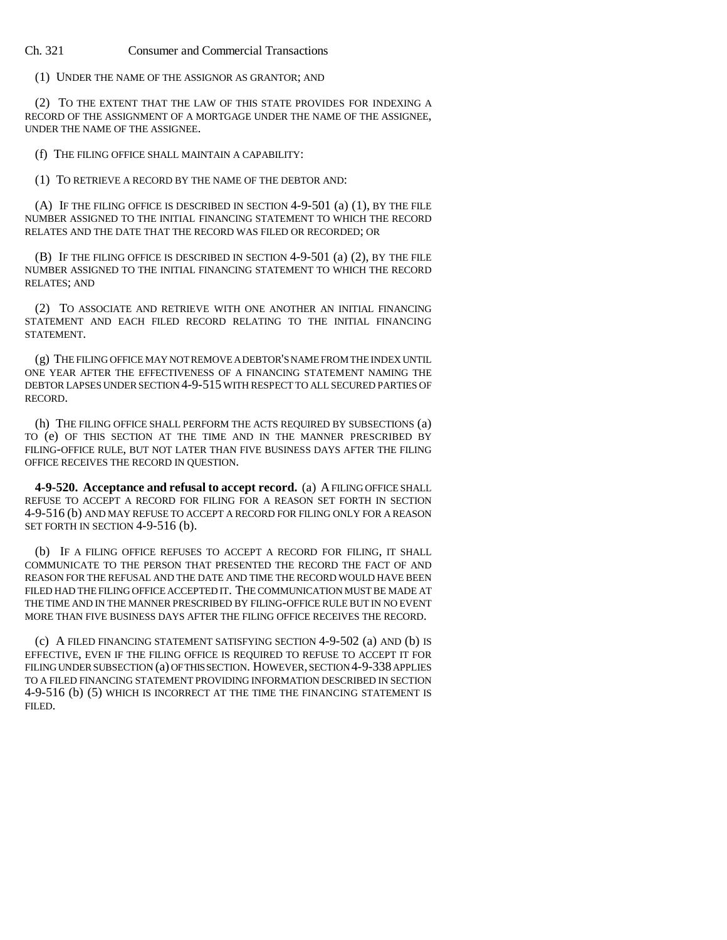(1) UNDER THE NAME OF THE ASSIGNOR AS GRANTOR; AND

(2) TO THE EXTENT THAT THE LAW OF THIS STATE PROVIDES FOR INDEXING A RECORD OF THE ASSIGNMENT OF A MORTGAGE UNDER THE NAME OF THE ASSIGNEE, UNDER THE NAME OF THE ASSIGNEE.

(f) THE FILING OFFICE SHALL MAINTAIN A CAPABILITY:

(1) TO RETRIEVE A RECORD BY THE NAME OF THE DEBTOR AND:

(A) IF THE FILING OFFICE IS DESCRIBED IN SECTION 4-9-501 (a) (1), BY THE FILE NUMBER ASSIGNED TO THE INITIAL FINANCING STATEMENT TO WHICH THE RECORD RELATES AND THE DATE THAT THE RECORD WAS FILED OR RECORDED; OR

(B) IF THE FILING OFFICE IS DESCRIBED IN SECTION 4-9-501 (a) (2), BY THE FILE NUMBER ASSIGNED TO THE INITIAL FINANCING STATEMENT TO WHICH THE RECORD RELATES; AND

(2) TO ASSOCIATE AND RETRIEVE WITH ONE ANOTHER AN INITIAL FINANCING STATEMENT AND EACH FILED RECORD RELATING TO THE INITIAL FINANCING STATEMENT.

(g) THE FILING OFFICE MAY NOT REMOVE A DEBTOR'S NAME FROM THE INDEX UNTIL ONE YEAR AFTER THE EFFECTIVENESS OF A FINANCING STATEMENT NAMING THE DEBTOR LAPSES UNDER SECTION 4-9-515 WITH RESPECT TO ALL SECURED PARTIES OF RECORD.

(h) THE FILING OFFICE SHALL PERFORM THE ACTS REQUIRED BY SUBSECTIONS (a) TO (e) OF THIS SECTION AT THE TIME AND IN THE MANNER PRESCRIBED BY FILING-OFFICE RULE, BUT NOT LATER THAN FIVE BUSINESS DAYS AFTER THE FILING OFFICE RECEIVES THE RECORD IN QUESTION.

**4-9-520. Acceptance and refusal to accept record.** (a) A FILING OFFICE SHALL REFUSE TO ACCEPT A RECORD FOR FILING FOR A REASON SET FORTH IN SECTION 4-9-516 (b) AND MAY REFUSE TO ACCEPT A RECORD FOR FILING ONLY FOR A REASON SET FORTH IN SECTION 4-9-516 (b).

(b) IF A FILING OFFICE REFUSES TO ACCEPT A RECORD FOR FILING, IT SHALL COMMUNICATE TO THE PERSON THAT PRESENTED THE RECORD THE FACT OF AND REASON FOR THE REFUSAL AND THE DATE AND TIME THE RECORD WOULD HAVE BEEN FILED HAD THE FILING OFFICE ACCEPTED IT. THE COMMUNICATION MUST BE MADE AT THE TIME AND IN THE MANNER PRESCRIBED BY FILING-OFFICE RULE BUT IN NO EVENT MORE THAN FIVE BUSINESS DAYS AFTER THE FILING OFFICE RECEIVES THE RECORD.

(c) A FILED FINANCING STATEMENT SATISFYING SECTION 4-9-502 (a) AND (b) IS EFFECTIVE, EVEN IF THE FILING OFFICE IS REQUIRED TO REFUSE TO ACCEPT IT FOR FILING UNDER SUBSECTION (a) OF THIS SECTION. HOWEVER, SECTION 4-9-338 APPLIES TO A FILED FINANCING STATEMENT PROVIDING INFORMATION DESCRIBED IN SECTION 4-9-516 (b) (5) WHICH IS INCORRECT AT THE TIME THE FINANCING STATEMENT IS FILED.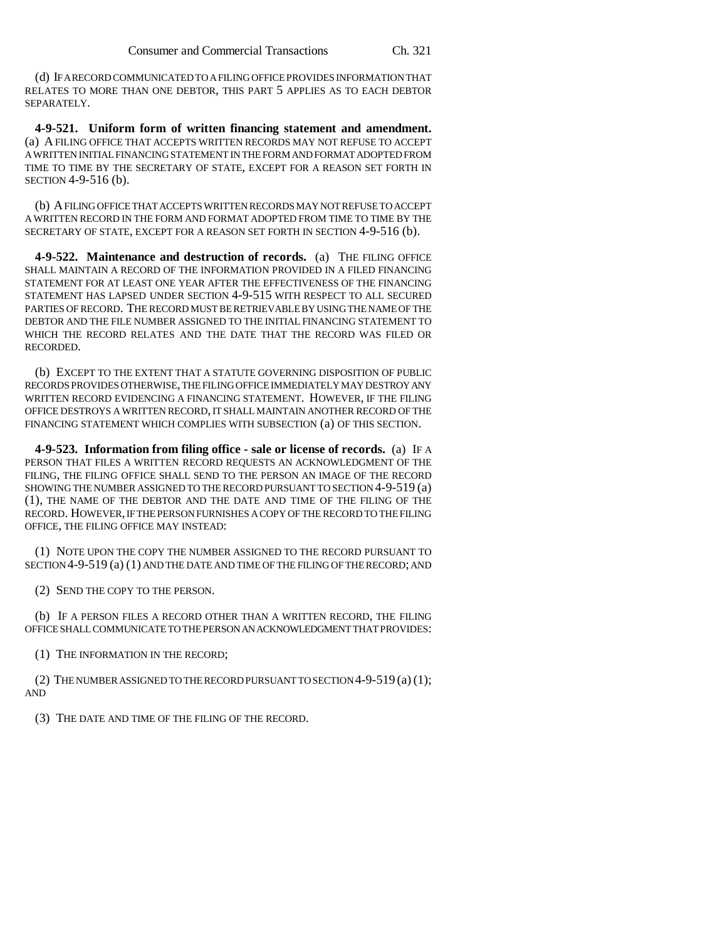(d) IF A RECORD COMMUNICATED TO A FILING OFFICE PROVIDES INFORMATION THAT RELATES TO MORE THAN ONE DEBTOR, THIS PART 5 APPLIES AS TO EACH DEBTOR SEPARATELY.

**4-9-521. Uniform form of written financing statement and amendment.** (a) A FILING OFFICE THAT ACCEPTS WRITTEN RECORDS MAY NOT REFUSE TO ACCEPT A WRITTEN INITIAL FINANCING STATEMENT IN THE FORM AND FORMAT ADOPTED FROM TIME TO TIME BY THE SECRETARY OF STATE, EXCEPT FOR A REASON SET FORTH IN SECTION 4-9-516 (b).

(b) A FILING OFFICE THAT ACCEPTS WRITTEN RECORDS MAY NOT REFUSE TO ACCEPT A WRITTEN RECORD IN THE FORM AND FORMAT ADOPTED FROM TIME TO TIME BY THE SECRETARY OF STATE, EXCEPT FOR A REASON SET FORTH IN SECTION 4-9-516 (b).

**4-9-522. Maintenance and destruction of records.** (a) THE FILING OFFICE SHALL MAINTAIN A RECORD OF THE INFORMATION PROVIDED IN A FILED FINANCING STATEMENT FOR AT LEAST ONE YEAR AFTER THE EFFECTIVENESS OF THE FINANCING STATEMENT HAS LAPSED UNDER SECTION 4-9-515 WITH RESPECT TO ALL SECURED PARTIES OF RECORD. THE RECORD MUST BE RETRIEVABLE BY USING THE NAME OF THE DEBTOR AND THE FILE NUMBER ASSIGNED TO THE INITIAL FINANCING STATEMENT TO WHICH THE RECORD RELATES AND THE DATE THAT THE RECORD WAS FILED OR RECORDED.

(b) EXCEPT TO THE EXTENT THAT A STATUTE GOVERNING DISPOSITION OF PUBLIC RECORDS PROVIDES OTHERWISE, THE FILING OFFICE IMMEDIATELY MAY DESTROY ANY WRITTEN RECORD EVIDENCING A FINANCING STATEMENT. HOWEVER, IF THE FILING OFFICE DESTROYS A WRITTEN RECORD, IT SHALL MAINTAIN ANOTHER RECORD OF THE FINANCING STATEMENT WHICH COMPLIES WITH SUBSECTION (a) OF THIS SECTION.

**4-9-523. Information from filing office - sale or license of records.** (a) IF A PERSON THAT FILES A WRITTEN RECORD REQUESTS AN ACKNOWLEDGMENT OF THE FILING, THE FILING OFFICE SHALL SEND TO THE PERSON AN IMAGE OF THE RECORD SHOWING THE NUMBER ASSIGNED TO THE RECORD PURSUANT TO SECTION 4-9-519 (a) (1), THE NAME OF THE DEBTOR AND THE DATE AND TIME OF THE FILING OF THE RECORD. HOWEVER, IF THE PERSON FURNISHES A COPY OF THE RECORD TO THE FILING OFFICE, THE FILING OFFICE MAY INSTEAD:

(1) NOTE UPON THE COPY THE NUMBER ASSIGNED TO THE RECORD PURSUANT TO SECTION 4-9-519 (a) (1) AND THE DATE AND TIME OF THE FILING OF THE RECORD; AND

(2) SEND THE COPY TO THE PERSON.

(b) IF A PERSON FILES A RECORD OTHER THAN A WRITTEN RECORD, THE FILING OFFICE SHALL COMMUNICATE TO THE PERSON AN ACKNOWLEDGMENT THAT PROVIDES:

(1) THE INFORMATION IN THE RECORD;

(2) THE NUMBER ASSIGNED TO THE RECORD PURSUANT TO SECTION 4-9-519 (a) (1); AND

(3) THE DATE AND TIME OF THE FILING OF THE RECORD.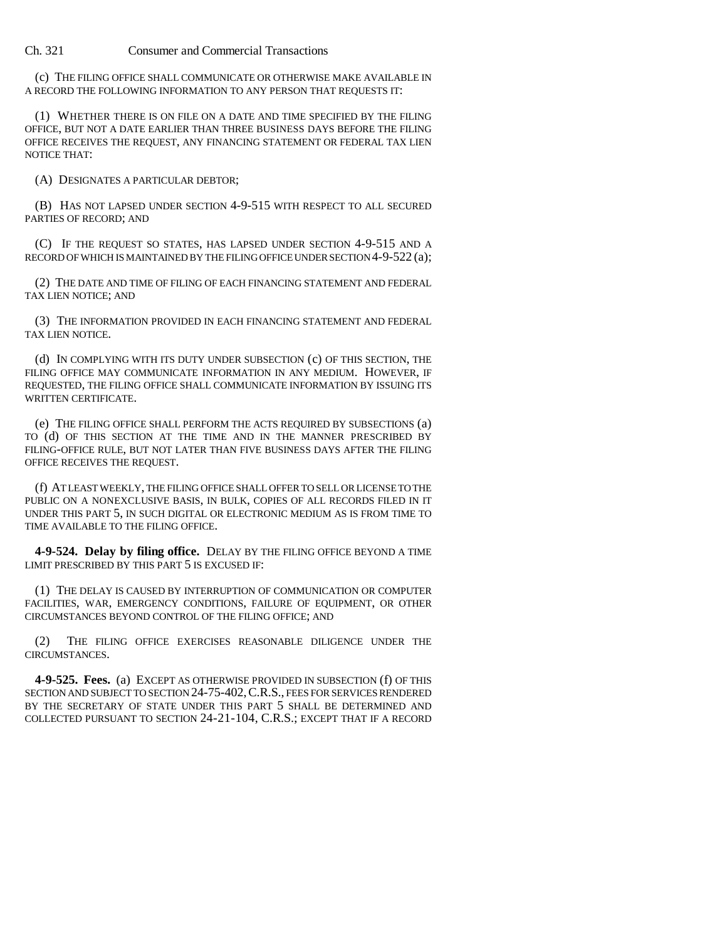(c) THE FILING OFFICE SHALL COMMUNICATE OR OTHERWISE MAKE AVAILABLE IN A RECORD THE FOLLOWING INFORMATION TO ANY PERSON THAT REQUESTS IT:

(1) WHETHER THERE IS ON FILE ON A DATE AND TIME SPECIFIED BY THE FILING OFFICE, BUT NOT A DATE EARLIER THAN THREE BUSINESS DAYS BEFORE THE FILING OFFICE RECEIVES THE REQUEST, ANY FINANCING STATEMENT OR FEDERAL TAX LIEN NOTICE THAT:

(A) DESIGNATES A PARTICULAR DEBTOR;

(B) HAS NOT LAPSED UNDER SECTION 4-9-515 WITH RESPECT TO ALL SECURED PARTIES OF RECORD; AND

(C) IF THE REQUEST SO STATES, HAS LAPSED UNDER SECTION 4-9-515 AND A RECORD OF WHICH IS MAINTAINED BY THE FILING OFFICE UNDER SECTION 4-9-522 (a);

(2) THE DATE AND TIME OF FILING OF EACH FINANCING STATEMENT AND FEDERAL TAX LIEN NOTICE; AND

(3) THE INFORMATION PROVIDED IN EACH FINANCING STATEMENT AND FEDERAL TAX LIEN NOTICE.

(d) IN COMPLYING WITH ITS DUTY UNDER SUBSECTION (c) OF THIS SECTION, THE FILING OFFICE MAY COMMUNICATE INFORMATION IN ANY MEDIUM. HOWEVER, IF REQUESTED, THE FILING OFFICE SHALL COMMUNICATE INFORMATION BY ISSUING ITS WRITTEN CERTIFICATE.

(e) THE FILING OFFICE SHALL PERFORM THE ACTS REQUIRED BY SUBSECTIONS (a) TO (d) OF THIS SECTION AT THE TIME AND IN THE MANNER PRESCRIBED BY FILING-OFFICE RULE, BUT NOT LATER THAN FIVE BUSINESS DAYS AFTER THE FILING OFFICE RECEIVES THE REQUEST.

(f) AT LEAST WEEKLY, THE FILING OFFICE SHALL OFFER TO SELL OR LICENSE TO THE PUBLIC ON A NONEXCLUSIVE BASIS, IN BULK, COPIES OF ALL RECORDS FILED IN IT UNDER THIS PART 5, IN SUCH DIGITAL OR ELECTRONIC MEDIUM AS IS FROM TIME TO TIME AVAILABLE TO THE FILING OFFICE.

**4-9-524. Delay by filing office.** DELAY BY THE FILING OFFICE BEYOND A TIME LIMIT PRESCRIBED BY THIS PART 5 IS EXCUSED IF:

(1) THE DELAY IS CAUSED BY INTERRUPTION OF COMMUNICATION OR COMPUTER FACILITIES, WAR, EMERGENCY CONDITIONS, FAILURE OF EQUIPMENT, OR OTHER CIRCUMSTANCES BEYOND CONTROL OF THE FILING OFFICE; AND

(2) THE FILING OFFICE EXERCISES REASONABLE DILIGENCE UNDER THE CIRCUMSTANCES.

**4-9-525. Fees.** (a) EXCEPT AS OTHERWISE PROVIDED IN SUBSECTION (f) OF THIS SECTION AND SUBJECT TO SECTION 24-75-402,C.R.S., FEES FOR SERVICES RENDERED BY THE SECRETARY OF STATE UNDER THIS PART 5 SHALL BE DETERMINED AND COLLECTED PURSUANT TO SECTION 24-21-104, C.R.S.; EXCEPT THAT IF A RECORD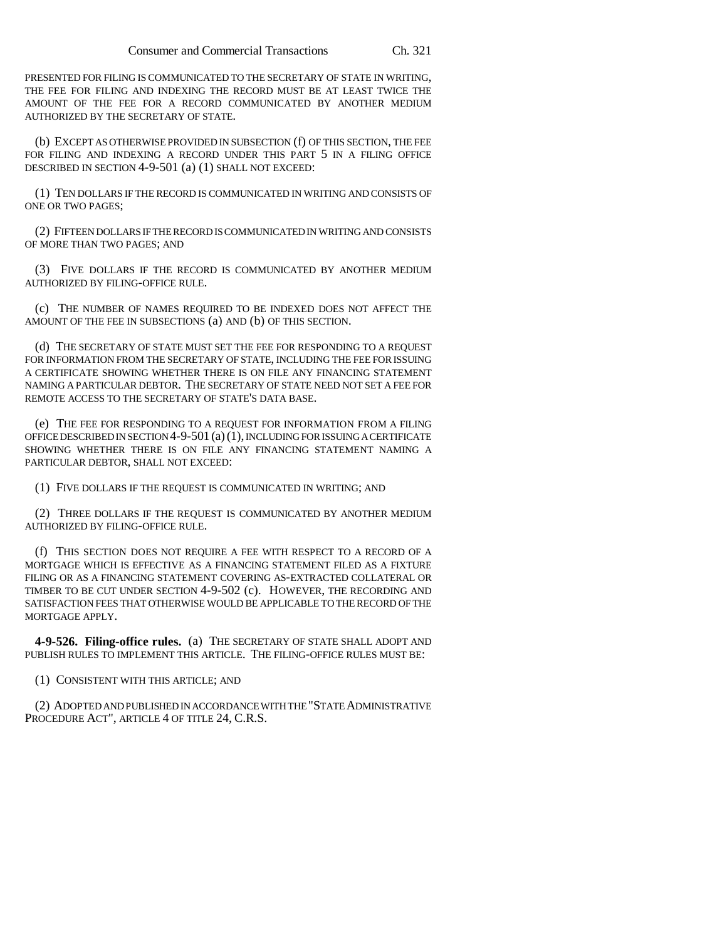PRESENTED FOR FILING IS COMMUNICATED TO THE SECRETARY OF STATE IN WRITING, THE FEE FOR FILING AND INDEXING THE RECORD MUST BE AT LEAST TWICE THE AMOUNT OF THE FEE FOR A RECORD COMMUNICATED BY ANOTHER MEDIUM AUTHORIZED BY THE SECRETARY OF STATE.

(b) EXCEPT AS OTHERWISE PROVIDED IN SUBSECTION (f) OF THIS SECTION, THE FEE FOR FILING AND INDEXING A RECORD UNDER THIS PART 5 IN A FILING OFFICE DESCRIBED IN SECTION 4-9-501 (a) (1) SHALL NOT EXCEED:

(1) TEN DOLLARS IF THE RECORD IS COMMUNICATED IN WRITING AND CONSISTS OF ONE OR TWO PAGES;

(2) FIFTEEN DOLLARS IF THE RECORD IS COMMUNICATED IN WRITING AND CONSISTS OF MORE THAN TWO PAGES; AND

(3) FIVE DOLLARS IF THE RECORD IS COMMUNICATED BY ANOTHER MEDIUM AUTHORIZED BY FILING-OFFICE RULE.

(c) THE NUMBER OF NAMES REQUIRED TO BE INDEXED DOES NOT AFFECT THE AMOUNT OF THE FEE IN SUBSECTIONS (a) AND (b) OF THIS SECTION.

(d) THE SECRETARY OF STATE MUST SET THE FEE FOR RESPONDING TO A REQUEST FOR INFORMATION FROM THE SECRETARY OF STATE, INCLUDING THE FEE FOR ISSUING A CERTIFICATE SHOWING WHETHER THERE IS ON FILE ANY FINANCING STATEMENT NAMING A PARTICULAR DEBTOR. THE SECRETARY OF STATE NEED NOT SET A FEE FOR REMOTE ACCESS TO THE SECRETARY OF STATE'S DATA BASE.

(e) THE FEE FOR RESPONDING TO A REQUEST FOR INFORMATION FROM A FILING OFFICE DESCRIBED IN SECTION 4-9-501 (a) (1), INCLUDING FOR ISSUING A CERTIFICATE SHOWING WHETHER THERE IS ON FILE ANY FINANCING STATEMENT NAMING A PARTICULAR DEBTOR, SHALL NOT EXCEED:

(1) FIVE DOLLARS IF THE REQUEST IS COMMUNICATED IN WRITING; AND

(2) THREE DOLLARS IF THE REQUEST IS COMMUNICATED BY ANOTHER MEDIUM AUTHORIZED BY FILING-OFFICE RULE.

(f) THIS SECTION DOES NOT REQUIRE A FEE WITH RESPECT TO A RECORD OF A MORTGAGE WHICH IS EFFECTIVE AS A FINANCING STATEMENT FILED AS A FIXTURE FILING OR AS A FINANCING STATEMENT COVERING AS-EXTRACTED COLLATERAL OR TIMBER TO BE CUT UNDER SECTION 4-9-502 (c). HOWEVER, THE RECORDING AND SATISFACTION FEES THAT OTHERWISE WOULD BE APPLICABLE TO THE RECORD OF THE MORTGAGE APPLY.

**4-9-526. Filing-office rules.** (a) THE SECRETARY OF STATE SHALL ADOPT AND PUBLISH RULES TO IMPLEMENT THIS ARTICLE. THE FILING-OFFICE RULES MUST BE:

(1) CONSISTENT WITH THIS ARTICLE; AND

(2) ADOPTED AND PUBLISHED IN ACCORDANCE WITH THE "STATE ADMINISTRATIVE PROCEDURE ACT", ARTICLE 4 OF TITLE 24, C.R.S.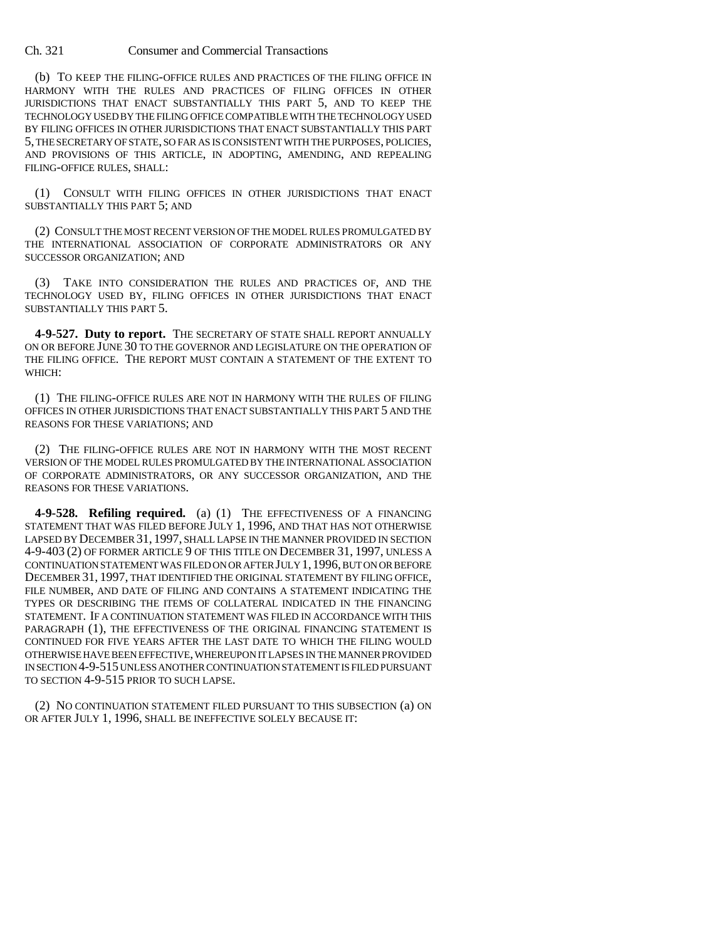(b) TO KEEP THE FILING-OFFICE RULES AND PRACTICES OF THE FILING OFFICE IN HARMONY WITH THE RULES AND PRACTICES OF FILING OFFICES IN OTHER JURISDICTIONS THAT ENACT SUBSTANTIALLY THIS PART 5, AND TO KEEP THE TECHNOLOGY USED BY THE FILING OFFICE COMPATIBLE WITH THE TECHNOLOGY USED BY FILING OFFICES IN OTHER JURISDICTIONS THAT ENACT SUBSTANTIALLY THIS PART 5, THE SECRETARY OF STATE, SO FAR AS IS CONSISTENT WITH THE PURPOSES, POLICIES, AND PROVISIONS OF THIS ARTICLE, IN ADOPTING, AMENDING, AND REPEALING FILING-OFFICE RULES, SHALL:

(1) CONSULT WITH FILING OFFICES IN OTHER JURISDICTIONS THAT ENACT SUBSTANTIALLY THIS PART 5; AND

(2) CONSULT THE MOST RECENT VERSION OF THE MODEL RULES PROMULGATED BY THE INTERNATIONAL ASSOCIATION OF CORPORATE ADMINISTRATORS OR ANY SUCCESSOR ORGANIZATION; AND

(3) TAKE INTO CONSIDERATION THE RULES AND PRACTICES OF, AND THE TECHNOLOGY USED BY, FILING OFFICES IN OTHER JURISDICTIONS THAT ENACT SUBSTANTIALLY THIS PART 5.

**4-9-527. Duty to report.** THE SECRETARY OF STATE SHALL REPORT ANNUALLY ON OR BEFORE JUNE 30 TO THE GOVERNOR AND LEGISLATURE ON THE OPERATION OF THE FILING OFFICE. THE REPORT MUST CONTAIN A STATEMENT OF THE EXTENT TO WHICH:

(1) THE FILING-OFFICE RULES ARE NOT IN HARMONY WITH THE RULES OF FILING OFFICES IN OTHER JURISDICTIONS THAT ENACT SUBSTANTIALLY THIS PART 5 AND THE REASONS FOR THESE VARIATIONS; AND

(2) THE FILING-OFFICE RULES ARE NOT IN HARMONY WITH THE MOST RECENT VERSION OF THE MODEL RULES PROMULGATED BY THE INTERNATIONAL ASSOCIATION OF CORPORATE ADMINISTRATORS, OR ANY SUCCESSOR ORGANIZATION, AND THE REASONS FOR THESE VARIATIONS.

**4-9-528. Refiling required.** (a) (1) THE EFFECTIVENESS OF A FINANCING STATEMENT THAT WAS FILED BEFORE JULY 1, 1996, AND THAT HAS NOT OTHERWISE LAPSED BY DECEMBER 31, 1997, SHALL LAPSE IN THE MANNER PROVIDED IN SECTION 4-9-403 (2) OF FORMER ARTICLE 9 OF THIS TITLE ON DECEMBER 31, 1997, UNLESS A CONTINUATION STATEMENT WAS FILED ON OR AFTER JULY 1,1996, BUT ON OR BEFORE DECEMBER 31, 1997, THAT IDENTIFIED THE ORIGINAL STATEMENT BY FILING OFFICE, FILE NUMBER, AND DATE OF FILING AND CONTAINS A STATEMENT INDICATING THE TYPES OR DESCRIBING THE ITEMS OF COLLATERAL INDICATED IN THE FINANCING STATEMENT. IF A CONTINUATION STATEMENT WAS FILED IN ACCORDANCE WITH THIS PARAGRAPH (1), THE EFFECTIVENESS OF THE ORIGINAL FINANCING STATEMENT IS CONTINUED FOR FIVE YEARS AFTER THE LAST DATE TO WHICH THE FILING WOULD OTHERWISE HAVE BEEN EFFECTIVE, WHEREUPON IT LAPSES IN THE MANNER PROVIDED IN SECTION 4-9-515 UNLESS ANOTHER CONTINUATION STATEMENT IS FILED PURSUANT TO SECTION 4-9-515 PRIOR TO SUCH LAPSE.

(2) NO CONTINUATION STATEMENT FILED PURSUANT TO THIS SUBSECTION (a) ON OR AFTER JULY 1, 1996, SHALL BE INEFFECTIVE SOLELY BECAUSE IT: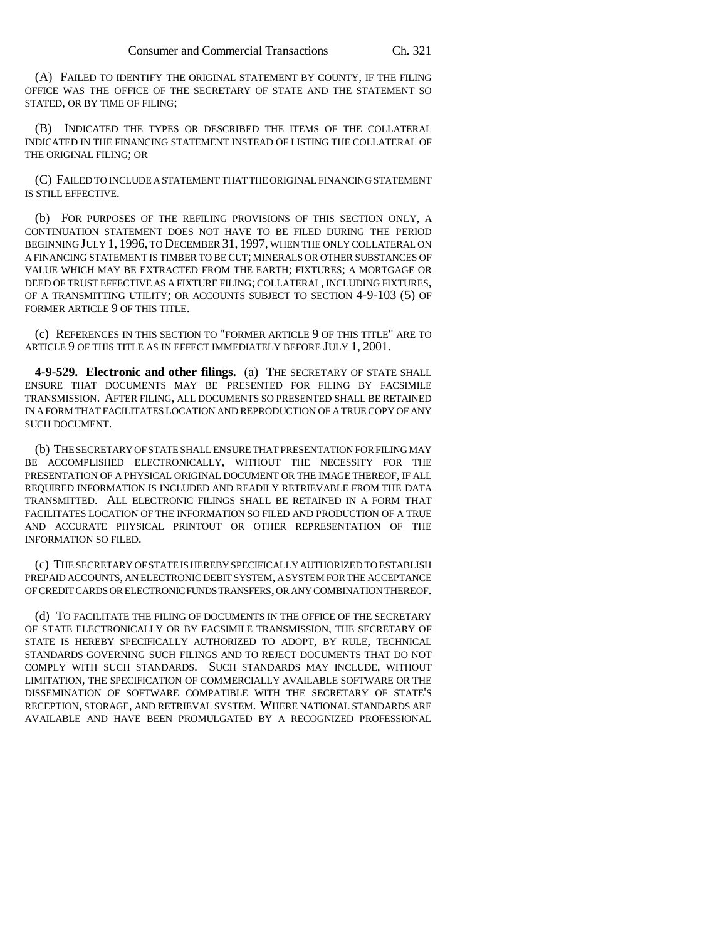(A) FAILED TO IDENTIFY THE ORIGINAL STATEMENT BY COUNTY, IF THE FILING OFFICE WAS THE OFFICE OF THE SECRETARY OF STATE AND THE STATEMENT SO STATED, OR BY TIME OF FILING;

(B) INDICATED THE TYPES OR DESCRIBED THE ITEMS OF THE COLLATERAL INDICATED IN THE FINANCING STATEMENT INSTEAD OF LISTING THE COLLATERAL OF THE ORIGINAL FILING; OR

(C) FAILED TO INCLUDE A STATEMENT THAT THE ORIGINAL FINANCING STATEMENT IS STILL EFFECTIVE.

(b) FOR PURPOSES OF THE REFILING PROVISIONS OF THIS SECTION ONLY, A CONTINUATION STATEMENT DOES NOT HAVE TO BE FILED DURING THE PERIOD BEGINNING JULY 1, 1996, TO DECEMBER 31, 1997, WHEN THE ONLY COLLATERAL ON A FINANCING STATEMENT IS TIMBER TO BE CUT; MINERALS OR OTHER SUBSTANCES OF VALUE WHICH MAY BE EXTRACTED FROM THE EARTH; FIXTURES; A MORTGAGE OR DEED OF TRUST EFFECTIVE AS A FIXTURE FILING; COLLATERAL, INCLUDING FIXTURES, OF A TRANSMITTING UTILITY; OR ACCOUNTS SUBJECT TO SECTION 4-9-103 (5) OF FORMER ARTICLE 9 OF THIS TITLE.

(c) REFERENCES IN THIS SECTION TO "FORMER ARTICLE 9 OF THIS TITLE" ARE TO ARTICLE 9 OF THIS TITLE AS IN EFFECT IMMEDIATELY BEFORE JULY 1, 2001.

**4-9-529. Electronic and other filings.** (a) THE SECRETARY OF STATE SHALL ENSURE THAT DOCUMENTS MAY BE PRESENTED FOR FILING BY FACSIMILE TRANSMISSION. AFTER FILING, ALL DOCUMENTS SO PRESENTED SHALL BE RETAINED IN A FORM THAT FACILITATES LOCATION AND REPRODUCTION OF A TRUE COPY OF ANY SUCH DOCUMENT.

(b) THE SECRETARY OF STATE SHALL ENSURE THAT PRESENTATION FOR FILING MAY BE ACCOMPLISHED ELECTRONICALLY, WITHOUT THE NECESSITY FOR THE PRESENTATION OF A PHYSICAL ORIGINAL DOCUMENT OR THE IMAGE THEREOF, IF ALL REQUIRED INFORMATION IS INCLUDED AND READILY RETRIEVABLE FROM THE DATA TRANSMITTED. ALL ELECTRONIC FILINGS SHALL BE RETAINED IN A FORM THAT FACILITATES LOCATION OF THE INFORMATION SO FILED AND PRODUCTION OF A TRUE AND ACCURATE PHYSICAL PRINTOUT OR OTHER REPRESENTATION OF THE INFORMATION SO FILED.

(c) THE SECRETARY OF STATE IS HEREBY SPECIFICALLY AUTHORIZED TO ESTABLISH PREPAID ACCOUNTS, AN ELECTRONIC DEBIT SYSTEM, A SYSTEM FOR THE ACCEPTANCE OF CREDIT CARDS OR ELECTRONIC FUNDS TRANSFERS, OR ANY COMBINATION THEREOF.

(d) TO FACILITATE THE FILING OF DOCUMENTS IN THE OFFICE OF THE SECRETARY OF STATE ELECTRONICALLY OR BY FACSIMILE TRANSMISSION, THE SECRETARY OF STATE IS HEREBY SPECIFICALLY AUTHORIZED TO ADOPT, BY RULE, TECHNICAL STANDARDS GOVERNING SUCH FILINGS AND TO REJECT DOCUMENTS THAT DO NOT COMPLY WITH SUCH STANDARDS. SUCH STANDARDS MAY INCLUDE, WITHOUT LIMITATION, THE SPECIFICATION OF COMMERCIALLY AVAILABLE SOFTWARE OR THE DISSEMINATION OF SOFTWARE COMPATIBLE WITH THE SECRETARY OF STATE'S RECEPTION, STORAGE, AND RETRIEVAL SYSTEM. WHERE NATIONAL STANDARDS ARE AVAILABLE AND HAVE BEEN PROMULGATED BY A RECOGNIZED PROFESSIONAL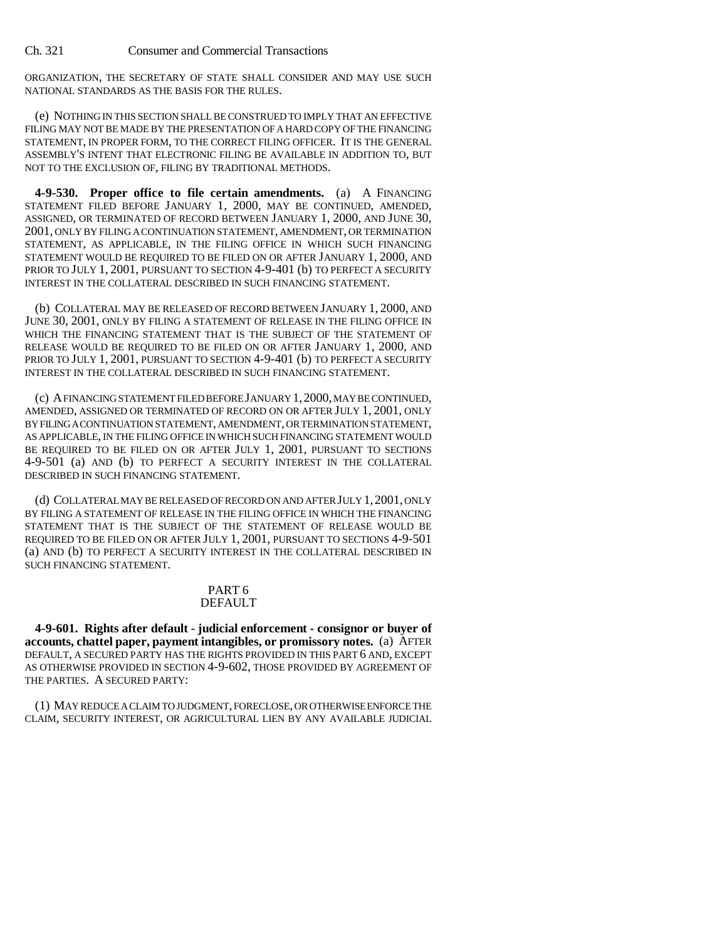ORGANIZATION, THE SECRETARY OF STATE SHALL CONSIDER AND MAY USE SUCH NATIONAL STANDARDS AS THE BASIS FOR THE RULES.

(e) NOTHING IN THIS SECTION SHALL BE CONSTRUED TO IMPLY THAT AN EFFECTIVE FILING MAY NOT BE MADE BY THE PRESENTATION OF A HARD COPY OF THE FINANCING STATEMENT, IN PROPER FORM, TO THE CORRECT FILING OFFICER. IT IS THE GENERAL ASSEMBLY'S INTENT THAT ELECTRONIC FILING BE AVAILABLE IN ADDITION TO, BUT NOT TO THE EXCLUSION OF, FILING BY TRADITIONAL METHODS.

**4-9-530. Proper office to file certain amendments.** (a) A FINANCING STATEMENT FILED BEFORE JANUARY 1, 2000, MAY BE CONTINUED, AMENDED, ASSIGNED, OR TERMINATED OF RECORD BETWEEN JANUARY 1, 2000, AND JUNE 30, 2001, ONLY BY FILING A CONTINUATION STATEMENT, AMENDMENT, OR TERMINATION STATEMENT, AS APPLICABLE, IN THE FILING OFFICE IN WHICH SUCH FINANCING STATEMENT WOULD BE REQUIRED TO BE FILED ON OR AFTER JANUARY 1, 2000, AND PRIOR TO JULY 1, 2001, PURSUANT TO SECTION 4-9-401 (b) TO PERFECT A SECURITY INTEREST IN THE COLLATERAL DESCRIBED IN SUCH FINANCING STATEMENT.

(b) COLLATERAL MAY BE RELEASED OF RECORD BETWEEN JANUARY 1, 2000, AND JUNE 30, 2001, ONLY BY FILING A STATEMENT OF RELEASE IN THE FILING OFFICE IN WHICH THE FINANCING STATEMENT THAT IS THE SUBJECT OF THE STATEMENT OF RELEASE WOULD BE REQUIRED TO BE FILED ON OR AFTER JANUARY 1, 2000, AND PRIOR TO JULY 1, 2001, PURSUANT TO SECTION 4-9-401 (b) TO PERFECT A SECURITY INTEREST IN THE COLLATERAL DESCRIBED IN SUCH FINANCING STATEMENT.

(c) A FINANCING STATEMENT FILED BEFORE JANUARY 1,2000, MAY BE CONTINUED, AMENDED, ASSIGNED OR TERMINATED OF RECORD ON OR AFTER JULY 1, 2001, ONLY BY FILING A CONTINUATION STATEMENT, AMENDMENT, OR TERMINATION STATEMENT, AS APPLICABLE, IN THE FILING OFFICE IN WHICH SUCH FINANCING STATEMENT WOULD BE REQUIRED TO BE FILED ON OR AFTER JULY 1, 2001, PURSUANT TO SECTIONS 4-9-501 (a) AND (b) TO PERFECT A SECURITY INTEREST IN THE COLLATERAL DESCRIBED IN SUCH FINANCING STATEMENT.

(d) COLLATERAL MAY BE RELEASED OF RECORD ON AND AFTER JULY 1,2001, ONLY BY FILING A STATEMENT OF RELEASE IN THE FILING OFFICE IN WHICH THE FINANCING STATEMENT THAT IS THE SUBJECT OF THE STATEMENT OF RELEASE WOULD BE REQUIRED TO BE FILED ON OR AFTER JULY 1, 2001, PURSUANT TO SECTIONS 4-9-501 (a) AND (b) TO PERFECT A SECURITY INTEREST IN THE COLLATERAL DESCRIBED IN SUCH FINANCING STATEMENT.

### PART 6 DEFAULT

**4-9-601. Rights after default - judicial enforcement - consignor or buyer of accounts, chattel paper, payment intangibles, or promissory notes.** (a) AFTER DEFAULT, A SECURED PARTY HAS THE RIGHTS PROVIDED IN THIS PART 6 AND, EXCEPT AS OTHERWISE PROVIDED IN SECTION 4-9-602, THOSE PROVIDED BY AGREEMENT OF THE PARTIES. A SECURED PARTY:

(1) MAY REDUCE A CLAIM TO JUDGMENT, FORECLOSE, OR OTHERWISE ENFORCE THE CLAIM, SECURITY INTEREST, OR AGRICULTURAL LIEN BY ANY AVAILABLE JUDICIAL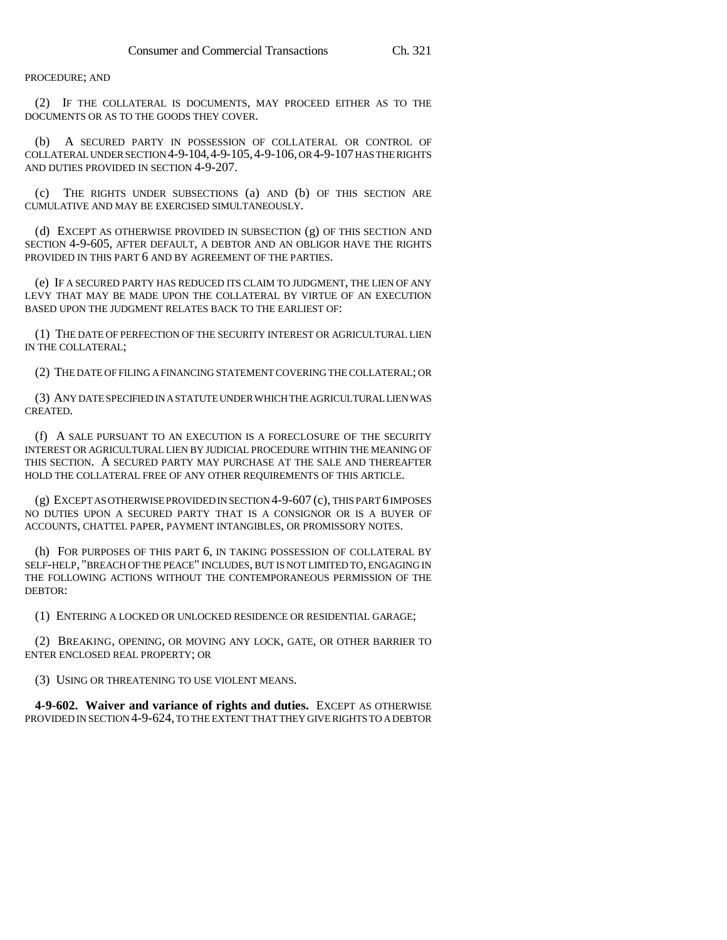PROCEDURE; AND

(2) IF THE COLLATERAL IS DOCUMENTS, MAY PROCEED EITHER AS TO THE DOCUMENTS OR AS TO THE GOODS THEY COVER.

(b) A SECURED PARTY IN POSSESSION OF COLLATERAL OR CONTROL OF COLLATERAL UNDER SECTION 4-9-104,4-9-105,4-9-106, OR 4-9-107 HAS THE RIGHTS AND DUTIES PROVIDED IN SECTION 4-9-207.

(c) THE RIGHTS UNDER SUBSECTIONS (a) AND (b) OF THIS SECTION ARE CUMULATIVE AND MAY BE EXERCISED SIMULTANEOUSLY.

(d) EXCEPT AS OTHERWISE PROVIDED IN SUBSECTION (g) OF THIS SECTION AND SECTION 4-9-605, AFTER DEFAULT, A DEBTOR AND AN OBLIGOR HAVE THE RIGHTS PROVIDED IN THIS PART 6 AND BY AGREEMENT OF THE PARTIES.

(e) IF A SECURED PARTY HAS REDUCED ITS CLAIM TO JUDGMENT, THE LIEN OF ANY LEVY THAT MAY BE MADE UPON THE COLLATERAL BY VIRTUE OF AN EXECUTION BASED UPON THE JUDGMENT RELATES BACK TO THE EARLIEST OF:

(1) THE DATE OF PERFECTION OF THE SECURITY INTEREST OR AGRICULTURAL LIEN IN THE COLLATERAL;

(2) THE DATE OF FILING A FINANCING STATEMENT COVERING THE COLLATERAL; OR

(3) ANY DATE SPECIFIED IN A STATUTE UNDER WHICH THE AGRICULTURAL LIEN WAS CREATED.

(f) A SALE PURSUANT TO AN EXECUTION IS A FORECLOSURE OF THE SECURITY INTEREST OR AGRICULTURAL LIEN BY JUDICIAL PROCEDURE WITHIN THE MEANING OF THIS SECTION. A SECURED PARTY MAY PURCHASE AT THE SALE AND THEREAFTER HOLD THE COLLATERAL FREE OF ANY OTHER REQUIREMENTS OF THIS ARTICLE.

(g) EXCEPT AS OTHERWISE PROVIDED IN SECTION 4-9-607 (c), THIS PART 6 IMPOSES NO DUTIES UPON A SECURED PARTY THAT IS A CONSIGNOR OR IS A BUYER OF ACCOUNTS, CHATTEL PAPER, PAYMENT INTANGIBLES, OR PROMISSORY NOTES.

(h) FOR PURPOSES OF THIS PART 6, IN TAKING POSSESSION OF COLLATERAL BY SELF-HELP, "BREACH OF THE PEACE" INCLUDES, BUT IS NOT LIMITED TO, ENGAGING IN THE FOLLOWING ACTIONS WITHOUT THE CONTEMPORANEOUS PERMISSION OF THE DEBTOR:

(1) ENTERING A LOCKED OR UNLOCKED RESIDENCE OR RESIDENTIAL GARAGE;

(2) BREAKING, OPENING, OR MOVING ANY LOCK, GATE, OR OTHER BARRIER TO ENTER ENCLOSED REAL PROPERTY; OR

(3) USING OR THREATENING TO USE VIOLENT MEANS.

**4-9-602. Waiver and variance of rights and duties.** EXCEPT AS OTHERWISE PROVIDED IN SECTION 4-9-624, TO THE EXTENT THAT THEY GIVE RIGHTS TO A DEBTOR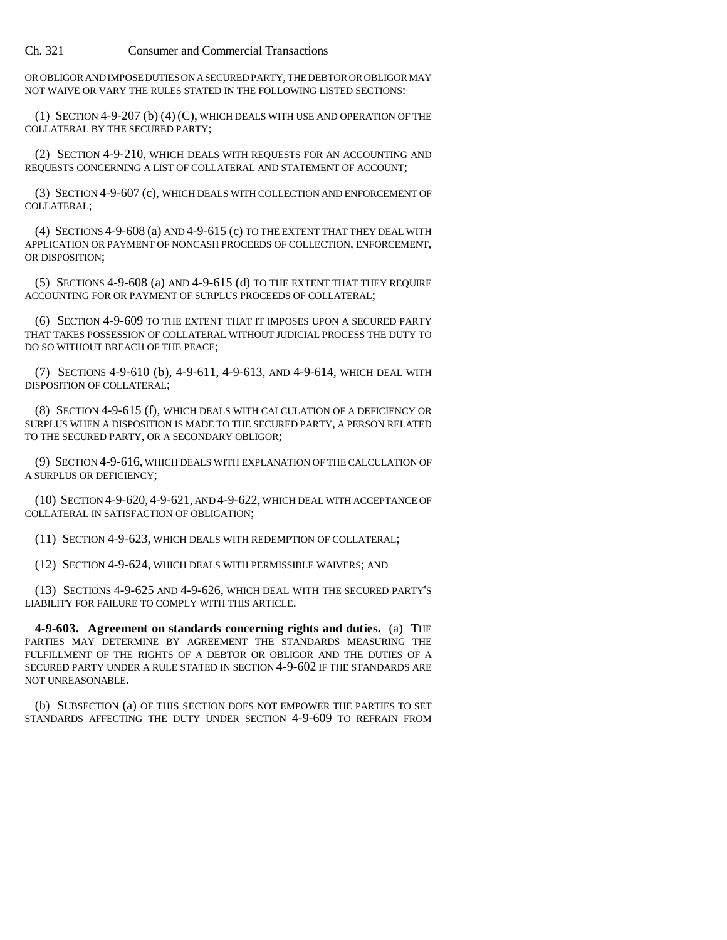OR OBLIGOR AND IMPOSE DUTIES ON A SECURED PARTY, THE DEBTOR OR OBLIGOR MAY NOT WAIVE OR VARY THE RULES STATED IN THE FOLLOWING LISTED SECTIONS:

(1) SECTION 4-9-207 (b) (4) (C), WHICH DEALS WITH USE AND OPERATION OF THE COLLATERAL BY THE SECURED PARTY;

(2) SECTION 4-9-210, WHICH DEALS WITH REQUESTS FOR AN ACCOUNTING AND REQUESTS CONCERNING A LIST OF COLLATERAL AND STATEMENT OF ACCOUNT;

(3) SECTION 4-9-607 (c), WHICH DEALS WITH COLLECTION AND ENFORCEMENT OF COLLATERAL;

(4) SECTIONS 4-9-608 (a) AND 4-9-615 (c) TO THE EXTENT THAT THEY DEAL WITH APPLICATION OR PAYMENT OF NONCASH PROCEEDS OF COLLECTION, ENFORCEMENT, OR DISPOSITION;

(5) SECTIONS 4-9-608 (a) AND 4-9-615 (d) TO THE EXTENT THAT THEY REQUIRE ACCOUNTING FOR OR PAYMENT OF SURPLUS PROCEEDS OF COLLATERAL;

(6) SECTION 4-9-609 TO THE EXTENT THAT IT IMPOSES UPON A SECURED PARTY THAT TAKES POSSESSION OF COLLATERAL WITHOUT JUDICIAL PROCESS THE DUTY TO DO SO WITHOUT BREACH OF THE PEACE;

(7) SECTIONS 4-9-610 (b), 4-9-611, 4-9-613, AND 4-9-614, WHICH DEAL WITH DISPOSITION OF COLLATERAL;

(8) SECTION 4-9-615 (f), WHICH DEALS WITH CALCULATION OF A DEFICIENCY OR SURPLUS WHEN A DISPOSITION IS MADE TO THE SECURED PARTY, A PERSON RELATED TO THE SECURED PARTY, OR A SECONDARY OBLIGOR;

(9) SECTION 4-9-616, WHICH DEALS WITH EXPLANATION OF THE CALCULATION OF A SURPLUS OR DEFICIENCY;

(10) SECTION 4-9-620, 4-9-621, AND 4-9-622, WHICH DEAL WITH ACCEPTANCE OF COLLATERAL IN SATISFACTION OF OBLIGATION;

(11) SECTION 4-9-623, WHICH DEALS WITH REDEMPTION OF COLLATERAL;

(12) SECTION 4-9-624, WHICH DEALS WITH PERMISSIBLE WAIVERS; AND

(13) SECTIONS 4-9-625 AND 4-9-626, WHICH DEAL WITH THE SECURED PARTY'S LIABILITY FOR FAILURE TO COMPLY WITH THIS ARTICLE.

**4-9-603. Agreement on standards concerning rights and duties.** (a) THE PARTIES MAY DETERMINE BY AGREEMENT THE STANDARDS MEASURING THE FULFILLMENT OF THE RIGHTS OF A DEBTOR OR OBLIGOR AND THE DUTIES OF A SECURED PARTY UNDER A RULE STATED IN SECTION 4-9-602 IF THE STANDARDS ARE NOT UNREASONABLE.

(b) SUBSECTION (a) OF THIS SECTION DOES NOT EMPOWER THE PARTIES TO SET STANDARDS AFFECTING THE DUTY UNDER SECTION 4-9-609 TO REFRAIN FROM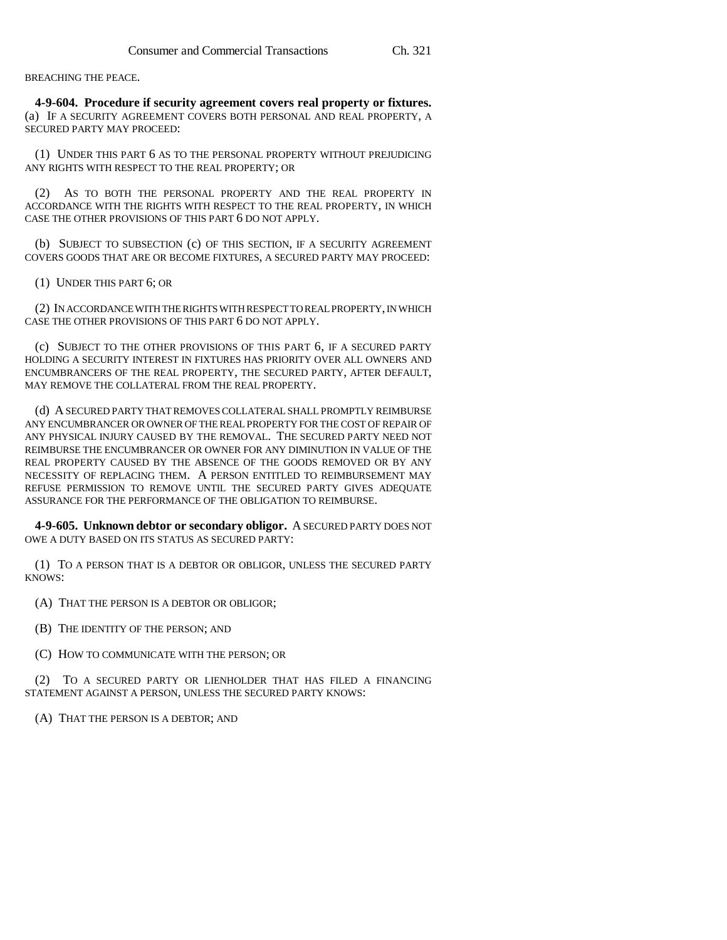BREACHING THE PEACE.

**4-9-604. Procedure if security agreement covers real property or fixtures.** (a) IF A SECURITY AGREEMENT COVERS BOTH PERSONAL AND REAL PROPERTY, A SECURED PARTY MAY PROCEED:

(1) UNDER THIS PART 6 AS TO THE PERSONAL PROPERTY WITHOUT PREJUDICING ANY RIGHTS WITH RESPECT TO THE REAL PROPERTY; OR

(2) AS TO BOTH THE PERSONAL PROPERTY AND THE REAL PROPERTY IN ACCORDANCE WITH THE RIGHTS WITH RESPECT TO THE REAL PROPERTY, IN WHICH CASE THE OTHER PROVISIONS OF THIS PART 6 DO NOT APPLY.

(b) SUBJECT TO SUBSECTION (c) OF THIS SECTION, IF A SECURITY AGREEMENT COVERS GOODS THAT ARE OR BECOME FIXTURES, A SECURED PARTY MAY PROCEED:

(1) UNDER THIS PART 6; OR

(2) IN ACCORDANCE WITH THE RIGHTS WITH RESPECT TO REAL PROPERTY, IN WHICH CASE THE OTHER PROVISIONS OF THIS PART 6 DO NOT APPLY.

(c) SUBJECT TO THE OTHER PROVISIONS OF THIS PART 6, IF A SECURED PARTY HOLDING A SECURITY INTEREST IN FIXTURES HAS PRIORITY OVER ALL OWNERS AND ENCUMBRANCERS OF THE REAL PROPERTY, THE SECURED PARTY, AFTER DEFAULT, MAY REMOVE THE COLLATERAL FROM THE REAL PROPERTY.

(d) A SECURED PARTY THAT REMOVES COLLATERAL SHALL PROMPTLY REIMBURSE ANY ENCUMBRANCER OR OWNER OF THE REAL PROPERTY FOR THE COST OF REPAIR OF ANY PHYSICAL INJURY CAUSED BY THE REMOVAL. THE SECURED PARTY NEED NOT REIMBURSE THE ENCUMBRANCER OR OWNER FOR ANY DIMINUTION IN VALUE OF THE REAL PROPERTY CAUSED BY THE ABSENCE OF THE GOODS REMOVED OR BY ANY NECESSITY OF REPLACING THEM. A PERSON ENTITLED TO REIMBURSEMENT MAY REFUSE PERMISSION TO REMOVE UNTIL THE SECURED PARTY GIVES ADEQUATE ASSURANCE FOR THE PERFORMANCE OF THE OBLIGATION TO REIMBURSE.

**4-9-605. Unknown debtor or secondary obligor.** A SECURED PARTY DOES NOT OWE A DUTY BASED ON ITS STATUS AS SECURED PARTY:

(1) TO A PERSON THAT IS A DEBTOR OR OBLIGOR, UNLESS THE SECURED PARTY KNOWS:

(A) THAT THE PERSON IS A DEBTOR OR OBLIGOR;

(B) THE IDENTITY OF THE PERSON; AND

(C) HOW TO COMMUNICATE WITH THE PERSON; OR

(2) TO A SECURED PARTY OR LIENHOLDER THAT HAS FILED A FINANCING STATEMENT AGAINST A PERSON, UNLESS THE SECURED PARTY KNOWS:

(A) THAT THE PERSON IS A DEBTOR; AND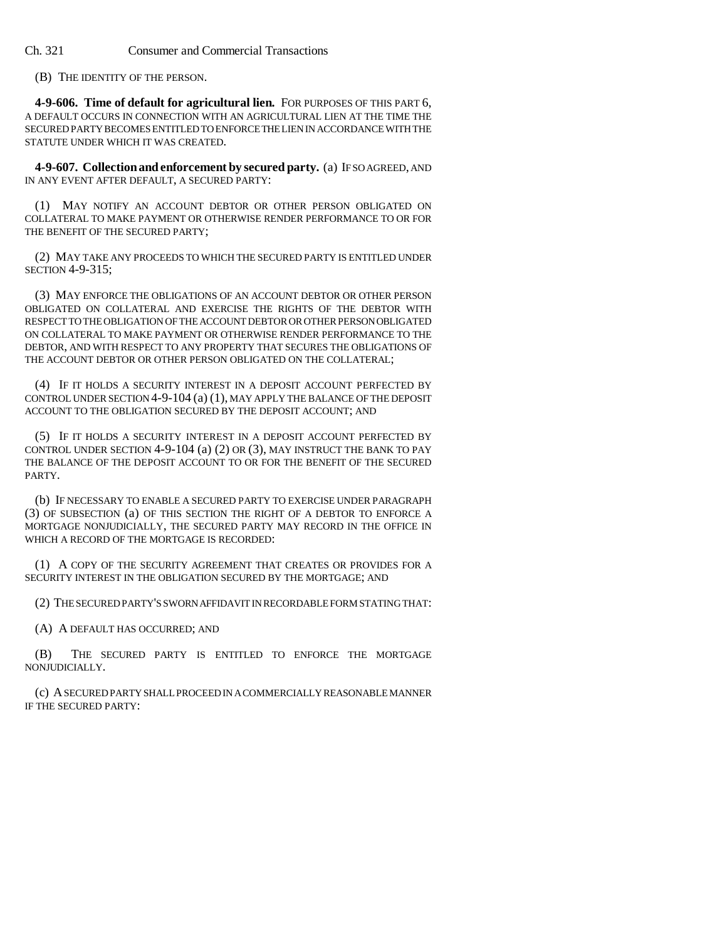(B) THE IDENTITY OF THE PERSON.

**4-9-606. Time of default for agricultural lien.** FOR PURPOSES OF THIS PART 6, A DEFAULT OCCURS IN CONNECTION WITH AN AGRICULTURAL LIEN AT THE TIME THE SECURED PARTY BECOMES ENTITLED TO ENFORCE THE LIEN IN ACCORDANCE WITH THE STATUTE UNDER WHICH IT WAS CREATED.

**4-9-607. Collection and enforcement by secured party.** (a) IF SO AGREED, AND IN ANY EVENT AFTER DEFAULT, A SECURED PARTY:

(1) MAY NOTIFY AN ACCOUNT DEBTOR OR OTHER PERSON OBLIGATED ON COLLATERAL TO MAKE PAYMENT OR OTHERWISE RENDER PERFORMANCE TO OR FOR THE BENEFIT OF THE SECURED PARTY;

(2) MAY TAKE ANY PROCEEDS TO WHICH THE SECURED PARTY IS ENTITLED UNDER SECTION 4-9-315;

(3) MAY ENFORCE THE OBLIGATIONS OF AN ACCOUNT DEBTOR OR OTHER PERSON OBLIGATED ON COLLATERAL AND EXERCISE THE RIGHTS OF THE DEBTOR WITH RESPECT TO THE OBLIGATION OF THE ACCOUNT DEBTOR OR OTHER PERSON OBLIGATED ON COLLATERAL TO MAKE PAYMENT OR OTHERWISE RENDER PERFORMANCE TO THE DEBTOR, AND WITH RESPECT TO ANY PROPERTY THAT SECURES THE OBLIGATIONS OF THE ACCOUNT DEBTOR OR OTHER PERSON OBLIGATED ON THE COLLATERAL;

(4) IF IT HOLDS A SECURITY INTEREST IN A DEPOSIT ACCOUNT PERFECTED BY CONTROL UNDER SECTION 4-9-104 (a) (1), MAY APPLY THE BALANCE OF THE DEPOSIT ACCOUNT TO THE OBLIGATION SECURED BY THE DEPOSIT ACCOUNT; AND

(5) IF IT HOLDS A SECURITY INTEREST IN A DEPOSIT ACCOUNT PERFECTED BY CONTROL UNDER SECTION 4-9-104 (a) (2) OR (3), MAY INSTRUCT THE BANK TO PAY THE BALANCE OF THE DEPOSIT ACCOUNT TO OR FOR THE BENEFIT OF THE SECURED PARTY.

(b) IF NECESSARY TO ENABLE A SECURED PARTY TO EXERCISE UNDER PARAGRAPH (3) OF SUBSECTION (a) OF THIS SECTION THE RIGHT OF A DEBTOR TO ENFORCE A MORTGAGE NONJUDICIALLY, THE SECURED PARTY MAY RECORD IN THE OFFICE IN WHICH A RECORD OF THE MORTGAGE IS RECORDED:

(1) A COPY OF THE SECURITY AGREEMENT THAT CREATES OR PROVIDES FOR A SECURITY INTEREST IN THE OBLIGATION SECURED BY THE MORTGAGE; AND

(2) THE SECURED PARTY'S SWORN AFFIDAVIT IN RECORDABLE FORM STATING THAT:

(A) A DEFAULT HAS OCCURRED; AND

(B) THE SECURED PARTY IS ENTITLED TO ENFORCE THE MORTGAGE NONJUDICIALLY.

(c) A SECURED PARTY SHALL PROCEED IN A COMMERCIALLY REASONABLE MANNER IF THE SECURED PARTY: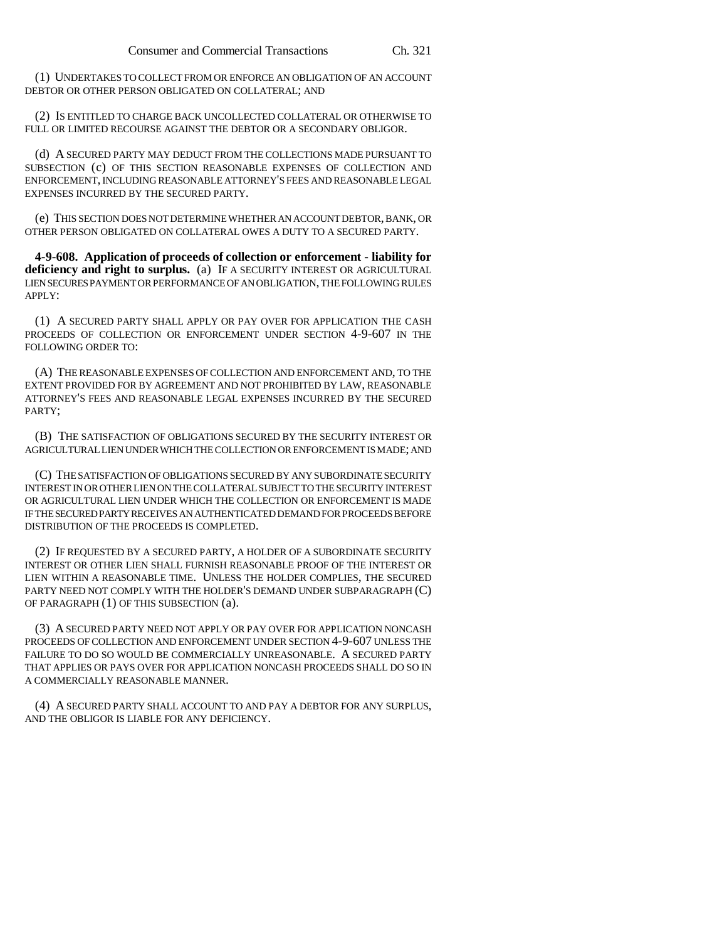(1) UNDERTAKES TO COLLECT FROM OR ENFORCE AN OBLIGATION OF AN ACCOUNT DEBTOR OR OTHER PERSON OBLIGATED ON COLLATERAL; AND

(2) IS ENTITLED TO CHARGE BACK UNCOLLECTED COLLATERAL OR OTHERWISE TO FULL OR LIMITED RECOURSE AGAINST THE DEBTOR OR A SECONDARY OBLIGOR.

(d) A SECURED PARTY MAY DEDUCT FROM THE COLLECTIONS MADE PURSUANT TO SUBSECTION (c) OF THIS SECTION REASONABLE EXPENSES OF COLLECTION AND ENFORCEMENT, INCLUDING REASONABLE ATTORNEY'S FEES AND REASONABLE LEGAL EXPENSES INCURRED BY THE SECURED PARTY.

(e) THIS SECTION DOES NOT DETERMINE WHETHER AN ACCOUNT DEBTOR, BANK, OR OTHER PERSON OBLIGATED ON COLLATERAL OWES A DUTY TO A SECURED PARTY.

**4-9-608. Application of proceeds of collection or enforcement - liability for deficiency and right to surplus.** (a) IF A SECURITY INTEREST OR AGRICULTURAL LIEN SECURES PAYMENT OR PERFORMANCE OF AN OBLIGATION, THE FOLLOWING RULES APPLY:

(1) A SECURED PARTY SHALL APPLY OR PAY OVER FOR APPLICATION THE CASH PROCEEDS OF COLLECTION OR ENFORCEMENT UNDER SECTION 4-9-607 IN THE FOLLOWING ORDER TO:

(A) THE REASONABLE EXPENSES OF COLLECTION AND ENFORCEMENT AND, TO THE EXTENT PROVIDED FOR BY AGREEMENT AND NOT PROHIBITED BY LAW, REASONABLE ATTORNEY'S FEES AND REASONABLE LEGAL EXPENSES INCURRED BY THE SECURED PARTY;

(B) THE SATISFACTION OF OBLIGATIONS SECURED BY THE SECURITY INTEREST OR AGRICULTURAL LIEN UNDER WHICH THE COLLECTION OR ENFORCEMENT IS MADE; AND

(C) THE SATISFACTION OF OBLIGATIONS SECURED BY ANY SUBORDINATE SECURITY INTEREST IN OR OTHER LIEN ON THE COLLATERAL SUBJECT TO THE SECURITY INTEREST OR AGRICULTURAL LIEN UNDER WHICH THE COLLECTION OR ENFORCEMENT IS MADE IF THE SECURED PARTY RECEIVES AN AUTHENTICATED DEMAND FOR PROCEEDS BEFORE DISTRIBUTION OF THE PROCEEDS IS COMPLETED.

(2) IF REQUESTED BY A SECURED PARTY, A HOLDER OF A SUBORDINATE SECURITY INTEREST OR OTHER LIEN SHALL FURNISH REASONABLE PROOF OF THE INTEREST OR LIEN WITHIN A REASONABLE TIME. UNLESS THE HOLDER COMPLIES, THE SECURED PARTY NEED NOT COMPLY WITH THE HOLDER'S DEMAND UNDER SUBPARAGRAPH (C) OF PARAGRAPH (1) OF THIS SUBSECTION (a).

(3) A SECURED PARTY NEED NOT APPLY OR PAY OVER FOR APPLICATION NONCASH PROCEEDS OF COLLECTION AND ENFORCEMENT UNDER SECTION 4-9-607 UNLESS THE FAILURE TO DO SO WOULD BE COMMERCIALLY UNREASONABLE. A SECURED PARTY THAT APPLIES OR PAYS OVER FOR APPLICATION NONCASH PROCEEDS SHALL DO SO IN A COMMERCIALLY REASONABLE MANNER.

(4) A SECURED PARTY SHALL ACCOUNT TO AND PAY A DEBTOR FOR ANY SURPLUS, AND THE OBLIGOR IS LIABLE FOR ANY DEFICIENCY.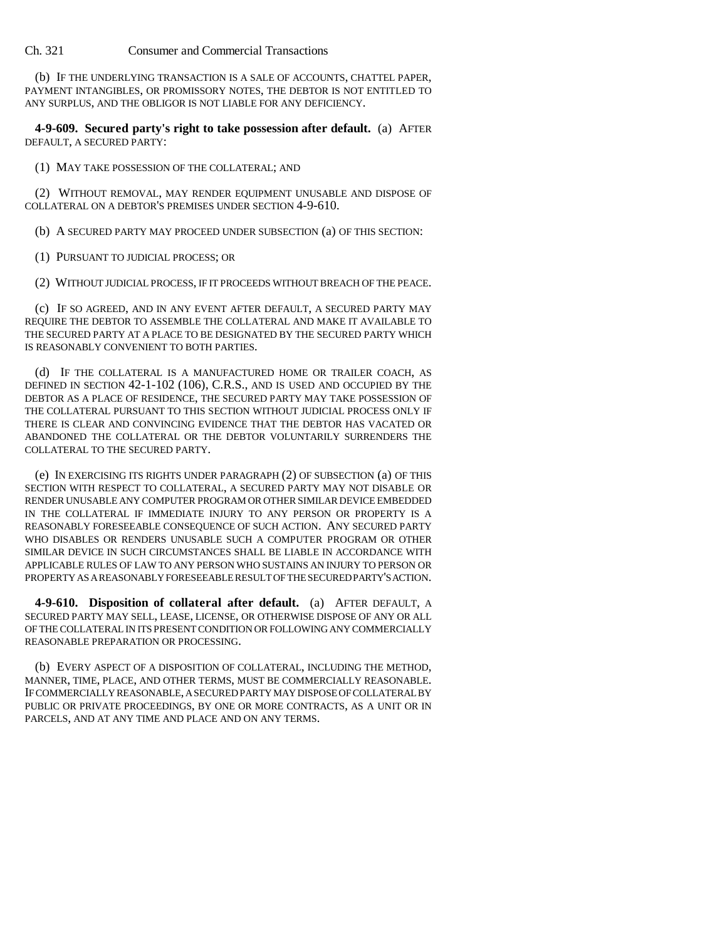(b) IF THE UNDERLYING TRANSACTION IS A SALE OF ACCOUNTS, CHATTEL PAPER, PAYMENT INTANGIBLES, OR PROMISSORY NOTES, THE DEBTOR IS NOT ENTITLED TO ANY SURPLUS, AND THE OBLIGOR IS NOT LIABLE FOR ANY DEFICIENCY.

**4-9-609. Secured party's right to take possession after default.** (a) AFTER DEFAULT, A SECURED PARTY:

(1) MAY TAKE POSSESSION OF THE COLLATERAL; AND

(2) WITHOUT REMOVAL, MAY RENDER EQUIPMENT UNUSABLE AND DISPOSE OF COLLATERAL ON A DEBTOR'S PREMISES UNDER SECTION 4-9-610.

(b) A SECURED PARTY MAY PROCEED UNDER SUBSECTION (a) OF THIS SECTION:

(1) PURSUANT TO JUDICIAL PROCESS; OR

(2) WITHOUT JUDICIAL PROCESS, IF IT PROCEEDS WITHOUT BREACH OF THE PEACE.

(c) IF SO AGREED, AND IN ANY EVENT AFTER DEFAULT, A SECURED PARTY MAY REQUIRE THE DEBTOR TO ASSEMBLE THE COLLATERAL AND MAKE IT AVAILABLE TO THE SECURED PARTY AT A PLACE TO BE DESIGNATED BY THE SECURED PARTY WHICH IS REASONABLY CONVENIENT TO BOTH PARTIES.

(d) IF THE COLLATERAL IS A MANUFACTURED HOME OR TRAILER COACH, AS DEFINED IN SECTION 42-1-102 (106), C.R.S., AND IS USED AND OCCUPIED BY THE DEBTOR AS A PLACE OF RESIDENCE, THE SECURED PARTY MAY TAKE POSSESSION OF THE COLLATERAL PURSUANT TO THIS SECTION WITHOUT JUDICIAL PROCESS ONLY IF THERE IS CLEAR AND CONVINCING EVIDENCE THAT THE DEBTOR HAS VACATED OR ABANDONED THE COLLATERAL OR THE DEBTOR VOLUNTARILY SURRENDERS THE COLLATERAL TO THE SECURED PARTY.

(e) IN EXERCISING ITS RIGHTS UNDER PARAGRAPH (2) OF SUBSECTION (a) OF THIS SECTION WITH RESPECT TO COLLATERAL, A SECURED PARTY MAY NOT DISABLE OR RENDER UNUSABLE ANY COMPUTER PROGRAM OR OTHER SIMILAR DEVICE EMBEDDED IN THE COLLATERAL IF IMMEDIATE INJURY TO ANY PERSON OR PROPERTY IS A REASONABLY FORESEEABLE CONSEQUENCE OF SUCH ACTION. ANY SECURED PARTY WHO DISABLES OR RENDERS UNUSABLE SUCH A COMPUTER PROGRAM OR OTHER SIMILAR DEVICE IN SUCH CIRCUMSTANCES SHALL BE LIABLE IN ACCORDANCE WITH APPLICABLE RULES OF LAW TO ANY PERSON WHO SUSTAINS AN INJURY TO PERSON OR PROPERTY AS A REASONABLY FORESEEABLE RESULT OF THE SECURED PARTY'S ACTION.

**4-9-610. Disposition of collateral after default.** (a) AFTER DEFAULT, A SECURED PARTY MAY SELL, LEASE, LICENSE, OR OTHERWISE DISPOSE OF ANY OR ALL OF THE COLLATERAL IN ITS PRESENT CONDITION OR FOLLOWING ANY COMMERCIALLY REASONABLE PREPARATION OR PROCESSING.

(b) EVERY ASPECT OF A DISPOSITION OF COLLATERAL, INCLUDING THE METHOD, MANNER, TIME, PLACE, AND OTHER TERMS, MUST BE COMMERCIALLY REASONABLE. IF COMMERCIALLY REASONABLE, A SECURED PARTY MAY DISPOSE OF COLLATERAL BY PUBLIC OR PRIVATE PROCEEDINGS, BY ONE OR MORE CONTRACTS, AS A UNIT OR IN PARCELS, AND AT ANY TIME AND PLACE AND ON ANY TERMS.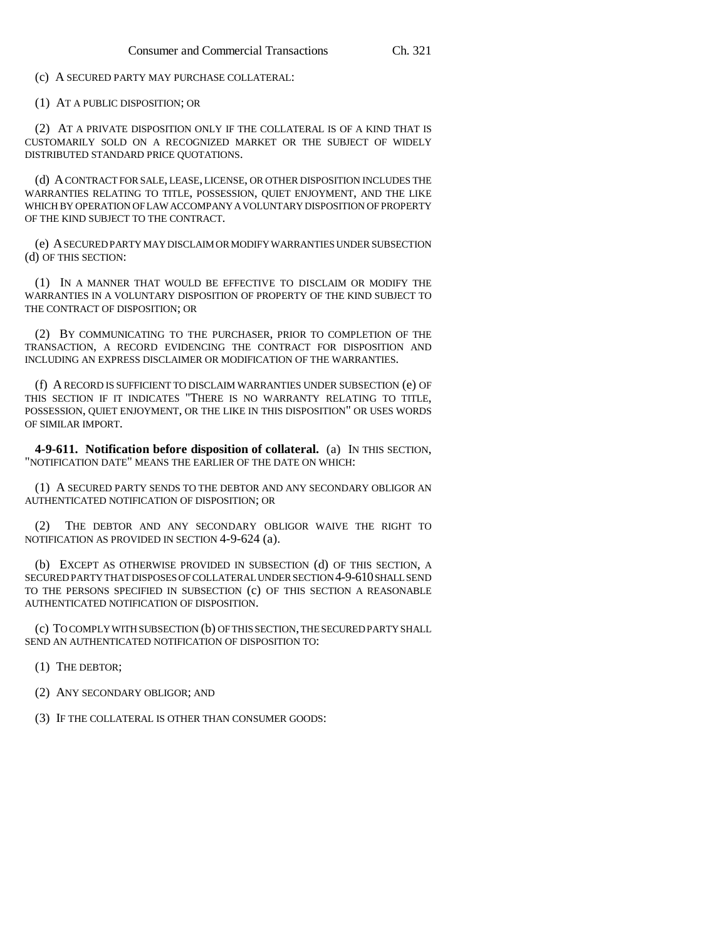(c) A SECURED PARTY MAY PURCHASE COLLATERAL:

(1) AT A PUBLIC DISPOSITION; OR

(2) AT A PRIVATE DISPOSITION ONLY IF THE COLLATERAL IS OF A KIND THAT IS CUSTOMARILY SOLD ON A RECOGNIZED MARKET OR THE SUBJECT OF WIDELY DISTRIBUTED STANDARD PRICE QUOTATIONS.

(d) A CONTRACT FOR SALE, LEASE, LICENSE, OR OTHER DISPOSITION INCLUDES THE WARRANTIES RELATING TO TITLE, POSSESSION, QUIET ENJOYMENT, AND THE LIKE WHICH BY OPERATION OF LAW ACCOMPANY A VOLUNTARY DISPOSITION OF PROPERTY OF THE KIND SUBJECT TO THE CONTRACT.

(e) A SECURED PARTY MAY DISCLAIM OR MODIFY WARRANTIES UNDER SUBSECTION (d) OF THIS SECTION:

(1) IN A MANNER THAT WOULD BE EFFECTIVE TO DISCLAIM OR MODIFY THE WARRANTIES IN A VOLUNTARY DISPOSITION OF PROPERTY OF THE KIND SUBJECT TO THE CONTRACT OF DISPOSITION; OR

(2) BY COMMUNICATING TO THE PURCHASER, PRIOR TO COMPLETION OF THE TRANSACTION, A RECORD EVIDENCING THE CONTRACT FOR DISPOSITION AND INCLUDING AN EXPRESS DISCLAIMER OR MODIFICATION OF THE WARRANTIES.

(f) A RECORD IS SUFFICIENT TO DISCLAIM WARRANTIES UNDER SUBSECTION (e) OF THIS SECTION IF IT INDICATES "THERE IS NO WARRANTY RELATING TO TITLE, POSSESSION, QUIET ENJOYMENT, OR THE LIKE IN THIS DISPOSITION" OR USES WORDS OF SIMILAR IMPORT.

**4-9-611. Notification before disposition of collateral.** (a) IN THIS SECTION, "NOTIFICATION DATE" MEANS THE EARLIER OF THE DATE ON WHICH:

(1) A SECURED PARTY SENDS TO THE DEBTOR AND ANY SECONDARY OBLIGOR AN AUTHENTICATED NOTIFICATION OF DISPOSITION; OR

(2) THE DEBTOR AND ANY SECONDARY OBLIGOR WAIVE THE RIGHT TO NOTIFICATION AS PROVIDED IN SECTION 4-9-624 (a).

(b) EXCEPT AS OTHERWISE PROVIDED IN SUBSECTION (d) OF THIS SECTION, A SECURED PARTY THAT DISPOSES OF COLLATERAL UNDER SECTION 4-9-610 SHALL SEND TO THE PERSONS SPECIFIED IN SUBSECTION (c) OF THIS SECTION A REASONABLE AUTHENTICATED NOTIFICATION OF DISPOSITION.

(c) TO COMPLY WITH SUBSECTION (b) OF THIS SECTION, THE SECURED PARTY SHALL SEND AN AUTHENTICATED NOTIFICATION OF DISPOSITION TO:

(1) THE DEBTOR;

(2) ANY SECONDARY OBLIGOR; AND

(3) IF THE COLLATERAL IS OTHER THAN CONSUMER GOODS: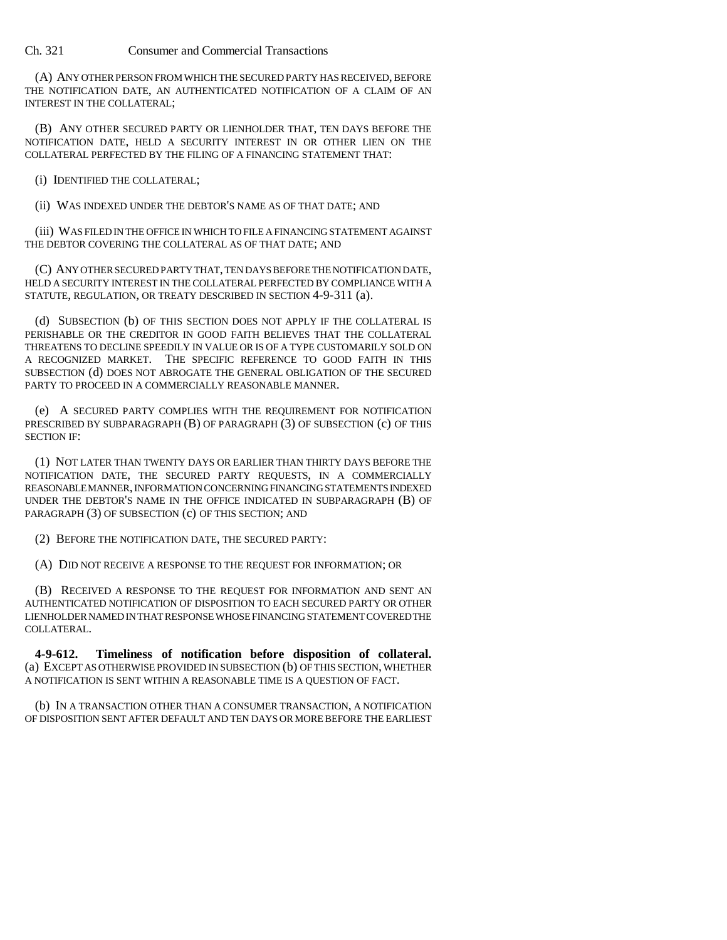(A) ANY OTHER PERSON FROM WHICH THE SECURED PARTY HAS RECEIVED, BEFORE THE NOTIFICATION DATE, AN AUTHENTICATED NOTIFICATION OF A CLAIM OF AN INTEREST IN THE COLLATERAL;

(B) ANY OTHER SECURED PARTY OR LIENHOLDER THAT, TEN DAYS BEFORE THE NOTIFICATION DATE, HELD A SECURITY INTEREST IN OR OTHER LIEN ON THE COLLATERAL PERFECTED BY THE FILING OF A FINANCING STATEMENT THAT:

(i) IDENTIFIED THE COLLATERAL;

(ii) WAS INDEXED UNDER THE DEBTOR'S NAME AS OF THAT DATE; AND

(iii) WAS FILED IN THE OFFICE IN WHICH TO FILE A FINANCING STATEMENT AGAINST THE DEBTOR COVERING THE COLLATERAL AS OF THAT DATE; AND

(C) ANY OTHER SECURED PARTY THAT, TEN DAYS BEFORE THE NOTIFICATION DATE, HELD A SECURITY INTEREST IN THE COLLATERAL PERFECTED BY COMPLIANCE WITH A STATUTE, REGULATION, OR TREATY DESCRIBED IN SECTION 4-9-311 (a).

(d) SUBSECTION (b) OF THIS SECTION DOES NOT APPLY IF THE COLLATERAL IS PERISHABLE OR THE CREDITOR IN GOOD FAITH BELIEVES THAT THE COLLATERAL THREATENS TO DECLINE SPEEDILY IN VALUE OR IS OF A TYPE CUSTOMARILY SOLD ON A RECOGNIZED MARKET. THE SPECIFIC REFERENCE TO GOOD FAITH IN THIS SUBSECTION (d) DOES NOT ABROGATE THE GENERAL OBLIGATION OF THE SECURED PARTY TO PROCEED IN A COMMERCIALLY REASONABLE MANNER.

(e) A SECURED PARTY COMPLIES WITH THE REQUIREMENT FOR NOTIFICATION PRESCRIBED BY SUBPARAGRAPH (B) OF PARAGRAPH (3) OF SUBSECTION (c) OF THIS SECTION IF:

(1) NOT LATER THAN TWENTY DAYS OR EARLIER THAN THIRTY DAYS BEFORE THE NOTIFICATION DATE, THE SECURED PARTY REQUESTS, IN A COMMERCIALLY REASONABLE MANNER, INFORMATION CONCERNING FINANCING STATEMENTS INDEXED UNDER THE DEBTOR'S NAME IN THE OFFICE INDICATED IN SUBPARAGRAPH (B) OF PARAGRAPH (3) OF SUBSECTION (c) OF THIS SECTION; AND

(2) BEFORE THE NOTIFICATION DATE, THE SECURED PARTY:

(A) DID NOT RECEIVE A RESPONSE TO THE REQUEST FOR INFORMATION; OR

(B) RECEIVED A RESPONSE TO THE REQUEST FOR INFORMATION AND SENT AN AUTHENTICATED NOTIFICATION OF DISPOSITION TO EACH SECURED PARTY OR OTHER LIENHOLDER NAMED IN THAT RESPONSE WHOSE FINANCING STATEMENT COVERED THE COLLATERAL.

**4-9-612. Timeliness of notification before disposition of collateral.** (a) EXCEPT AS OTHERWISE PROVIDED IN SUBSECTION (b) OF THIS SECTION, WHETHER A NOTIFICATION IS SENT WITHIN A REASONABLE TIME IS A QUESTION OF FACT.

(b) IN A TRANSACTION OTHER THAN A CONSUMER TRANSACTION, A NOTIFICATION OF DISPOSITION SENT AFTER DEFAULT AND TEN DAYS OR MORE BEFORE THE EARLIEST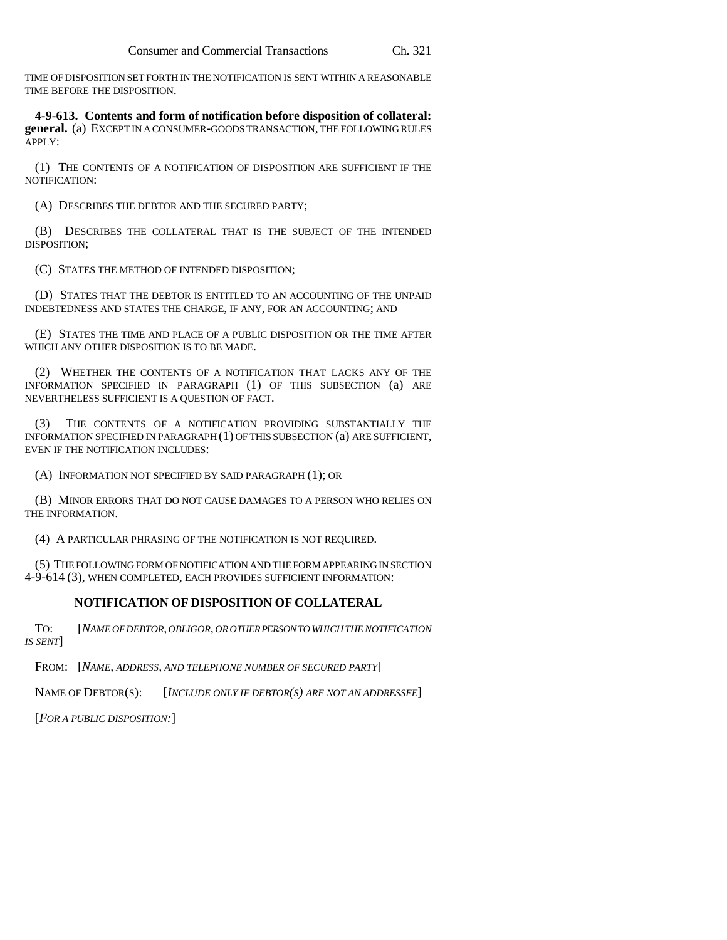TIME OF DISPOSITION SET FORTH IN THE NOTIFICATION IS SENT WITHIN A REASONABLE TIME BEFORE THE DISPOSITION.

**4-9-613. Contents and form of notification before disposition of collateral: general.** (a) EXCEPT IN A CONSUMER-GOODS TRANSACTION, THE FOLLOWING RULES APPLY:

(1) THE CONTENTS OF A NOTIFICATION OF DISPOSITION ARE SUFFICIENT IF THE NOTIFICATION:

(A) DESCRIBES THE DEBTOR AND THE SECURED PARTY;

(B) DESCRIBES THE COLLATERAL THAT IS THE SUBJECT OF THE INTENDED DISPOSITION;

(C) STATES THE METHOD OF INTENDED DISPOSITION;

(D) STATES THAT THE DEBTOR IS ENTITLED TO AN ACCOUNTING OF THE UNPAID INDEBTEDNESS AND STATES THE CHARGE, IF ANY, FOR AN ACCOUNTING; AND

(E) STATES THE TIME AND PLACE OF A PUBLIC DISPOSITION OR THE TIME AFTER WHICH ANY OTHER DISPOSITION IS TO BE MADE.

(2) WHETHER THE CONTENTS OF A NOTIFICATION THAT LACKS ANY OF THE INFORMATION SPECIFIED IN PARAGRAPH (1) OF THIS SUBSECTION (a) ARE NEVERTHELESS SUFFICIENT IS A QUESTION OF FACT.

(3) THE CONTENTS OF A NOTIFICATION PROVIDING SUBSTANTIALLY THE INFORMATION SPECIFIED IN PARAGRAPH (1) OF THIS SUBSECTION (a) ARE SUFFICIENT, EVEN IF THE NOTIFICATION INCLUDES:

(A) INFORMATION NOT SPECIFIED BY SAID PARAGRAPH (1); OR

(B) MINOR ERRORS THAT DO NOT CAUSE DAMAGES TO A PERSON WHO RELIES ON THE INFORMATION.

(4) A PARTICULAR PHRASING OF THE NOTIFICATION IS NOT REQUIRED.

(5) THE FOLLOWING FORM OF NOTIFICATION AND THE FORM APPEARING IN SECTION 4-9-614 (3), WHEN COMPLETED, EACH PROVIDES SUFFICIENT INFORMATION:

## **NOTIFICATION OF DISPOSITION OF COLLATERAL**

TO: [*NAME OF DEBTOR, OBLIGOR, OR OTHER PERSON TO WHICH THE NOTIFICATION IS SENT*]

FROM: [*NAME, ADDRESS, AND TELEPHONE NUMBER OF SECURED PARTY*]

NAME OF DEBTOR(S): [*INCLUDE ONLY IF DEBTOR(S) ARE NOT AN ADDRESSEE*]

[*FOR A PUBLIC DISPOSITION:*]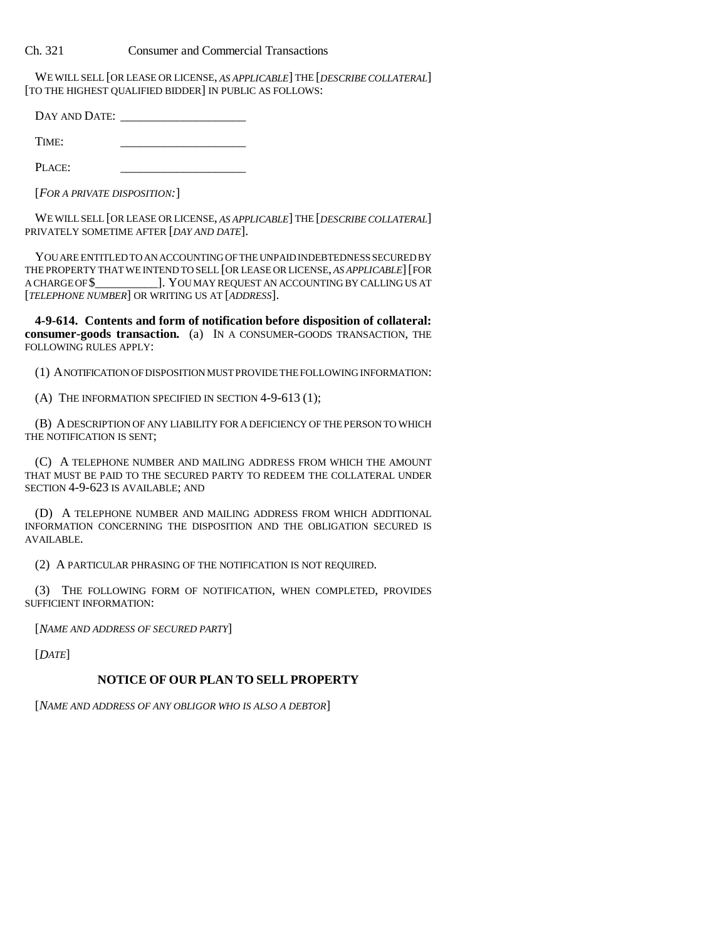WE WILL SELL [OR LEASE OR LICENSE, *AS APPLICABLE*] THE [*DESCRIBE COLLATERAL*] [TO THE HIGHEST QUALIFIED BIDDER] IN PUBLIC AS FOLLOWS:

DAY AND DATE: \_\_\_\_\_\_\_\_\_\_\_\_\_\_\_\_\_\_\_\_

TIME:

PLACE:

[*FOR A PRIVATE DISPOSITION:*]

WE WILL SELL [OR LEASE OR LICENSE, *AS APPLICABLE*] THE [*DESCRIBE COLLATERAL*] PRIVATELY SOMETIME AFTER [*DAY AND DATE*].

YOU ARE ENTITLED TO AN ACCOUNTING OF THE UNPAID INDEBTEDNESS SECURED BY THE PROPERTY THAT WE INTEND TO SELL [OR LEASE OR LICENSE, *AS APPLICABLE*][FOR A CHARGE OF \$ The MONDAY REQUEST AN ACCOUNTING BY CALLING US AT [*TELEPHONE NUMBER*] OR WRITING US AT [*ADDRESS*].

**4-9-614. Contents and form of notification before disposition of collateral: consumer-goods transaction.** (a) IN A CONSUMER-GOODS TRANSACTION, THE FOLLOWING RULES APPLY:

(1) A NOTIFICATION OF DISPOSITION MUST PROVIDE THE FOLLOWING INFORMATION:

(A) THE INFORMATION SPECIFIED IN SECTION 4-9-613 (1);

(B) A DESCRIPTION OF ANY LIABILITY FOR A DEFICIENCY OF THE PERSON TO WHICH THE NOTIFICATION IS SENT;

(C) A TELEPHONE NUMBER AND MAILING ADDRESS FROM WHICH THE AMOUNT THAT MUST BE PAID TO THE SECURED PARTY TO REDEEM THE COLLATERAL UNDER SECTION 4-9-623 IS AVAILABLE; AND

(D) A TELEPHONE NUMBER AND MAILING ADDRESS FROM WHICH ADDITIONAL INFORMATION CONCERNING THE DISPOSITION AND THE OBLIGATION SECURED IS AVAILABLE.

(2) A PARTICULAR PHRASING OF THE NOTIFICATION IS NOT REQUIRED.

(3) THE FOLLOWING FORM OF NOTIFICATION, WHEN COMPLETED, PROVIDES SUFFICIENT INFORMATION:

[*NAME AND ADDRESS OF SECURED PARTY*]

[*DATE*]

# **NOTICE OF OUR PLAN TO SELL PROPERTY**

[*NAME AND ADDRESS OF ANY OBLIGOR WHO IS ALSO A DEBTOR*]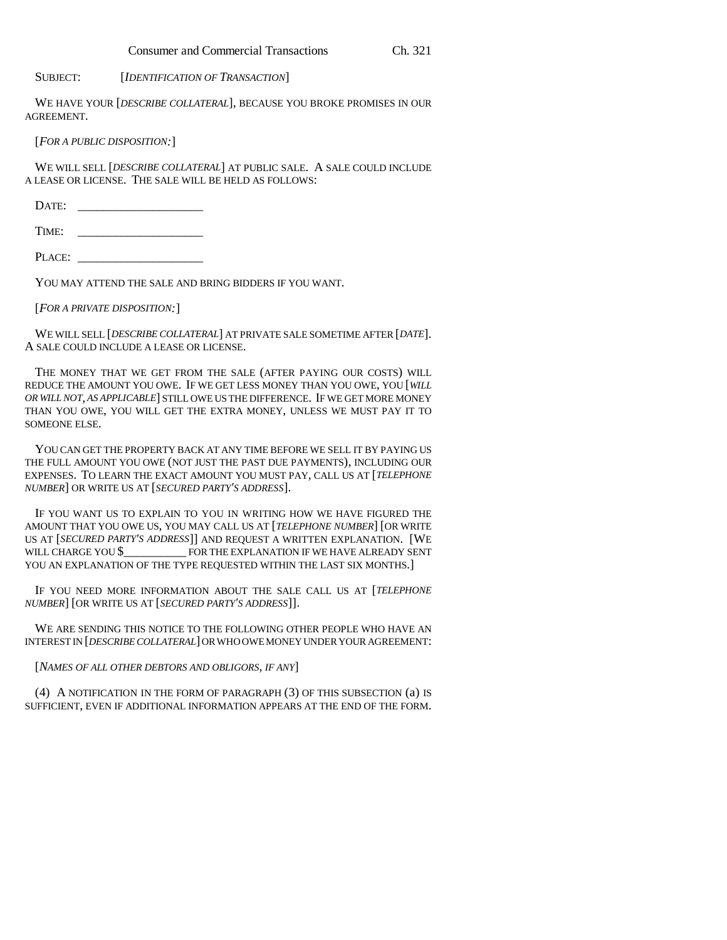SUBJECT: [*IDENTIFICATION OF TRANSACTION*]

WE HAVE YOUR [*DESCRIBE COLLATERAL*], BECAUSE YOU BROKE PROMISES IN OUR AGREEMENT.

[*FOR A PUBLIC DISPOSITION:*]

WE WILL SELL [*DESCRIBE COLLATERAL*] AT PUBLIC SALE. A SALE COULD INCLUDE A LEASE OR LICENSE. THE SALE WILL BE HELD AS FOLLOWS:

DATE: \_\_\_\_\_\_\_\_\_\_\_\_\_\_\_\_\_\_\_\_

TIME:

PLACE:

YOU MAY ATTEND THE SALE AND BRING BIDDERS IF YOU WANT.

[*FOR A PRIVATE DISPOSITION:*]

WE WILL SELL [*DESCRIBE COLLATERAL*] AT PRIVATE SALE SOMETIME AFTER [*DATE*]. A SALE COULD INCLUDE A LEASE OR LICENSE.

THE MONEY THAT WE GET FROM THE SALE (AFTER PAYING OUR COSTS) WILL REDUCE THE AMOUNT YOU OWE. IF WE GET LESS MONEY THAN YOU OWE, YOU [*WILL OR WILL NOT, AS APPLICABLE*] STILL OWE US THE DIFFERENCE. IF WE GET MORE MONEY THAN YOU OWE, YOU WILL GET THE EXTRA MONEY, UNLESS WE MUST PAY IT TO SOMEONE ELSE.

YOU CAN GET THE PROPERTY BACK AT ANY TIME BEFORE WE SELL IT BY PAYING US THE FULL AMOUNT YOU OWE (NOT JUST THE PAST DUE PAYMENTS), INCLUDING OUR EXPENSES. TO LEARN THE EXACT AMOUNT YOU MUST PAY, CALL US AT [*TELEPHONE NUMBER*] OR WRITE US AT [*SECURED PARTY'S ADDRESS*].

IF YOU WANT US TO EXPLAIN TO YOU IN WRITING HOW WE HAVE FIGURED THE AMOUNT THAT YOU OWE US, YOU MAY CALL US AT [*TELEPHONE NUMBER*] [OR WRITE US AT [*SECURED PARTY'S ADDRESS*]] AND REQUEST A WRITTEN EXPLANATION. [WE FOR THE EXPLANATION IF WE HAVE ALREADY SENT YOU AN EXPLANATION OF THE TYPE REQUESTED WITHIN THE LAST SIX MONTHS.]

IF YOU NEED MORE INFORMATION ABOUT THE SALE CALL US AT [*TELEPHONE NUMBER*] [OR WRITE US AT [*SECURED PARTY'S ADDRESS*]].

WE ARE SENDING THIS NOTICE TO THE FOLLOWING OTHER PEOPLE WHO HAVE AN INTEREST IN [*DESCRIBE COLLATERAL*] OR WHO OWE MONEY UNDER YOUR AGREEMENT:

### [*NAMES OF ALL OTHER DEBTORS AND OBLIGORS, IF ANY*]

(4) A NOTIFICATION IN THE FORM OF PARAGRAPH (3) OF THIS SUBSECTION (a) IS SUFFICIENT, EVEN IF ADDITIONAL INFORMATION APPEARS AT THE END OF THE FORM.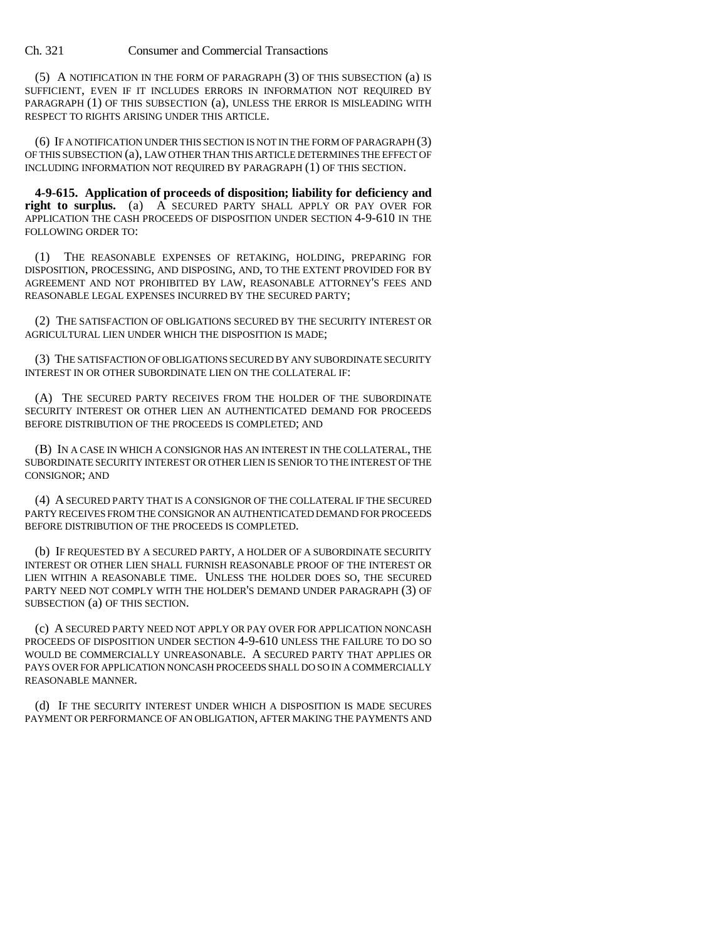(5) A NOTIFICATION IN THE FORM OF PARAGRAPH (3) OF THIS SUBSECTION (a) IS SUFFICIENT, EVEN IF IT INCLUDES ERRORS IN INFORMATION NOT REQUIRED BY PARAGRAPH (1) OF THIS SUBSECTION (a), UNLESS THE ERROR IS MISLEADING WITH RESPECT TO RIGHTS ARISING UNDER THIS ARTICLE.

(6) IF A NOTIFICATION UNDER THIS SECTION IS NOT IN THE FORM OF PARAGRAPH (3) OF THIS SUBSECTION (a), LAW OTHER THAN THIS ARTICLE DETERMINES THE EFFECT OF INCLUDING INFORMATION NOT REQUIRED BY PARAGRAPH (1) OF THIS SECTION.

**4-9-615. Application of proceeds of disposition; liability for deficiency and right to surplus.** (a) A SECURED PARTY SHALL APPLY OR PAY OVER FOR APPLICATION THE CASH PROCEEDS OF DISPOSITION UNDER SECTION 4-9-610 IN THE FOLLOWING ORDER TO:

(1) THE REASONABLE EXPENSES OF RETAKING, HOLDING, PREPARING FOR DISPOSITION, PROCESSING, AND DISPOSING, AND, TO THE EXTENT PROVIDED FOR BY AGREEMENT AND NOT PROHIBITED BY LAW, REASONABLE ATTORNEY'S FEES AND REASONABLE LEGAL EXPENSES INCURRED BY THE SECURED PARTY;

(2) THE SATISFACTION OF OBLIGATIONS SECURED BY THE SECURITY INTEREST OR AGRICULTURAL LIEN UNDER WHICH THE DISPOSITION IS MADE;

(3) THE SATISFACTION OF OBLIGATIONS SECURED BY ANY SUBORDINATE SECURITY INTEREST IN OR OTHER SUBORDINATE LIEN ON THE COLLATERAL IF:

(A) THE SECURED PARTY RECEIVES FROM THE HOLDER OF THE SUBORDINATE SECURITY INTEREST OR OTHER LIEN AN AUTHENTICATED DEMAND FOR PROCEEDS BEFORE DISTRIBUTION OF THE PROCEEDS IS COMPLETED; AND

(B) IN A CASE IN WHICH A CONSIGNOR HAS AN INTEREST IN THE COLLATERAL, THE SUBORDINATE SECURITY INTEREST OR OTHER LIEN IS SENIOR TO THE INTEREST OF THE CONSIGNOR; AND

(4) A SECURED PARTY THAT IS A CONSIGNOR OF THE COLLATERAL IF THE SECURED PARTY RECEIVES FROM THE CONSIGNOR AN AUTHENTICATED DEMAND FOR PROCEEDS BEFORE DISTRIBUTION OF THE PROCEEDS IS COMPLETED.

(b) IF REQUESTED BY A SECURED PARTY, A HOLDER OF A SUBORDINATE SECURITY INTEREST OR OTHER LIEN SHALL FURNISH REASONABLE PROOF OF THE INTEREST OR LIEN WITHIN A REASONABLE TIME. UNLESS THE HOLDER DOES SO, THE SECURED PARTY NEED NOT COMPLY WITH THE HOLDER'S DEMAND UNDER PARAGRAPH (3) OF SUBSECTION (a) OF THIS SECTION.

(c) A SECURED PARTY NEED NOT APPLY OR PAY OVER FOR APPLICATION NONCASH PROCEEDS OF DISPOSITION UNDER SECTION 4-9-610 UNLESS THE FAILURE TO DO SO WOULD BE COMMERCIALLY UNREASONABLE. A SECURED PARTY THAT APPLIES OR PAYS OVER FOR APPLICATION NONCASH PROCEEDS SHALL DO SO IN A COMMERCIALLY REASONABLE MANNER.

(d) IF THE SECURITY INTEREST UNDER WHICH A DISPOSITION IS MADE SECURES PAYMENT OR PERFORMANCE OF AN OBLIGATION, AFTER MAKING THE PAYMENTS AND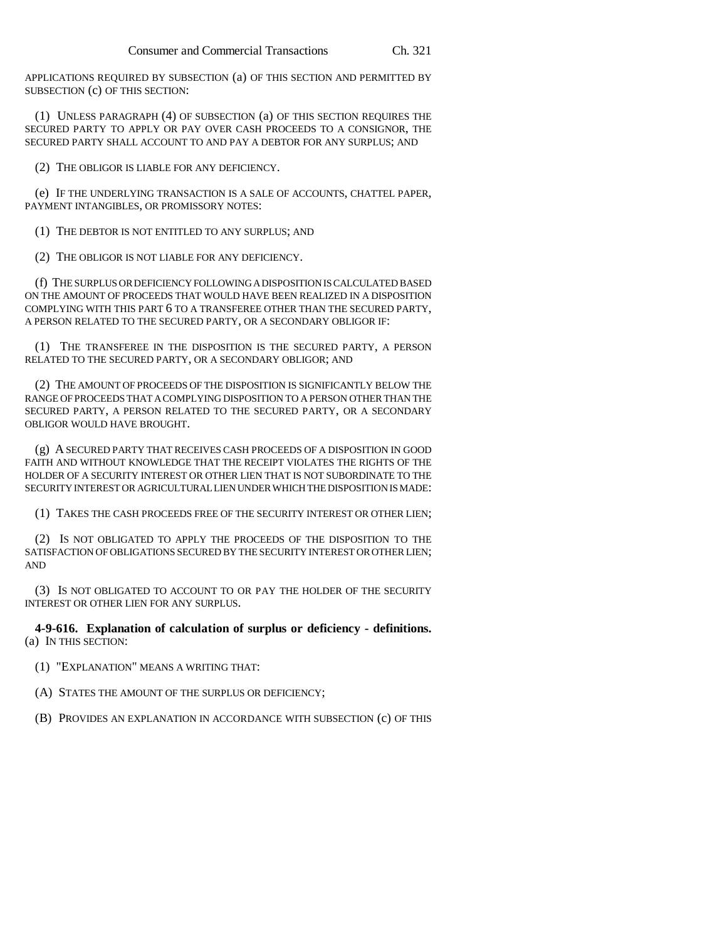APPLICATIONS REQUIRED BY SUBSECTION (a) OF THIS SECTION AND PERMITTED BY SUBSECTION (c) OF THIS SECTION:

(1) UNLESS PARAGRAPH (4) OF SUBSECTION (a) OF THIS SECTION REQUIRES THE SECURED PARTY TO APPLY OR PAY OVER CASH PROCEEDS TO A CONSIGNOR, THE SECURED PARTY SHALL ACCOUNT TO AND PAY A DEBTOR FOR ANY SURPLUS; AND

(2) THE OBLIGOR IS LIABLE FOR ANY DEFICIENCY.

(e) IF THE UNDERLYING TRANSACTION IS A SALE OF ACCOUNTS, CHATTEL PAPER, PAYMENT INTANGIBLES, OR PROMISSORY NOTES:

(1) THE DEBTOR IS NOT ENTITLED TO ANY SURPLUS; AND

(2) THE OBLIGOR IS NOT LIABLE FOR ANY DEFICIENCY.

(f) THE SURPLUS OR DEFICIENCY FOLLOWING A DISPOSITION IS CALCULATED BASED ON THE AMOUNT OF PROCEEDS THAT WOULD HAVE BEEN REALIZED IN A DISPOSITION COMPLYING WITH THIS PART 6 TO A TRANSFEREE OTHER THAN THE SECURED PARTY, A PERSON RELATED TO THE SECURED PARTY, OR A SECONDARY OBLIGOR IF:

(1) THE TRANSFEREE IN THE DISPOSITION IS THE SECURED PARTY, A PERSON RELATED TO THE SECURED PARTY, OR A SECONDARY OBLIGOR; AND

(2) THE AMOUNT OF PROCEEDS OF THE DISPOSITION IS SIGNIFICANTLY BELOW THE RANGE OF PROCEEDS THAT A COMPLYING DISPOSITION TO A PERSON OTHER THAN THE SECURED PARTY, A PERSON RELATED TO THE SECURED PARTY, OR A SECONDARY OBLIGOR WOULD HAVE BROUGHT.

(g) A SECURED PARTY THAT RECEIVES CASH PROCEEDS OF A DISPOSITION IN GOOD FAITH AND WITHOUT KNOWLEDGE THAT THE RECEIPT VIOLATES THE RIGHTS OF THE HOLDER OF A SECURITY INTEREST OR OTHER LIEN THAT IS NOT SUBORDINATE TO THE SECURITY INTEREST OR AGRICULTURAL LIEN UNDER WHICH THE DISPOSITION IS MADE:

(1) TAKES THE CASH PROCEEDS FREE OF THE SECURITY INTEREST OR OTHER LIEN;

(2) IS NOT OBLIGATED TO APPLY THE PROCEEDS OF THE DISPOSITION TO THE SATISFACTION OF OBLIGATIONS SECURED BY THE SECURITY INTEREST OR OTHER LIEN; AND

(3) IS NOT OBLIGATED TO ACCOUNT TO OR PAY THE HOLDER OF THE SECURITY INTEREST OR OTHER LIEN FOR ANY SURPLUS.

**4-9-616. Explanation of calculation of surplus or deficiency - definitions.** (a) IN THIS SECTION:

(1) "EXPLANATION" MEANS A WRITING THAT:

(A) STATES THE AMOUNT OF THE SURPLUS OR DEFICIENCY;

(B) PROVIDES AN EXPLANATION IN ACCORDANCE WITH SUBSECTION (c) OF THIS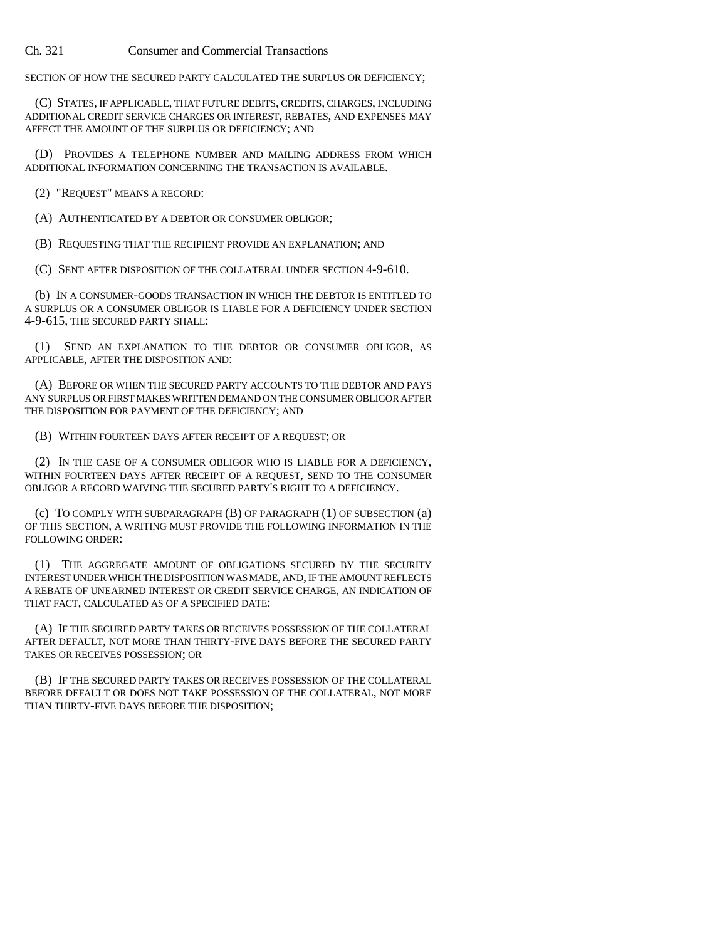SECTION OF HOW THE SECURED PARTY CALCULATED THE SURPLUS OR DEFICIENCY;

(C) STATES, IF APPLICABLE, THAT FUTURE DEBITS, CREDITS, CHARGES, INCLUDING ADDITIONAL CREDIT SERVICE CHARGES OR INTEREST, REBATES, AND EXPENSES MAY AFFECT THE AMOUNT OF THE SURPLUS OR DEFICIENCY; AND

(D) PROVIDES A TELEPHONE NUMBER AND MAILING ADDRESS FROM WHICH ADDITIONAL INFORMATION CONCERNING THE TRANSACTION IS AVAILABLE.

(2) "REQUEST" MEANS A RECORD:

(A) AUTHENTICATED BY A DEBTOR OR CONSUMER OBLIGOR;

(B) REQUESTING THAT THE RECIPIENT PROVIDE AN EXPLANATION; AND

(C) SENT AFTER DISPOSITION OF THE COLLATERAL UNDER SECTION 4-9-610.

(b) IN A CONSUMER-GOODS TRANSACTION IN WHICH THE DEBTOR IS ENTITLED TO A SURPLUS OR A CONSUMER OBLIGOR IS LIABLE FOR A DEFICIENCY UNDER SECTION 4-9-615, THE SECURED PARTY SHALL:

(1) SEND AN EXPLANATION TO THE DEBTOR OR CONSUMER OBLIGOR, AS APPLICABLE, AFTER THE DISPOSITION AND:

(A) BEFORE OR WHEN THE SECURED PARTY ACCOUNTS TO THE DEBTOR AND PAYS ANY SURPLUS OR FIRST MAKES WRITTEN DEMAND ON THE CONSUMER OBLIGOR AFTER THE DISPOSITION FOR PAYMENT OF THE DEFICIENCY; AND

(B) WITHIN FOURTEEN DAYS AFTER RECEIPT OF A REQUEST; OR

(2) IN THE CASE OF A CONSUMER OBLIGOR WHO IS LIABLE FOR A DEFICIENCY, WITHIN FOURTEEN DAYS AFTER RECEIPT OF A REQUEST, SEND TO THE CONSUMER OBLIGOR A RECORD WAIVING THE SECURED PARTY'S RIGHT TO A DEFICIENCY.

(c) TO COMPLY WITH SUBPARAGRAPH (B) OF PARAGRAPH (1) OF SUBSECTION (a) OF THIS SECTION, A WRITING MUST PROVIDE THE FOLLOWING INFORMATION IN THE FOLLOWING ORDER:

(1) THE AGGREGATE AMOUNT OF OBLIGATIONS SECURED BY THE SECURITY INTEREST UNDER WHICH THE DISPOSITION WAS MADE, AND, IF THE AMOUNT REFLECTS A REBATE OF UNEARNED INTEREST OR CREDIT SERVICE CHARGE, AN INDICATION OF THAT FACT, CALCULATED AS OF A SPECIFIED DATE:

(A) IF THE SECURED PARTY TAKES OR RECEIVES POSSESSION OF THE COLLATERAL AFTER DEFAULT, NOT MORE THAN THIRTY-FIVE DAYS BEFORE THE SECURED PARTY TAKES OR RECEIVES POSSESSION; OR

(B) IF THE SECURED PARTY TAKES OR RECEIVES POSSESSION OF THE COLLATERAL BEFORE DEFAULT OR DOES NOT TAKE POSSESSION OF THE COLLATERAL, NOT MORE THAN THIRTY-FIVE DAYS BEFORE THE DISPOSITION;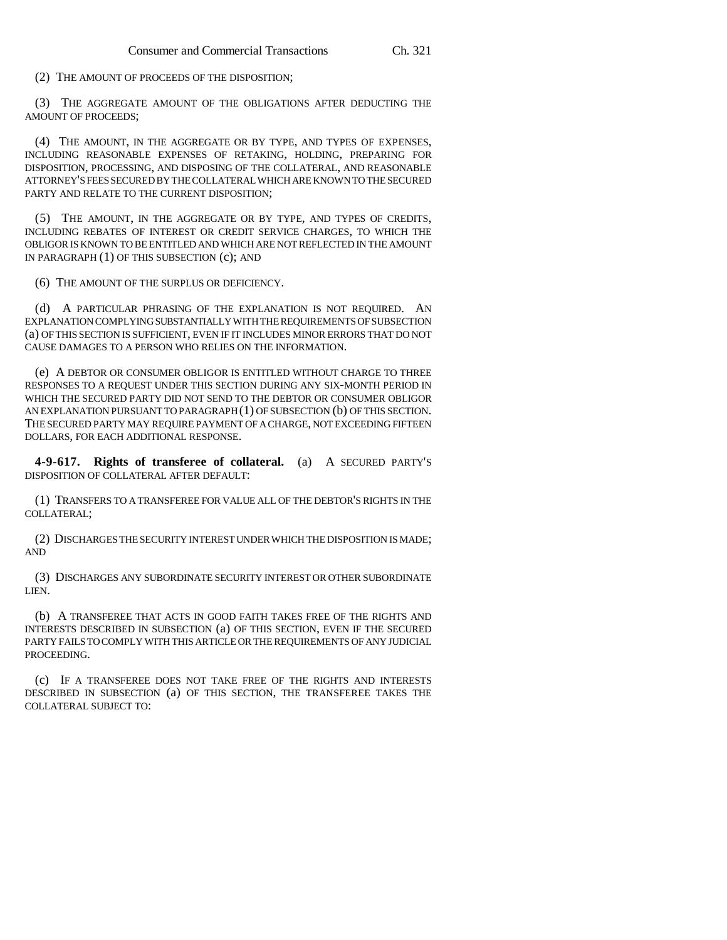(2) THE AMOUNT OF PROCEEDS OF THE DISPOSITION;

(3) THE AGGREGATE AMOUNT OF THE OBLIGATIONS AFTER DEDUCTING THE AMOUNT OF PROCEEDS;

(4) THE AMOUNT, IN THE AGGREGATE OR BY TYPE, AND TYPES OF EXPENSES, INCLUDING REASONABLE EXPENSES OF RETAKING, HOLDING, PREPARING FOR DISPOSITION, PROCESSING, AND DISPOSING OF THE COLLATERAL, AND REASONABLE ATTORNEY'S FEES SECURED BY THE COLLATERAL WHICH ARE KNOWN TO THE SECURED PARTY AND RELATE TO THE CURRENT DISPOSITION;

(5) THE AMOUNT, IN THE AGGREGATE OR BY TYPE, AND TYPES OF CREDITS, INCLUDING REBATES OF INTEREST OR CREDIT SERVICE CHARGES, TO WHICH THE OBLIGOR IS KNOWN TO BE ENTITLED AND WHICH ARE NOT REFLECTED IN THE AMOUNT IN PARAGRAPH (1) OF THIS SUBSECTION (c); AND

(6) THE AMOUNT OF THE SURPLUS OR DEFICIENCY.

(d) A PARTICULAR PHRASING OF THE EXPLANATION IS NOT REQUIRED. AN EXPLANATION COMPLYING SUBSTANTIALLY WITH THE REQUIREMENTS OF SUBSECTION (a) OF THIS SECTION IS SUFFICIENT, EVEN IF IT INCLUDES MINOR ERRORS THAT DO NOT CAUSE DAMAGES TO A PERSON WHO RELIES ON THE INFORMATION.

(e) A DEBTOR OR CONSUMER OBLIGOR IS ENTITLED WITHOUT CHARGE TO THREE RESPONSES TO A REQUEST UNDER THIS SECTION DURING ANY SIX-MONTH PERIOD IN WHICH THE SECURED PARTY DID NOT SEND TO THE DEBTOR OR CONSUMER OBLIGOR AN EXPLANATION PURSUANT TO PARAGRAPH (1) OF SUBSECTION (b) OF THIS SECTION. THE SECURED PARTY MAY REQUIRE PAYMENT OF A CHARGE, NOT EXCEEDING FIFTEEN DOLLARS, FOR EACH ADDITIONAL RESPONSE.

**4-9-617. Rights of transferee of collateral.** (a) A SECURED PARTY'S DISPOSITION OF COLLATERAL AFTER DEFAULT:

(1) TRANSFERS TO A TRANSFEREE FOR VALUE ALL OF THE DEBTOR'S RIGHTS IN THE COLLATERAL;

(2) DISCHARGES THE SECURITY INTEREST UNDER WHICH THE DISPOSITION IS MADE; AND

(3) DISCHARGES ANY SUBORDINATE SECURITY INTEREST OR OTHER SUBORDINATE LIEN.

(b) A TRANSFEREE THAT ACTS IN GOOD FAITH TAKES FREE OF THE RIGHTS AND INTERESTS DESCRIBED IN SUBSECTION (a) OF THIS SECTION, EVEN IF THE SECURED PARTY FAILS TO COMPLY WITH THIS ARTICLE OR THE REQUIREMENTS OF ANY JUDICIAL PROCEEDING.

(c) IF A TRANSFEREE DOES NOT TAKE FREE OF THE RIGHTS AND INTERESTS DESCRIBED IN SUBSECTION (a) OF THIS SECTION, THE TRANSFEREE TAKES THE COLLATERAL SUBJECT TO: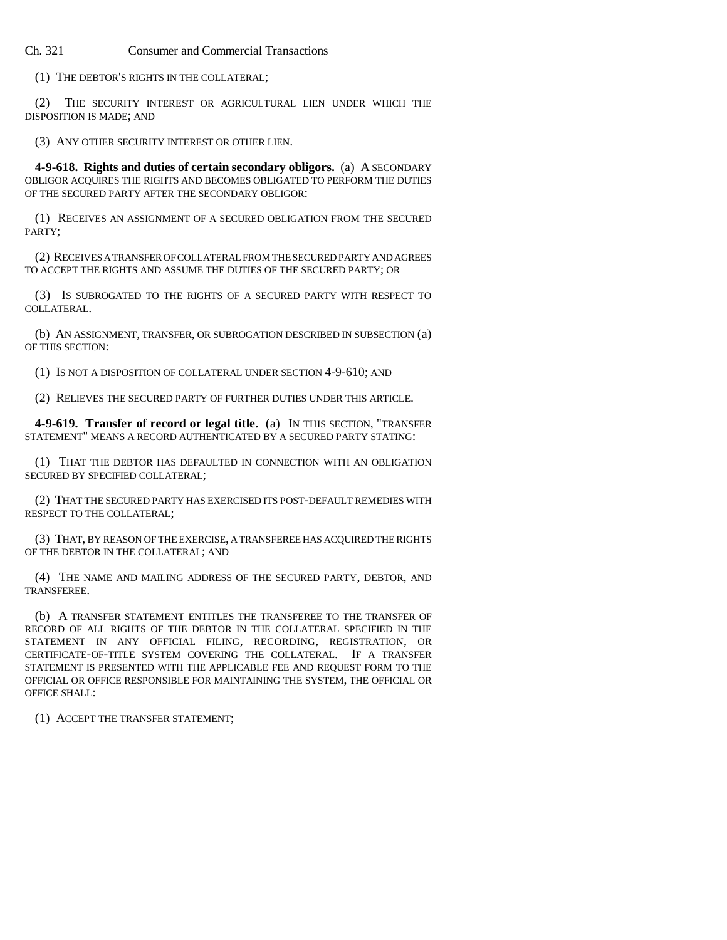(1) THE DEBTOR'S RIGHTS IN THE COLLATERAL;

(2) THE SECURITY INTEREST OR AGRICULTURAL LIEN UNDER WHICH THE DISPOSITION IS MADE; AND

(3) ANY OTHER SECURITY INTEREST OR OTHER LIEN.

**4-9-618. Rights and duties of certain secondary obligors.** (a) A SECONDARY OBLIGOR ACQUIRES THE RIGHTS AND BECOMES OBLIGATED TO PERFORM THE DUTIES OF THE SECURED PARTY AFTER THE SECONDARY OBLIGOR:

(1) RECEIVES AN ASSIGNMENT OF A SECURED OBLIGATION FROM THE SECURED PARTY;

(2) RECEIVES A TRANSFER OF COLLATERAL FROM THE SECURED PARTY AND AGREES TO ACCEPT THE RIGHTS AND ASSUME THE DUTIES OF THE SECURED PARTY; OR

(3) IS SUBROGATED TO THE RIGHTS OF A SECURED PARTY WITH RESPECT TO COLLATERAL.

(b) AN ASSIGNMENT, TRANSFER, OR SUBROGATION DESCRIBED IN SUBSECTION (a) OF THIS SECTION:

(1) IS NOT A DISPOSITION OF COLLATERAL UNDER SECTION 4-9-610; AND

(2) RELIEVES THE SECURED PARTY OF FURTHER DUTIES UNDER THIS ARTICLE.

**4-9-619. Transfer of record or legal title.** (a) IN THIS SECTION, "TRANSFER STATEMENT" MEANS A RECORD AUTHENTICATED BY A SECURED PARTY STATING:

(1) THAT THE DEBTOR HAS DEFAULTED IN CONNECTION WITH AN OBLIGATION SECURED BY SPECIFIED COLLATERAL;

(2) THAT THE SECURED PARTY HAS EXERCISED ITS POST-DEFAULT REMEDIES WITH RESPECT TO THE COLLATERAL;

(3) THAT, BY REASON OF THE EXERCISE, A TRANSFEREE HAS ACQUIRED THE RIGHTS OF THE DEBTOR IN THE COLLATERAL; AND

(4) THE NAME AND MAILING ADDRESS OF THE SECURED PARTY, DEBTOR, AND TRANSFEREE.

(b) A TRANSFER STATEMENT ENTITLES THE TRANSFEREE TO THE TRANSFER OF RECORD OF ALL RIGHTS OF THE DEBTOR IN THE COLLATERAL SPECIFIED IN THE STATEMENT IN ANY OFFICIAL FILING, RECORDING, REGISTRATION, OR CERTIFICATE-OF-TITLE SYSTEM COVERING THE COLLATERAL. IF A TRANSFER STATEMENT IS PRESENTED WITH THE APPLICABLE FEE AND REQUEST FORM TO THE OFFICIAL OR OFFICE RESPONSIBLE FOR MAINTAINING THE SYSTEM, THE OFFICIAL OR OFFICE SHALL:

(1) ACCEPT THE TRANSFER STATEMENT;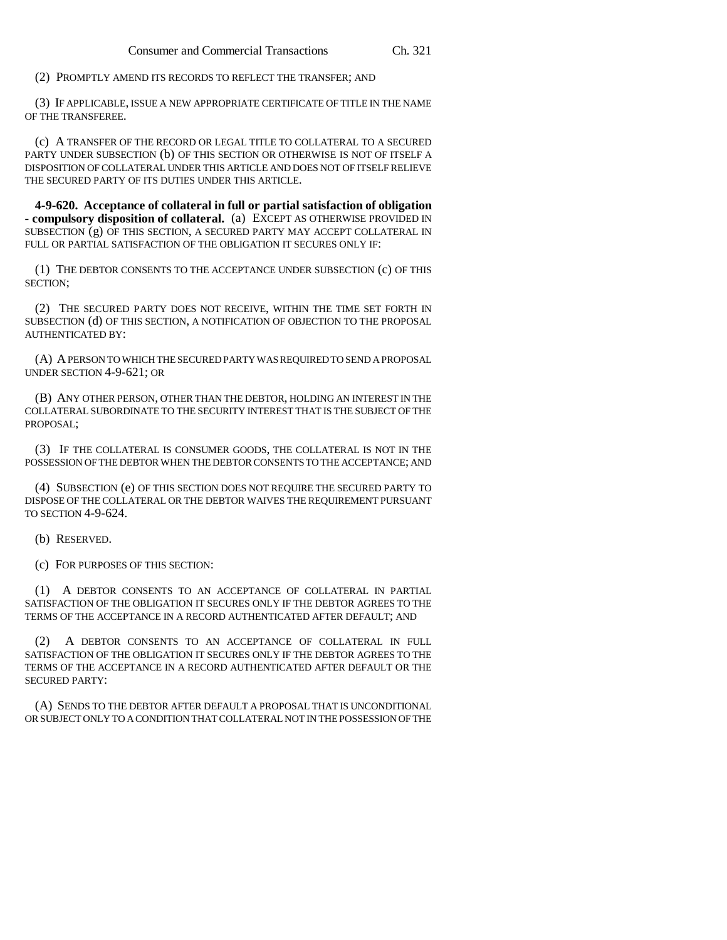(2) PROMPTLY AMEND ITS RECORDS TO REFLECT THE TRANSFER; AND

(3) IF APPLICABLE, ISSUE A NEW APPROPRIATE CERTIFICATE OF TITLE IN THE NAME OF THE TRANSFEREE.

(c) A TRANSFER OF THE RECORD OR LEGAL TITLE TO COLLATERAL TO A SECURED PARTY UNDER SUBSECTION (b) OF THIS SECTION OR OTHERWISE IS NOT OF ITSELF A DISPOSITION OF COLLATERAL UNDER THIS ARTICLE AND DOES NOT OF ITSELF RELIEVE THE SECURED PARTY OF ITS DUTIES UNDER THIS ARTICLE.

**4-9-620. Acceptance of collateral in full or partial satisfaction of obligation - compulsory disposition of collateral.** (a) EXCEPT AS OTHERWISE PROVIDED IN SUBSECTION (g) OF THIS SECTION, A SECURED PARTY MAY ACCEPT COLLATERAL IN FULL OR PARTIAL SATISFACTION OF THE OBLIGATION IT SECURES ONLY IF:

(1) THE DEBTOR CONSENTS TO THE ACCEPTANCE UNDER SUBSECTION (c) OF THIS SECTION;

(2) THE SECURED PARTY DOES NOT RECEIVE, WITHIN THE TIME SET FORTH IN SUBSECTION (d) OF THIS SECTION, A NOTIFICATION OF OBJECTION TO THE PROPOSAL AUTHENTICATED BY:

(A) A PERSON TO WHICH THE SECURED PARTY WAS REQUIRED TO SEND A PROPOSAL UNDER SECTION 4-9-621; OR

(B) ANY OTHER PERSON, OTHER THAN THE DEBTOR, HOLDING AN INTEREST IN THE COLLATERAL SUBORDINATE TO THE SECURITY INTEREST THAT IS THE SUBJECT OF THE PROPOSAL;

(3) IF THE COLLATERAL IS CONSUMER GOODS, THE COLLATERAL IS NOT IN THE POSSESSION OF THE DEBTOR WHEN THE DEBTOR CONSENTS TO THE ACCEPTANCE; AND

(4) SUBSECTION (e) OF THIS SECTION DOES NOT REQUIRE THE SECURED PARTY TO DISPOSE OF THE COLLATERAL OR THE DEBTOR WAIVES THE REQUIREMENT PURSUANT TO SECTION 4-9-624.

(b) RESERVED.

(c) FOR PURPOSES OF THIS SECTION:

(1) A DEBTOR CONSENTS TO AN ACCEPTANCE OF COLLATERAL IN PARTIAL SATISFACTION OF THE OBLIGATION IT SECURES ONLY IF THE DEBTOR AGREES TO THE TERMS OF THE ACCEPTANCE IN A RECORD AUTHENTICATED AFTER DEFAULT; AND

(2) A DEBTOR CONSENTS TO AN ACCEPTANCE OF COLLATERAL IN FULL SATISFACTION OF THE OBLIGATION IT SECURES ONLY IF THE DEBTOR AGREES TO THE TERMS OF THE ACCEPTANCE IN A RECORD AUTHENTICATED AFTER DEFAULT OR THE SECURED PARTY:

(A) SENDS TO THE DEBTOR AFTER DEFAULT A PROPOSAL THAT IS UNCONDITIONAL OR SUBJECT ONLY TO A CONDITION THAT COLLATERAL NOT IN THE POSSESSION OF THE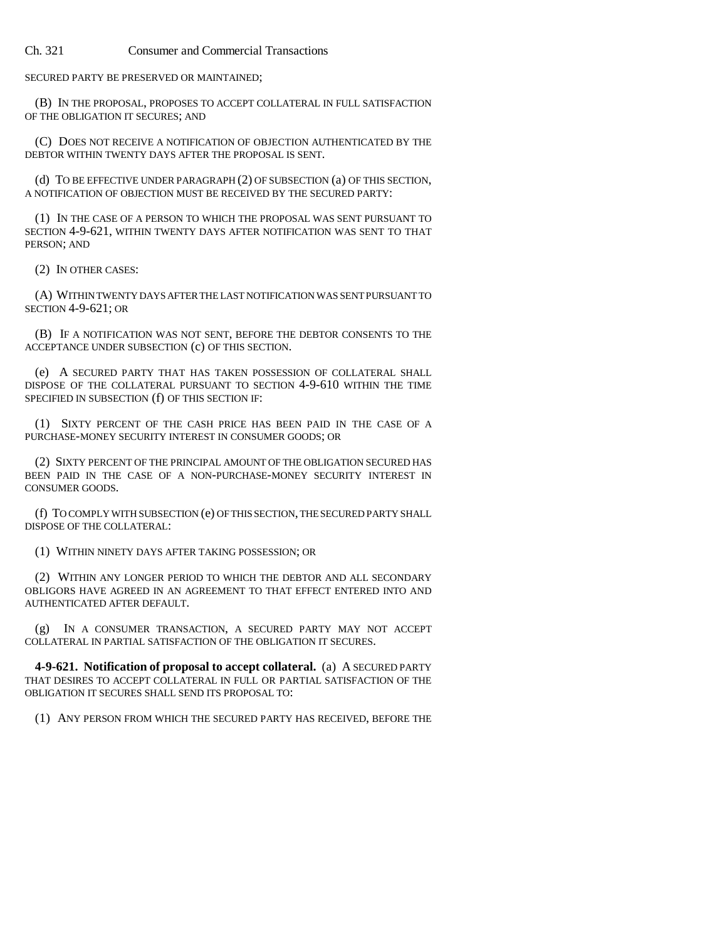SECURED PARTY BE PRESERVED OR MAINTAINED;

(B) IN THE PROPOSAL, PROPOSES TO ACCEPT COLLATERAL IN FULL SATISFACTION OF THE OBLIGATION IT SECURES; AND

(C) DOES NOT RECEIVE A NOTIFICATION OF OBJECTION AUTHENTICATED BY THE DEBTOR WITHIN TWENTY DAYS AFTER THE PROPOSAL IS SENT.

(d) TO BE EFFECTIVE UNDER PARAGRAPH (2) OF SUBSECTION (a) OF THIS SECTION, A NOTIFICATION OF OBJECTION MUST BE RECEIVED BY THE SECURED PARTY:

(1) IN THE CASE OF A PERSON TO WHICH THE PROPOSAL WAS SENT PURSUANT TO SECTION 4-9-621, WITHIN TWENTY DAYS AFTER NOTIFICATION WAS SENT TO THAT PERSON; AND

(2) IN OTHER CASES:

(A) WITHIN TWENTY DAYS AFTER THE LAST NOTIFICATION WAS SENT PURSUANT TO SECTION 4-9-621; OR

(B) IF A NOTIFICATION WAS NOT SENT, BEFORE THE DEBTOR CONSENTS TO THE ACCEPTANCE UNDER SUBSECTION (c) OF THIS SECTION.

(e) A SECURED PARTY THAT HAS TAKEN POSSESSION OF COLLATERAL SHALL DISPOSE OF THE COLLATERAL PURSUANT TO SECTION 4-9-610 WITHIN THE TIME SPECIFIED IN SUBSECTION (f) OF THIS SECTION IF:

(1) SIXTY PERCENT OF THE CASH PRICE HAS BEEN PAID IN THE CASE OF A PURCHASE-MONEY SECURITY INTEREST IN CONSUMER GOODS; OR

(2) SIXTY PERCENT OF THE PRINCIPAL AMOUNT OF THE OBLIGATION SECURED HAS BEEN PAID IN THE CASE OF A NON-PURCHASE-MONEY SECURITY INTEREST IN CONSUMER GOODS.

(f) TO COMPLY WITH SUBSECTION (e) OF THIS SECTION, THE SECURED PARTY SHALL DISPOSE OF THE COLLATERAL:

(1) WITHIN NINETY DAYS AFTER TAKING POSSESSION; OR

(2) WITHIN ANY LONGER PERIOD TO WHICH THE DEBTOR AND ALL SECONDARY OBLIGORS HAVE AGREED IN AN AGREEMENT TO THAT EFFECT ENTERED INTO AND AUTHENTICATED AFTER DEFAULT.

(g) IN A CONSUMER TRANSACTION, A SECURED PARTY MAY NOT ACCEPT COLLATERAL IN PARTIAL SATISFACTION OF THE OBLIGATION IT SECURES.

**4-9-621. Notification of proposal to accept collateral.** (a) A SECURED PARTY THAT DESIRES TO ACCEPT COLLATERAL IN FULL OR PARTIAL SATISFACTION OF THE OBLIGATION IT SECURES SHALL SEND ITS PROPOSAL TO:

(1) ANY PERSON FROM WHICH THE SECURED PARTY HAS RECEIVED, BEFORE THE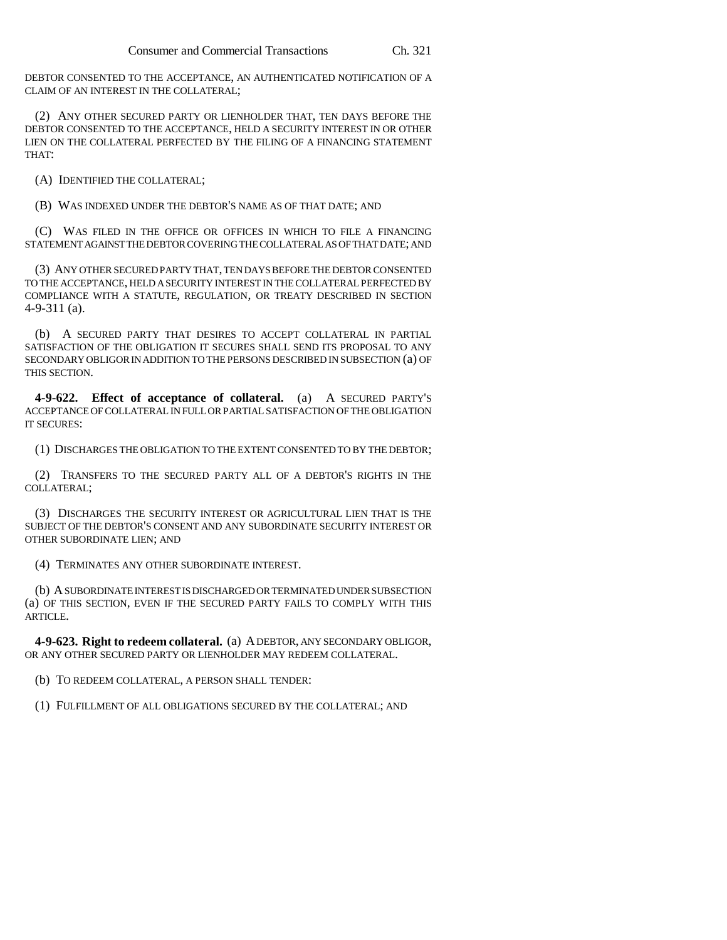DEBTOR CONSENTED TO THE ACCEPTANCE, AN AUTHENTICATED NOTIFICATION OF A CLAIM OF AN INTEREST IN THE COLLATERAL;

(2) ANY OTHER SECURED PARTY OR LIENHOLDER THAT, TEN DAYS BEFORE THE DEBTOR CONSENTED TO THE ACCEPTANCE, HELD A SECURITY INTEREST IN OR OTHER LIEN ON THE COLLATERAL PERFECTED BY THE FILING OF A FINANCING STATEMENT THAT:

(A) IDENTIFIED THE COLLATERAL;

(B) WAS INDEXED UNDER THE DEBTOR'S NAME AS OF THAT DATE; AND

(C) WAS FILED IN THE OFFICE OR OFFICES IN WHICH TO FILE A FINANCING STATEMENT AGAINST THE DEBTOR COVERING THE COLLATERAL AS OF THAT DATE; AND

(3) ANY OTHER SECURED PARTY THAT, TEN DAYS BEFORE THE DEBTOR CONSENTED TO THE ACCEPTANCE, HELD A SECURITY INTEREST IN THE COLLATERAL PERFECTED BY COMPLIANCE WITH A STATUTE, REGULATION, OR TREATY DESCRIBED IN SECTION 4-9-311 (a).

(b) A SECURED PARTY THAT DESIRES TO ACCEPT COLLATERAL IN PARTIAL SATISFACTION OF THE OBLIGATION IT SECURES SHALL SEND ITS PROPOSAL TO ANY SECONDARY OBLIGOR IN ADDITION TO THE PERSONS DESCRIBED IN SUBSECTION (a) OF THIS SECTION.

**4-9-622. Effect of acceptance of collateral.** (a) A SECURED PARTY'S ACCEPTANCE OF COLLATERAL IN FULL OR PARTIAL SATISFACTION OF THE OBLIGATION IT SECURES:

(1) DISCHARGES THE OBLIGATION TO THE EXTENT CONSENTED TO BY THE DEBTOR;

(2) TRANSFERS TO THE SECURED PARTY ALL OF A DEBTOR'S RIGHTS IN THE COLLATERAL;

(3) DISCHARGES THE SECURITY INTEREST OR AGRICULTURAL LIEN THAT IS THE SUBJECT OF THE DEBTOR'S CONSENT AND ANY SUBORDINATE SECURITY INTEREST OR OTHER SUBORDINATE LIEN; AND

(4) TERMINATES ANY OTHER SUBORDINATE INTEREST.

(b) A SUBORDINATE INTEREST IS DISCHARGED OR TERMINATED UNDER SUBSECTION (a) OF THIS SECTION, EVEN IF THE SECURED PARTY FAILS TO COMPLY WITH THIS ARTICLE.

**4-9-623. Right to redeem collateral.** (a) A DEBTOR, ANY SECONDARY OBLIGOR, OR ANY OTHER SECURED PARTY OR LIENHOLDER MAY REDEEM COLLATERAL.

(b) TO REDEEM COLLATERAL, A PERSON SHALL TENDER:

(1) FULFILLMENT OF ALL OBLIGATIONS SECURED BY THE COLLATERAL; AND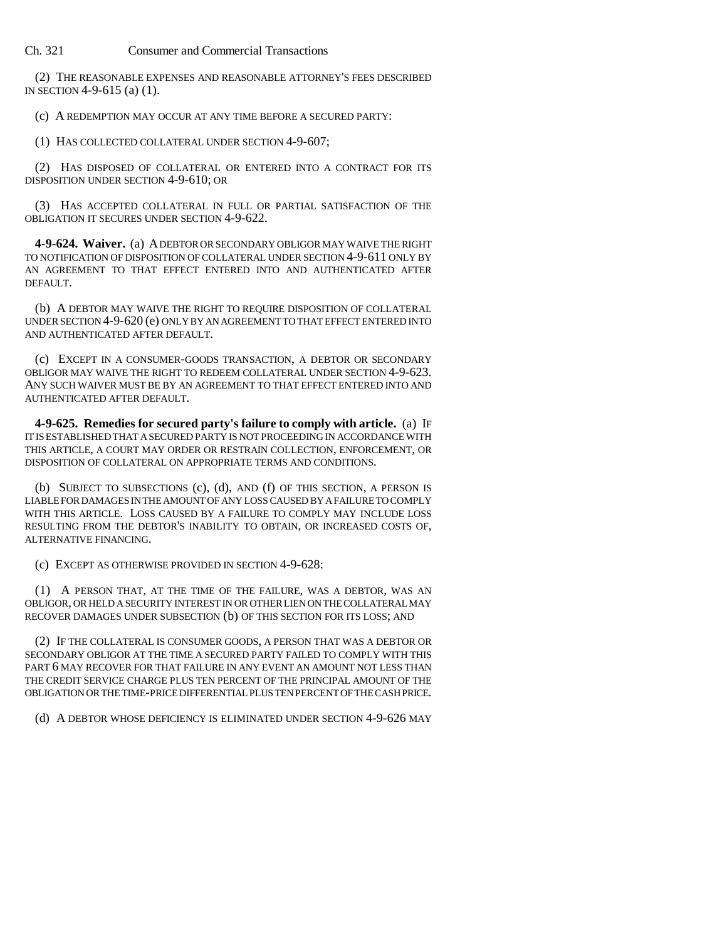(2) THE REASONABLE EXPENSES AND REASONABLE ATTORNEY'S FEES DESCRIBED IN SECTION 4-9-615 (a) (1).

(c) A REDEMPTION MAY OCCUR AT ANY TIME BEFORE A SECURED PARTY:

(1) HAS COLLECTED COLLATERAL UNDER SECTION 4-9-607;

(2) HAS DISPOSED OF COLLATERAL OR ENTERED INTO A CONTRACT FOR ITS DISPOSITION UNDER SECTION 4-9-610; OR

(3) HAS ACCEPTED COLLATERAL IN FULL OR PARTIAL SATISFACTION OF THE OBLIGATION IT SECURES UNDER SECTION 4-9-622.

**4-9-624. Waiver.** (a) A DEBTOR OR SECONDARY OBLIGOR MAY WAIVE THE RIGHT TO NOTIFICATION OF DISPOSITION OF COLLATERAL UNDER SECTION 4-9-611 ONLY BY AN AGREEMENT TO THAT EFFECT ENTERED INTO AND AUTHENTICATED AFTER DEFAULT.

(b) A DEBTOR MAY WAIVE THE RIGHT TO REQUIRE DISPOSITION OF COLLATERAL UNDER SECTION 4-9-620 (e) ONLY BY AN AGREEMENT TO THAT EFFECT ENTERED INTO AND AUTHENTICATED AFTER DEFAULT.

(c) EXCEPT IN A CONSUMER-GOODS TRANSACTION, A DEBTOR OR SECONDARY OBLIGOR MAY WAIVE THE RIGHT TO REDEEM COLLATERAL UNDER SECTION 4-9-623. ANY SUCH WAIVER MUST BE BY AN AGREEMENT TO THAT EFFECT ENTERED INTO AND AUTHENTICATED AFTER DEFAULT.

**4-9-625. Remedies for secured party's failure to comply with article.** (a) IF IT IS ESTABLISHED THAT A SECURED PARTY IS NOT PROCEEDING IN ACCORDANCE WITH THIS ARTICLE, A COURT MAY ORDER OR RESTRAIN COLLECTION, ENFORCEMENT, OR DISPOSITION OF COLLATERAL ON APPROPRIATE TERMS AND CONDITIONS.

(b) SUBJECT TO SUBSECTIONS (c), (d), AND (f) OF THIS SECTION, A PERSON IS LIABLE FOR DAMAGES IN THE AMOUNT OF ANY LOSS CAUSED BY A FAILURE TO COMPLY WITH THIS ARTICLE. LOSS CAUSED BY A FAILURE TO COMPLY MAY INCLUDE LOSS RESULTING FROM THE DEBTOR'S INABILITY TO OBTAIN, OR INCREASED COSTS OF, ALTERNATIVE FINANCING.

(c) EXCEPT AS OTHERWISE PROVIDED IN SECTION 4-9-628:

(1) A PERSON THAT, AT THE TIME OF THE FAILURE, WAS A DEBTOR, WAS AN OBLIGOR, OR HELD A SECURITY INTEREST IN OR OTHER LIEN ON THE COLLATERAL MAY RECOVER DAMAGES UNDER SUBSECTION (b) OF THIS SECTION FOR ITS LOSS; AND

(2) IF THE COLLATERAL IS CONSUMER GOODS, A PERSON THAT WAS A DEBTOR OR SECONDARY OBLIGOR AT THE TIME A SECURED PARTY FAILED TO COMPLY WITH THIS PART 6 MAY RECOVER FOR THAT FAILURE IN ANY EVENT AN AMOUNT NOT LESS THAN THE CREDIT SERVICE CHARGE PLUS TEN PERCENT OF THE PRINCIPAL AMOUNT OF THE OBLIGATION OR THE TIME-PRICE DIFFERENTIAL PLUS TEN PERCENT OF THE CASH PRICE.

(d) A DEBTOR WHOSE DEFICIENCY IS ELIMINATED UNDER SECTION 4-9-626 MAY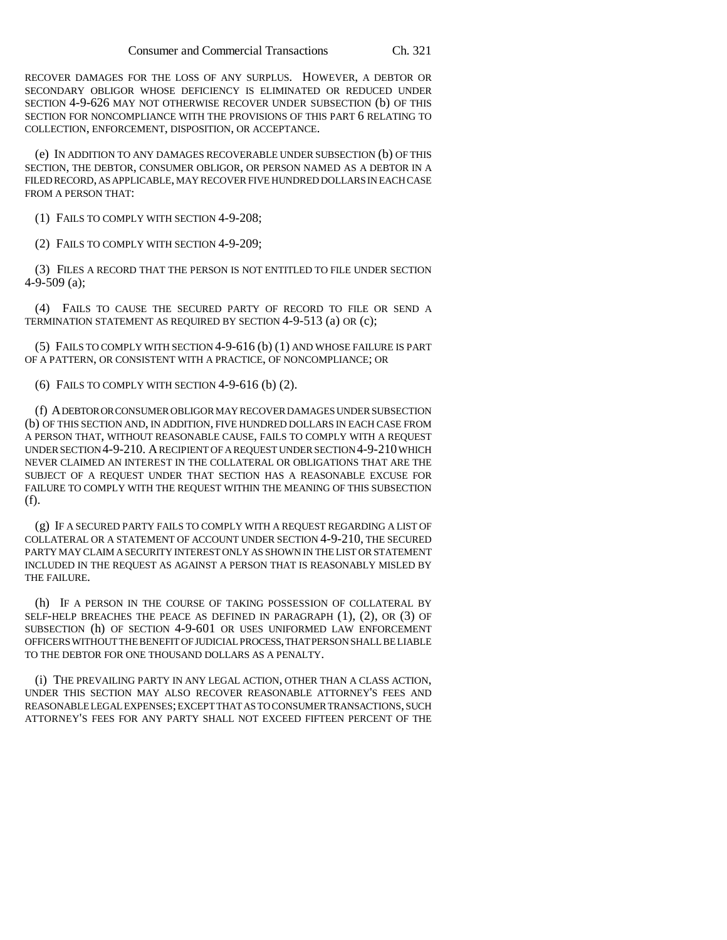RECOVER DAMAGES FOR THE LOSS OF ANY SURPLUS. HOWEVER, A DEBTOR OR SECONDARY OBLIGOR WHOSE DEFICIENCY IS ELIMINATED OR REDUCED UNDER SECTION 4-9-626 MAY NOT OTHERWISE RECOVER UNDER SUBSECTION (b) OF THIS SECTION FOR NONCOMPLIANCE WITH THE PROVISIONS OF THIS PART 6 RELATING TO COLLECTION, ENFORCEMENT, DISPOSITION, OR ACCEPTANCE.

(e) IN ADDITION TO ANY DAMAGES RECOVERABLE UNDER SUBSECTION (b) OF THIS SECTION, THE DEBTOR, CONSUMER OBLIGOR, OR PERSON NAMED AS A DEBTOR IN A FILED RECORD, AS APPLICABLE, MAY RECOVER FIVE HUNDRED DOLLARS IN EACH CASE FROM A PERSON THAT:

(1) FAILS TO COMPLY WITH SECTION 4-9-208;

(2) FAILS TO COMPLY WITH SECTION 4-9-209;

(3) FILES A RECORD THAT THE PERSON IS NOT ENTITLED TO FILE UNDER SECTION 4-9-509 (a);

(4) FAILS TO CAUSE THE SECURED PARTY OF RECORD TO FILE OR SEND A TERMINATION STATEMENT AS REQUIRED BY SECTION 4-9-513 (a) OR (c);

(5) FAILS TO COMPLY WITH SECTION 4-9-616 (b) (1) AND WHOSE FAILURE IS PART OF A PATTERN, OR CONSISTENT WITH A PRACTICE, OF NONCOMPLIANCE; OR

### (6) FAILS TO COMPLY WITH SECTION 4-9-616 (b) (2).

(f) A DEBTOR OR CONSUMER OBLIGOR MAY RECOVER DAMAGES UNDER SUBSECTION (b) OF THIS SECTION AND, IN ADDITION, FIVE HUNDRED DOLLARS IN EACH CASE FROM A PERSON THAT, WITHOUT REASONABLE CAUSE, FAILS TO COMPLY WITH A REQUEST UNDER SECTION 4-9-210. A RECIPIENT OF A REQUEST UNDER SECTION 4-9-210 WHICH NEVER CLAIMED AN INTEREST IN THE COLLATERAL OR OBLIGATIONS THAT ARE THE SUBJECT OF A REQUEST UNDER THAT SECTION HAS A REASONABLE EXCUSE FOR FAILURE TO COMPLY WITH THE REQUEST WITHIN THE MEANING OF THIS SUBSECTION (f).

(g) IF A SECURED PARTY FAILS TO COMPLY WITH A REQUEST REGARDING A LIST OF COLLATERAL OR A STATEMENT OF ACCOUNT UNDER SECTION 4-9-210, THE SECURED PARTY MAY CLAIM A SECURITY INTEREST ONLY AS SHOWN IN THE LIST OR STATEMENT INCLUDED IN THE REQUEST AS AGAINST A PERSON THAT IS REASONABLY MISLED BY THE FAILURE.

(h) IF A PERSON IN THE COURSE OF TAKING POSSESSION OF COLLATERAL BY SELF-HELP BREACHES THE PEACE AS DEFINED IN PARAGRAPH (1), (2), OR (3) OF SUBSECTION (h) OF SECTION 4-9-601 OR USES UNIFORMED LAW ENFORCEMENT OFFICERS WITHOUT THE BENEFIT OF JUDICIAL PROCESS, THAT PERSON SHALL BE LIABLE TO THE DEBTOR FOR ONE THOUSAND DOLLARS AS A PENALTY.

(i) THE PREVAILING PARTY IN ANY LEGAL ACTION, OTHER THAN A CLASS ACTION, UNDER THIS SECTION MAY ALSO RECOVER REASONABLE ATTORNEY'S FEES AND REASONABLE LEGAL EXPENSES; EXCEPT THAT AS TO CONSUMER TRANSACTIONS, SUCH ATTORNEY'S FEES FOR ANY PARTY SHALL NOT EXCEED FIFTEEN PERCENT OF THE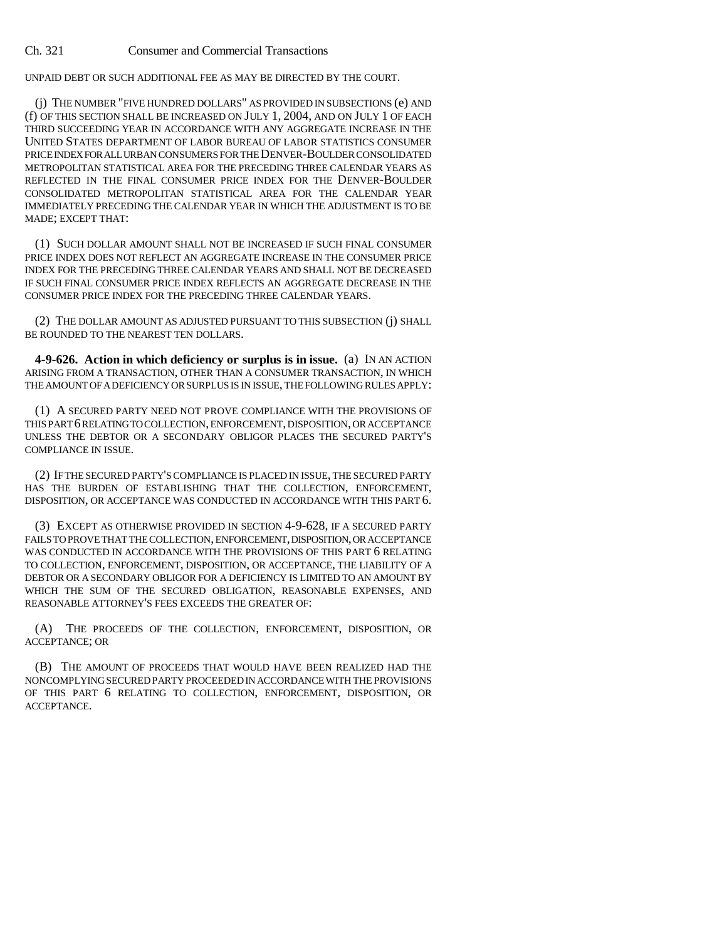UNPAID DEBT OR SUCH ADDITIONAL FEE AS MAY BE DIRECTED BY THE COURT.

(j) THE NUMBER "FIVE HUNDRED DOLLARS" AS PROVIDED IN SUBSECTIONS (e) AND (f) OF THIS SECTION SHALL BE INCREASED ON JULY 1, 2004, AND ON JULY 1 OF EACH THIRD SUCCEEDING YEAR IN ACCORDANCE WITH ANY AGGREGATE INCREASE IN THE UNITED STATES DEPARTMENT OF LABOR BUREAU OF LABOR STATISTICS CONSUMER PRICE INDEX FOR ALL URBAN CONSUMERS FOR THE DENVER-BOULDER CONSOLIDATED METROPOLITAN STATISTICAL AREA FOR THE PRECEDING THREE CALENDAR YEARS AS REFLECTED IN THE FINAL CONSUMER PRICE INDEX FOR THE DENVER-BOULDER CONSOLIDATED METROPOLITAN STATISTICAL AREA FOR THE CALENDAR YEAR IMMEDIATELY PRECEDING THE CALENDAR YEAR IN WHICH THE ADJUSTMENT IS TO BE MADE; EXCEPT THAT:

(1) SUCH DOLLAR AMOUNT SHALL NOT BE INCREASED IF SUCH FINAL CONSUMER PRICE INDEX DOES NOT REFLECT AN AGGREGATE INCREASE IN THE CONSUMER PRICE INDEX FOR THE PRECEDING THREE CALENDAR YEARS AND SHALL NOT BE DECREASED IF SUCH FINAL CONSUMER PRICE INDEX REFLECTS AN AGGREGATE DECREASE IN THE CONSUMER PRICE INDEX FOR THE PRECEDING THREE CALENDAR YEARS.

(2) THE DOLLAR AMOUNT AS ADJUSTED PURSUANT TO THIS SUBSECTION (j) SHALL BE ROUNDED TO THE NEAREST TEN DOLLARS.

**4-9-626. Action in which deficiency or surplus is in issue.** (a) IN AN ACTION ARISING FROM A TRANSACTION, OTHER THAN A CONSUMER TRANSACTION, IN WHICH THE AMOUNT OF A DEFICIENCY OR SURPLUS IS IN ISSUE, THE FOLLOWING RULES APPLY:

(1) A SECURED PARTY NEED NOT PROVE COMPLIANCE WITH THE PROVISIONS OF THIS PART 6 RELATING TO COLLECTION, ENFORCEMENT, DISPOSITION, OR ACCEPTANCE UNLESS THE DEBTOR OR A SECONDARY OBLIGOR PLACES THE SECURED PARTY'S COMPLIANCE IN ISSUE.

(2) IF THE SECURED PARTY'S COMPLIANCE IS PLACED IN ISSUE, THE SECURED PARTY HAS THE BURDEN OF ESTABLISHING THAT THE COLLECTION, ENFORCEMENT, DISPOSITION, OR ACCEPTANCE WAS CONDUCTED IN ACCORDANCE WITH THIS PART 6.

(3) EXCEPT AS OTHERWISE PROVIDED IN SECTION 4-9-628, IF A SECURED PARTY FAILS TO PROVE THAT THE COLLECTION, ENFORCEMENT, DISPOSITION, OR ACCEPTANCE WAS CONDUCTED IN ACCORDANCE WITH THE PROVISIONS OF THIS PART 6 RELATING TO COLLECTION, ENFORCEMENT, DISPOSITION, OR ACCEPTANCE, THE LIABILITY OF A DEBTOR OR A SECONDARY OBLIGOR FOR A DEFICIENCY IS LIMITED TO AN AMOUNT BY WHICH THE SUM OF THE SECURED OBLIGATION, REASONABLE EXPENSES, AND REASONABLE ATTORNEY'S FEES EXCEEDS THE GREATER OF:

(A) THE PROCEEDS OF THE COLLECTION, ENFORCEMENT, DISPOSITION, OR ACCEPTANCE; OR

(B) THE AMOUNT OF PROCEEDS THAT WOULD HAVE BEEN REALIZED HAD THE NONCOMPLYING SECURED PARTY PROCEEDED IN ACCORDANCE WITH THE PROVISIONS OF THIS PART 6 RELATING TO COLLECTION, ENFORCEMENT, DISPOSITION, OR ACCEPTANCE.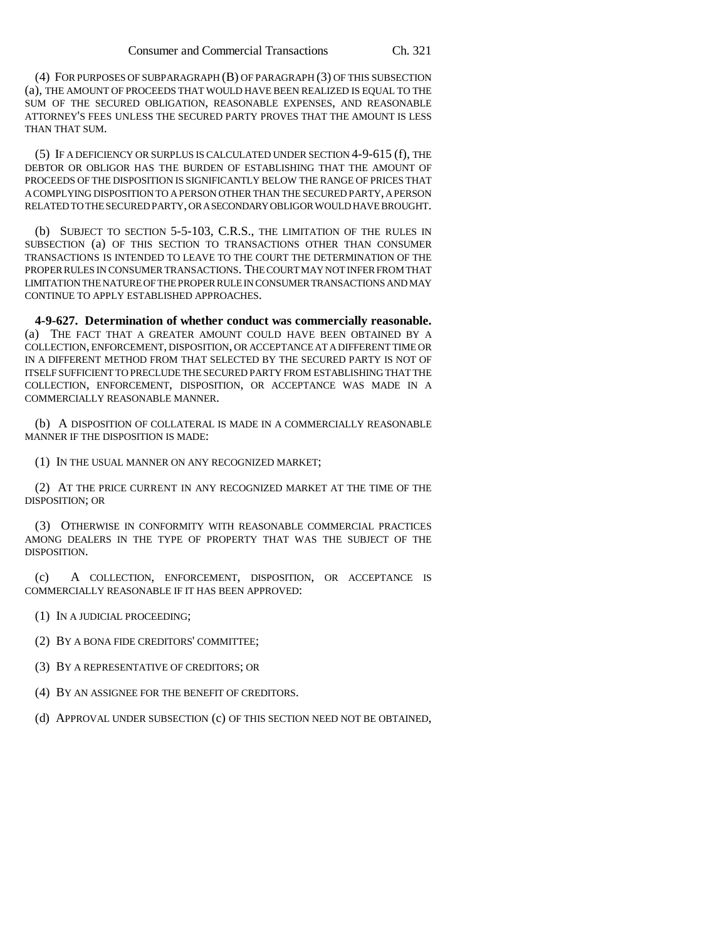(4) FOR PURPOSES OF SUBPARAGRAPH (B) OF PARAGRAPH (3) OF THIS SUBSECTION (a), THE AMOUNT OF PROCEEDS THAT WOULD HAVE BEEN REALIZED IS EQUAL TO THE SUM OF THE SECURED OBLIGATION, REASONABLE EXPENSES, AND REASONABLE ATTORNEY'S FEES UNLESS THE SECURED PARTY PROVES THAT THE AMOUNT IS LESS THAN THAT SUM.

(5) IF A DEFICIENCY OR SURPLUS IS CALCULATED UNDER SECTION 4-9-615 (f), THE DEBTOR OR OBLIGOR HAS THE BURDEN OF ESTABLISHING THAT THE AMOUNT OF PROCEEDS OF THE DISPOSITION IS SIGNIFICANTLY BELOW THE RANGE OF PRICES THAT A COMPLYING DISPOSITION TO A PERSON OTHER THAN THE SECURED PARTY, A PERSON RELATED TO THE SECURED PARTY, OR A SECONDARY OBLIGOR WOULD HAVE BROUGHT.

(b) SUBJECT TO SECTION 5-5-103, C.R.S., THE LIMITATION OF THE RULES IN SUBSECTION (a) OF THIS SECTION TO TRANSACTIONS OTHER THAN CONSUMER TRANSACTIONS IS INTENDED TO LEAVE TO THE COURT THE DETERMINATION OF THE PROPER RULES IN CONSUMER TRANSACTIONS. THE COURT MAY NOT INFER FROM THAT LIMITATION THE NATURE OF THE PROPER RULE IN CONSUMER TRANSACTIONS AND MAY CONTINUE TO APPLY ESTABLISHED APPROACHES.

**4-9-627. Determination of whether conduct was commercially reasonable.** (a) THE FACT THAT A GREATER AMOUNT COULD HAVE BEEN OBTAINED BY A COLLECTION, ENFORCEMENT, DISPOSITION, OR ACCEPTANCE AT A DIFFERENT TIME OR IN A DIFFERENT METHOD FROM THAT SELECTED BY THE SECURED PARTY IS NOT OF ITSELF SUFFICIENT TO PRECLUDE THE SECURED PARTY FROM ESTABLISHING THAT THE COLLECTION, ENFORCEMENT, DISPOSITION, OR ACCEPTANCE WAS MADE IN A COMMERCIALLY REASONABLE MANNER.

(b) A DISPOSITION OF COLLATERAL IS MADE IN A COMMERCIALLY REASONABLE MANNER IF THE DISPOSITION IS MADE:

(1) IN THE USUAL MANNER ON ANY RECOGNIZED MARKET;

(2) AT THE PRICE CURRENT IN ANY RECOGNIZED MARKET AT THE TIME OF THE DISPOSITION; OR

(3) OTHERWISE IN CONFORMITY WITH REASONABLE COMMERCIAL PRACTICES AMONG DEALERS IN THE TYPE OF PROPERTY THAT WAS THE SUBJECT OF THE DISPOSITION.

(c) A COLLECTION, ENFORCEMENT, DISPOSITION, OR ACCEPTANCE IS COMMERCIALLY REASONABLE IF IT HAS BEEN APPROVED:

- (1) IN A JUDICIAL PROCEEDING;
- (2) BY A BONA FIDE CREDITORS' COMMITTEE;
- (3) BY A REPRESENTATIVE OF CREDITORS; OR
- (4) BY AN ASSIGNEE FOR THE BENEFIT OF CREDITORS.
- (d) APPROVAL UNDER SUBSECTION (c) OF THIS SECTION NEED NOT BE OBTAINED,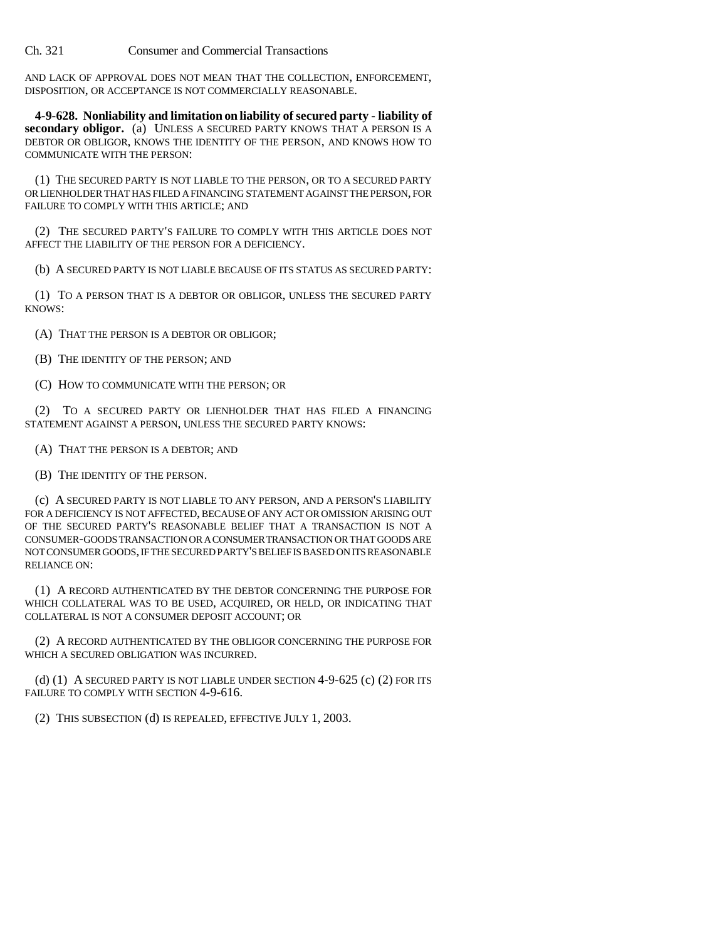AND LACK OF APPROVAL DOES NOT MEAN THAT THE COLLECTION, ENFORCEMENT, DISPOSITION, OR ACCEPTANCE IS NOT COMMERCIALLY REASONABLE.

**4-9-628. Nonliability and limitation on liability of secured party - liability of secondary obligor.** (a) UNLESS A SECURED PARTY KNOWS THAT A PERSON IS A DEBTOR OR OBLIGOR, KNOWS THE IDENTITY OF THE PERSON, AND KNOWS HOW TO COMMUNICATE WITH THE PERSON:

(1) THE SECURED PARTY IS NOT LIABLE TO THE PERSON, OR TO A SECURED PARTY OR LIENHOLDER THAT HAS FILED A FINANCING STATEMENT AGAINST THE PERSON, FOR FAILURE TO COMPLY WITH THIS ARTICLE; AND

(2) THE SECURED PARTY'S FAILURE TO COMPLY WITH THIS ARTICLE DOES NOT AFFECT THE LIABILITY OF THE PERSON FOR A DEFICIENCY.

(b) A SECURED PARTY IS NOT LIABLE BECAUSE OF ITS STATUS AS SECURED PARTY:

(1) TO A PERSON THAT IS A DEBTOR OR OBLIGOR, UNLESS THE SECURED PARTY KNOWS:

(A) THAT THE PERSON IS A DEBTOR OR OBLIGOR;

(B) THE IDENTITY OF THE PERSON; AND

(C) HOW TO COMMUNICATE WITH THE PERSON; OR

(2) TO A SECURED PARTY OR LIENHOLDER THAT HAS FILED A FINANCING STATEMENT AGAINST A PERSON, UNLESS THE SECURED PARTY KNOWS:

(A) THAT THE PERSON IS A DEBTOR; AND

(B) THE IDENTITY OF THE PERSON.

(c) A SECURED PARTY IS NOT LIABLE TO ANY PERSON, AND A PERSON'S LIABILITY FOR A DEFICIENCY IS NOT AFFECTED, BECAUSE OF ANY ACT OR OMISSION ARISING OUT OF THE SECURED PARTY'S REASONABLE BELIEF THAT A TRANSACTION IS NOT A CONSUMER-GOODS TRANSACTION OR A CONSUMER TRANSACTION OR THAT GOODS ARE NOT CONSUMER GOODS, IF THE SECURED PARTY'S BELIEF IS BASED ON ITS REASONABLE RELIANCE ON:

(1) A RECORD AUTHENTICATED BY THE DEBTOR CONCERNING THE PURPOSE FOR WHICH COLLATERAL WAS TO BE USED, ACQUIRED, OR HELD, OR INDICATING THAT COLLATERAL IS NOT A CONSUMER DEPOSIT ACCOUNT; OR

(2) A RECORD AUTHENTICATED BY THE OBLIGOR CONCERNING THE PURPOSE FOR WHICH A SECURED OBLIGATION WAS INCURRED.

(d) (1) A SECURED PARTY IS NOT LIABLE UNDER SECTION 4-9-625 (c) (2) FOR ITS FAILURE TO COMPLY WITH SECTION 4-9-616.

(2) THIS SUBSECTION (d) IS REPEALED, EFFECTIVE JULY 1, 2003.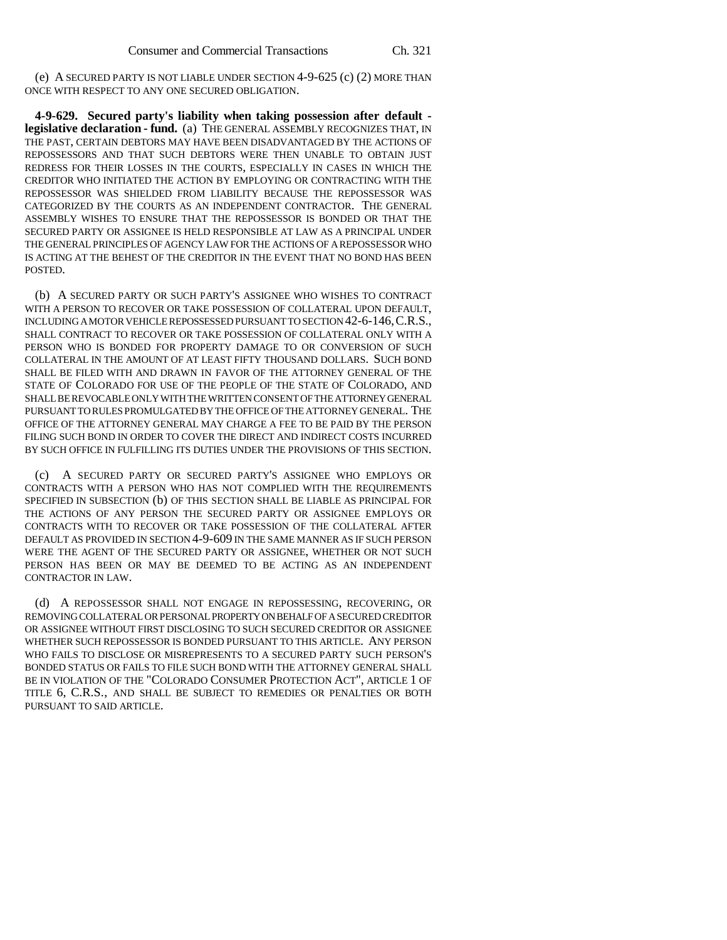(e) A SECURED PARTY IS NOT LIABLE UNDER SECTION 4-9-625 (c) (2) MORE THAN ONCE WITH RESPECT TO ANY ONE SECURED OBLIGATION.

**4-9-629. Secured party's liability when taking possession after default legislative declaration - fund.** (a) THE GENERAL ASSEMBLY RECOGNIZES THAT, IN THE PAST, CERTAIN DEBTORS MAY HAVE BEEN DISADVANTAGED BY THE ACTIONS OF REPOSSESSORS AND THAT SUCH DEBTORS WERE THEN UNABLE TO OBTAIN JUST REDRESS FOR THEIR LOSSES IN THE COURTS, ESPECIALLY IN CASES IN WHICH THE CREDITOR WHO INITIATED THE ACTION BY EMPLOYING OR CONTRACTING WITH THE REPOSSESSOR WAS SHIELDED FROM LIABILITY BECAUSE THE REPOSSESSOR WAS CATEGORIZED BY THE COURTS AS AN INDEPENDENT CONTRACTOR. THE GENERAL ASSEMBLY WISHES TO ENSURE THAT THE REPOSSESSOR IS BONDED OR THAT THE SECURED PARTY OR ASSIGNEE IS HELD RESPONSIBLE AT LAW AS A PRINCIPAL UNDER THE GENERAL PRINCIPLES OF AGENCY LAW FOR THE ACTIONS OF A REPOSSESSOR WHO IS ACTING AT THE BEHEST OF THE CREDITOR IN THE EVENT THAT NO BOND HAS BEEN POSTED.

(b) A SECURED PARTY OR SUCH PARTY'S ASSIGNEE WHO WISHES TO CONTRACT WITH A PERSON TO RECOVER OR TAKE POSSESSION OF COLLATERAL UPON DEFAULT, INCLUDING A MOTOR VEHICLE REPOSSESSED PURSUANT TO SECTION 42-6-146,C.R.S., SHALL CONTRACT TO RECOVER OR TAKE POSSESSION OF COLLATERAL ONLY WITH A PERSON WHO IS BONDED FOR PROPERTY DAMAGE TO OR CONVERSION OF SUCH COLLATERAL IN THE AMOUNT OF AT LEAST FIFTY THOUSAND DOLLARS. SUCH BOND SHALL BE FILED WITH AND DRAWN IN FAVOR OF THE ATTORNEY GENERAL OF THE STATE OF COLORADO FOR USE OF THE PEOPLE OF THE STATE OF COLORADO, AND SHALL BE REVOCABLE ONLY WITH THE WRITTEN CONSENT OF THE ATTORNEY GENERAL PURSUANT TO RULES PROMULGATED BY THE OFFICE OF THE ATTORNEY GENERAL. THE OFFICE OF THE ATTORNEY GENERAL MAY CHARGE A FEE TO BE PAID BY THE PERSON FILING SUCH BOND IN ORDER TO COVER THE DIRECT AND INDIRECT COSTS INCURRED BY SUCH OFFICE IN FULFILLING ITS DUTIES UNDER THE PROVISIONS OF THIS SECTION.

(c) A SECURED PARTY OR SECURED PARTY'S ASSIGNEE WHO EMPLOYS OR CONTRACTS WITH A PERSON WHO HAS NOT COMPLIED WITH THE REQUIREMENTS SPECIFIED IN SUBSECTION (b) OF THIS SECTION SHALL BE LIABLE AS PRINCIPAL FOR THE ACTIONS OF ANY PERSON THE SECURED PARTY OR ASSIGNEE EMPLOYS OR CONTRACTS WITH TO RECOVER OR TAKE POSSESSION OF THE COLLATERAL AFTER DEFAULT AS PROVIDED IN SECTION 4-9-609 IN THE SAME MANNER AS IF SUCH PERSON WERE THE AGENT OF THE SECURED PARTY OR ASSIGNEE, WHETHER OR NOT SUCH PERSON HAS BEEN OR MAY BE DEEMED TO BE ACTING AS AN INDEPENDENT CONTRACTOR IN LAW.

(d) A REPOSSESSOR SHALL NOT ENGAGE IN REPOSSESSING, RECOVERING, OR REMOVING COLLATERAL OR PERSONAL PROPERTY ON BEHALF OF A SECURED CREDITOR OR ASSIGNEE WITHOUT FIRST DISCLOSING TO SUCH SECURED CREDITOR OR ASSIGNEE WHETHER SUCH REPOSSESSOR IS BONDED PURSUANT TO THIS ARTICLE. ANY PERSON WHO FAILS TO DISCLOSE OR MISREPRESENTS TO A SECURED PARTY SUCH PERSON'S BONDED STATUS OR FAILS TO FILE SUCH BOND WITH THE ATTORNEY GENERAL SHALL BE IN VIOLATION OF THE "COLORADO CONSUMER PROTECTION ACT", ARTICLE 1 OF TITLE 6, C.R.S., AND SHALL BE SUBJECT TO REMEDIES OR PENALTIES OR BOTH PURSUANT TO SAID ARTICLE.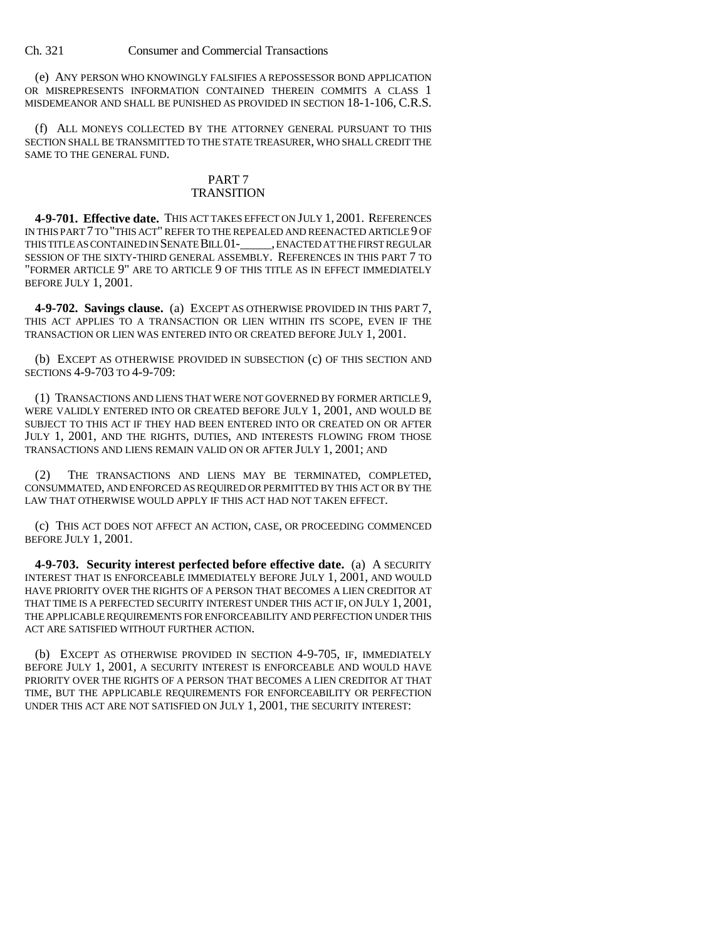(e) ANY PERSON WHO KNOWINGLY FALSIFIES A REPOSSESSOR BOND APPLICATION OR MISREPRESENTS INFORMATION CONTAINED THEREIN COMMITS A CLASS 1 MISDEMEANOR AND SHALL BE PUNISHED AS PROVIDED IN SECTION 18-1-106, C.R.S.

(f) ALL MONEYS COLLECTED BY THE ATTORNEY GENERAL PURSUANT TO THIS SECTION SHALL BE TRANSMITTED TO THE STATE TREASURER, WHO SHALL CREDIT THE SAME TO THE GENERAL FUND.

### PART 7 TRANSITION

**4-9-701. Effective date.** THIS ACT TAKES EFFECT ON JULY 1, 2001. REFERENCES IN THIS PART 7 TO "THIS ACT" REFER TO THE REPEALED AND REENACTED ARTICLE 9 OF THIS TITLE AS CONTAINED IN SENATE BILL 01-\_\_\_\_\_, ENACTED AT THE FIRST REGULAR SESSION OF THE SIXTY-THIRD GENERAL ASSEMBLY. REFERENCES IN THIS PART 7 TO "FORMER ARTICLE 9" ARE TO ARTICLE 9 OF THIS TITLE AS IN EFFECT IMMEDIATELY BEFORE JULY 1, 2001.

**4-9-702. Savings clause.** (a) EXCEPT AS OTHERWISE PROVIDED IN THIS PART 7, THIS ACT APPLIES TO A TRANSACTION OR LIEN WITHIN ITS SCOPE, EVEN IF THE TRANSACTION OR LIEN WAS ENTERED INTO OR CREATED BEFORE JULY 1, 2001.

(b) EXCEPT AS OTHERWISE PROVIDED IN SUBSECTION (c) OF THIS SECTION AND SECTIONS 4-9-703 TO 4-9-709:

(1) TRANSACTIONS AND LIENS THAT WERE NOT GOVERNED BY FORMER ARTICLE 9, WERE VALIDLY ENTERED INTO OR CREATED BEFORE JULY 1, 2001, AND WOULD BE SUBJECT TO THIS ACT IF THEY HAD BEEN ENTERED INTO OR CREATED ON OR AFTER JULY 1, 2001, AND THE RIGHTS, DUTIES, AND INTERESTS FLOWING FROM THOSE TRANSACTIONS AND LIENS REMAIN VALID ON OR AFTER JULY 1, 2001; AND

(2) THE TRANSACTIONS AND LIENS MAY BE TERMINATED, COMPLETED, CONSUMMATED, AND ENFORCED AS REQUIRED OR PERMITTED BY THIS ACT OR BY THE LAW THAT OTHERWISE WOULD APPLY IF THIS ACT HAD NOT TAKEN EFFECT.

(c) THIS ACT DOES NOT AFFECT AN ACTION, CASE, OR PROCEEDING COMMENCED BEFORE JULY 1, 2001.

**4-9-703. Security interest perfected before effective date.** (a) A SECURITY INTEREST THAT IS ENFORCEABLE IMMEDIATELY BEFORE JULY 1, 2001, AND WOULD HAVE PRIORITY OVER THE RIGHTS OF A PERSON THAT BECOMES A LIEN CREDITOR AT THAT TIME IS A PERFECTED SECURITY INTEREST UNDER THIS ACT IF, ON JULY 1, 2001, THE APPLICABLE REQUIREMENTS FOR ENFORCEABILITY AND PERFECTION UNDER THIS ACT ARE SATISFIED WITHOUT FURTHER ACTION.

(b) EXCEPT AS OTHERWISE PROVIDED IN SECTION 4-9-705, IF, IMMEDIATELY BEFORE JULY 1, 2001, A SECURITY INTEREST IS ENFORCEABLE AND WOULD HAVE PRIORITY OVER THE RIGHTS OF A PERSON THAT BECOMES A LIEN CREDITOR AT THAT TIME, BUT THE APPLICABLE REQUIREMENTS FOR ENFORCEABILITY OR PERFECTION UNDER THIS ACT ARE NOT SATISFIED ON JULY 1, 2001, THE SECURITY INTEREST: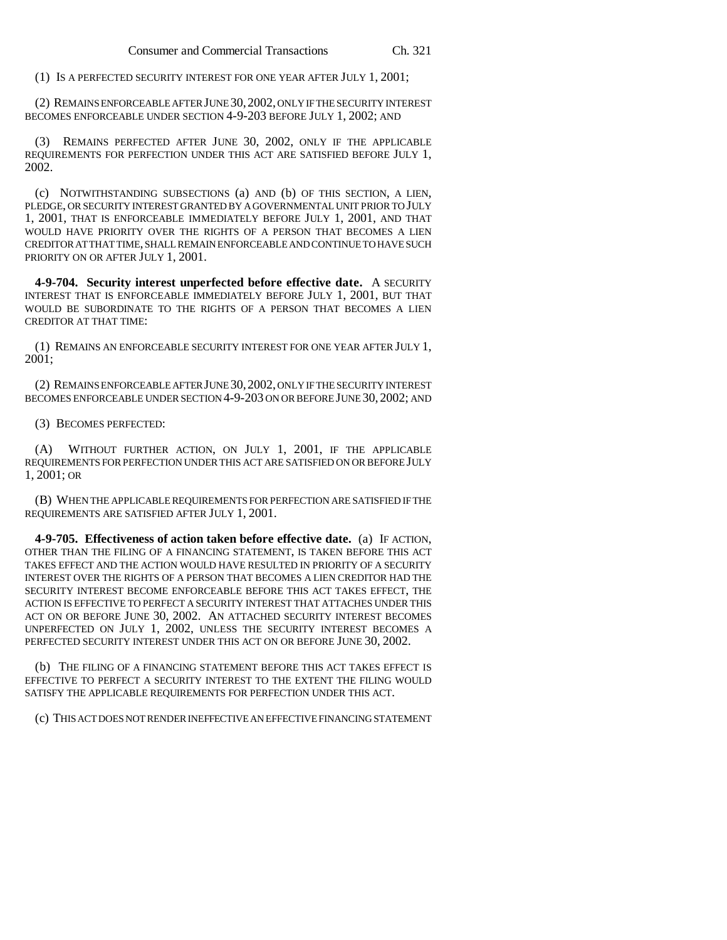(1) IS A PERFECTED SECURITY INTEREST FOR ONE YEAR AFTER JULY 1, 2001;

(2) REMAINS ENFORCEABLE AFTER JUNE 30,2002, ONLY IF THE SECURITY INTEREST BECOMES ENFORCEABLE UNDER SECTION 4-9-203 BEFORE JULY 1, 2002; AND

(3) REMAINS PERFECTED AFTER JUNE 30, 2002, ONLY IF THE APPLICABLE REQUIREMENTS FOR PERFECTION UNDER THIS ACT ARE SATISFIED BEFORE JULY 1, 2002.

(c) NOTWITHSTANDING SUBSECTIONS (a) AND (b) OF THIS SECTION, A LIEN, PLEDGE, OR SECURITY INTEREST GRANTED BY A GOVERNMENTAL UNIT PRIOR TO JULY 1, 2001, THAT IS ENFORCEABLE IMMEDIATELY BEFORE JULY 1, 2001, AND THAT WOULD HAVE PRIORITY OVER THE RIGHTS OF A PERSON THAT BECOMES A LIEN CREDITOR AT THAT TIME, SHALL REMAIN ENFORCEABLE AND CONTINUE TO HAVE SUCH PRIORITY ON OR AFTER JULY 1, 2001.

**4-9-704. Security interest unperfected before effective date.** A SECURITY INTEREST THAT IS ENFORCEABLE IMMEDIATELY BEFORE JULY 1, 2001, BUT THAT WOULD BE SUBORDINATE TO THE RIGHTS OF A PERSON THAT BECOMES A LIEN CREDITOR AT THAT TIME:

(1) REMAINS AN ENFORCEABLE SECURITY INTEREST FOR ONE YEAR AFTER JULY 1, 2001;

(2) REMAINS ENFORCEABLE AFTER JUNE 30,2002, ONLY IF THE SECURITY INTEREST BECOMES ENFORCEABLE UNDER SECTION 4-9-203 ON OR BEFORE JUNE 30, 2002; AND

(3) BECOMES PERFECTED:

(A) WITHOUT FURTHER ACTION, ON JULY 1, 2001, IF THE APPLICABLE REQUIREMENTS FOR PERFECTION UNDER THIS ACT ARE SATISFIED ON OR BEFORE JULY 1, 2001; OR

(B) WHEN THE APPLICABLE REQUIREMENTS FOR PERFECTION ARE SATISFIED IF THE REQUIREMENTS ARE SATISFIED AFTER JULY 1, 2001.

**4-9-705. Effectiveness of action taken before effective date.** (a) IF ACTION, OTHER THAN THE FILING OF A FINANCING STATEMENT, IS TAKEN BEFORE THIS ACT TAKES EFFECT AND THE ACTION WOULD HAVE RESULTED IN PRIORITY OF A SECURITY INTEREST OVER THE RIGHTS OF A PERSON THAT BECOMES A LIEN CREDITOR HAD THE SECURITY INTEREST BECOME ENFORCEABLE BEFORE THIS ACT TAKES EFFECT, THE ACTION IS EFFECTIVE TO PERFECT A SECURITY INTEREST THAT ATTACHES UNDER THIS ACT ON OR BEFORE JUNE 30, 2002. AN ATTACHED SECURITY INTEREST BECOMES UNPERFECTED ON JULY 1, 2002, UNLESS THE SECURITY INTEREST BECOMES A PERFECTED SECURITY INTEREST UNDER THIS ACT ON OR BEFORE JUNE 30, 2002.

(b) THE FILING OF A FINANCING STATEMENT BEFORE THIS ACT TAKES EFFECT IS EFFECTIVE TO PERFECT A SECURITY INTEREST TO THE EXTENT THE FILING WOULD SATISFY THE APPLICABLE REQUIREMENTS FOR PERFECTION UNDER THIS ACT.

(c) THIS ACT DOES NOT RENDER INEFFECTIVE AN EFFECTIVE FINANCING STATEMENT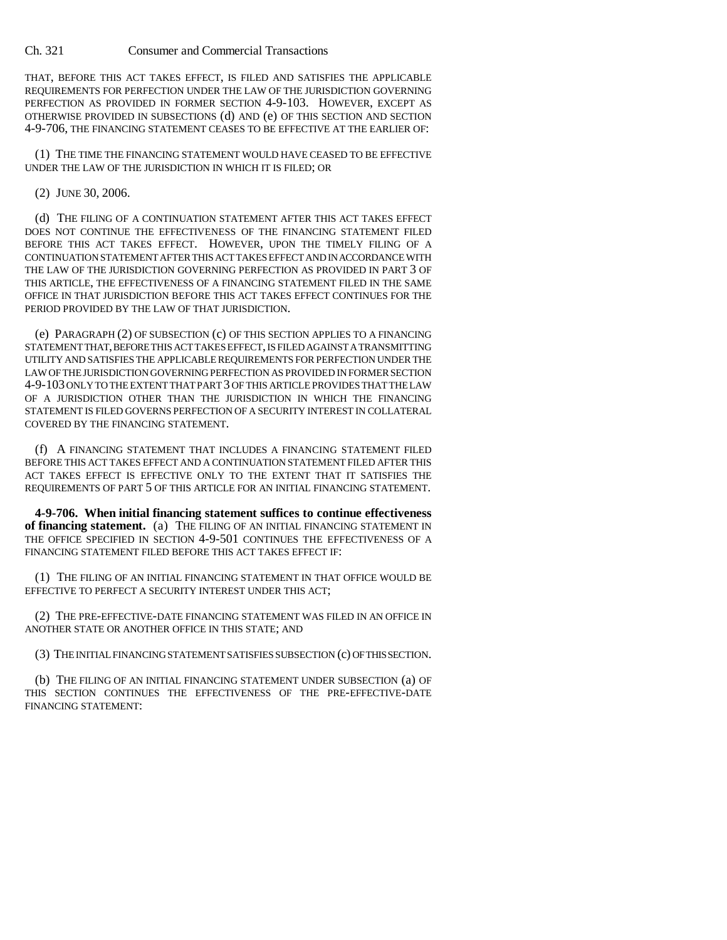THAT, BEFORE THIS ACT TAKES EFFECT, IS FILED AND SATISFIES THE APPLICABLE REQUIREMENTS FOR PERFECTION UNDER THE LAW OF THE JURISDICTION GOVERNING PERFECTION AS PROVIDED IN FORMER SECTION 4-9-103. HOWEVER, EXCEPT AS OTHERWISE PROVIDED IN SUBSECTIONS (d) AND (e) OF THIS SECTION AND SECTION 4-9-706, THE FINANCING STATEMENT CEASES TO BE EFFECTIVE AT THE EARLIER OF:

(1) THE TIME THE FINANCING STATEMENT WOULD HAVE CEASED TO BE EFFECTIVE UNDER THE LAW OF THE JURISDICTION IN WHICH IT IS FILED; OR

(2) JUNE 30, 2006.

(d) THE FILING OF A CONTINUATION STATEMENT AFTER THIS ACT TAKES EFFECT DOES NOT CONTINUE THE EFFECTIVENESS OF THE FINANCING STATEMENT FILED BEFORE THIS ACT TAKES EFFECT. HOWEVER, UPON THE TIMELY FILING OF A CONTINUATION STATEMENT AFTER THIS ACT TAKES EFFECT AND IN ACCORDANCE WITH THE LAW OF THE JURISDICTION GOVERNING PERFECTION AS PROVIDED IN PART 3 OF THIS ARTICLE, THE EFFECTIVENESS OF A FINANCING STATEMENT FILED IN THE SAME OFFICE IN THAT JURISDICTION BEFORE THIS ACT TAKES EFFECT CONTINUES FOR THE PERIOD PROVIDED BY THE LAW OF THAT JURISDICTION.

(e) PARAGRAPH (2) OF SUBSECTION (c) OF THIS SECTION APPLIES TO A FINANCING STATEMENT THAT, BEFORE THIS ACT TAKES EFFECT, IS FILED AGAINST A TRANSMITTING UTILITY AND SATISFIES THE APPLICABLE REQUIREMENTS FOR PERFECTION UNDER THE LAW OF THE JURISDICTION GOVERNING PERFECTION AS PROVIDED IN FORMER SECTION 4-9-103 ONLY TO THE EXTENT THAT PART 3 OF THIS ARTICLE PROVIDES THAT THE LAW OF A JURISDICTION OTHER THAN THE JURISDICTION IN WHICH THE FINANCING STATEMENT IS FILED GOVERNS PERFECTION OF A SECURITY INTEREST IN COLLATERAL COVERED BY THE FINANCING STATEMENT.

(f) A FINANCING STATEMENT THAT INCLUDES A FINANCING STATEMENT FILED BEFORE THIS ACT TAKES EFFECT AND A CONTINUATION STATEMENT FILED AFTER THIS ACT TAKES EFFECT IS EFFECTIVE ONLY TO THE EXTENT THAT IT SATISFIES THE REQUIREMENTS OF PART 5 OF THIS ARTICLE FOR AN INITIAL FINANCING STATEMENT.

**4-9-706. When initial financing statement suffices to continue effectiveness of financing statement.** (a) THE FILING OF AN INITIAL FINANCING STATEMENT IN THE OFFICE SPECIFIED IN SECTION 4-9-501 CONTINUES THE EFFECTIVENESS OF A FINANCING STATEMENT FILED BEFORE THIS ACT TAKES EFFECT IF:

(1) THE FILING OF AN INITIAL FINANCING STATEMENT IN THAT OFFICE WOULD BE EFFECTIVE TO PERFECT A SECURITY INTEREST UNDER THIS ACT;

(2) THE PRE-EFFECTIVE-DATE FINANCING STATEMENT WAS FILED IN AN OFFICE IN ANOTHER STATE OR ANOTHER OFFICE IN THIS STATE; AND

(3) THE INITIAL FINANCING STATEMENT SATISFIES SUBSECTION (c) OF THIS SECTION.

(b) THE FILING OF AN INITIAL FINANCING STATEMENT UNDER SUBSECTION (a) OF THIS SECTION CONTINUES THE EFFECTIVENESS OF THE PRE-EFFECTIVE-DATE FINANCING STATEMENT: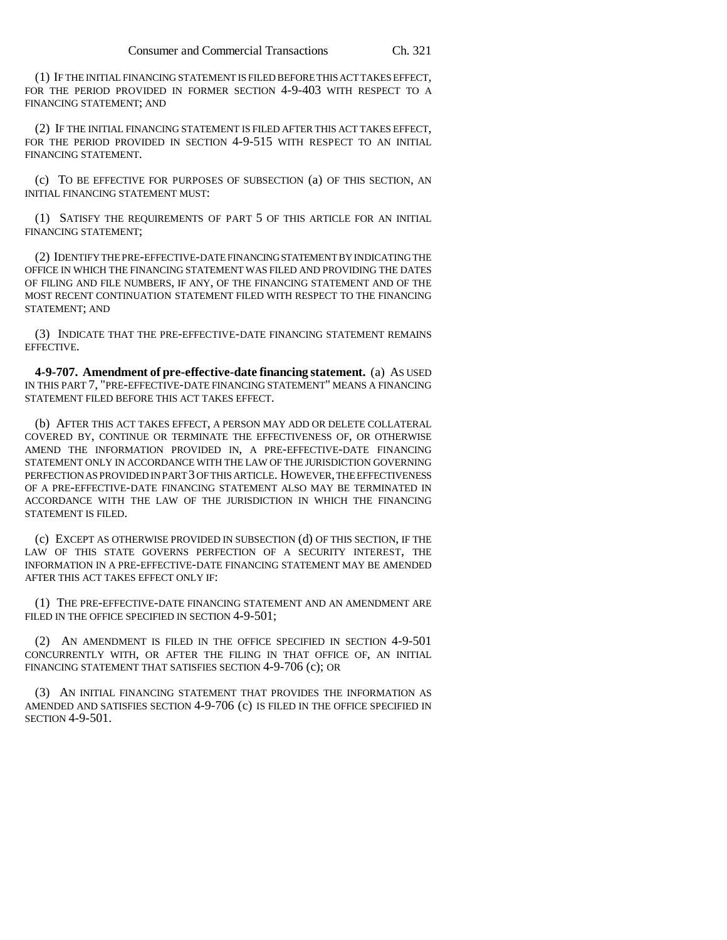(1) IF THE INITIAL FINANCING STATEMENT IS FILED BEFORE THIS ACT TAKES EFFECT, FOR THE PERIOD PROVIDED IN FORMER SECTION 4-9-403 WITH RESPECT TO A FINANCING STATEMENT; AND

(2) IF THE INITIAL FINANCING STATEMENT IS FILED AFTER THIS ACT TAKES EFFECT, FOR THE PERIOD PROVIDED IN SECTION 4-9-515 WITH RESPECT TO AN INITIAL FINANCING STATEMENT.

(c) TO BE EFFECTIVE FOR PURPOSES OF SUBSECTION (a) OF THIS SECTION, AN INITIAL FINANCING STATEMENT MUST:

(1) SATISFY THE REQUIREMENTS OF PART 5 OF THIS ARTICLE FOR AN INITIAL FINANCING STATEMENT;

(2) IDENTIFY THE PRE-EFFECTIVE-DATE FINANCING STATEMENT BY INDICATING THE OFFICE IN WHICH THE FINANCING STATEMENT WAS FILED AND PROVIDING THE DATES OF FILING AND FILE NUMBERS, IF ANY, OF THE FINANCING STATEMENT AND OF THE MOST RECENT CONTINUATION STATEMENT FILED WITH RESPECT TO THE FINANCING STATEMENT; AND

(3) INDICATE THAT THE PRE-EFFECTIVE-DATE FINANCING STATEMENT REMAINS EFFECTIVE.

**4-9-707. Amendment of pre-effective-date financing statement.** (a) AS USED IN THIS PART 7, "PRE-EFFECTIVE-DATE FINANCING STATEMENT" MEANS A FINANCING STATEMENT FILED BEFORE THIS ACT TAKES EFFECT.

(b) AFTER THIS ACT TAKES EFFECT, A PERSON MAY ADD OR DELETE COLLATERAL COVERED BY, CONTINUE OR TERMINATE THE EFFECTIVENESS OF, OR OTHERWISE AMEND THE INFORMATION PROVIDED IN, A PRE-EFFECTIVE-DATE FINANCING STATEMENT ONLY IN ACCORDANCE WITH THE LAW OF THE JURISDICTION GOVERNING PERFECTION AS PROVIDED IN PART 3 OF THIS ARTICLE. HOWEVER, THE EFFECTIVENESS OF A PRE-EFFECTIVE-DATE FINANCING STATEMENT ALSO MAY BE TERMINATED IN ACCORDANCE WITH THE LAW OF THE JURISDICTION IN WHICH THE FINANCING STATEMENT IS FILED.

(c) EXCEPT AS OTHERWISE PROVIDED IN SUBSECTION (d) OF THIS SECTION, IF THE LAW OF THIS STATE GOVERNS PERFECTION OF A SECURITY INTEREST, THE INFORMATION IN A PRE-EFFECTIVE-DATE FINANCING STATEMENT MAY BE AMENDED AFTER THIS ACT TAKES EFFECT ONLY IF:

(1) THE PRE-EFFECTIVE-DATE FINANCING STATEMENT AND AN AMENDMENT ARE FILED IN THE OFFICE SPECIFIED IN SECTION 4-9-501:

(2) AN AMENDMENT IS FILED IN THE OFFICE SPECIFIED IN SECTION 4-9-501 CONCURRENTLY WITH, OR AFTER THE FILING IN THAT OFFICE OF, AN INITIAL FINANCING STATEMENT THAT SATISFIES SECTION 4-9-706 (c); OR

(3) AN INITIAL FINANCING STATEMENT THAT PROVIDES THE INFORMATION AS AMENDED AND SATISFIES SECTION 4-9-706 (c) IS FILED IN THE OFFICE SPECIFIED IN SECTION 4-9-501.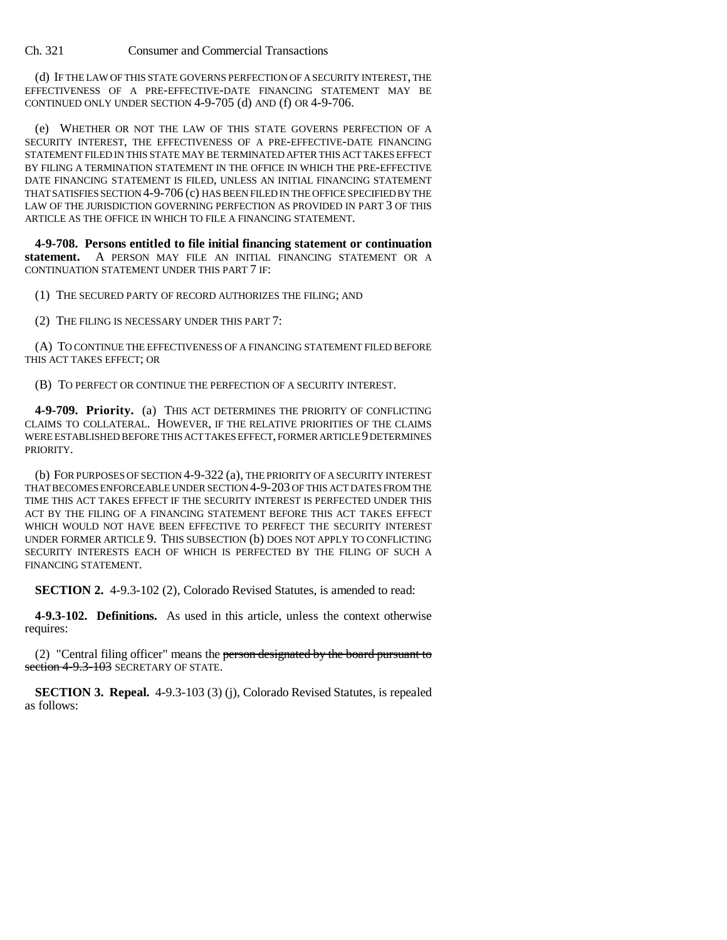(d) IF THE LAW OF THIS STATE GOVERNS PERFECTION OF A SECURITY INTEREST, THE EFFECTIVENESS OF A PRE-EFFECTIVE-DATE FINANCING STATEMENT MAY BE CONTINUED ONLY UNDER SECTION 4-9-705 (d) AND (f) OR 4-9-706.

(e) WHETHER OR NOT THE LAW OF THIS STATE GOVERNS PERFECTION OF A SECURITY INTEREST, THE EFFECTIVENESS OF A PRE-EFFECTIVE-DATE FINANCING STATEMENT FILED IN THIS STATE MAY BE TERMINATED AFTER THIS ACT TAKES EFFECT BY FILING A TERMINATION STATEMENT IN THE OFFICE IN WHICH THE PRE-EFFECTIVE DATE FINANCING STATEMENT IS FILED, UNLESS AN INITIAL FINANCING STATEMENT THAT SATISFIES SECTION 4-9-706 (c) HAS BEEN FILED IN THE OFFICE SPECIFIED BY THE LAW OF THE JURISDICTION GOVERNING PERFECTION AS PROVIDED IN PART 3 OF THIS ARTICLE AS THE OFFICE IN WHICH TO FILE A FINANCING STATEMENT.

**4-9-708. Persons entitled to file initial financing statement or continuation statement.** A PERSON MAY FILE AN INITIAL FINANCING STATEMENT OR A CONTINUATION STATEMENT UNDER THIS PART 7 IF:

(1) THE SECURED PARTY OF RECORD AUTHORIZES THE FILING; AND

(2) THE FILING IS NECESSARY UNDER THIS PART 7:

(A) TO CONTINUE THE EFFECTIVENESS OF A FINANCING STATEMENT FILED BEFORE THIS ACT TAKES EFFECT; OR

(B) TO PERFECT OR CONTINUE THE PERFECTION OF A SECURITY INTEREST.

**4-9-709. Priority.** (a) THIS ACT DETERMINES THE PRIORITY OF CONFLICTING CLAIMS TO COLLATERAL. HOWEVER, IF THE RELATIVE PRIORITIES OF THE CLAIMS WERE ESTABLISHED BEFORE THIS ACT TAKES EFFECT, FORMER ARTICLE 9 DETERMINES PRIORITY.

(b) FOR PURPOSES OF SECTION 4-9-322 (a), THE PRIORITY OF A SECURITY INTEREST THAT BECOMES ENFORCEABLE UNDER SECTION 4-9-203 OF THIS ACT DATES FROM THE TIME THIS ACT TAKES EFFECT IF THE SECURITY INTEREST IS PERFECTED UNDER THIS ACT BY THE FILING OF A FINANCING STATEMENT BEFORE THIS ACT TAKES EFFECT WHICH WOULD NOT HAVE BEEN EFFECTIVE TO PERFECT THE SECURITY INTEREST UNDER FORMER ARTICLE 9. THIS SUBSECTION (b) DOES NOT APPLY TO CONFLICTING SECURITY INTERESTS EACH OF WHICH IS PERFECTED BY THE FILING OF SUCH A FINANCING STATEMENT.

**SECTION 2.** 4-9.3-102 (2), Colorado Revised Statutes, is amended to read:

**4-9.3-102. Definitions.** As used in this article, unless the context otherwise requires:

(2) "Central filing officer" means the person designated by the board pursuant to section 4-9.3-103 SECRETARY OF STATE.

**SECTION 3. Repeal.** 4-9.3-103 (3) (j), Colorado Revised Statutes, is repealed as follows: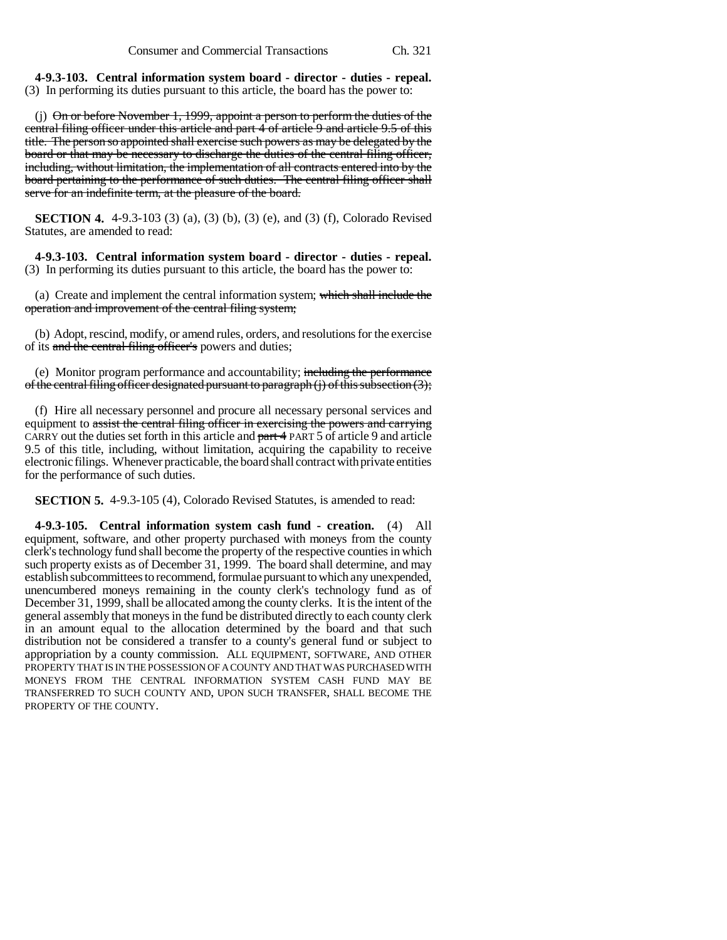**4-9.3-103. Central information system board - director - duties - repeal.** (3) In performing its duties pursuant to this article, the board has the power to:

(j) On or before November 1, 1999, appoint a person to perform the duties of the central filing officer under this article and part 4 of article 9 and article 9.5 of this title. The person so appointed shall exercise such powers as may be delegated by the board or that may be necessary to discharge the duties of the central filing officer, including, without limitation, the implementation of all contracts entered into by the board pertaining to the performance of such duties. The central filing officer shall serve for an indefinite term, at the pleasure of the board.

**SECTION 4.** 4-9.3-103 (3) (a), (3) (b), (3) (e), and (3) (f), Colorado Revised Statutes, are amended to read:

**4-9.3-103. Central information system board - director - duties - repeal.** (3) In performing its duties pursuant to this article, the board has the power to:

(a) Create and implement the central information system; which shall include the operation and improvement of the central filing system;

(b) Adopt, rescind, modify, or amend rules, orders, and resolutions for the exercise of its and the central filing officer's powers and duties;

(e) Monitor program performance and accountability; including the performance of the central filing officer designated pursuant to paragraph (j) of this subsection  $(3)$ ;

(f) Hire all necessary personnel and procure all necessary personal services and equipment to assist the central filing officer in exercising the powers and carrying CARRY out the duties set forth in this article and part 4 PART 5 of article 9 and article 9.5 of this title, including, without limitation, acquiring the capability to receive electronic filings. Whenever practicable, the board shall contract with private entities for the performance of such duties.

**SECTION 5.** 4-9.3-105 (4), Colorado Revised Statutes, is amended to read:

**4-9.3-105. Central information system cash fund - creation.** (4) All equipment, software, and other property purchased with moneys from the county clerk's technology fund shall become the property of the respective counties in which such property exists as of December 31, 1999. The board shall determine, and may establish subcommittees to recommend, formulae pursuant to which any unexpended, unencumbered moneys remaining in the county clerk's technology fund as of December 31, 1999, shall be allocated among the county clerks. It is the intent of the general assembly that moneys in the fund be distributed directly to each county clerk in an amount equal to the allocation determined by the board and that such distribution not be considered a transfer to a county's general fund or subject to appropriation by a county commission. ALL EQUIPMENT, SOFTWARE, AND OTHER PROPERTY THAT IS IN THE POSSESSION OF A COUNTY AND THAT WAS PURCHASED WITH MONEYS FROM THE CENTRAL INFORMATION SYSTEM CASH FUND MAY BE TRANSFERRED TO SUCH COUNTY AND, UPON SUCH TRANSFER, SHALL BECOME THE PROPERTY OF THE COUNTY.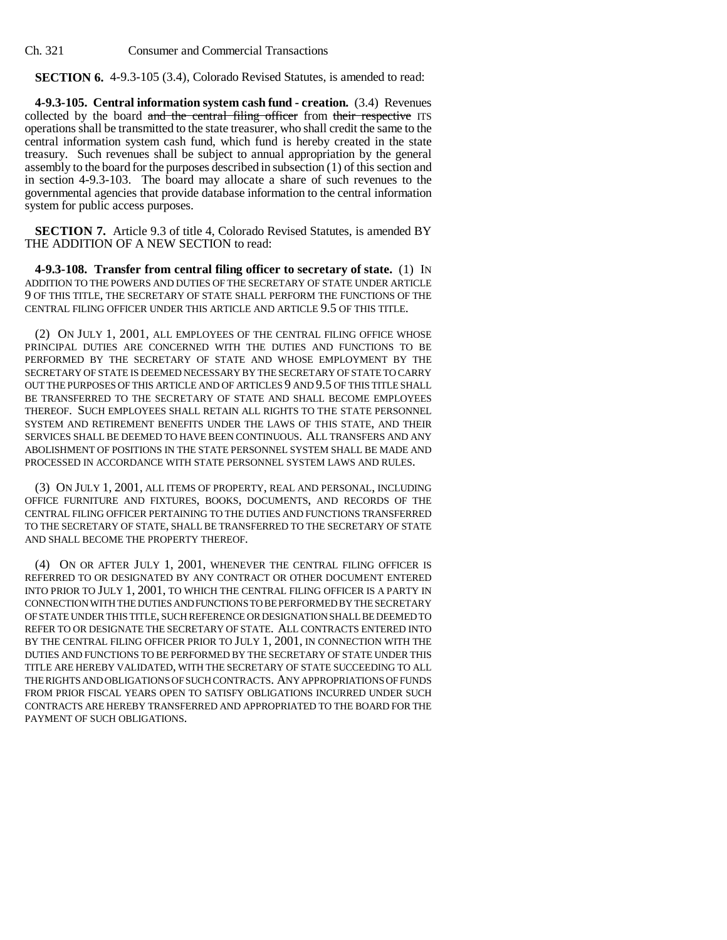**SECTION 6.** 4-9.3-105 (3.4), Colorado Revised Statutes, is amended to read:

**4-9.3-105. Central information system cash fund - creation.** (3.4) Revenues collected by the board and the central filing officer from their respective ITS operations shall be transmitted to the state treasurer, who shall credit the same to the central information system cash fund, which fund is hereby created in the state treasury. Such revenues shall be subject to annual appropriation by the general assembly to the board for the purposes described in subsection (1) of this section and in section 4-9.3-103. The board may allocate a share of such revenues to the governmental agencies that provide database information to the central information system for public access purposes.

**SECTION 7.** Article 9.3 of title 4, Colorado Revised Statutes, is amended BY THE ADDITION OF A NEW SECTION to read:

**4-9.3-108. Transfer from central filing officer to secretary of state.** (1) IN ADDITION TO THE POWERS AND DUTIES OF THE SECRETARY OF STATE UNDER ARTICLE 9 OF THIS TITLE, THE SECRETARY OF STATE SHALL PERFORM THE FUNCTIONS OF THE CENTRAL FILING OFFICER UNDER THIS ARTICLE AND ARTICLE 9.5 OF THIS TITLE.

(2) ON JULY 1, 2001, ALL EMPLOYEES OF THE CENTRAL FILING OFFICE WHOSE PRINCIPAL DUTIES ARE CONCERNED WITH THE DUTIES AND FUNCTIONS TO BE PERFORMED BY THE SECRETARY OF STATE AND WHOSE EMPLOYMENT BY THE SECRETARY OF STATE IS DEEMED NECESSARY BY THE SECRETARY OF STATE TO CARRY OUT THE PURPOSES OF THIS ARTICLE AND OF ARTICLES 9 AND 9.5 OF THIS TITLE SHALL BE TRANSFERRED TO THE SECRETARY OF STATE AND SHALL BECOME EMPLOYEES THEREOF. SUCH EMPLOYEES SHALL RETAIN ALL RIGHTS TO THE STATE PERSONNEL SYSTEM AND RETIREMENT BENEFITS UNDER THE LAWS OF THIS STATE, AND THEIR SERVICES SHALL BE DEEMED TO HAVE BEEN CONTINUOUS. ALL TRANSFERS AND ANY ABOLISHMENT OF POSITIONS IN THE STATE PERSONNEL SYSTEM SHALL BE MADE AND PROCESSED IN ACCORDANCE WITH STATE PERSONNEL SYSTEM LAWS AND RULES.

(3) ON JULY 1, 2001, ALL ITEMS OF PROPERTY, REAL AND PERSONAL, INCLUDING OFFICE FURNITURE AND FIXTURES, BOOKS, DOCUMENTS, AND RECORDS OF THE CENTRAL FILING OFFICER PERTAINING TO THE DUTIES AND FUNCTIONS TRANSFERRED TO THE SECRETARY OF STATE, SHALL BE TRANSFERRED TO THE SECRETARY OF STATE AND SHALL BECOME THE PROPERTY THEREOF.

(4) ON OR AFTER JULY 1, 2001, WHENEVER THE CENTRAL FILING OFFICER IS REFERRED TO OR DESIGNATED BY ANY CONTRACT OR OTHER DOCUMENT ENTERED INTO PRIOR TO JULY 1, 2001, TO WHICH THE CENTRAL FILING OFFICER IS A PARTY IN CONNECTION WITH THE DUTIES AND FUNCTIONS TO BE PERFORMED BY THE SECRETARY OF STATE UNDER THIS TITLE, SUCH REFERENCE OR DESIGNATION SHALL BE DEEMED TO REFER TO OR DESIGNATE THE SECRETARY OF STATE. ALL CONTRACTS ENTERED INTO BY THE CENTRAL FILING OFFICER PRIOR TO JULY 1, 2001, IN CONNECTION WITH THE DUTIES AND FUNCTIONS TO BE PERFORMED BY THE SECRETARY OF STATE UNDER THIS TITLE ARE HEREBY VALIDATED, WITH THE SECRETARY OF STATE SUCCEEDING TO ALL THE RIGHTS AND OBLIGATIONS OF SUCH CONTRACTS. ANY APPROPRIATIONS OF FUNDS FROM PRIOR FISCAL YEARS OPEN TO SATISFY OBLIGATIONS INCURRED UNDER SUCH CONTRACTS ARE HEREBY TRANSFERRED AND APPROPRIATED TO THE BOARD FOR THE PAYMENT OF SUCH OBLIGATIONS.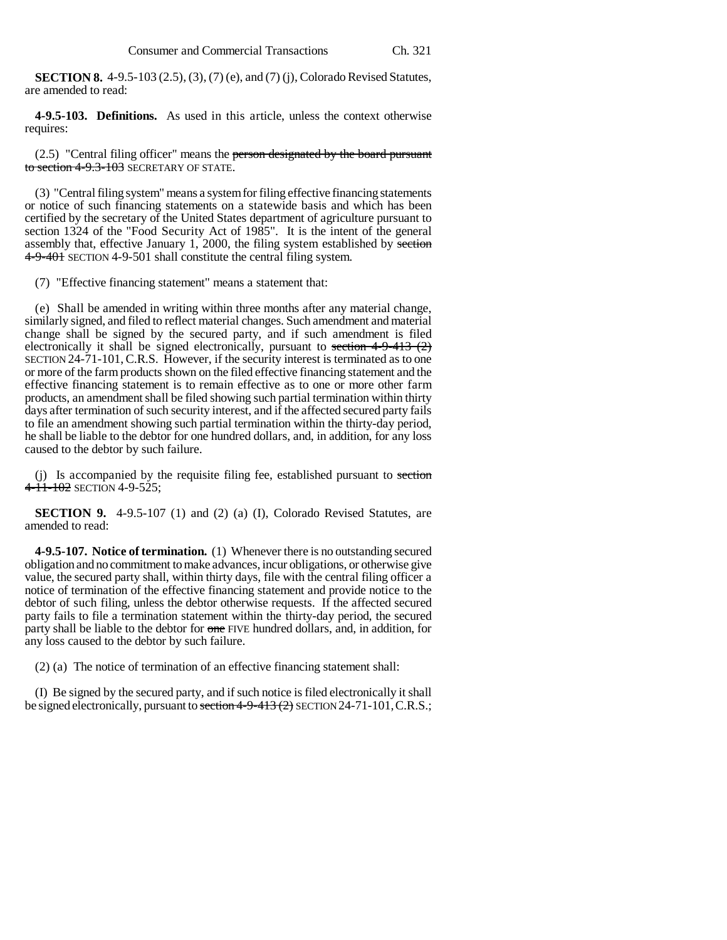**SECTION 8.** 4-9.5-103 (2.5), (3), (7) (e), and (7) (j), Colorado Revised Statutes, are amended to read:

**4-9.5-103. Definitions.** As used in this article, unless the context otherwise requires:

(2.5) "Central filing officer" means the person designated by the board pursuant to section 4-9.3-103 SECRETARY OF STATE.

(3) "Central filing system" means a system for filing effective financing statements or notice of such financing statements on a statewide basis and which has been certified by the secretary of the United States department of agriculture pursuant to section 1324 of the "Food Security Act of 1985". It is the intent of the general assembly that, effective January 1, 2000, the filing system established by section 4-9-401 SECTION 4-9-501 shall constitute the central filing system.

(7) "Effective financing statement" means a statement that:

(e) Shall be amended in writing within three months after any material change, similarly signed, and filed to reflect material changes. Such amendment and material change shall be signed by the secured party, and if such amendment is filed electronically it shall be signed electronically, pursuant to section  $4-9-413$  (2) SECTION 24-71-101,C.R.S. However, if the security interest is terminated as to one or more of the farm products shown on the filed effective financing statement and the effective financing statement is to remain effective as to one or more other farm products, an amendment shall be filed showing such partial termination within thirty days after termination of such security interest, and if the affected secured party fails to file an amendment showing such partial termination within the thirty-day period, he shall be liable to the debtor for one hundred dollars, and, in addition, for any loss caused to the debtor by such failure.

(j) Is accompanied by the requisite filing fee, established pursuant to section  $4 - 11 - 102$  SECTION 4-9-525;

**SECTION 9.** 4-9.5-107 (1) and (2) (a) (I), Colorado Revised Statutes, are amended to read:

**4-9.5-107. Notice of termination.** (1) Whenever there is no outstanding secured obligation and no commitment to make advances, incur obligations, or otherwise give value, the secured party shall, within thirty days, file with the central filing officer a notice of termination of the effective financing statement and provide notice to the debtor of such filing, unless the debtor otherwise requests. If the affected secured party fails to file a termination statement within the thirty-day period, the secured party shall be liable to the debtor for one FIVE hundred dollars, and, in addition, for any loss caused to the debtor by such failure.

(2) (a) The notice of termination of an effective financing statement shall:

(I) Be signed by the secured party, and if such notice is filed electronically it shall be signed electronically, pursuant to section 4-9-413 (2) SECTION 24-71-101, C.R.S.;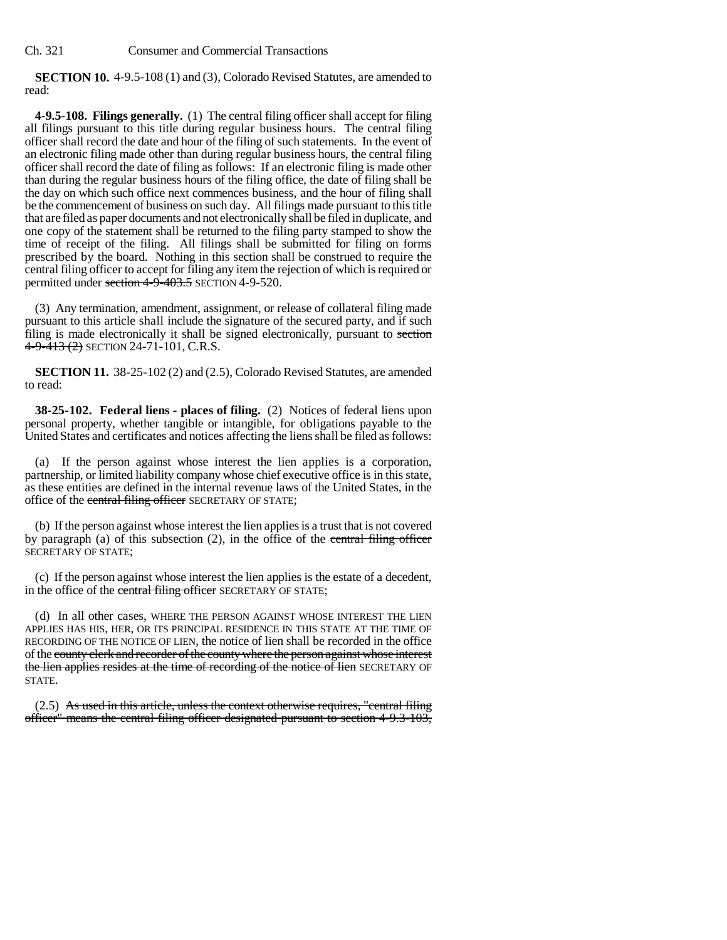**SECTION 10.** 4-9.5-108 (1) and (3), Colorado Revised Statutes, are amended to read:

**4-9.5-108. Filings generally.** (1) The central filing officer shall accept for filing all filings pursuant to this title during regular business hours. The central filing officer shall record the date and hour of the filing of such statements. In the event of an electronic filing made other than during regular business hours, the central filing officer shall record the date of filing as follows: If an electronic filing is made other than during the regular business hours of the filing office, the date of filing shall be the day on which such office next commences business, and the hour of filing shall be the commencement of business on such day. All filings made pursuant to this title that are filed as paper documents and not electronically shall be filed in duplicate, and one copy of the statement shall be returned to the filing party stamped to show the time of receipt of the filing. All filings shall be submitted for filing on forms prescribed by the board. Nothing in this section shall be construed to require the central filing officer to accept for filing any item the rejection of which is required or permitted under section 4-9-403.5 SECTION 4-9-520.

(3) Any termination, amendment, assignment, or release of collateral filing made pursuant to this article shall include the signature of the secured party, and if such filing is made electronically it shall be signed electronically, pursuant to section 4-9-413 (2) SECTION 24-71-101, C.R.S.

**SECTION 11.** 38-25-102 (2) and (2.5), Colorado Revised Statutes, are amended to read:

**38-25-102. Federal liens - places of filing.** (2) Notices of federal liens upon personal property, whether tangible or intangible, for obligations payable to the United States and certificates and notices affecting the liens shall be filed as follows:

(a) If the person against whose interest the lien applies is a corporation, partnership, or limited liability company whose chief executive office is in this state, as these entities are defined in the internal revenue laws of the United States, in the office of the central filing officer SECRETARY OF STATE;

(b) If the person against whose interest the lien applies is a trust that is not covered by paragraph (a) of this subsection (2), in the office of the central filing officer SECRETARY OF STATE;

(c) If the person against whose interest the lien applies is the estate of a decedent, in the office of the central filing officer SECRETARY OF STATE;

(d) In all other cases, WHERE THE PERSON AGAINST WHOSE INTEREST THE LIEN APPLIES HAS HIS, HER, OR ITS PRINCIPAL RESIDENCE IN THIS STATE AT THE TIME OF RECORDING OF THE NOTICE OF LIEN, the notice of lien shall be recorded in the office of the county clerk and recorder of the county where the person against whose interest the lien applies resides at the time of recording of the notice of lien SECRETARY OF STATE.

(2.5) As used in this article, unless the context otherwise requires, "central filing officer" means the central filing officer designated pursuant to section 4-9.3-103,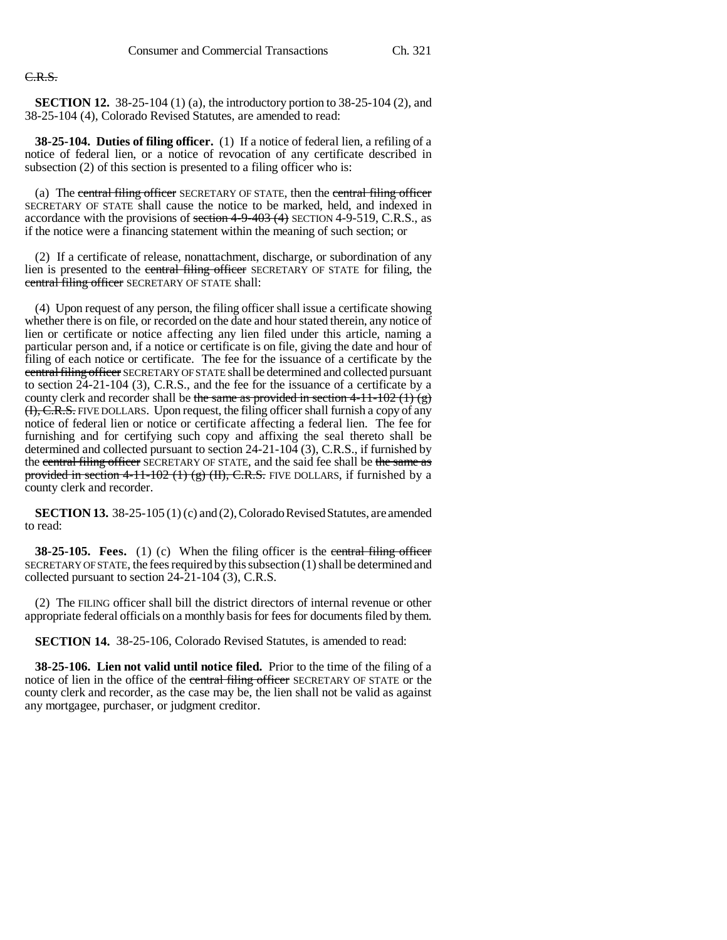# C.R.S.

**SECTION 12.** 38-25-104 (1) (a), the introductory portion to 38-25-104 (2), and 38-25-104 (4), Colorado Revised Statutes, are amended to read:

**38-25-104. Duties of filing officer.** (1) If a notice of federal lien, a refiling of a notice of federal lien, or a notice of revocation of any certificate described in subsection (2) of this section is presented to a filing officer who is:

(a) The central filing officer SECRETARY OF STATE, then the central filing officer SECRETARY OF STATE shall cause the notice to be marked, held, and indexed in accordance with the provisions of section 4-9-403 (4) SECTION 4-9-519, C.R.S., as if the notice were a financing statement within the meaning of such section; or

(2) If a certificate of release, nonattachment, discharge, or subordination of any lien is presented to the central filing officer SECRETARY OF STATE for filing, the central filing officer SECRETARY OF STATE shall:

(4) Upon request of any person, the filing officer shall issue a certificate showing whether there is on file, or recorded on the date and hour stated therein, any notice of lien or certificate or notice affecting any lien filed under this article, naming a particular person and, if a notice or certificate is on file, giving the date and hour of filing of each notice or certificate. The fee for the issuance of a certificate by the central filing officer SECRETARY OF STATE shall be determined and collected pursuant to section 24-21-104 (3), C.R.S., and the fee for the issuance of a certificate by a county clerk and recorder shall be the same as provided in section  $4-11-102$  (1) (g) (I), C.R.S. FIVE DOLLARS. Upon request, the filing officer shall furnish a copy of any notice of federal lien or notice or certificate affecting a federal lien. The fee for furnishing and for certifying such copy and affixing the seal thereto shall be determined and collected pursuant to section 24-21-104 (3), C.R.S., if furnished by the central filing officer SECRETARY OF STATE, and the said fee shall be the same as provided in section 4-11-102 (1) (g) (II), C.R.S. FIVE DOLLARS, if furnished by a county clerk and recorder.

**SECTION 13.** 38-25-105 (1) (c) and (2), Colorado Revised Statutes, are amended to read:

**38-25-105.** Fees. (1) (c) When the filing officer is the central filing officer SECRETARY OF STATE, the fees required by this subsection (1) shall be determined and collected pursuant to section 24-21-104 (3), C.R.S.

(2) The FILING officer shall bill the district directors of internal revenue or other appropriate federal officials on a monthly basis for fees for documents filed by them.

**SECTION 14.** 38-25-106, Colorado Revised Statutes, is amended to read:

**38-25-106. Lien not valid until notice filed.** Prior to the time of the filing of a notice of lien in the office of the central filing officer SECRETARY OF STATE or the county clerk and recorder, as the case may be, the lien shall not be valid as against any mortgagee, purchaser, or judgment creditor.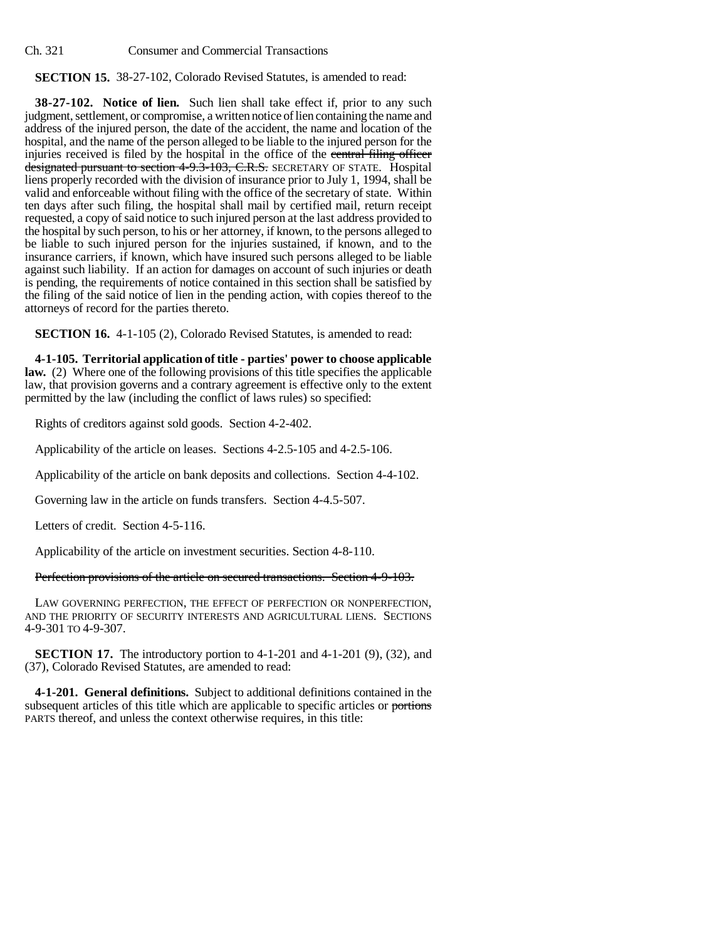**SECTION 15.** 38-27-102, Colorado Revised Statutes, is amended to read:

**38-27-102. Notice of lien.** Such lien shall take effect if, prior to any such judgment, settlement, or compromise, a written notice of lien containing the name and address of the injured person, the date of the accident, the name and location of the hospital, and the name of the person alleged to be liable to the injured person for the injuries received is filed by the hospital in the office of the central filing officer designated pursuant to section 4-9.3-103, C.R.S. SECRETARY OF STATE. Hospital liens properly recorded with the division of insurance prior to July 1, 1994, shall be valid and enforceable without filing with the office of the secretary of state. Within ten days after such filing, the hospital shall mail by certified mail, return receipt requested, a copy of said notice to such injured person at the last address provided to the hospital by such person, to his or her attorney, if known, to the persons alleged to be liable to such injured person for the injuries sustained, if known, and to the insurance carriers, if known, which have insured such persons alleged to be liable against such liability. If an action for damages on account of such injuries or death is pending, the requirements of notice contained in this section shall be satisfied by the filing of the said notice of lien in the pending action, with copies thereof to the attorneys of record for the parties thereto.

**SECTION 16.** 4-1-105 (2), Colorado Revised Statutes, is amended to read:

**4-1-105. Territorial application of title - parties' power to choose applicable law.** (2) Where one of the following provisions of this title specifies the applicable law, that provision governs and a contrary agreement is effective only to the extent permitted by the law (including the conflict of laws rules) so specified:

Rights of creditors against sold goods. Section 4-2-402.

Applicability of the article on leases. Sections 4-2.5-105 and 4-2.5-106.

Applicability of the article on bank deposits and collections. Section 4-4-102.

Governing law in the article on funds transfers. Section 4-4.5-507.

Letters of credit. Section 4-5-116.

Applicability of the article on investment securities. Section 4-8-110.

Perfection provisions of the article on secured transactions. Section 4-9-103.

LAW GOVERNING PERFECTION, THE EFFECT OF PERFECTION OR NONPERFECTION, AND THE PRIORITY OF SECURITY INTERESTS AND AGRICULTURAL LIENS. SECTIONS 4-9-301 TO 4-9-307.

**SECTION 17.** The introductory portion to 4-1-201 and 4-1-201 (9), (32), and (37), Colorado Revised Statutes, are amended to read:

**4-1-201. General definitions.** Subject to additional definitions contained in the subsequent articles of this title which are applicable to specific articles or portions PARTS thereof, and unless the context otherwise requires, in this title: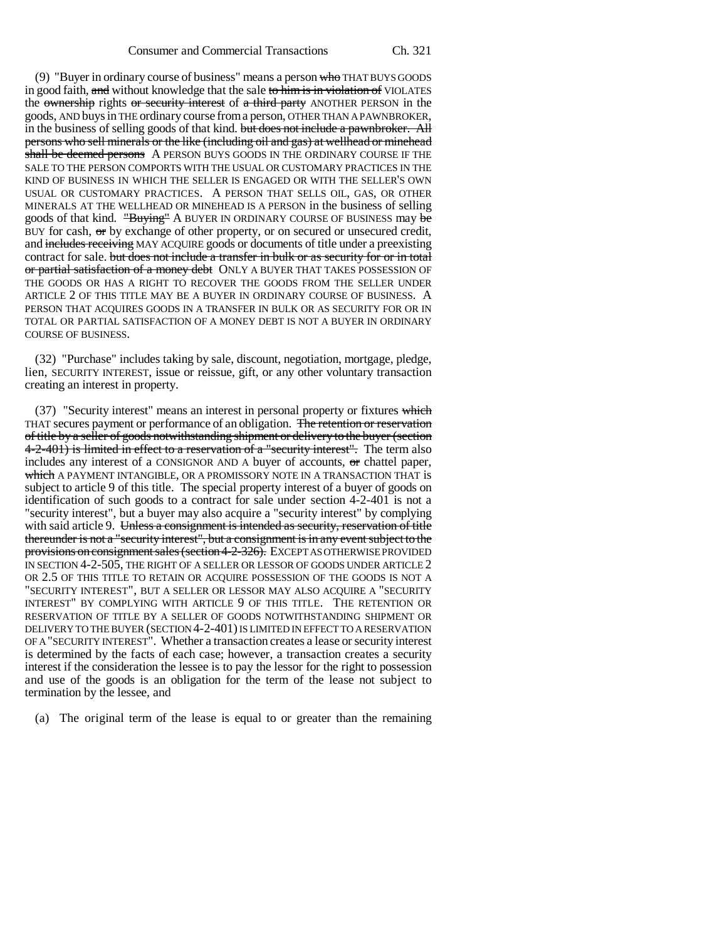(9) "Buyer in ordinary course of business" means a person  $w$ ho THAT BUYS GOODS in good faith, and without knowledge that the sale to him is in violation of VIOLATES the ownership rights or security interest of a third party ANOTHER PERSON in the goods, AND buys in THE ordinary course from a person, OTHER THAN A PAWNBROKER, in the business of selling goods of that kind. but does not include a pawnbroker. All persons who sell minerals or the like (including oil and gas) at wellhead or minehead shall be deemed persons A PERSON BUYS GOODS IN THE ORDINARY COURSE IF THE SALE TO THE PERSON COMPORTS WITH THE USUAL OR CUSTOMARY PRACTICES IN THE KIND OF BUSINESS IN WHICH THE SELLER IS ENGAGED OR WITH THE SELLER'S OWN USUAL OR CUSTOMARY PRACTICES. A PERSON THAT SELLS OIL, GAS, OR OTHER MINERALS AT THE WELLHEAD OR MINEHEAD IS A PERSON in the business of selling goods of that kind. "Buying" A BUYER IN ORDINARY COURSE OF BUSINESS may be BUY for cash, or by exchange of other property, or on secured or unsecured credit, and includes receiving MAY ACQUIRE goods or documents of title under a preexisting contract for sale. but does not include a transfer in bulk or as security for or in total or partial satisfaction of a money debt ONLY A BUYER THAT TAKES POSSESSION OF THE GOODS OR HAS A RIGHT TO RECOVER THE GOODS FROM THE SELLER UNDER ARTICLE 2 OF THIS TITLE MAY BE A BUYER IN ORDINARY COURSE OF BUSINESS. A PERSON THAT ACQUIRES GOODS IN A TRANSFER IN BULK OR AS SECURITY FOR OR IN TOTAL OR PARTIAL SATISFACTION OF A MONEY DEBT IS NOT A BUYER IN ORDINARY COURSE OF BUSINESS.

(32) "Purchase" includes taking by sale, discount, negotiation, mortgage, pledge, lien, SECURITY INTEREST, issue or reissue, gift, or any other voluntary transaction creating an interest in property.

(37) "Security interest" means an interest in personal property or fixtures which THAT secures payment or performance of an obligation. The retention or reservation of title by a seller of goods notwithstanding shipment or delivery to the buyer (section 4-2-401) is limited in effect to a reservation of a "security interest". The term also includes any interest of a CONSIGNOR AND A buyer of accounts,  $\sigma$  chattel paper, which A PAYMENT INTANGIBLE, OR A PROMISSORY NOTE IN A TRANSACTION THAT is subject to article 9 of this title. The special property interest of a buyer of goods on identification of such goods to a contract for sale under section 4-2-401 is not a "security interest", but a buyer may also acquire a "security interest" by complying with said article 9. Unless a consignment is intended as security, reservation of title thereunder is not a "security interest", but a consignment is in any event subject to the provisions on consignment sales (section 4-2-326). EXCEPT AS OTHERWISE PROVIDED IN SECTION 4-2-505, THE RIGHT OF A SELLER OR LESSOR OF GOODS UNDER ARTICLE 2 OR 2.5 OF THIS TITLE TO RETAIN OR ACQUIRE POSSESSION OF THE GOODS IS NOT A "SECURITY INTEREST", BUT A SELLER OR LESSOR MAY ALSO ACQUIRE A "SECURITY INTEREST" BY COMPLYING WITH ARTICLE 9 OF THIS TITLE. THE RETENTION OR RESERVATION OF TITLE BY A SELLER OF GOODS NOTWITHSTANDING SHIPMENT OR DELIVERY TO THE BUYER (SECTION 4-2-401) IS LIMITED IN EFFECT TO A RESERVATION OF A "SECURITY INTEREST". Whether a transaction creates a lease or security interest is determined by the facts of each case; however, a transaction creates a security interest if the consideration the lessee is to pay the lessor for the right to possession and use of the goods is an obligation for the term of the lease not subject to termination by the lessee, and

(a) The original term of the lease is equal to or greater than the remaining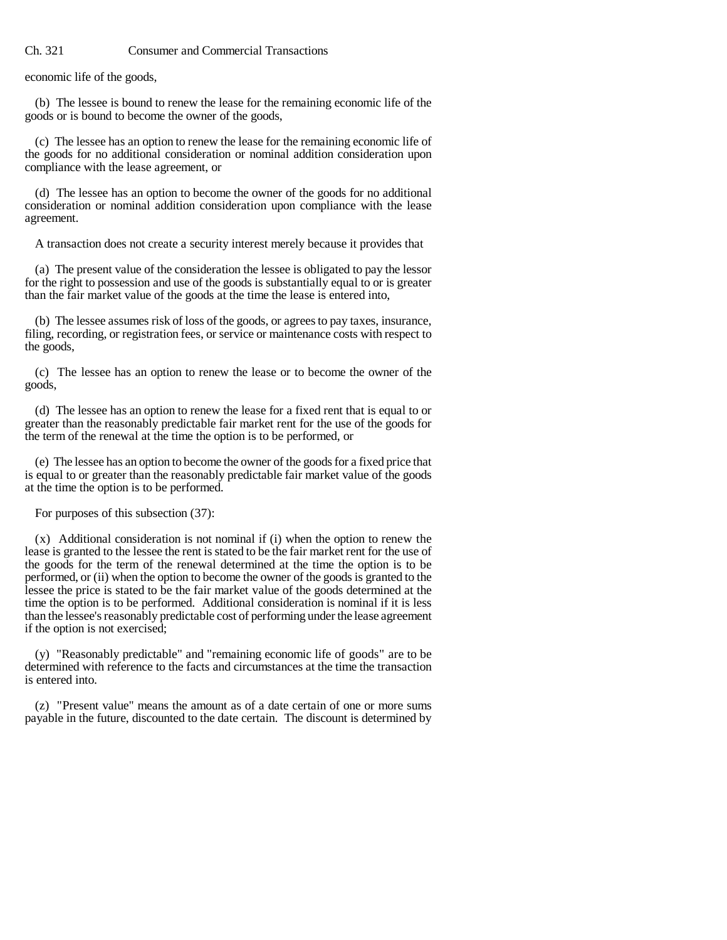economic life of the goods,

(b) The lessee is bound to renew the lease for the remaining economic life of the goods or is bound to become the owner of the goods,

(c) The lessee has an option to renew the lease for the remaining economic life of the goods for no additional consideration or nominal addition consideration upon compliance with the lease agreement, or

(d) The lessee has an option to become the owner of the goods for no additional consideration or nominal addition consideration upon compliance with the lease agreement.

A transaction does not create a security interest merely because it provides that

(a) The present value of the consideration the lessee is obligated to pay the lessor for the right to possession and use of the goods is substantially equal to or is greater than the fair market value of the goods at the time the lease is entered into,

(b) The lessee assumes risk of loss of the goods, or agrees to pay taxes, insurance, filing, recording, or registration fees, or service or maintenance costs with respect to the goods,

(c) The lessee has an option to renew the lease or to become the owner of the goods,

(d) The lessee has an option to renew the lease for a fixed rent that is equal to or greater than the reasonably predictable fair market rent for the use of the goods for the term of the renewal at the time the option is to be performed, or

(e) The lessee has an option to become the owner of the goods for a fixed price that is equal to or greater than the reasonably predictable fair market value of the goods at the time the option is to be performed.

For purposes of this subsection (37):

(x) Additional consideration is not nominal if (i) when the option to renew the lease is granted to the lessee the rent is stated to be the fair market rent for the use of the goods for the term of the renewal determined at the time the option is to be performed, or (ii) when the option to become the owner of the goods is granted to the lessee the price is stated to be the fair market value of the goods determined at the time the option is to be performed. Additional consideration is nominal if it is less than the lessee's reasonably predictable cost of performing under the lease agreement if the option is not exercised;

(y) "Reasonably predictable" and "remaining economic life of goods" are to be determined with reference to the facts and circumstances at the time the transaction is entered into.

(z) "Present value" means the amount as of a date certain of one or more sums payable in the future, discounted to the date certain. The discount is determined by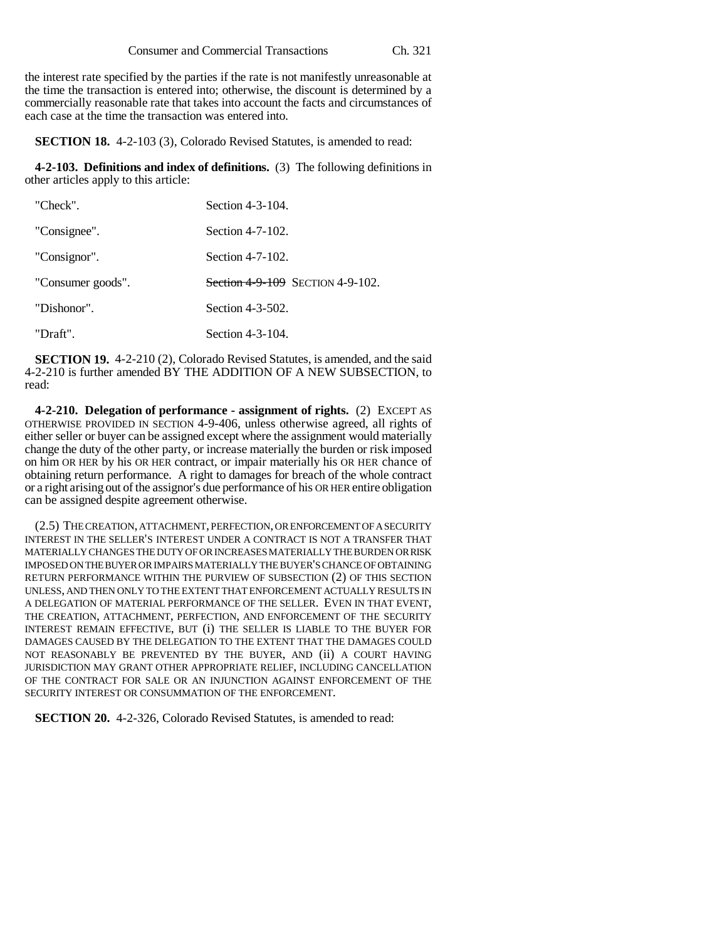the interest rate specified by the parties if the rate is not manifestly unreasonable at the time the transaction is entered into; otherwise, the discount is determined by a commercially reasonable rate that takes into account the facts and circumstances of each case at the time the transaction was entered into.

**SECTION 18.** 4-2-103 (3), Colorado Revised Statutes, is amended to read:

**4-2-103. Definitions and index of definitions.** (3) The following definitions in other articles apply to this article:

| "Check".          | Section 4-3-104.                        |
|-------------------|-----------------------------------------|
| "Consignee".      | Section 4-7-102.                        |
| "Consignor".      | Section 4-7-102.                        |
| "Consumer goods". | <b>Section 4-9-109</b> SECTION 4-9-102. |
| "Dishonor".       | Section 4-3-502.                        |
| "Draft".          | Section 4-3-104.                        |

**SECTION 19.** 4-2-210 (2), Colorado Revised Statutes, is amended, and the said 4-2-210 is further amended BY THE ADDITION OF A NEW SUBSECTION, to read:

**4-2-210. Delegation of performance - assignment of rights.** (2) EXCEPT AS OTHERWISE PROVIDED IN SECTION 4-9-406, unless otherwise agreed, all rights of either seller or buyer can be assigned except where the assignment would materially change the duty of the other party, or increase materially the burden or risk imposed on him OR HER by his OR HER contract, or impair materially his OR HER chance of obtaining return performance. A right to damages for breach of the whole contract or a right arising out of the assignor's due performance of his OR HER entire obligation can be assigned despite agreement otherwise.

(2.5) THE CREATION, ATTACHMENT, PERFECTION, OR ENFORCEMENT OF A SECURITY INTEREST IN THE SELLER'S INTEREST UNDER A CONTRACT IS NOT A TRANSFER THAT MATERIALLY CHANGES THE DUTY OF OR INCREASES MATERIALLY THE BURDEN OR RISK IMPOSED ON THE BUYER OR IMPAIRS MATERIALLY THE BUYER'S CHANCE OF OBTAINING RETURN PERFORMANCE WITHIN THE PURVIEW OF SUBSECTION (2) OF THIS SECTION UNLESS, AND THEN ONLY TO THE EXTENT THAT ENFORCEMENT ACTUALLY RESULTS IN A DELEGATION OF MATERIAL PERFORMANCE OF THE SELLER. EVEN IN THAT EVENT, THE CREATION, ATTACHMENT, PERFECTION, AND ENFORCEMENT OF THE SECURITY INTEREST REMAIN EFFECTIVE, BUT (i) THE SELLER IS LIABLE TO THE BUYER FOR DAMAGES CAUSED BY THE DELEGATION TO THE EXTENT THAT THE DAMAGES COULD NOT REASONABLY BE PREVENTED BY THE BUYER, AND (ii) A COURT HAVING JURISDICTION MAY GRANT OTHER APPROPRIATE RELIEF, INCLUDING CANCELLATION OF THE CONTRACT FOR SALE OR AN INJUNCTION AGAINST ENFORCEMENT OF THE SECURITY INTEREST OR CONSUMMATION OF THE ENFORCEMENT.

**SECTION 20.** 4-2-326, Colorado Revised Statutes, is amended to read: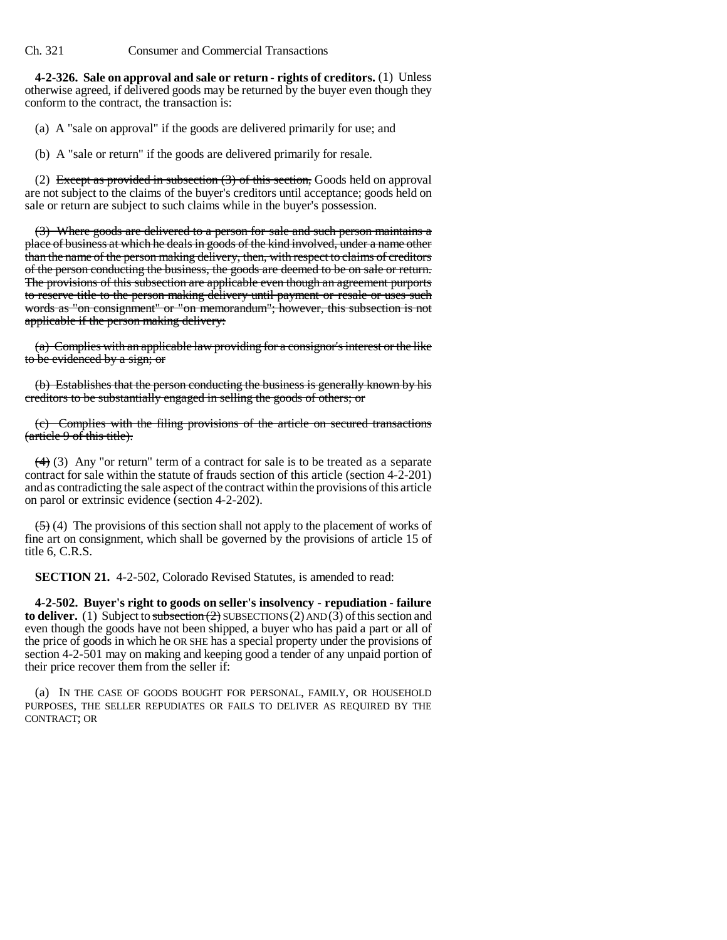**4-2-326. Sale on approval and sale or return - rights of creditors.** (1) Unless otherwise agreed, if delivered goods may be returned by the buyer even though they conform to the contract, the transaction is:

(a) A "sale on approval" if the goods are delivered primarily for use; and

(b) A "sale or return" if the goods are delivered primarily for resale.

(2) Except as provided in subsection  $(3)$  of this section, Goods held on approval are not subject to the claims of the buyer's creditors until acceptance; goods held on sale or return are subject to such claims while in the buyer's possession.

(3) Where goods are delivered to a person for sale and such person maintains a place of business at which he deals in goods of the kind involved, under a name other than the name of the person making delivery, then, with respect to claims of creditors of the person conducting the business, the goods are deemed to be on sale or return. The provisions of this subsection are applicable even though an agreement purports to reserve title to the person making delivery until payment or resale or uses such words as "on consignment" or "on memorandum"; however, this subsection is not applicable if the person making delivery:

(a) Complies with an applicable law providing for a consignor's interest or the like to be evidenced by a sign; or

(b) Establishes that the person conducting the business is generally known by his creditors to be substantially engaged in selling the goods of others; or

(c) Complies with the filing provisions of the article on secured transactions (article 9 of this title).

 $(4)$  (3) Any "or return" term of a contract for sale is to be treated as a separate contract for sale within the statute of frauds section of this article (section 4-2-201) and as contradicting the sale aspect of the contract within the provisions of this article on parol or extrinsic evidence (section 4-2-202).

 $(5)$  (4) The provisions of this section shall not apply to the placement of works of fine art on consignment, which shall be governed by the provisions of article 15 of title 6, C.R.S.

**SECTION 21.** 4-2-502, Colorado Revised Statutes, is amended to read:

**4-2-502. Buyer's right to goods on seller's insolvency - repudiation - failure to deliver.** (1) Subject to subsection  $(2)$  SUBSECTIONS  $(2)$  AND  $(3)$  of this section and even though the goods have not been shipped, a buyer who has paid a part or all of the price of goods in which he OR SHE has a special property under the provisions of section 4-2-501 may on making and keeping good a tender of any unpaid portion of their price recover them from the seller if:

(a) IN THE CASE OF GOODS BOUGHT FOR PERSONAL, FAMILY, OR HOUSEHOLD PURPOSES, THE SELLER REPUDIATES OR FAILS TO DELIVER AS REQUIRED BY THE CONTRACT; OR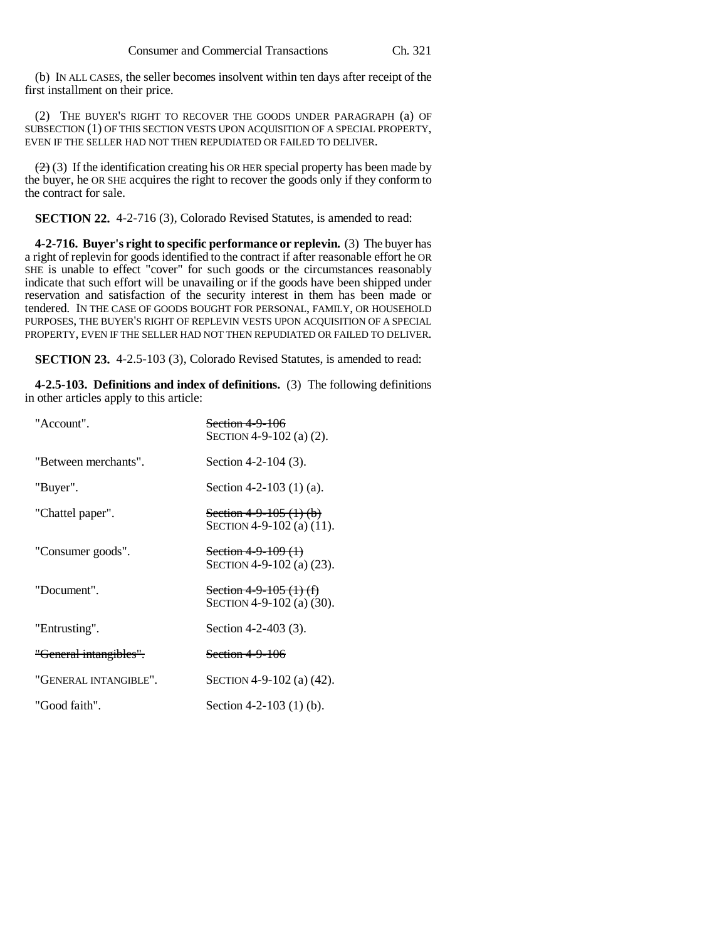(b) IN ALL CASES, the seller becomes insolvent within ten days after receipt of the first installment on their price.

(2) THE BUYER'S RIGHT TO RECOVER THE GOODS UNDER PARAGRAPH (a) OF SUBSECTION (1) OF THIS SECTION VESTS UPON ACQUISITION OF A SPECIAL PROPERTY, EVEN IF THE SELLER HAD NOT THEN REPUDIATED OR FAILED TO DELIVER.

 $\left(\frac{1}{2}\right)$  (3) If the identification creating his OR HER special property has been made by the buyer, he OR SHE acquires the right to recover the goods only if they conform to the contract for sale.

**SECTION 22.** 4-2-716 (3), Colorado Revised Statutes, is amended to read:

**4-2-716. Buyer's right to specific performance or replevin.** (3) The buyer has a right of replevin for goods identified to the contract if after reasonable effort he OR SHE is unable to effect "cover" for such goods or the circumstances reasonably indicate that such effort will be unavailing or if the goods have been shipped under reservation and satisfaction of the security interest in them has been made or tendered. IN THE CASE OF GOODS BOUGHT FOR PERSONAL, FAMILY, OR HOUSEHOLD PURPOSES, THE BUYER'S RIGHT OF REPLEVIN VESTS UPON ACQUISITION OF A SPECIAL PROPERTY, EVEN IF THE SELLER HAD NOT THEN REPUDIATED OR FAILED TO DELIVER.

**SECTION 23.** 4-2.5-103 (3), Colorado Revised Statutes, is amended to read:

**4-2.5-103. Definitions and index of definitions.** (3) The following definitions in other articles apply to this article:

| "Account".             | Section 4-9-106<br>SECTION 4-9-102 (a) $(2)$ .            |
|------------------------|-----------------------------------------------------------|
| "Between merchants".   | Section $4-2-104$ (3).                                    |
| "Buyer".               | Section 4-2-103 $(1)$ (a).                                |
| "Chattel paper".       | Section 4-9-105 $(1)$ (b)<br>SECTION 4-9-102 (a) $(11)$ . |
| "Consumer goods".      | Section 4-9-109 (1)<br>SECTION 4-9-102 (a) $(23)$ .       |
| "Document".            | Section 4-9-105 $(1)$ (f)<br>SECTION 4-9-102 (a) (30).    |
| "Entrusting".          | Section $4-2-403$ (3).                                    |
| "General intangibles". | Section 4-9-106                                           |
| "GENERAL INTANGIBLE".  | SECTION 4-9-102 (a) (42).                                 |
| "Good faith".          | Section 4-2-103 $(1)$ (b).                                |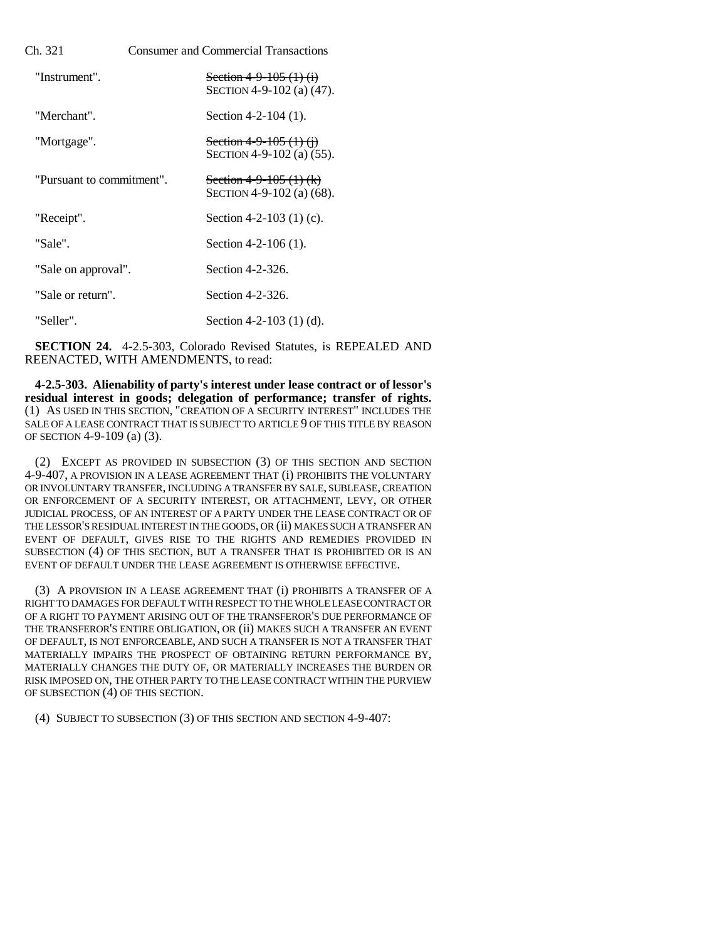| <b>Consumer and Commercial Transactions</b><br>Ch. 321 |  |                                                             |
|--------------------------------------------------------|--|-------------------------------------------------------------|
| "Instrument".                                          |  | Section 4-9-105 (1) (i)<br>SECTION 4-9-102 (a) $(47)$ .     |
| "Merchant".                                            |  | Section 4-2-104 $(1)$ .                                     |
| "Mortgage".                                            |  | Section 4-9-105 (1) (i)<br>SECTION 4-9-102 (a) (55).        |
| "Pursuant to commitment".                              |  | Section 4-9-105 $(1)$ $(k)$<br>SECTION 4-9-102 (a) $(68)$ . |
| "Receipt".                                             |  | Section 4-2-103 $(1)$ (c).                                  |
| "Sale".                                                |  | Section 4-2-106 $(1)$ .                                     |
| "Sale on approval".                                    |  | Section 4-2-326.                                            |
| "Sale or return".                                      |  | Section 4-2-326.                                            |
| "Seller".                                              |  | Section 4-2-103 $(1)$ $(d)$ .                               |

**SECTION 24.** 4-2.5-303, Colorado Revised Statutes, is REPEALED AND REENACTED, WITH AMENDMENTS, to read:

**4-2.5-303. Alienability of party's interest under lease contract or of lessor's residual interest in goods; delegation of performance; transfer of rights.** (1) AS USED IN THIS SECTION, "CREATION OF A SECURITY INTEREST" INCLUDES THE SALE OF A LEASE CONTRACT THAT IS SUBJECT TO ARTICLE 9 OF THIS TITLE BY REASON OF SECTION 4-9-109 (a) (3).

(2) EXCEPT AS PROVIDED IN SUBSECTION (3) OF THIS SECTION AND SECTION 4-9-407, A PROVISION IN A LEASE AGREEMENT THAT (i) PROHIBITS THE VOLUNTARY OR INVOLUNTARY TRANSFER, INCLUDING A TRANSFER BY SALE, SUBLEASE, CREATION OR ENFORCEMENT OF A SECURITY INTEREST, OR ATTACHMENT, LEVY, OR OTHER JUDICIAL PROCESS, OF AN INTEREST OF A PARTY UNDER THE LEASE CONTRACT OR OF THE LESSOR'S RESIDUAL INTEREST IN THE GOODS, OR (ii) MAKES SUCH A TRANSFER AN EVENT OF DEFAULT, GIVES RISE TO THE RIGHTS AND REMEDIES PROVIDED IN SUBSECTION (4) OF THIS SECTION, BUT A TRANSFER THAT IS PROHIBITED OR IS AN EVENT OF DEFAULT UNDER THE LEASE AGREEMENT IS OTHERWISE EFFECTIVE.

(3) A PROVISION IN A LEASE AGREEMENT THAT (i) PROHIBITS A TRANSFER OF A RIGHT TO DAMAGES FOR DEFAULT WITH RESPECT TO THE WHOLE LEASE CONTRACT OR OF A RIGHT TO PAYMENT ARISING OUT OF THE TRANSFEROR'S DUE PERFORMANCE OF THE TRANSFEROR'S ENTIRE OBLIGATION, OR (ii) MAKES SUCH A TRANSFER AN EVENT OF DEFAULT, IS NOT ENFORCEABLE, AND SUCH A TRANSFER IS NOT A TRANSFER THAT MATERIALLY IMPAIRS THE PROSPECT OF OBTAINING RETURN PERFORMANCE BY, MATERIALLY CHANGES THE DUTY OF, OR MATERIALLY INCREASES THE BURDEN OR RISK IMPOSED ON, THE OTHER PARTY TO THE LEASE CONTRACT WITHIN THE PURVIEW OF SUBSECTION (4) OF THIS SECTION.

(4) SUBJECT TO SUBSECTION (3) OF THIS SECTION AND SECTION 4-9-407: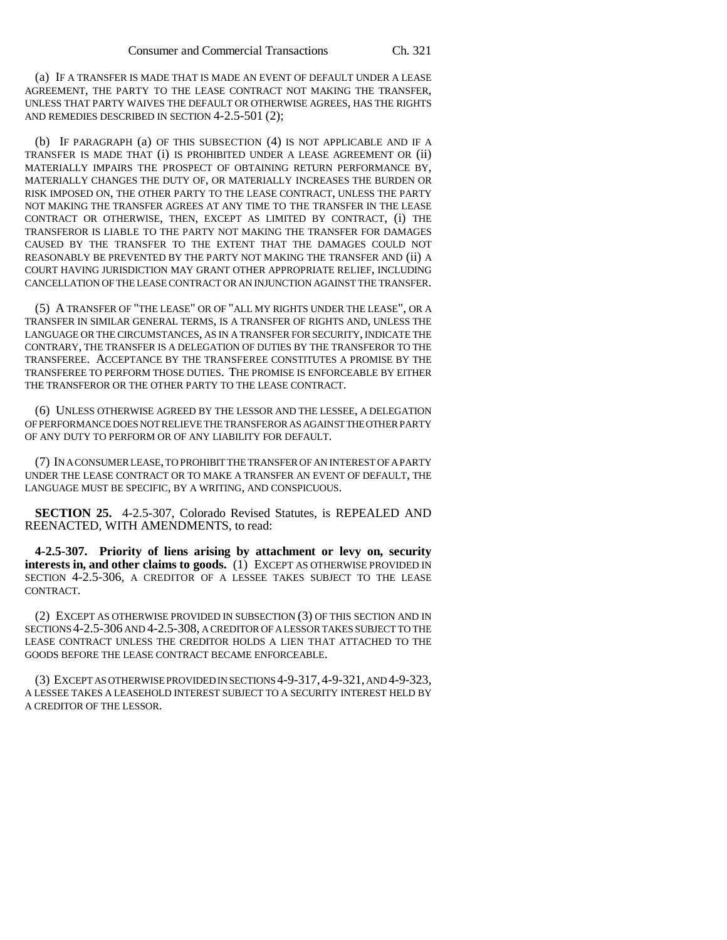(a) IF A TRANSFER IS MADE THAT IS MADE AN EVENT OF DEFAULT UNDER A LEASE AGREEMENT, THE PARTY TO THE LEASE CONTRACT NOT MAKING THE TRANSFER, UNLESS THAT PARTY WAIVES THE DEFAULT OR OTHERWISE AGREES, HAS THE RIGHTS AND REMEDIES DESCRIBED IN SECTION 4-2.5-501 (2);

(b) IF PARAGRAPH (a) OF THIS SUBSECTION (4) IS NOT APPLICABLE AND IF A TRANSFER IS MADE THAT (i) IS PROHIBITED UNDER A LEASE AGREEMENT OR (ii) MATERIALLY IMPAIRS THE PROSPECT OF OBTAINING RETURN PERFORMANCE BY, MATERIALLY CHANGES THE DUTY OF, OR MATERIALLY INCREASES THE BURDEN OR RISK IMPOSED ON, THE OTHER PARTY TO THE LEASE CONTRACT, UNLESS THE PARTY NOT MAKING THE TRANSFER AGREES AT ANY TIME TO THE TRANSFER IN THE LEASE CONTRACT OR OTHERWISE, THEN, EXCEPT AS LIMITED BY CONTRACT, (i) THE TRANSFEROR IS LIABLE TO THE PARTY NOT MAKING THE TRANSFER FOR DAMAGES CAUSED BY THE TRANSFER TO THE EXTENT THAT THE DAMAGES COULD NOT REASONABLY BE PREVENTED BY THE PARTY NOT MAKING THE TRANSFER AND (ii) A COURT HAVING JURISDICTION MAY GRANT OTHER APPROPRIATE RELIEF, INCLUDING CANCELLATION OF THE LEASE CONTRACT OR AN INJUNCTION AGAINST THE TRANSFER.

(5) A TRANSFER OF "THE LEASE" OR OF "ALL MY RIGHTS UNDER THE LEASE", OR A TRANSFER IN SIMILAR GENERAL TERMS, IS A TRANSFER OF RIGHTS AND, UNLESS THE LANGUAGE OR THE CIRCUMSTANCES, AS IN A TRANSFER FOR SECURITY, INDICATE THE CONTRARY, THE TRANSFER IS A DELEGATION OF DUTIES BY THE TRANSFEROR TO THE TRANSFEREE. ACCEPTANCE BY THE TRANSFEREE CONSTITUTES A PROMISE BY THE TRANSFEREE TO PERFORM THOSE DUTIES. THE PROMISE IS ENFORCEABLE BY EITHER THE TRANSFEROR OR THE OTHER PARTY TO THE LEASE CONTRACT.

(6) UNLESS OTHERWISE AGREED BY THE LESSOR AND THE LESSEE, A DELEGATION OF PERFORMANCE DOES NOT RELIEVE THE TRANSFEROR AS AGAINST THE OTHER PARTY OF ANY DUTY TO PERFORM OR OF ANY LIABILITY FOR DEFAULT.

(7) IN A CONSUMER LEASE, TO PROHIBIT THE TRANSFER OF AN INTEREST OF A PARTY UNDER THE LEASE CONTRACT OR TO MAKE A TRANSFER AN EVENT OF DEFAULT, THE LANGUAGE MUST BE SPECIFIC, BY A WRITING, AND CONSPICUOUS.

**SECTION 25.** 4-2.5-307, Colorado Revised Statutes, is REPEALED AND REENACTED, WITH AMENDMENTS, to read:

**4-2.5-307. Priority of liens arising by attachment or levy on, security interests in, and other claims to goods.** (1) EXCEPT AS OTHERWISE PROVIDED IN SECTION 4-2.5-306, A CREDITOR OF A LESSEE TAKES SUBJECT TO THE LEASE CONTRACT.

(2) EXCEPT AS OTHERWISE PROVIDED IN SUBSECTION (3) OF THIS SECTION AND IN SECTIONS 4-2.5-306 AND 4-2.5-308, A CREDITOR OF A LESSOR TAKES SUBJECT TO THE LEASE CONTRACT UNLESS THE CREDITOR HOLDS A LIEN THAT ATTACHED TO THE GOODS BEFORE THE LEASE CONTRACT BECAME ENFORCEABLE.

(3) EXCEPT AS OTHERWISE PROVIDED IN SECTIONS 4-9-317,4-9-321, AND 4-9-323, A LESSEE TAKES A LEASEHOLD INTEREST SUBJECT TO A SECURITY INTEREST HELD BY A CREDITOR OF THE LESSOR.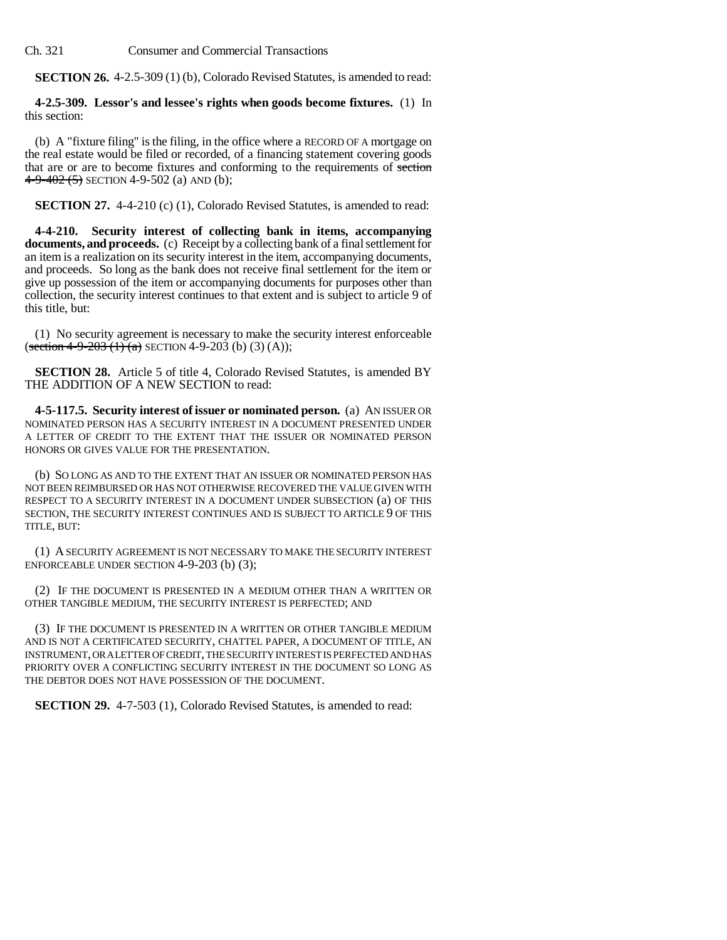**SECTION 26.** 4-2.5-309 (1) (b), Colorado Revised Statutes, is amended to read:

**4-2.5-309. Lessor's and lessee's rights when goods become fixtures.** (1) In this section:

(b) A "fixture filing" is the filing, in the office where a RECORD OF A mortgage on the real estate would be filed or recorded, of a financing statement covering goods that are or are to become fixtures and conforming to the requirements of section  $4-9-402(5)$  SECTION 4-9-502 (a) AND (b);

**SECTION 27.** 4-4-210 (c) (1), Colorado Revised Statutes, is amended to read:

**4-4-210. Security interest of collecting bank in items, accompanying documents, and proceeds.** (c) Receipt by a collecting bank of a final settlement for an item is a realization on its security interest in the item, accompanying documents, and proceeds. So long as the bank does not receive final settlement for the item or give up possession of the item or accompanying documents for purposes other than collection, the security interest continues to that extent and is subject to article 9 of this title, but:

(1) No security agreement is necessary to make the security interest enforceable (section  $4-9-203$  (1) (a) SECTION 4-9-203 (b) (3) (A));

**SECTION 28.** Article 5 of title 4, Colorado Revised Statutes, is amended BY THE ADDITION OF A NEW SECTION to read:

**4-5-117.5. Security interest of issuer or nominated person.** (a) AN ISSUER OR NOMINATED PERSON HAS A SECURITY INTEREST IN A DOCUMENT PRESENTED UNDER A LETTER OF CREDIT TO THE EXTENT THAT THE ISSUER OR NOMINATED PERSON HONORS OR GIVES VALUE FOR THE PRESENTATION.

(b) SO LONG AS AND TO THE EXTENT THAT AN ISSUER OR NOMINATED PERSON HAS NOT BEEN REIMBURSED OR HAS NOT OTHERWISE RECOVERED THE VALUE GIVEN WITH RESPECT TO A SECURITY INTEREST IN A DOCUMENT UNDER SUBSECTION (a) OF THIS SECTION, THE SECURITY INTEREST CONTINUES AND IS SUBJECT TO ARTICLE 9 OF THIS TITLE, BUT:

(1) A SECURITY AGREEMENT IS NOT NECESSARY TO MAKE THE SECURITY INTEREST ENFORCEABLE UNDER SECTION 4-9-203 (b) (3);

(2) IF THE DOCUMENT IS PRESENTED IN A MEDIUM OTHER THAN A WRITTEN OR OTHER TANGIBLE MEDIUM, THE SECURITY INTEREST IS PERFECTED; AND

(3) IF THE DOCUMENT IS PRESENTED IN A WRITTEN OR OTHER TANGIBLE MEDIUM AND IS NOT A CERTIFICATED SECURITY, CHATTEL PAPER, A DOCUMENT OF TITLE, AN INSTRUMENT, OR A LETTER OF CREDIT, THE SECURITY INTEREST IS PERFECTED AND HAS PRIORITY OVER A CONFLICTING SECURITY INTEREST IN THE DOCUMENT SO LONG AS THE DEBTOR DOES NOT HAVE POSSESSION OF THE DOCUMENT.

**SECTION 29.** 4-7-503 (1), Colorado Revised Statutes, is amended to read: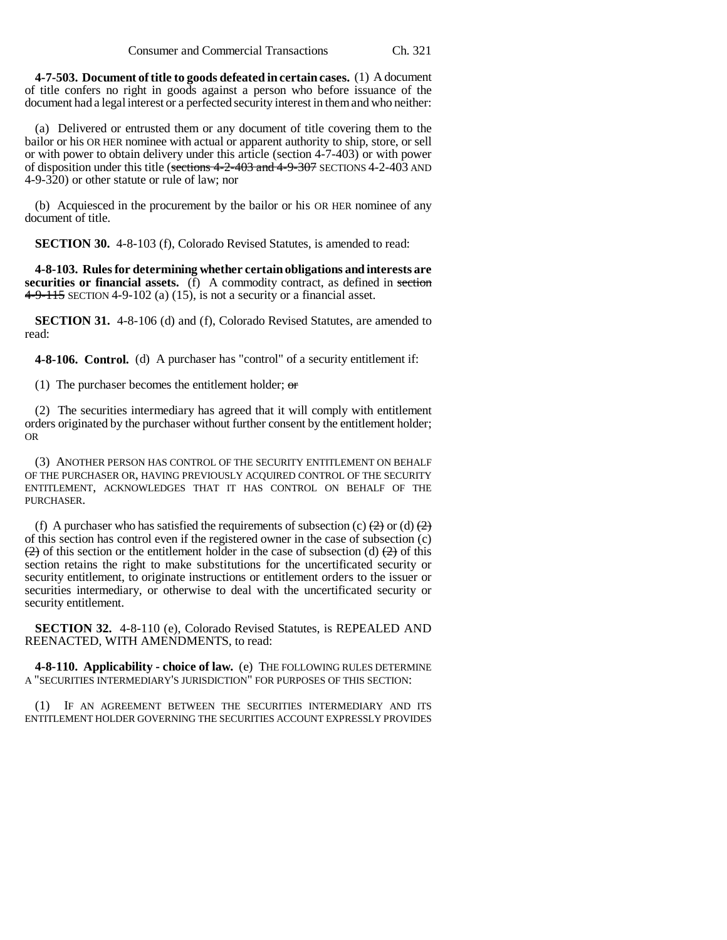**4-7-503. Document of title to goods defeated in certain cases.** (1) A document of title confers no right in goods against a person who before issuance of the document had a legal interest or a perfected security interest in them and who neither:

(a) Delivered or entrusted them or any document of title covering them to the bailor or his OR HER nominee with actual or apparent authority to ship, store, or sell or with power to obtain delivery under this article (section 4-7-403) or with power of disposition under this title (sections 4-2-403 and 4-9-307 SECTIONS 4-2-403 AND 4-9-320) or other statute or rule of law; nor

(b) Acquiesced in the procurement by the bailor or his OR HER nominee of any document of title.

**SECTION 30.** 4-8-103 (f), Colorado Revised Statutes, is amended to read:

**4-8-103. Rules for determining whether certain obligations and interests are securities or financial assets.**  $(\overline{f})$  A commodity contract, as defined in section  $4-9-115$  SECTION 4-9-102 (a) (15), is not a security or a financial asset.

**SECTION 31.** 4-8-106 (d) and (f), Colorado Revised Statutes, are amended to read:

**4-8-106. Control.** (d) A purchaser has "control" of a security entitlement if:

(1) The purchaser becomes the entitlement holder;  $\sigma$ 

(2) The securities intermediary has agreed that it will comply with entitlement orders originated by the purchaser without further consent by the entitlement holder; OR

(3) ANOTHER PERSON HAS CONTROL OF THE SECURITY ENTITLEMENT ON BEHALF OF THE PURCHASER OR, HAVING PREVIOUSLY ACQUIRED CONTROL OF THE SECURITY ENTITLEMENT, ACKNOWLEDGES THAT IT HAS CONTROL ON BEHALF OF THE PURCHASER.

(f) A purchaser who has satisfied the requirements of subsection (c)  $\left(\frac{2}{2}\right)$  or (d)  $\left(\frac{2}{2}\right)$ of this section has control even if the registered owner in the case of subsection (c)  $\left(\frac{1}{2}\right)$  of this section or the entitlement holder in the case of subsection (d)  $\left(\frac{1}{2}\right)$  of this section retains the right to make substitutions for the uncertificated security or security entitlement, to originate instructions or entitlement orders to the issuer or securities intermediary, or otherwise to deal with the uncertificated security or security entitlement.

**SECTION 32.** 4-8-110 (e), Colorado Revised Statutes, is REPEALED AND REENACTED, WITH AMENDMENTS, to read:

**4-8-110. Applicability - choice of law.** (e) THE FOLLOWING RULES DETERMINE A "SECURITIES INTERMEDIARY'S JURISDICTION" FOR PURPOSES OF THIS SECTION:

(1) IF AN AGREEMENT BETWEEN THE SECURITIES INTERMEDIARY AND ITS ENTITLEMENT HOLDER GOVERNING THE SECURITIES ACCOUNT EXPRESSLY PROVIDES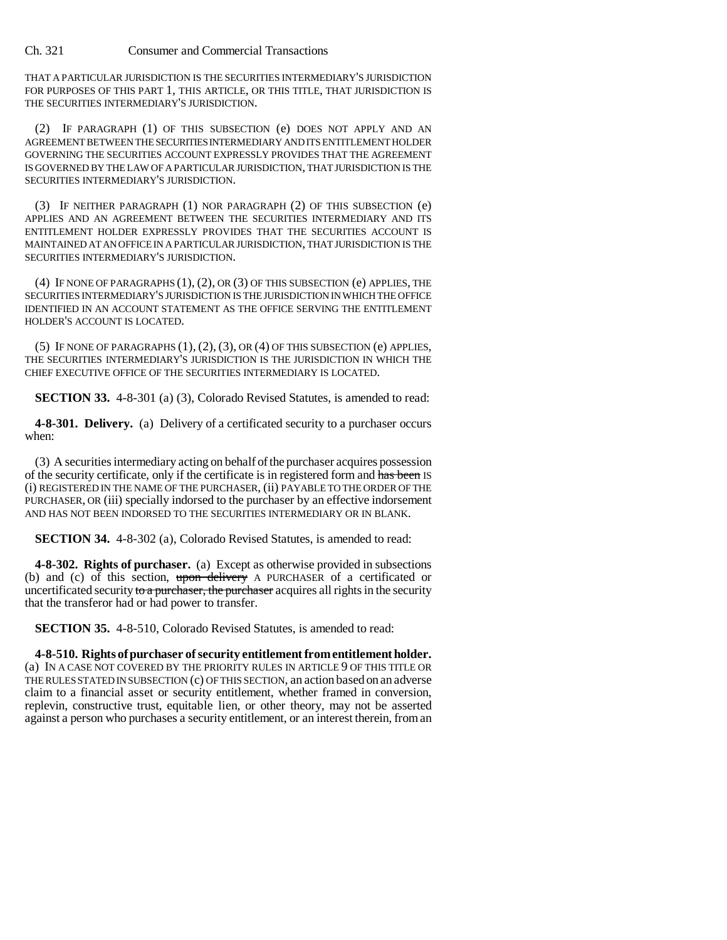THAT A PARTICULAR JURISDICTION IS THE SECURITIES INTERMEDIARY'S JURISDICTION FOR PURPOSES OF THIS PART 1, THIS ARTICLE, OR THIS TITLE, THAT JURISDICTION IS THE SECURITIES INTERMEDIARY'S JURISDICTION.

(2) IF PARAGRAPH (1) OF THIS SUBSECTION (e) DOES NOT APPLY AND AN AGREEMENT BETWEEN THE SECURITIES INTERMEDIARY AND ITS ENTITLEMENT HOLDER GOVERNING THE SECURITIES ACCOUNT EXPRESSLY PROVIDES THAT THE AGREEMENT IS GOVERNED BY THE LAW OF A PARTICULAR JURISDICTION, THAT JURISDICTION IS THE SECURITIES INTERMEDIARY'S JURISDICTION.

(3) IF NEITHER PARAGRAPH (1) NOR PARAGRAPH (2) OF THIS SUBSECTION (e) APPLIES AND AN AGREEMENT BETWEEN THE SECURITIES INTERMEDIARY AND ITS ENTITLEMENT HOLDER EXPRESSLY PROVIDES THAT THE SECURITIES ACCOUNT IS MAINTAINED AT AN OFFICE IN A PARTICULAR JURISDICTION, THAT JURISDICTION IS THE SECURITIES INTERMEDIARY'S JURISDICTION.

(4) IF NONE OF PARAGRAPHS (1), (2), OR (3) OF THIS SUBSECTION (e) APPLIES, THE SECURITIES INTERMEDIARY'S JURISDICTION IS THE JURISDICTION IN WHICH THE OFFICE IDENTIFIED IN AN ACCOUNT STATEMENT AS THE OFFICE SERVING THE ENTITLEMENT HOLDER'S ACCOUNT IS LOCATED.

(5) IF NONE OF PARAGRAPHS (1), (2), (3), OR (4) OF THIS SUBSECTION (e) APPLIES, THE SECURITIES INTERMEDIARY'S JURISDICTION IS THE JURISDICTION IN WHICH THE CHIEF EXECUTIVE OFFICE OF THE SECURITIES INTERMEDIARY IS LOCATED.

**SECTION 33.** 4-8-301 (a) (3), Colorado Revised Statutes, is amended to read:

**4-8-301. Delivery.** (a) Delivery of a certificated security to a purchaser occurs when:

(3) A securities intermediary acting on behalf of the purchaser acquires possession of the security certificate, only if the certificate is in registered form and has been IS (i) REGISTERED IN THE NAME OF THE PURCHASER, (ii) PAYABLE TO THE ORDER OF THE PURCHASER, OR (iii) specially indorsed to the purchaser by an effective indorsement AND HAS NOT BEEN INDORSED TO THE SECURITIES INTERMEDIARY OR IN BLANK.

**SECTION 34.** 4-8-302 (a), Colorado Revised Statutes, is amended to read:

**4-8-302. Rights of purchaser.** (a) Except as otherwise provided in subsections (b) and (c) of this section, upon delivery A PURCHASER of a certificated or uncertificated security to a purchaser, the purchaser acquires all rights in the security that the transferor had or had power to transfer.

**SECTION 35.** 4-8-510, Colorado Revised Statutes, is amended to read:

**4-8-510. Rights of purchaser of security entitlement from entitlement holder.** (a) IN A CASE NOT COVERED BY THE PRIORITY RULES IN ARTICLE 9 OF THIS TITLE OR THE RULES STATED IN SUBSECTION (c) OF THIS SECTION, an action based on an adverse claim to a financial asset or security entitlement, whether framed in conversion, replevin, constructive trust, equitable lien, or other theory, may not be asserted against a person who purchases a security entitlement, or an interest therein, from an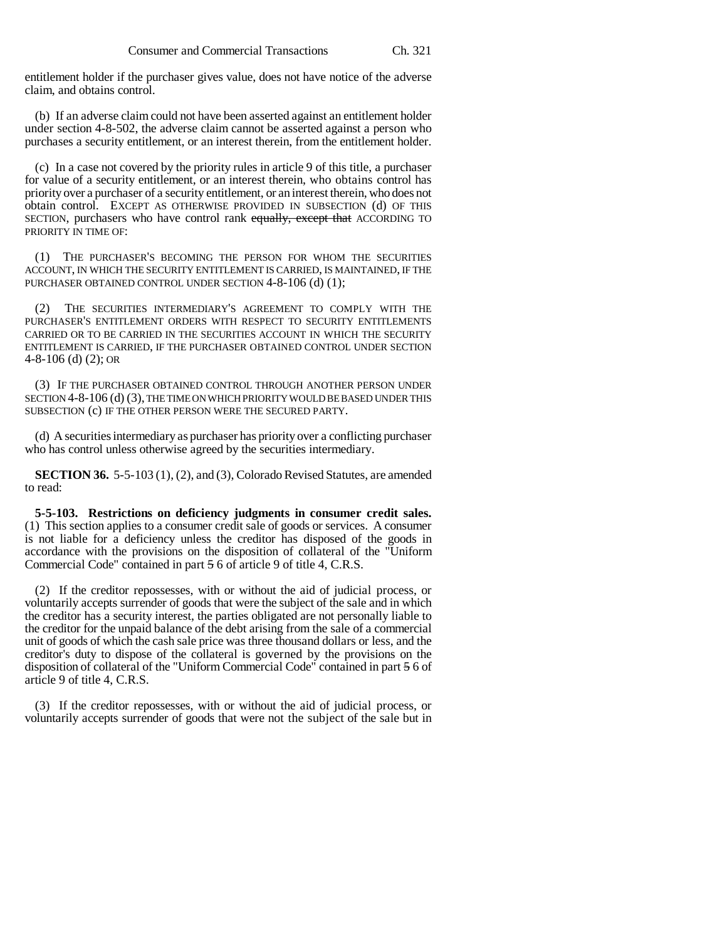entitlement holder if the purchaser gives value, does not have notice of the adverse claim, and obtains control.

(b) If an adverse claim could not have been asserted against an entitlement holder under section 4-8-502, the adverse claim cannot be asserted against a person who purchases a security entitlement, or an interest therein, from the entitlement holder.

(c) In a case not covered by the priority rules in article 9 of this title, a purchaser for value of a security entitlement, or an interest therein, who obtains control has priority over a purchaser of a security entitlement, or an interest therein, who does not obtain control. EXCEPT AS OTHERWISE PROVIDED IN SUBSECTION (d) OF THIS SECTION, purchasers who have control rank equally, except that ACCORDING TO PRIORITY IN TIME OF:

(1) THE PURCHASER'S BECOMING THE PERSON FOR WHOM THE SECURITIES ACCOUNT, IN WHICH THE SECURITY ENTITLEMENT IS CARRIED, IS MAINTAINED, IF THE PURCHASER OBTAINED CONTROL UNDER SECTION 4-8-106 (d) (1);

(2) THE SECURITIES INTERMEDIARY'S AGREEMENT TO COMPLY WITH THE PURCHASER'S ENTITLEMENT ORDERS WITH RESPECT TO SECURITY ENTITLEMENTS CARRIED OR TO BE CARRIED IN THE SECURITIES ACCOUNT IN WHICH THE SECURITY ENTITLEMENT IS CARRIED, IF THE PURCHASER OBTAINED CONTROL UNDER SECTION 4-8-106 (d) (2); OR

(3) IF THE PURCHASER OBTAINED CONTROL THROUGH ANOTHER PERSON UNDER SECTION 4-8-106 (d) (3), THE TIME ON WHICH PRIORITY WOULD BE BASED UNDER THIS SUBSECTION (c) IF THE OTHER PERSON WERE THE SECURED PARTY.

(d) A securities intermediary as purchaser has priority over a conflicting purchaser who has control unless otherwise agreed by the securities intermediary.

**SECTION 36.** 5-5-103 (1), (2), and (3), Colorado Revised Statutes, are amended to read:

**5-5-103. Restrictions on deficiency judgments in consumer credit sales.** (1) This section applies to a consumer credit sale of goods or services. A consumer is not liable for a deficiency unless the creditor has disposed of the goods in accordance with the provisions on the disposition of collateral of the "Uniform Commercial Code" contained in part 5 6 of article 9 of title 4, C.R.S.

(2) If the creditor repossesses, with or without the aid of judicial process, or voluntarily accepts surrender of goods that were the subject of the sale and in which the creditor has a security interest, the parties obligated are not personally liable to the creditor for the unpaid balance of the debt arising from the sale of a commercial unit of goods of which the cash sale price was three thousand dollars or less, and the creditor's duty to dispose of the collateral is governed by the provisions on the disposition of collateral of the "Uniform Commercial Code" contained in part 5 6 of article 9 of title 4, C.R.S.

(3) If the creditor repossesses, with or without the aid of judicial process, or voluntarily accepts surrender of goods that were not the subject of the sale but in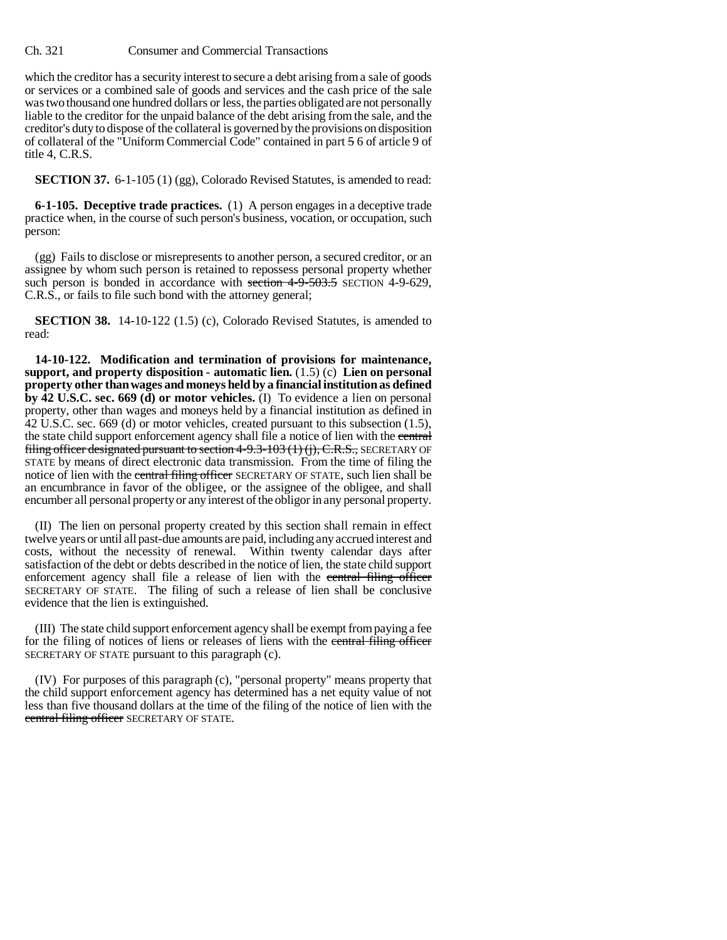which the creditor has a security interest to secure a debt arising from a sale of goods or services or a combined sale of goods and services and the cash price of the sale was two thousand one hundred dollars or less, the parties obligated are not personally liable to the creditor for the unpaid balance of the debt arising from the sale, and the creditor's duty to dispose of the collateral is governed by the provisions on disposition of collateral of the "Uniform Commercial Code" contained in part 5 6 of article 9 of title 4, C.R.S.

**SECTION 37.** 6-1-105 (1) (gg), Colorado Revised Statutes, is amended to read:

**6-1-105. Deceptive trade practices.** (1) A person engages in a deceptive trade practice when, in the course of such person's business, vocation, or occupation, such person:

(gg) Fails to disclose or misrepresents to another person, a secured creditor, or an assignee by whom such person is retained to repossess personal property whether such person is bonded in accordance with section  $4-\overline{9}-503.5$  SECTION 4-9-629, C.R.S., or fails to file such bond with the attorney general;

**SECTION 38.** 14-10-122 (1.5) (c), Colorado Revised Statutes, is amended to read:

**14-10-122. Modification and termination of provisions for maintenance, support, and property disposition - automatic lien.** (1.5) (c) **Lien on personal property other than wages and moneys held by a financial institution as defined by 42 U.S.C. sec. 669 (d) or motor vehicles.** (I) To evidence a lien on personal property, other than wages and moneys held by a financial institution as defined in  $42 \text{ U.S.C. sec. } 669 \text{ (d)}$  or motor vehicles, created pursuant to this subsection (1.5), the state child support enforcement agency shall file a notice of lien with the central filing officer designated pursuant to section 4-9.3-103 (1) (j), C.R.S., SECRETARY OF STATE by means of direct electronic data transmission. From the time of filing the notice of lien with the central filing officer SECRETARY OF STATE, such lien shall be an encumbrance in favor of the obligee, or the assignee of the obligee, and shall encumber all personal property or any interest of the obligor in any personal property.

(II) The lien on personal property created by this section shall remain in effect twelve years or until all past-due amounts are paid, including any accrued interest and costs, without the necessity of renewal. Within twenty calendar days after satisfaction of the debt or debts described in the notice of lien, the state child support enforcement agency shall file a release of lien with the central filing officer SECRETARY OF STATE. The filing of such a release of lien shall be conclusive evidence that the lien is extinguished.

(III) The state child support enforcement agency shall be exempt from paying a fee for the filing of notices of liens or releases of liens with the central filing officer SECRETARY OF STATE pursuant to this paragraph (c).

(IV) For purposes of this paragraph (c), "personal property" means property that the child support enforcement agency has determined has a net equity value of not less than five thousand dollars at the time of the filing of the notice of lien with the central filing officer SECRETARY OF STATE.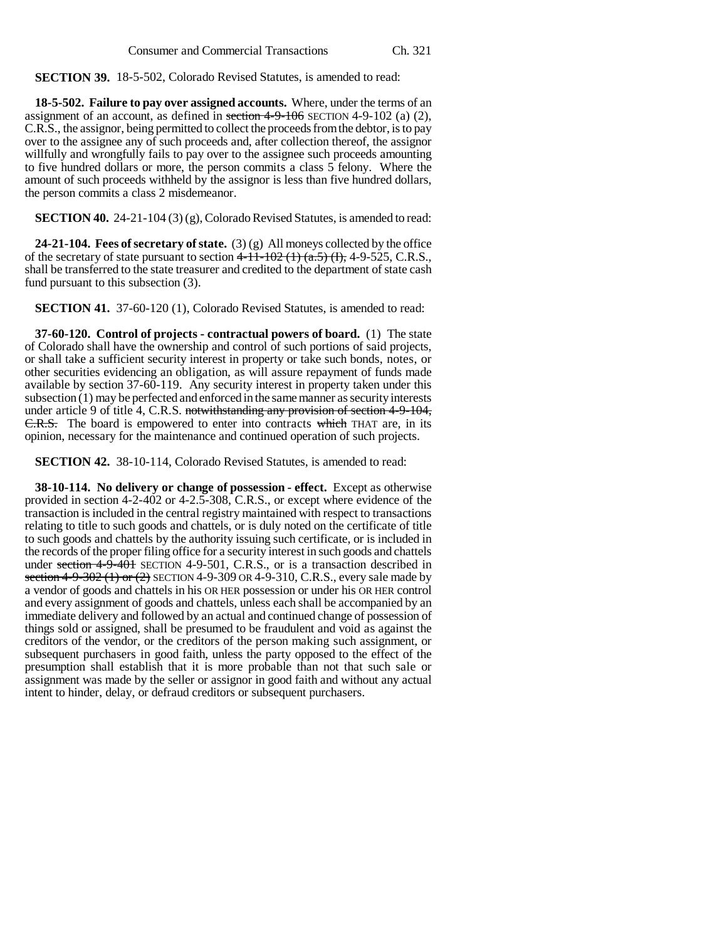**SECTION 39.** 18-5-502, Colorado Revised Statutes, is amended to read:

**18-5-502. Failure to pay over assigned accounts.** Where, under the terms of an assignment of an account, as defined in section 4-9-106 SECTION 4-9-102 (a) (2), C.R.S., the assignor, being permitted to collect the proceeds from the debtor, is to pay over to the assignee any of such proceeds and, after collection thereof, the assignor willfully and wrongfully fails to pay over to the assignee such proceeds amounting to five hundred dollars or more, the person commits a class 5 felony. Where the amount of such proceeds withheld by the assignor is less than five hundred dollars, the person commits a class 2 misdemeanor.

**SECTION 40.** 24-21-104 (3) (g), Colorado Revised Statutes, is amended to read:

**24-21-104. Fees of secretary of state.** (3) (g) All moneys collected by the office of the secretary of state pursuant to section  $4-11-102$  (1)  $(a.5)$  (I), 4-9-525, C.R.S., shall be transferred to the state treasurer and credited to the department of state cash fund pursuant to this subsection (3).

**SECTION 41.** 37-60-120 (1), Colorado Revised Statutes, is amended to read:

**37-60-120. Control of projects - contractual powers of board.** (1) The state of Colorado shall have the ownership and control of such portions of said projects, or shall take a sufficient security interest in property or take such bonds, notes, or other securities evidencing an obligation, as will assure repayment of funds made available by section 37-60-119. Any security interest in property taken under this subsection (1) may be perfected and enforced in the same manner as security interests under article 9 of title 4, C.R.S. notwithstanding any provision of section 4-9-104, C.R.S. The board is empowered to enter into contracts which THAT are, in its opinion, necessary for the maintenance and continued operation of such projects.

**SECTION 42.** 38-10-114, Colorado Revised Statutes, is amended to read:

**38-10-114. No delivery or change of possession - effect.** Except as otherwise provided in section 4-2-402 or 4-2.5-308, C.R.S., or except where evidence of the transaction is included in the central registry maintained with respect to transactions relating to title to such goods and chattels, or is duly noted on the certificate of title to such goods and chattels by the authority issuing such certificate, or is included in the records of the proper filing office for a security interest in such goods and chattels under section  $4-\overline{9}-40$  SECTION 4-9-501, C.R.S., or is a transaction described in section  $4-9-302$  (1) or (2) SECTION 4-9-309 OR 4-9-310, C.R.S., every sale made by a vendor of goods and chattels in his OR HER possession or under his OR HER control and every assignment of goods and chattels, unless each shall be accompanied by an immediate delivery and followed by an actual and continued change of possession of things sold or assigned, shall be presumed to be fraudulent and void as against the creditors of the vendor, or the creditors of the person making such assignment, or subsequent purchasers in good faith, unless the party opposed to the effect of the presumption shall establish that it is more probable than not that such sale or assignment was made by the seller or assignor in good faith and without any actual intent to hinder, delay, or defraud creditors or subsequent purchasers.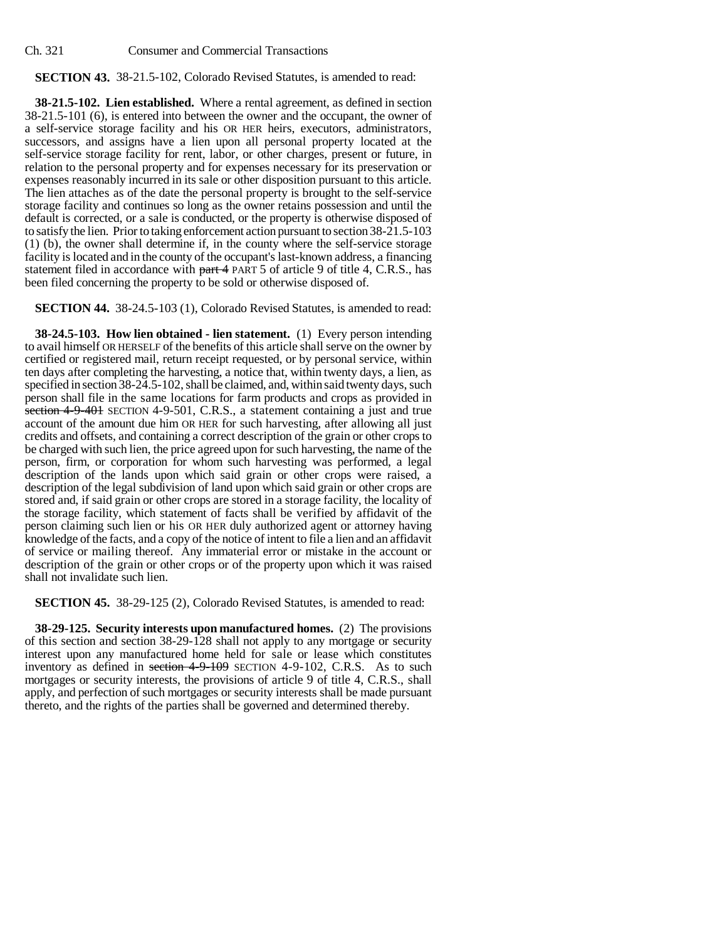# **SECTION 43.** 38-21.5-102, Colorado Revised Statutes, is amended to read:

**38-21.5-102. Lien established.** Where a rental agreement, as defined in section 38-21.5-101 (6), is entered into between the owner and the occupant, the owner of a self-service storage facility and his OR HER heirs, executors, administrators, successors, and assigns have a lien upon all personal property located at the self-service storage facility for rent, labor, or other charges, present or future, in relation to the personal property and for expenses necessary for its preservation or expenses reasonably incurred in its sale or other disposition pursuant to this article. The lien attaches as of the date the personal property is brought to the self-service storage facility and continues so long as the owner retains possession and until the default is corrected, or a sale is conducted, or the property is otherwise disposed of to satisfy the lien. Prior to taking enforcement action pursuant to section 38-21.5-103 (1) (b), the owner shall determine if, in the county where the self-service storage facility is located and in the county of the occupant's last-known address, a financing statement filed in accordance with part 4 PART 5 of article 9 of title 4, C.R.S., has been filed concerning the property to be sold or otherwise disposed of.

**SECTION 44.** 38-24.5-103 (1), Colorado Revised Statutes, is amended to read:

**38-24.5-103. How lien obtained - lien statement.** (1) Every person intending to avail himself OR HERSELF of the benefits of this article shall serve on the owner by certified or registered mail, return receipt requested, or by personal service, within ten days after completing the harvesting, a notice that, within twenty days, a lien, as specified in section 38-24.5-102, shall be claimed, and, within said twenty days, such person shall file in the same locations for farm products and crops as provided in section 4-9-401 SECTION 4-9-501, C.R.S., a statement containing a just and true account of the amount due him OR HER for such harvesting, after allowing all just credits and offsets, and containing a correct description of the grain or other crops to be charged with such lien, the price agreed upon for such harvesting, the name of the person, firm, or corporation for whom such harvesting was performed, a legal description of the lands upon which said grain or other crops were raised, a description of the legal subdivision of land upon which said grain or other crops are stored and, if said grain or other crops are stored in a storage facility, the locality of the storage facility, which statement of facts shall be verified by affidavit of the person claiming such lien or his OR HER duly authorized agent or attorney having knowledge of the facts, and a copy of the notice of intent to file a lien and an affidavit of service or mailing thereof. Any immaterial error or mistake in the account or description of the grain or other crops or of the property upon which it was raised shall not invalidate such lien.

**SECTION 45.** 38-29-125 (2), Colorado Revised Statutes, is amended to read:

**38-29-125. Security interests upon manufactured homes.** (2) The provisions of this section and section 38-29-128 shall not apply to any mortgage or security interest upon any manufactured home held for sale or lease which constitutes inventory as defined in section 4-9-109 SECTION 4-9-102, C.R.S. As to such mortgages or security interests, the provisions of article 9 of title 4, C.R.S., shall apply, and perfection of such mortgages or security interests shall be made pursuant thereto, and the rights of the parties shall be governed and determined thereby.